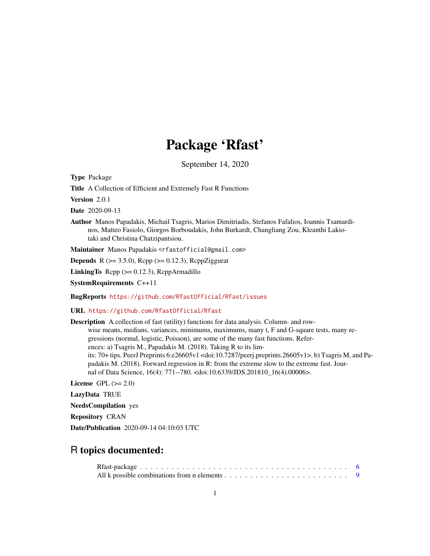# Package 'Rfast'

September 14, 2020

<span id="page-0-0"></span>Type Package

Title A Collection of Efficient and Extremely Fast R Functions

Version 2.0.1

Date 2020-09-13

Author Manos Papadakis, Michail Tsagris, Marios Dimitriadis, Stefanos Fafalios, Ioannis Tsamardinos, Matteo Fasiolo, Giorgos Borboudakis, John Burkardt, Changliang Zou, Kleanthi Lakiotaki and Christina Chatzipantsiou.

Maintainer Manos Papadakis <rfastofficial@gmail.com>

**Depends** R ( $>= 3.5.0$ ), Rcpp ( $>= 0.12.3$ ), RcppZiggurat

**LinkingTo** Rcpp  $(>= 0.12.3)$ , RcppArmadillo

SystemRequirements C++11

BugReports <https://github.com/RfastOfficial/Rfast/issues>

URL <https://github.com/RfastOfficial/Rfast>

Description A collection of fast (utility) functions for data analysis. Column- and rowwise means, medians, variances, minimums, maximums, many t, F and G-square tests, many regressions (normal, logistic, Poisson), are some of the many fast functions. References: a) Tsagris M., Papadakis M. (2018). Taking R to its limits: 70+ tips. PeerJ Preprints 6:e26605v1 <doi:10.7287/peerj.preprints.26605v1>. b) Tsagris M. and Papadakis M. (2018). Forward regression in R: from the extreme slow to the extreme fast. Journal of Data Science, 16(4): 771--780. <doi:10.6339/JDS.201810\_16(4).00006>.

License GPL  $(>= 2.0)$ 

LazyData TRUE

NeedsCompilation yes

Repository CRAN

Date/Publication 2020-09-14 04:10:03 UTC

# R topics documented: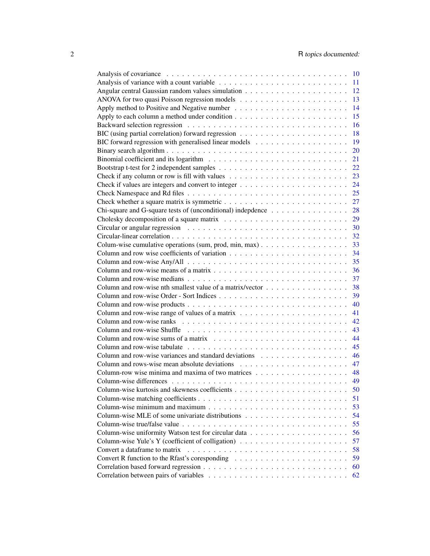|                                                                                                        |  |  | 10 |
|--------------------------------------------------------------------------------------------------------|--|--|----|
|                                                                                                        |  |  | 11 |
|                                                                                                        |  |  | 12 |
|                                                                                                        |  |  | 13 |
|                                                                                                        |  |  | 14 |
|                                                                                                        |  |  | 15 |
|                                                                                                        |  |  | 16 |
|                                                                                                        |  |  | 18 |
|                                                                                                        |  |  | 19 |
|                                                                                                        |  |  | 20 |
|                                                                                                        |  |  | 21 |
|                                                                                                        |  |  | 22 |
|                                                                                                        |  |  | 23 |
|                                                                                                        |  |  | 24 |
|                                                                                                        |  |  | 25 |
|                                                                                                        |  |  |    |
|                                                                                                        |  |  | 27 |
| Chi-square and G-square tests of (unconditional) indepdence                                            |  |  | 28 |
| Cholesky decomposition of a square matrix $\ldots \ldots \ldots \ldots \ldots \ldots \ldots \ldots$    |  |  | 29 |
|                                                                                                        |  |  | 30 |
|                                                                                                        |  |  | 32 |
|                                                                                                        |  |  | 33 |
|                                                                                                        |  |  | 34 |
|                                                                                                        |  |  | 35 |
|                                                                                                        |  |  | 36 |
|                                                                                                        |  |  | 37 |
| Column and row-wise nth smallest value of a matrix/vector $\dots \dots \dots \dots \dots \dots$        |  |  | 38 |
|                                                                                                        |  |  | 39 |
|                                                                                                        |  |  | 40 |
| Column and row-wise range of values of a matrix $\dots \dots \dots \dots \dots \dots \dots \dots$      |  |  | 41 |
|                                                                                                        |  |  | 42 |
|                                                                                                        |  |  | 43 |
|                                                                                                        |  |  | 44 |
|                                                                                                        |  |  | 45 |
|                                                                                                        |  |  |    |
|                                                                                                        |  |  | 46 |
|                                                                                                        |  |  | 47 |
|                                                                                                        |  |  | 48 |
|                                                                                                        |  |  | 49 |
|                                                                                                        |  |  | 50 |
|                                                                                                        |  |  | 51 |
|                                                                                                        |  |  | 53 |
|                                                                                                        |  |  | 54 |
|                                                                                                        |  |  | 55 |
|                                                                                                        |  |  | 56 |
| Column-wise Yule's Y (coefficient of colligation) $\dots \dots \dots \dots \dots \dots \dots \dots$    |  |  | 57 |
| Convert a dataframe to matrix                                                                          |  |  | 58 |
| Convert R function to the Rfast's coresponding $\dots \dots \dots \dots \dots \dots \dots \dots \dots$ |  |  | 59 |
|                                                                                                        |  |  | 60 |
|                                                                                                        |  |  | 62 |
|                                                                                                        |  |  |    |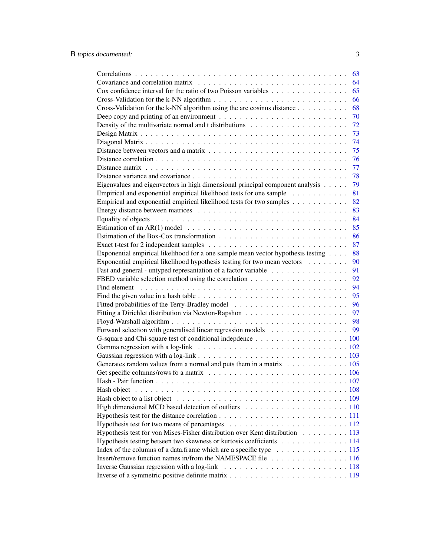|                                                                                                                                                | 63 |
|------------------------------------------------------------------------------------------------------------------------------------------------|----|
|                                                                                                                                                | 64 |
| Cox confidence interval for the ratio of two Poisson variables                                                                                 | 65 |
|                                                                                                                                                | 66 |
| Cross-Validation for the k-NN algorithm using the arc cosinus distance $\dots \dots \dots$                                                     | 68 |
|                                                                                                                                                | 70 |
|                                                                                                                                                | 72 |
|                                                                                                                                                | 73 |
|                                                                                                                                                | 74 |
|                                                                                                                                                | 75 |
|                                                                                                                                                | 76 |
|                                                                                                                                                | 77 |
|                                                                                                                                                | 78 |
|                                                                                                                                                |    |
| Eigenvalues and eigenvectors in high dimensional principal component analysis                                                                  | 79 |
| Empirical and exponential empirical likelihood tests for one sample                                                                            | 81 |
| Empirical and exponential empirical likelihood tests for two samples                                                                           | 82 |
|                                                                                                                                                | 83 |
| Equality of objects $\ldots \ldots \ldots \ldots \ldots \ldots \ldots \ldots \ldots \ldots \ldots \ldots \ldots$                               | 84 |
| Estimation of an AR(1) model $\ldots \ldots \ldots \ldots \ldots \ldots \ldots \ldots \ldots \ldots$                                           | 85 |
|                                                                                                                                                | 86 |
| Exact t-test for 2 independent samples $\dots \dots \dots \dots \dots \dots \dots \dots \dots \dots \dots \dots$                               | 87 |
| Exponential empirical likelihood for a one sample mean vector hypothesis testing                                                               | 88 |
| Exponential empirical likelihood hypothesis testing for two mean vectors                                                                       | 90 |
|                                                                                                                                                | 91 |
|                                                                                                                                                | 92 |
|                                                                                                                                                | 94 |
|                                                                                                                                                | 95 |
|                                                                                                                                                | 96 |
|                                                                                                                                                | 97 |
|                                                                                                                                                | 98 |
| Forward selection with generalised linear regression models 99                                                                                 |    |
|                                                                                                                                                |    |
|                                                                                                                                                |    |
|                                                                                                                                                |    |
|                                                                                                                                                |    |
| Generates random values from a normal and puts them in a matrix 105                                                                            |    |
|                                                                                                                                                |    |
|                                                                                                                                                |    |
|                                                                                                                                                |    |
|                                                                                                                                                |    |
|                                                                                                                                                |    |
|                                                                                                                                                |    |
|                                                                                                                                                |    |
| Hypothesis test for von Mises-Fisher distribution over Kent distribution 113                                                                   |    |
| Hypothesis testing betseen two skewness or kurtosis coefficients 114                                                                           |    |
| Index of the columns of a data frame which are a specific type $\dots \dots \dots \dots \dots \dots \dots \dots \dots \dots \dots \dots \dots$ |    |
| Insert/remove function names in/from the NAMESPACE file 116                                                                                    |    |
|                                                                                                                                                |    |
|                                                                                                                                                |    |
|                                                                                                                                                |    |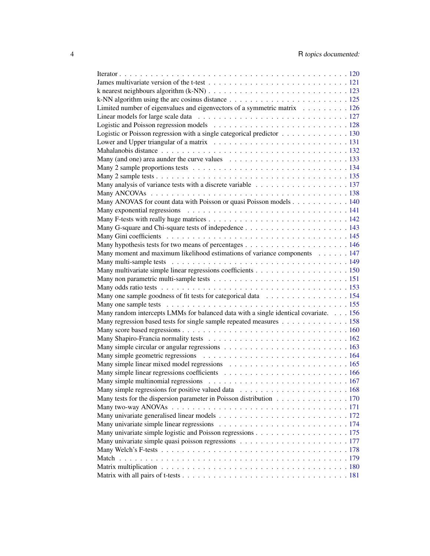| Limited number of eigenvalues and eigenvectors of a symmetric matrix 126                                         |  |
|------------------------------------------------------------------------------------------------------------------|--|
|                                                                                                                  |  |
|                                                                                                                  |  |
| Logistic or Poisson regression with a single categorical predictor $\dots \dots \dots \dots \dots \dots$         |  |
|                                                                                                                  |  |
|                                                                                                                  |  |
| Many (and one) area aunder the curve values $\ldots \ldots \ldots \ldots \ldots \ldots \ldots \ldots \ldots 133$ |  |
|                                                                                                                  |  |
|                                                                                                                  |  |
|                                                                                                                  |  |
|                                                                                                                  |  |
| Many ANOVAS for count data with Poisson or quasi Poisson models 140                                              |  |
|                                                                                                                  |  |
|                                                                                                                  |  |
|                                                                                                                  |  |
|                                                                                                                  |  |
|                                                                                                                  |  |
| Many moment and maximum likelihood estimations of variance components 147                                        |  |
|                                                                                                                  |  |
|                                                                                                                  |  |
|                                                                                                                  |  |
|                                                                                                                  |  |
| Many one sample goodness of fit tests for categorical data 154                                                   |  |
|                                                                                                                  |  |
| Many random intercepts LMMs for balanced data with a single identical covariate. 156                             |  |
| Many regression based tests for single sample repeated measures 158                                              |  |
|                                                                                                                  |  |
|                                                                                                                  |  |
|                                                                                                                  |  |
|                                                                                                                  |  |
|                                                                                                                  |  |
|                                                                                                                  |  |
|                                                                                                                  |  |
|                                                                                                                  |  |
| Many tests for the dispersion parameter in Poisson distribution 170                                              |  |
|                                                                                                                  |  |
|                                                                                                                  |  |
|                                                                                                                  |  |
|                                                                                                                  |  |
|                                                                                                                  |  |
|                                                                                                                  |  |
|                                                                                                                  |  |
|                                                                                                                  |  |
|                                                                                                                  |  |
|                                                                                                                  |  |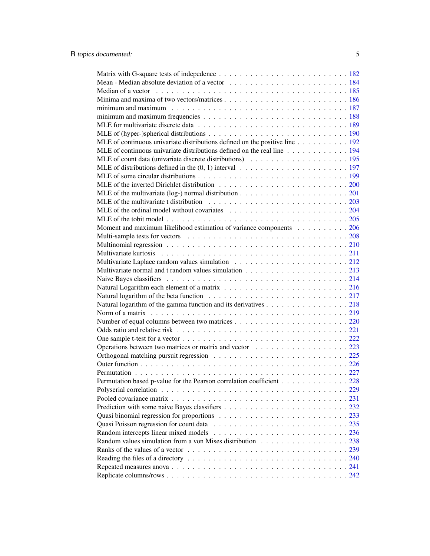| Median of a vector enterpretation of the vector of the vector of the vector of the vector of the vector of the vector of the vector of the vector of the vector of the vector of the vector of the vector of the vector of the |  |
|--------------------------------------------------------------------------------------------------------------------------------------------------------------------------------------------------------------------------------|--|
|                                                                                                                                                                                                                                |  |
|                                                                                                                                                                                                                                |  |
|                                                                                                                                                                                                                                |  |
|                                                                                                                                                                                                                                |  |
|                                                                                                                                                                                                                                |  |
| MLE of continuous univariate distributions defined on the positive line 192                                                                                                                                                    |  |
| MLE of continuous univariate distributions defined on the real line 194                                                                                                                                                        |  |
|                                                                                                                                                                                                                                |  |
|                                                                                                                                                                                                                                |  |
|                                                                                                                                                                                                                                |  |
|                                                                                                                                                                                                                                |  |
| MLE of the multivariate (log-) normal distribution $\dots \dots \dots \dots \dots \dots \dots \dots \dots \dots \dots$                                                                                                         |  |
|                                                                                                                                                                                                                                |  |
|                                                                                                                                                                                                                                |  |
|                                                                                                                                                                                                                                |  |
| Moment and maximum likelihood estimation of variance components 206                                                                                                                                                            |  |
|                                                                                                                                                                                                                                |  |
|                                                                                                                                                                                                                                |  |
|                                                                                                                                                                                                                                |  |
|                                                                                                                                                                                                                                |  |
|                                                                                                                                                                                                                                |  |
|                                                                                                                                                                                                                                |  |
|                                                                                                                                                                                                                                |  |
|                                                                                                                                                                                                                                |  |
|                                                                                                                                                                                                                                |  |
| Natural logarithm of the gamma function and its derivatives 218                                                                                                                                                                |  |
|                                                                                                                                                                                                                                |  |
|                                                                                                                                                                                                                                |  |
|                                                                                                                                                                                                                                |  |
|                                                                                                                                                                                                                                |  |
| Operations between two matrices or matrix and vector 223                                                                                                                                                                       |  |
|                                                                                                                                                                                                                                |  |
|                                                                                                                                                                                                                                |  |
|                                                                                                                                                                                                                                |  |
| Permutation based p-value for the Pearson correlation coefficient 228                                                                                                                                                          |  |
|                                                                                                                                                                                                                                |  |
|                                                                                                                                                                                                                                |  |
|                                                                                                                                                                                                                                |  |
|                                                                                                                                                                                                                                |  |
|                                                                                                                                                                                                                                |  |
|                                                                                                                                                                                                                                |  |
| Random values simulation from a von Mises distribution 238                                                                                                                                                                     |  |
|                                                                                                                                                                                                                                |  |
|                                                                                                                                                                                                                                |  |
|                                                                                                                                                                                                                                |  |
|                                                                                                                                                                                                                                |  |
|                                                                                                                                                                                                                                |  |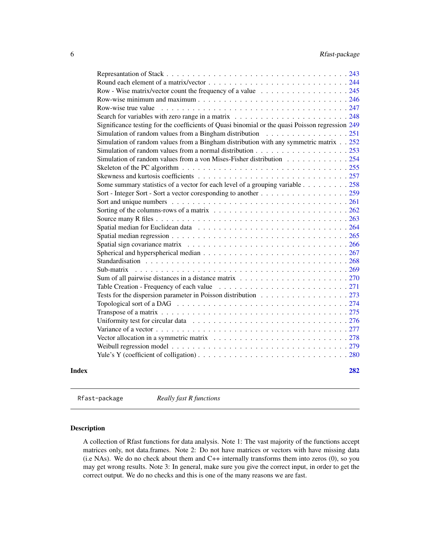<span id="page-5-0"></span>

|       | Row - Wise matrix/vector count the frequency of a value 245                                                              |     |
|-------|--------------------------------------------------------------------------------------------------------------------------|-----|
|       |                                                                                                                          |     |
|       | Row-wise true value $\ldots \ldots \ldots \ldots \ldots \ldots \ldots \ldots \ldots \ldots \ldots \ldots \ldots$         |     |
|       |                                                                                                                          |     |
|       | Significance testing for the coefficients of Quasi binomial or the quasi Poisson regression 249                          |     |
|       | Simulation of random values from a Bingham distribution 251                                                              |     |
|       | Simulation of random values from a Bingham distribution with any symmetric matrix 252                                    |     |
|       |                                                                                                                          |     |
|       | Simulation of random values from a von Mises-Fisher distribution 254                                                     |     |
|       |                                                                                                                          |     |
|       |                                                                                                                          |     |
|       | Some summary statistics of a vector for each level of a grouping variable 258                                            |     |
|       |                                                                                                                          |     |
|       |                                                                                                                          |     |
|       |                                                                                                                          |     |
|       |                                                                                                                          |     |
|       |                                                                                                                          |     |
|       |                                                                                                                          |     |
|       |                                                                                                                          |     |
|       |                                                                                                                          |     |
|       |                                                                                                                          |     |
|       | Sub-matrix                                                                                                               |     |
|       |                                                                                                                          |     |
|       |                                                                                                                          |     |
|       | Tests for the dispersion parameter in Poisson distribution 273                                                           |     |
|       |                                                                                                                          |     |
|       |                                                                                                                          |     |
|       |                                                                                                                          |     |
|       |                                                                                                                          |     |
|       | Vector allocation in a symmetric matrix $\ldots \ldots \ldots \ldots \ldots \ldots \ldots \ldots \ldots \ldots 278$      |     |
|       |                                                                                                                          |     |
|       | Yule's Y (coefficient of colligation) $\ldots \ldots \ldots \ldots \ldots \ldots \ldots \ldots \ldots \ldots \ldots 280$ |     |
| Index |                                                                                                                          | 282 |
|       |                                                                                                                          |     |

Rfast-package *Really fast R functions*

# Description

A collection of Rfast functions for data analysis. Note 1: The vast majority of the functions accept matrices only, not data.frames. Note 2: Do not have matrices or vectors with have missing data (i.e NAs). We do no check about them and C++ internally transforms them into zeros (0), so you may get wrong results. Note 3: In general, make sure you give the correct input, in order to get the correct output. We do no checks and this is one of the many reasons we are fast.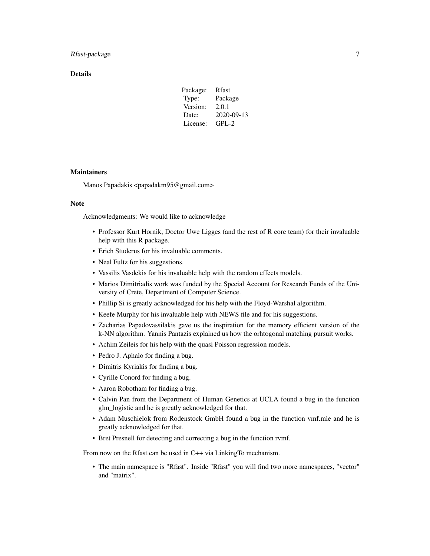# Rfast-package 7 and 7 and 7 and 7 and 7 and 7 and 7 and 7 and 7 and 7 and 7 and 7 and 7 and 7 and 7 and 7 and 7 and 7 and 7 and 7 and 7 and 7 and 7 and 7 and 7 and 7 and 7 and 7 and 7 and 7 and 7 and 7 and 7 and 7 and 7 an

# **Details**

| Package: | <b>R</b> fast |
|----------|---------------|
| Type:    | Package       |
| Version: | 2.0.1         |
| Date:    | 2020-09-13    |
| License: | $GPL-2$       |
|          |               |

#### **Maintainers**

Manos Papadakis <papadakm95@gmail.com>

#### Note

Acknowledgments: We would like to acknowledge

- Professor Kurt Hornik, Doctor Uwe Ligges (and the rest of R core team) for their invaluable help with this R package.
- Erich Studerus for his invaluable comments.
- Neal Fultz for his suggestions.
- Vassilis Vasdekis for his invaluable help with the random effects models.
- Marios Dimitriadis work was funded by the Special Account for Research Funds of the University of Crete, Department of Computer Science.
- Phillip Si is greatly acknowledged for his help with the Floyd-Warshal algorithm.
- Keefe Murphy for his invaluable help with NEWS file and for his suggestions.
- Zacharias Papadovassilakis gave us the inspiration for the memory efficient version of the k-NN algorithm. Yannis Pantazis explained us how the orhtogonal matching pursuit works.
- Achim Zeileis for his help with the quasi Poisson regression models.
- Pedro J. Aphalo for finding a bug.
- Dimitris Kyriakis for finding a bug.
- Cyrille Conord for finding a bug.
- Aaron Robotham for finding a bug.
- Calvin Pan from the Department of Human Genetics at UCLA found a bug in the function glm\_logistic and he is greatly acknowledged for that.
- Adam Muschielok from Rodenstock GmbH found a bug in the function vmf.mle and he is greatly acknowledged for that.
- Bret Presnell for detecting and correcting a bug in the function rvmf.

From now on the Rfast can be used in C++ via LinkingTo mechanism.

• The main namespace is "Rfast". Inside "Rfast" you will find two more namespaces, "vector" and "matrix".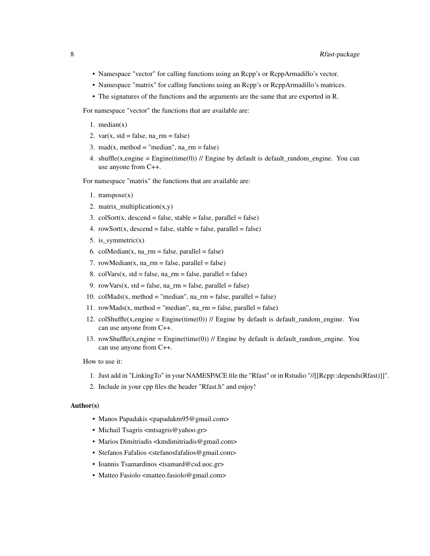- Namespace "vector" for calling functions using an Rcpp's or RcppArmadillo's vector.
- Namespace "matrix" for calling functions using an Rcpp's or RcppArmadillo's matrices.
- The signatures of the functions and the arguments are the same that are exported in R.

For namespace "vector" the functions that are available are:

- 1.  $median(x)$
- 2. var(x, std = false,  $na$ \_rm = false)
- 3. mad(x, method = "median", na\_rm = false)
- 4. shuffle(x,engine = Engine(time(0)) // Engine by default is default\_random\_engine. You can use anyone from C++.

For namespace "matrix" the functions that are available are:

- 1. transpose(x)
- 2. matrix\_multiplication $(x,y)$
- 3.  $colSort(x, descend = false, stable = false, parallel = false)$
- 4. rowSort(x, descend = false, stable = false, parallel = false)
- 5. is\_symmetric $(x)$
- 6. colMedian(x,  $na\_rm = false$ ,  $parallel = false$ )
- 7. rowMedian( $x$ ,  $na$ \_rm = false,  $parallel$  = false)
- 8.  $colVars(x, std = false, na\_rm = false, parallel = false)$
- 9. rowVars(x, std = false,  $na\_rm = false$ ,  $parallel = false$ )
- 10.  $\text{collMads}(x, \text{method} = "median", \text{na\_rm} = \text{false}, \text{parallel} = \text{false})$
- 11. rowMads(x, method = "median",  $na\_rm = false$ , parallel = false)
- 12. colShuffle(x,engine = Engine(time(0)) // Engine by default is default\_random\_engine. You can use anyone from C++.
- 13. rowShuffle(x,engine = Engine(time(0)) // Engine by default is default\_random\_engine. You can use anyone from C++.

How to use it:

- 1. Just add in "LinkingTo" in your NAMESPACE file the "Rfast" or in Rstudio "//[[Rcpp::depends(Rfast)]]".
- 2. Include in your cpp files the header "Rfast.h" and enjoy!

#### Author(s)

- Manos Papadakis <papadakm95@gmail.com>
- Michail Tsagris <mtsagris@yahoo.gr>
- Marios Dimitriadis <kmdimitriadis@gmail.com>
- Stefanos Fafalios <stefanosfafalios@gmail.com>
- Ioannis Tsamardinos <tsamard@csd.uoc.gr>
- Matteo Fasiolo <matteo.fasiolo@gmail.com>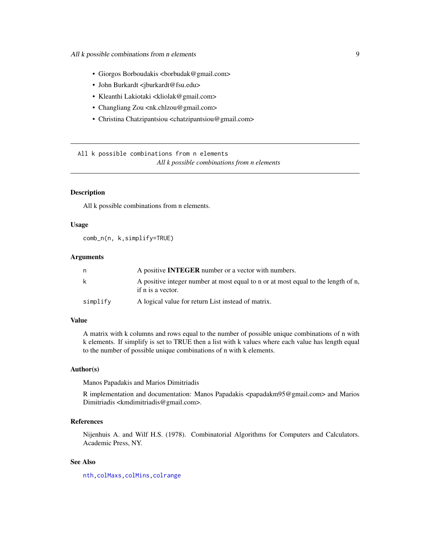- <span id="page-8-0"></span>• Giorgos Borboudakis <br/> <br/> <br/> <br/> <br/> <br/>Gamail.com>
- John Burkardt <jburkardt@fsu.edu>
- Kleanthi Lakiotaki <kliolak@gmail.com>
- Changliang Zou <nk.chlzou@gmail.com>
- Christina Chatzipantsiou <chatzipantsiou@gmail.com>

All k possible combinations from n elements *All k possible combinations from n elements*

# <span id="page-8-1"></span>**Description**

All k possible combinations from n elements.

#### Usage

comb\_n(n, k,simplify=TRUE)

#### Arguments

| n        | A positive <b>INTEGER</b> number or a vector with numbers.                                             |
|----------|--------------------------------------------------------------------------------------------------------|
| k        | A positive integer number at most equal to n or at most equal to the length of n,<br>if n is a vector. |
| simplify | A logical value for return List instead of matrix.                                                     |

#### Value

A matrix with k columns and rows equal to the number of possible unique combinations of n with k elements. If simplify is set to TRUE then a list with k values where each value has length equal to the number of possible unique combinations of n with k elements.

#### Author(s)

Manos Papadakis and Marios Dimitriadis

R implementation and documentation: Manos Papadakis <papadakm95@gmail.com> and Marios Dimitriadis <kmdimitriadis@gmail.com>.

# References

Nijenhuis A. and Wilf H.S. (1978). Combinatorial Algorithms for Computers and Calculators. Academic Press, NY.

# See Also

[nth](#page-37-1)[,colMaxs,colMins,](#page-52-1)[colrange](#page-40-1)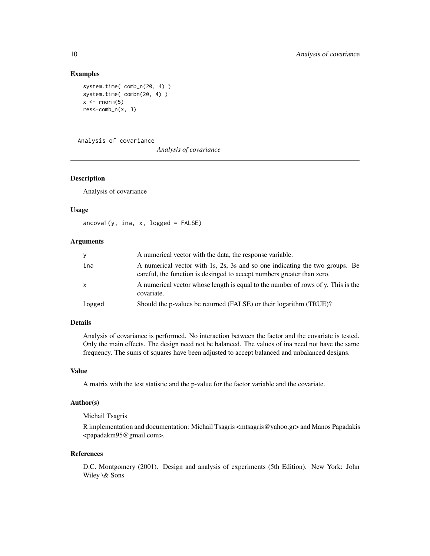```
system.time( comb_n(20, 4) )
system.time( combn(20, 4) )
x \le - rnorm(5)
res<-comb_n(x, 3)
```
Analysis of covariance

*Analysis of covariance*

# Description

Analysis of covariance

#### Usage

 $\arccos( y, \text{ ina, x, logged = FALSE})$ 

# Arguments

| V        | A numerical vector with the data, the response variable.                                                                                              |
|----------|-------------------------------------------------------------------------------------------------------------------------------------------------------|
| ina      | A numerical vector with 1s, 2s, 3s and so one indicating the two groups. Be<br>careful, the function is desinged to accept numbers greater than zero. |
| <b>X</b> | A numerical vector whose length is equal to the number of rows of y. This is the<br>covariate.                                                        |
| logged   | Should the p-values be returned (FALSE) or their logarithm (TRUE)?                                                                                    |

#### Details

Analysis of covariance is performed. No interaction between the factor and the covariate is tested. Only the main effects. The design need not be balanced. The values of ina need not have the same frequency. The sums of squares have been adjusted to accept balanced and unbalanced designs.

# Value

A matrix with the test statistic and the p-value for the factor variable and the covariate.

# Author(s)

#### Michail Tsagris

R implementation and documentation: Michail Tsagris <mtsagris@yahoo.gr> and Manos Papadakis <papadakm95@gmail.com>.

#### References

D.C. Montgomery (2001). Design and analysis of experiments (5th Edition). New York: John Wiley \& Sons

<span id="page-9-0"></span>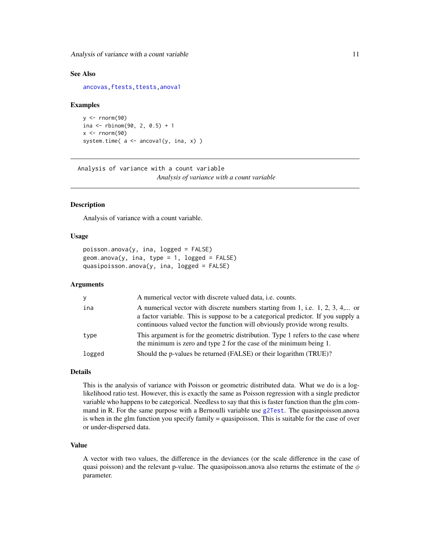<span id="page-10-0"></span>Analysis of variance with a count variable 11

#### See Also

[ancovas](#page-137-1)[,ftests](#page-148-1)[,ttests,](#page-134-1)[anova1](#page-207-1)

#### Examples

```
y <- rnorm(90)
ina <- rbinom(90, 2, 0.5) + 1
x < - rnorm(90)
system.time(a \leftarrow \text{ancoval}(y, \text{ina}, x))
```
Analysis of variance with a count variable *Analysis of variance with a count variable*

# <span id="page-10-1"></span>Description

Analysis of variance with a count variable.

# Usage

```
poisson.anova(y, ina, logged = FALSE)
geom.anova(y, ina, type = 1, logged = FALSE)quasipoisson.anova(y, ina, logged = FALSE)
```
#### Arguments

| y      | A numerical vector with discrete valued data, <i>i.e.</i> counts.                                                                                                                                                                                 |
|--------|---------------------------------------------------------------------------------------------------------------------------------------------------------------------------------------------------------------------------------------------------|
| ina    | A numerical vector with discrete numbers starting from 1, i.e. 1, 2, 3, 4, or<br>a factor variable. This is suppose to be a categorical predictor. If you supply a<br>continuous valued vector the function will obviously provide wrong results. |
| type   | This argument is for the geometric distribution. Type 1 refers to the case where<br>the minimum is zero and type 2 for the case of the minimum being 1.                                                                                           |
| logged | Should the p-values be returned (FALSE) or their logarithm (TRUE)?                                                                                                                                                                                |

#### Details

This is the analysis of variance with Poisson or geometric distributed data. What we do is a loglikelihood ratio test. However, this is exactly the same as Poisson regression with a single predictor variable who happens to be categorical. Needless to say that this is faster function than the glm command in R. For the same purpose with a Bernoulli variable use [g2Test](#page-99-1). The quasinpoisson.anova is when in the glm function you specify family = quasipoisson. This is suitable for the case of over or under-dispersed data.

# Value

A vector with two values, the difference in the deviances (or the scale difference in the case of quasi poisson) and the relevant p-value. The quasipoisson.anova also returns the estimate of the  $\phi$ parameter.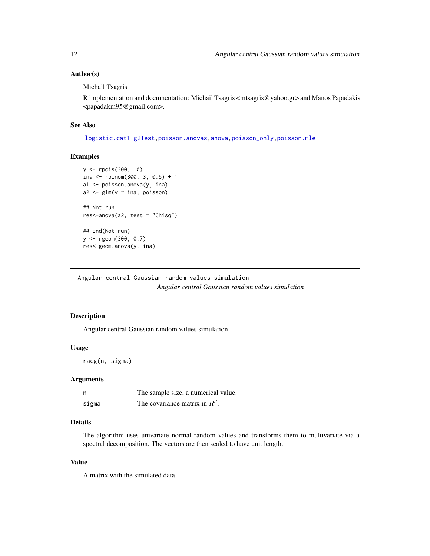<span id="page-11-0"></span>Michail Tsagris

R implementation and documentation: Michail Tsagris <mtsagris@yahoo.gr> and Manos Papadakis <papadakm95@gmail.com>.

# See Also

[logistic.cat1,](#page-129-1)[g2Test](#page-99-1)[,poisson.anovas](#page-136-1)[,anova](#page-0-0)[,poisson\\_only,](#page-174-1)[poisson.mle](#page-194-1)

#### Examples

```
y <- rpois(300, 10)
ina <- rbinom(300, 3, 0.5) + 1
a1 <- poisson.anova(y, ina)
a2 \leq glm(y \sim ina, \text{poisson})## Not run:
res<-anova(a2, test = "Chisq")
## End(Not run)
y <- rgeom(300, 0.7)
res<-geom.anova(y, ina)
```
Angular central Gaussian random values simulation *Angular central Gaussian random values simulation*

# Description

Angular central Gaussian random values simulation.

#### Usage

racg(n, sigma)

#### Arguments

| n     | The sample size, a numerical value. |
|-------|-------------------------------------|
| sigma | The covariance matrix in $R^d$ .    |

# Details

The algorithm uses univariate normal random values and transforms them to multivariate via a spectral decomposition. The vectors are then scaled to have unit length.

# Value

A matrix with the simulated data.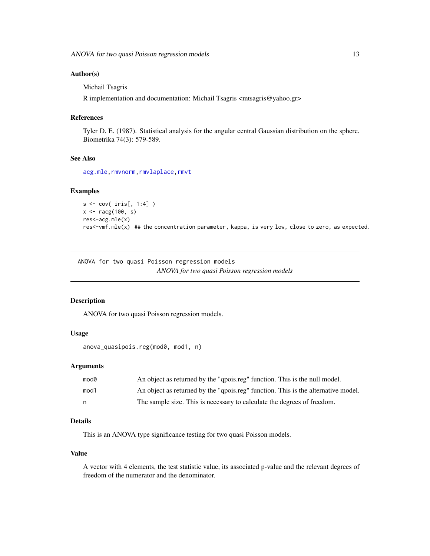<span id="page-12-0"></span>Michail Tsagris

R implementation and documentation: Michail Tsagris <mtsagris@yahoo.gr>

#### References

Tyler D. E. (1987). Statistical analysis for the angular central Gaussian distribution on the sphere. Biometrika 74(3): 579-589.

# See Also

[acg.mle](#page-189-1), rmvnorm, rmvlaplace, [rmvt](#page-212-1)

#### Examples

```
s <- cov( iris[, 1:4] )
x <- racg(100, s)
res<-acg.mle(x)
res<-vmf.mle(x) ## the concentration parameter, kappa, is very low, close to zero, as expected.
```
ANOVA for two quasi Poisson regression models *ANOVA for two quasi Poisson regression models*

# Description

ANOVA for two quasi Poisson regression models.

#### Usage

```
anova_quasipois.reg(mod0, mod1, n)
```
#### Arguments

| mod0 | An object as returned by the "qpois.reg" function. This is the null model.        |
|------|-----------------------------------------------------------------------------------|
| mod1 | An object as returned by the "qpois.reg" function. This is the alternative model. |
| n    | The sample size. This is necessary to calculate the degrees of freedom.           |

# Details

This is an ANOVA type significance testing for two quasi Poisson models.

#### Value

A vector with 4 elements, the test statistic value, its associated p-value and the relevant degrees of freedom of the numerator and the denominator.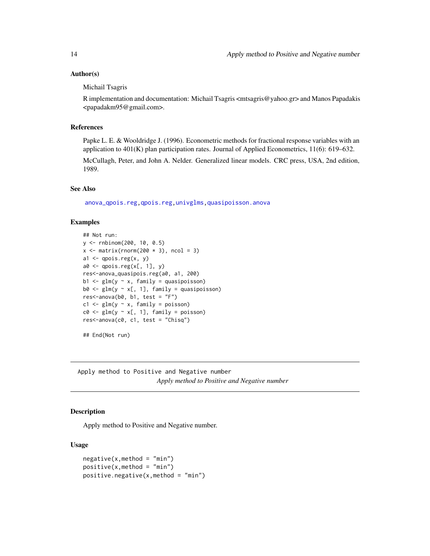<span id="page-13-0"></span>Michail Tsagris

R implementation and documentation: Michail Tsagris <mtsagris@yahoo.gr> and Manos Papadakis <papadakm95@gmail.com>.

#### References

Papke L. E. & Wooldridge J. (1996). Econometric methods for fractional response variables with an application to  $401(K)$  plan participation rates. Journal of Applied Econometrics,  $11(6)$ : 619–632.

McCullagh, Peter, and John A. Nelder. Generalized linear models. CRC press, USA, 2nd edition, 1989.

#### See Also

[anova\\_qpois.reg,](#page-248-1)[qpois.reg](#page-234-1)[,univglms](#page-171-1)[,quasipoisson.anova](#page-10-1)

# Examples

```
## Not run:
y <- rnbinom(200, 10, 0.5)
x \leftarrow \text{matrix}(rnorm(200 * 3), ncol = 3)a1 \leftarrow qpois.reg(x, y)
a0 \leftarrow qpois.reg(x[, 1], y)
res<-anova_quasipois.reg(a0, a1, 200)
b1 <- glm(y \sim x, family = quasipoisson)
b0 \leftarrow glm(y \sim x[, 1], family = quasipoisson)res<-\n  <i>anova</i>(b0, b1, test = "F")c1 \leq-g \text{lm}(y \sim x, \text{ family = poisson})c0 \leftarrow \text{glm}(y \sim x[, 1], \text{ family = poisson}res<-anova(c0, c1, test = "Chisq")
## End(Not run)
```
Apply method to Positive and Negative number

*Apply method to Positive and Negative number*

# **Description**

Apply method to Positive and Negative number.

#### Usage

```
negative(x, method = "min")positive(x, method = "min")positive.negative(x,method = "min")
```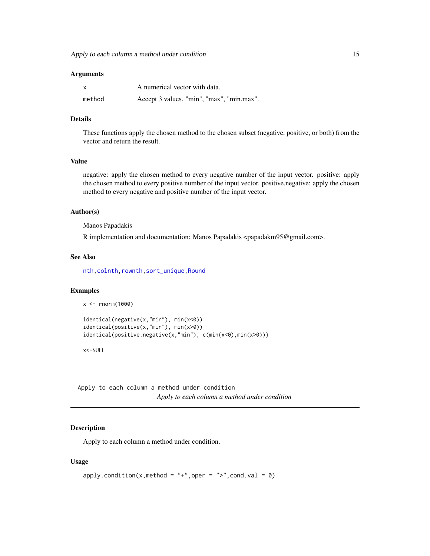#### <span id="page-14-0"></span>Arguments

| $\mathsf{x}$ | A numerical vector with data.             |
|--------------|-------------------------------------------|
| method       | Accept 3 values. "min", "max", "min.max". |

# Details

These functions apply the chosen method to the chosen subset (negative, positive, or both) from the vector and return the result.

# Value

negative: apply the chosen method to every negative number of the input vector. positive: apply the chosen method to every positive number of the input vector. positive.negative: apply the chosen method to every negative and positive number of the input vector.

# Author(s)

Manos Papadakis

R implementation and documentation: Manos Papadakis <papadakm95@gmail.com>.

#### See Also

[nth,colnth,rownth](#page-37-1)[,sort\\_unique,](#page-260-1)[Round](#page-243-1)

#### Examples

```
x < - rnorm(1000)
```

```
identical(negative(x,"min"), min(x<0))
identical(positive(x,"min"), min(x>0))
identical(positive.negative(x,"min"), c(min(x<0),min(x>0)))
```
x<-NULL

Apply to each column a method under condition *Apply to each column a method under condition*

# Description

Apply to each column a method under condition.

#### Usage

```
apply.condition(x,method = "+",oper = ">",cond.val = 0)
```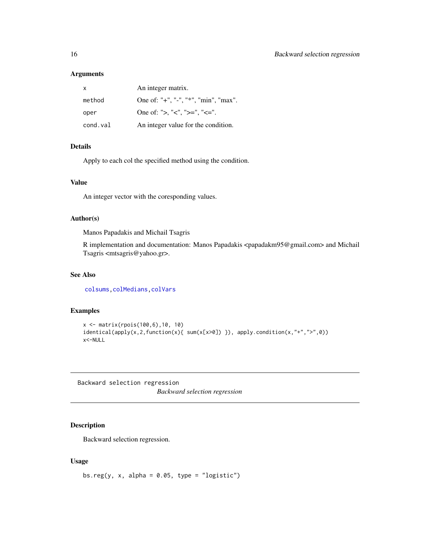#### <span id="page-15-0"></span>Arguments

| x        | An integer matrix.                   |
|----------|--------------------------------------|
| method   | One of: "+", "-", "*", "min", "max". |
| oper     | One of: ">, "<", ">=", "<=".         |
| cond.val | An integer value for the condition.  |

# Details

Apply to each col the specified method using the condition.

# Value

An integer vector with the coresponding values.

#### Author(s)

Manos Papadakis and Michail Tsagris

R implementation and documentation: Manos Papadakis <papadakm95@gmail.com> and Michail Tsagris <mtsagris@yahoo.gr>.

# See Also

[colsums,](#page-43-1)[colMedians](#page-36-1)[,colVars](#page-45-1)

#### Examples

```
x <- matrix(rpois(100,6),10, 10)
identical(apply(x,2,function(x){\{ sum(x[x>0]) \}\}, apply condition(x," +", " >", 0))x<-NULL
```
Backward selection regression *Backward selection regression*

# Description

Backward selection regression.

#### Usage

bs.reg(y, x, alpha =  $0.05$ , type = "logistic")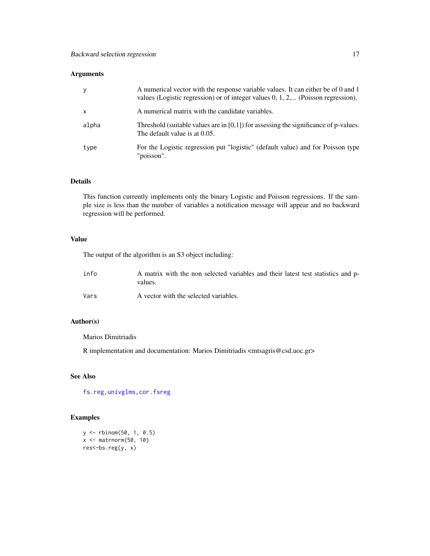# Arguments

| У            | A numerical vector with the response variable values. It can either be of 0 and 1<br>values (Logistic regression) or of integer values $0, 1, 2, \dots$ (Poisson regression). |
|--------------|-------------------------------------------------------------------------------------------------------------------------------------------------------------------------------|
| $\mathsf{x}$ | A numerical matrix with the candidate variables.                                                                                                                              |
| alpha        | Threshold (suitable values are in $[0,1]$ ) for assessing the significance of p-values.<br>The default value is at 0.05.                                                      |
| type         | For the Logistic regression put "logistic" (default value) and for Poisson type<br>"poisson".                                                                                 |

# Details

This function currently implements only the binary Logistic and Poisson regressions. If the sample size is less than the number of variables a notification message will appear and no backward regression will be performed.

# Value

The output of the algorithm is an S3 object including:

| info | A matrix with the non selected variables and their latest test statistics and p-<br>values. |
|------|---------------------------------------------------------------------------------------------|
| Vars | A vector with the selected variables.                                                       |

# Author(s)

Marios Dimitriadis

R implementation and documentation: Marios Dimitriadis <mtsagris@csd.uoc.gr>

# See Also

[fs.reg](#page-98-1)[,univglms](#page-171-1)[,cor.fsreg](#page-59-1)

# Examples

```
y <- rbinom(50, 1, 0.5)
x <- matrnorm(50, 10)
res<-bs.reg(y, x)
```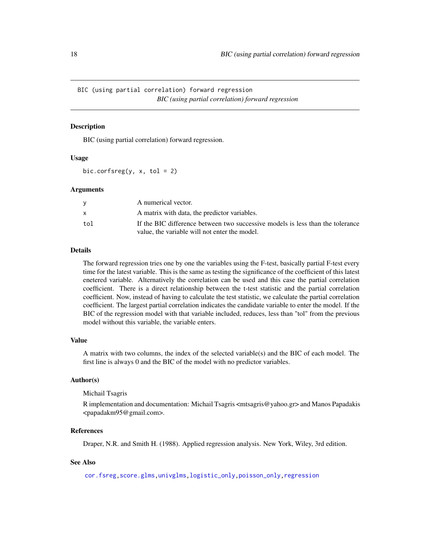<span id="page-17-0"></span>BIC (using partial correlation) forward regression *BIC (using partial correlation) forward regression*

# <span id="page-17-1"></span>**Description**

BIC (using partial correlation) forward regression.

#### Usage

bic.corfsreg(y,  $x$ , tol = 2)

# Arguments

|     | A numerical vector.                                                            |
|-----|--------------------------------------------------------------------------------|
|     | A matrix with data, the predictor variables.                                   |
| tol | If the BIC difference between two successive models is less than the tolerance |
|     | value, the variable will not enter the model.                                  |

# Details

The forward regression tries one by one the variables using the F-test, basically partial F-test every time for the latest variable. This is the same as testing the significance of the coefficient of this latest enetered variable. Alternatively the correlation can be used and this case the partial correlation coefficient. There is a direct relationship between the t-test statistic and the partial correlation coefficient. Now, instead of having to calculate the test statistic, we calculate the partial correlation coefficient. The largest partial correlation indicates the candidate variable to enter the model. If the BIC of the regression model with that variable included, reduces, less than "tol" from the previous model without this variable, the variable enters.

# Value

A matrix with two columns, the index of the selected variable(s) and the BIC of each model. The first line is always 0 and the BIC of the model with no predictor variables.

#### Author(s)

#### Michail Tsagris

R implementation and documentation: Michail Tsagris <mtsagris@yahoo.gr> and Manos Papadakis <papadakm95@gmail.com>.

#### References

Draper, N.R. and Smith H. (1988). Applied regression analysis. New York, Wiley, 3rd edition.

# See Also

[cor.fsreg,](#page-59-1)[score.glms](#page-159-1)[,univglms](#page-171-1)[,logistic\\_only,poisson\\_only,](#page-174-1)[regression](#page-173-1)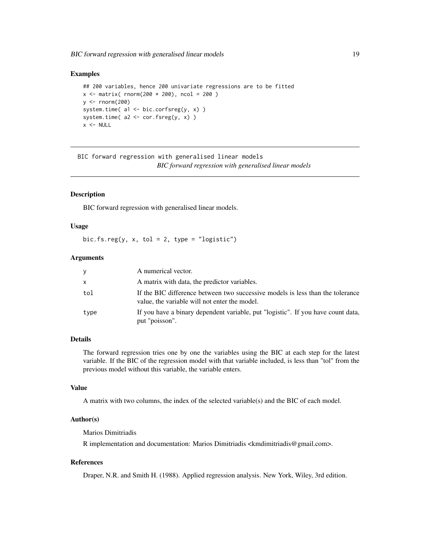```
## 200 variables, hence 200 univariate regressions are to be fitted
x \le - matrix( rnorm(200 * 200), ncol = 200)
y \le - rnorm(200)system.time( a1 <- bic.corfsreg(y, x) )
system.time(a2 \leq -\text{cor.fsreg}(y, x))
x < - NULL
```
BIC forward regression with generalised linear models *BIC forward regression with generalised linear models*

#### Description

BIC forward regression with generalised linear models.

#### Usage

bic.fs.reg(y, x, tol = 2, type = "logistic")

# Arguments

| y    | A numerical vector.                                                                                                             |
|------|---------------------------------------------------------------------------------------------------------------------------------|
| X    | A matrix with data, the predictor variables.                                                                                    |
| tol  | If the BIC difference between two successive models is less than the tolerance<br>value, the variable will not enter the model. |
| type | If you have a binary dependent variable, put "logistic". If you have count data,<br>put "poisson".                              |

# Details

The forward regression tries one by one the variables using the BIC at each step for the latest variable. If the BIC of the regression model with that variable included, is less than "tol" from the previous model without this variable, the variable enters.

# Value

A matrix with two columns, the index of the selected variable(s) and the BIC of each model.

# Author(s)

Marios Dimitriadis

R implementation and documentation: Marios Dimitriadis <kmdimitriadis@gmail.com>.

#### References

Draper, N.R. and Smith H. (1988). Applied regression analysis. New York, Wiley, 3rd edition.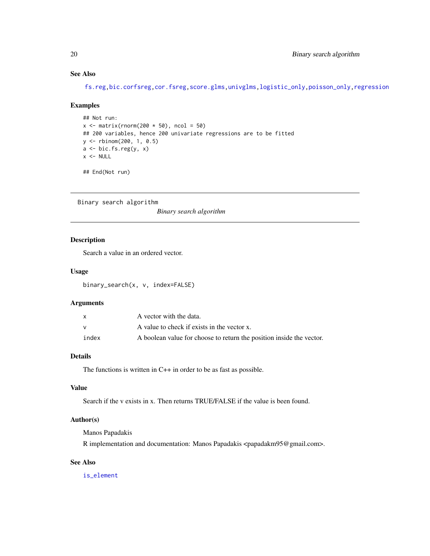# See Also

[fs.reg,](#page-98-1)[bic.corfsreg](#page-17-1)[,cor.fsreg](#page-59-1)[,score.glms](#page-159-1)[,univglms,](#page-171-1)[logistic\\_only,poisson\\_only](#page-174-1)[,regression](#page-173-1)

#### Examples

```
## Not run:
x \le matrix(rnorm(200 * 50), ncol = 50)
## 200 variables, hence 200 univariate regressions are to be fitted
y <- rbinom(200, 1, 0.5)
a \leftarrow \text{bic.fs.reg}(y, x)x < - NULL
## End(Not run)
```
Binary search algorithm

*Binary search algorithm*

# Description

Search a value in an ordered vector.

# Usage

binary\_search(x, v, index=FALSE)

# Arguments

|       | A vector with the data.                                              |
|-------|----------------------------------------------------------------------|
|       | A value to check if exists in the vector x.                          |
| index | A boolean value for choose to return the position inside the vector. |

# Details

The functions is written in C++ in order to be as fast as possible.

# Value

Search if the v exists in x. Then returns TRUE/FALSE if the value is been found.

# Author(s)

Manos Papadakis

R implementation and documentation: Manos Papadakis <papadakm95@gmail.com>.

# See Also

[is\\_element](#page-93-1)

<span id="page-19-0"></span>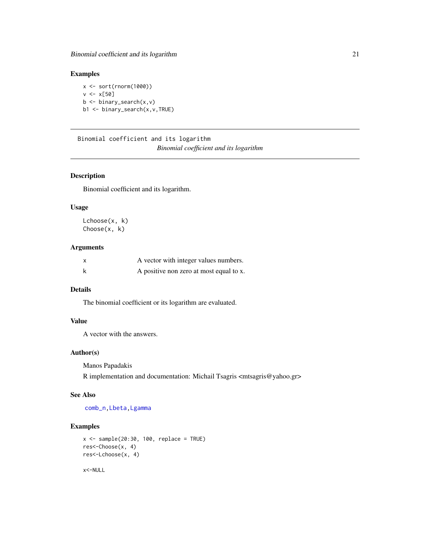<span id="page-20-0"></span>x <- sort(rnorm(1000))  $v \le x[50]$ b <- binary\_search(x,v) b1 <- binary\_search(x,v,TRUE)

Binomial coefficient and its logarithm *Binomial coefficient and its logarithm*

#### Description

Binomial coefficient and its logarithm.

#### Usage

Lchoose(x, k) Choose(x, k)

# Arguments

| x | A vector with integer values numbers.   |
|---|-----------------------------------------|
| k | A positive non zero at most equal to x. |

# Details

The binomial coefficient or its logarithm are evaluated.

# Value

A vector with the answers.

# Author(s)

Manos Papadakis

R implementation and documentation: Michail Tsagris <mtsagris@yahoo.gr>

#### See Also

[comb\\_n,](#page-8-1)[Lbeta,](#page-216-1)[Lgamma](#page-217-1)

#### Examples

```
x \le - sample(20:30, 100, replace = TRUE)
res<-Choose(x, 4)
res<-Lchoose(x, 4)
```
x<-NULL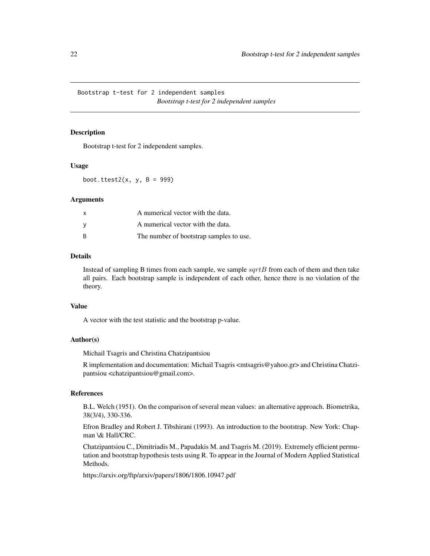<span id="page-21-0"></span>Bootstrap t-test for 2 independent samples *Bootstrap t-test for 2 independent samples*

#### Description

Bootstrap t-test for 2 independent samples.

#### Usage

boot.ttest2 $(x, y, B = 999)$ 

#### Arguments

| $\times$ | A numerical vector with the data.       |
|----------|-----------------------------------------|
| <b>V</b> | A numerical vector with the data.       |
| B        | The number of bootstrap samples to use. |

#### Details

Instead of sampling B times from each sample, we sample  $sqrt{B}$  from each of them and then take all pairs. Each bootstrap sample is independent of each other, hence there is no violation of the theory.

#### Value

A vector with the test statistic and the bootstrap p-value.

# Author(s)

Michail Tsagris and Christina Chatzipantsiou

R implementation and documentation: Michail Tsagris <mtsagris@yahoo.gr> and Christina Chatzipantsiou <chatzipantsiou@gmail.com>.

# References

B.L. Welch (1951). On the comparison of several mean values: an alternative approach. Biometrika, 38(3/4), 330-336.

Efron Bradley and Robert J. Tibshirani (1993). An introduction to the bootstrap. New York: Chapman \& Hall/CRC.

Chatzipantsiou C., Dimitriadis M., Papadakis M. and Tsagris M. (2019). Extremely efficient permutation and bootstrap hypothesis tests using R. To appear in the Journal of Modern Applied Statistical Methods.

https://arxiv.org/ftp/arxiv/papers/1806/1806.10947.pdf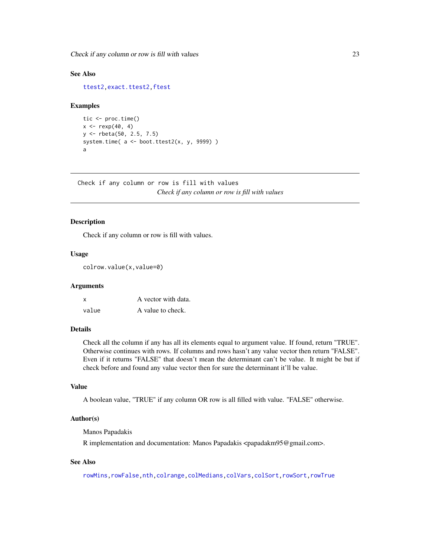<span id="page-22-0"></span>Check if any column or row is fill with values 23

# See Also

[ttest2](#page-207-1)[,exact.ttest2,](#page-86-1)[ftest](#page-207-1)

#### Examples

```
tic <- proc.time()
x < - rexp(40, 4)
y <- rbeta(50, 2.5, 7.5)
system.time( a <- boot.ttest2(x, y, 9999))
a
```
Check if any column or row is fill with values *Check if any column or row is fill with values*

#### Description

Check if any column or row is fill with values.

# Usage

colrow.value(x,value=0)

#### Arguments

| x     | A vector with data. |
|-------|---------------------|
| value | A value to check.   |

#### Details

Check all the column if any has all its elements equal to argument value. If found, return "TRUE". Otherwise continues with rows. If columns and rows hasn't any value vector then return "FALSE". Even if it returns "FALSE" that doesn't mean the determinant can't be value. It might be but if check before and found any value vector then for sure the determinant it'll be value.

#### Value

A boolean value, "TRUE" if any column OR row is all filled with value. "FALSE" otherwise.

#### Author(s)

Manos Papadakis

R implementation and documentation: Manos Papadakis <papadakm95@gmail.com>.

# See Also

[rowMins](#page-245-1)[,rowFalse](#page-246-1)[,nth,](#page-37-1)[colrange,](#page-40-1)[colMedians,](#page-36-1)[colVars](#page-45-1)[,colSort,rowSort](#page-261-1)[,rowTrue](#page-246-1)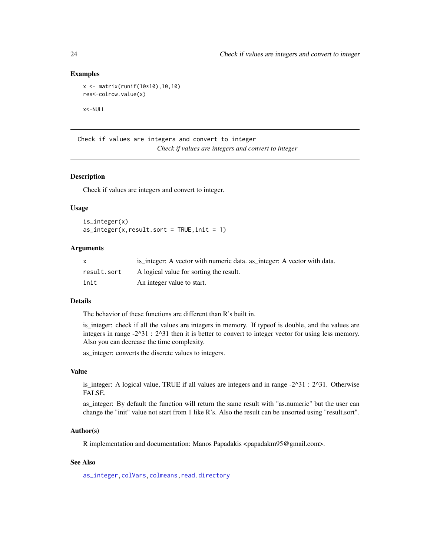```
x <- matrix(runif(10*10),10,10)
res<-colrow.value(x)
```
x<-NULL

Check if values are integers and convert to integer *Check if values are integers and convert to integer*

# <span id="page-23-1"></span>**Description**

Check if values are integers and convert to integer.

#### Usage

is\_integer(x)  $as\_integer(x, result.sort = TRUE, init = 1)$ 

#### Arguments

|             | is integer: A vector with numeric data. as integer: A vector with data. |
|-------------|-------------------------------------------------------------------------|
| result.sort | A logical value for sorting the result.                                 |
| init        | An integer value to start.                                              |

#### Details

The behavior of these functions are different than R's built in.

is\_integer: check if all the values are integers in memory. If typeof is double, and the values are integers in range -2^31 : 2^31 then it is better to convert to integer vector for using less memory. Also you can decrease the time complexity.

as\_integer: converts the discrete values to integers.

# Value

is\_integer: A logical value, TRUE if all values are integers and in range -2^31 : 2^31. Otherwise FALSE.

as\_integer: By default the function will return the same result with "as.numeric" but the user can change the "init" value not start from 1 like R's. Also the result can be unsorted using "result.sort".

#### Author(s)

R implementation and documentation: Manos Papadakis <papadakm95@gmail.com>.

# See Also

[as\\_integer](#page-23-1)[,colVars](#page-45-1)[,colmeans,](#page-35-1)[read.directory](#page-239-1)

<span id="page-23-0"></span>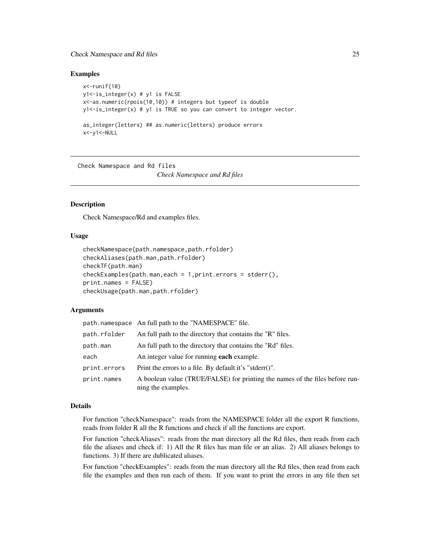# <span id="page-24-0"></span>Check Namespace and Rd files 25

#### Examples

```
x <- runif(10)
y1<-is_integer(x) # y1 is FALSE
x<-as.numeric(rpois(10,10)) # integers but typeof is double
y1<-is_integer(x) # y1 is TRUE so you can convert to integer vector.
as_integer(letters) ## as.numeric(letters) produce errors
x<-y1<-NULL
```
Check Namespace and Rd files *Check Namespace and Rd files*

# Description

Check Namespace/Rd and examples files.

#### Usage

```
checkNamespace(path.namespace,path.rfolder)
checkAliases(path.man,path.rfolder)
checkTF(path.man)
checkExamples(path.man,each = 1,print.errors = stderr(),
print.names = FALSE)
checkUsage(path.man,path.rfolder)
```
#### Arguments

|              | path.namespace An full path to the "NAMESPACE" file.                                               |
|--------------|----------------------------------------------------------------------------------------------------|
| path.rfolder | An full path to the directory that contains the "R" files.                                         |
| path.man     | An full path to the directory that contains the "Rd" files.                                        |
| each         | An integer value for running <b>each</b> example.                                                  |
| print.errors | Print the errors to a file. By default it's "stderr()".                                            |
| print.names  | A boolean value (TRUE/FALSE) for printing the names of the files before run-<br>ning the examples. |

#### Details

For function "checkNamespace": reads from the NAMESPACE folder all the export R functions, reads from folder R all the R functions and check if all the functions are export.

For function "checkAliases": reads from the man directory all the Rd files, then reads from each file the aliases and check if: 1) All the R files has man file or an alias. 2) All aliases belongs to functions. 3) If there are dublicated aliases.

For function "checkExamples": reads from the man directory all the Rd files, then read from each file the examples and then run each of them. If you want to print the errors in any file then set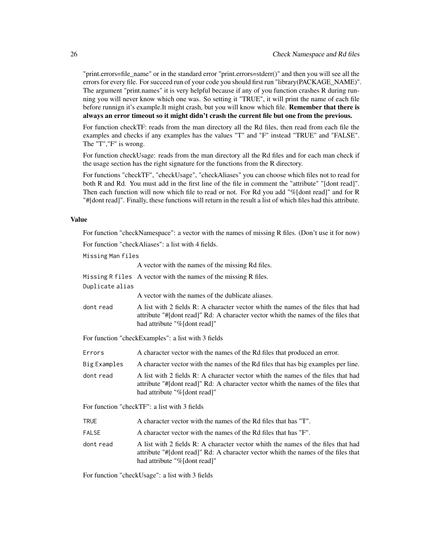"print.errors=file\_name" or in the standard error "print.errors=stderr()" and then you will see all the errors for every file. For succeed run of your code you should first run "library(PACKAGE\_NAME)". The argument "print.names" it is very helpful because if any of you function crashes R during running you will never know which one was. So setting it "TRUE", it will print the name of each file before runnign it's example.It might crash, but you will know which file. **Remember that there is** always an error timeout so it might didn't crash the current file but one from the previous.

For function checkTF: reads from the man directory all the Rd files, then read from each file the examples and checks if any examples has the values "T" and "F" instead "TRUE" and "FALSE". The "T","F" is wrong.

For function checkUsage: reads from the man directory all the Rd files and for each man check if the usage section has the right signature for the functions from the R directory.

For functions "checkTF", "checkUsage", "checkAliases" you can choose which files not to read for both R and Rd. You must add in the first line of the file in comment the "attribute" "[dont read]". Then each function will now which file to read or not. For Rd you add "%[dont read]" and for R "#[dont read]". Finally, these functions will return in the result a list of which files had this attribute.

#### Value

For function "checkNamespace": a vector with the names of missing R files. (Don't use it for now)

For function "checkAliases": a list with 4 fields.

Missing Man files

A vector with the names of the missing Rd files.

Missing R files A vector with the names of the missing R files.

Duplicate alias

A vector with the names of the dublicate aliases.

dont read A list with 2 fields R: A character vector whith the names of the files that had attribute "#[dont read]" Rd: A character vector whith the names of the files that had attribute "%[dont read]"

For function "checkExamples": a list with 3 fields

Errors A character vector with the names of the Rd files that produced an error.

Big Examples A character vector with the names of the Rd files that has big examples per line.

dont read A list with 2 fields R: A character vector whith the names of the files that had attribute "#[dont read]" Rd: A character vector whith the names of the files that had attribute "%[dont read]"

For function "checkTF": a list with 3 fields

| A character vector with the names of the Rd files that has "T".<br>TRUE |  |
|-------------------------------------------------------------------------|--|
|-------------------------------------------------------------------------|--|

- FALSE A character vector with the names of the Rd files that has "F".
- dont read A list with 2 fields R: A character vector whith the names of the files that had attribute "#[dont read]" Rd: A character vector whith the names of the files that had attribute "%[dont read]"

For function "checkUsage": a list with 3 fields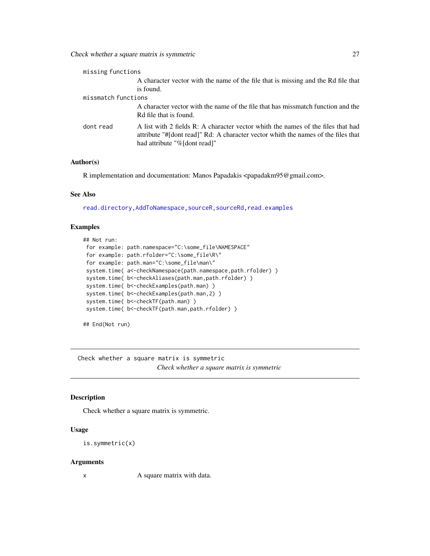<span id="page-26-0"></span>

| missing functions   |                                                                                                                                                                                                        |
|---------------------|--------------------------------------------------------------------------------------------------------------------------------------------------------------------------------------------------------|
|                     | A character vector with the name of the file that is missing and the Rd file that                                                                                                                      |
|                     | is found.                                                                                                                                                                                              |
| missmatch functions |                                                                                                                                                                                                        |
|                     | A character vector with the name of the file that has missmatch function and the                                                                                                                       |
|                     | Rd file that is found.                                                                                                                                                                                 |
| dont read           | A list with 2 fields R: A character vector whith the names of the files that had<br>attribute "#I dont read]" Rd: A character vector whith the names of the files that<br>had attribute "%[dont read]" |
|                     |                                                                                                                                                                                                        |

R implementation and documentation: Manos Papadakis <papadakm95@gmail.com>.

#### See Also

[read.directory](#page-239-1)[,AddToNamespace,](#page-0-0)[sourceR,sourceRd](#page-262-1)[,read.examples](#page-239-1)

#### Examples

```
## Not run:
for example: path.namespace="C:\some_file\NAMESPACE"
for example: path.rfolder="C:\some_file\R\"
for example: path.man="C:\some_file\man\"
system.time( a<-checkNamespace(path.namespace,path.rfolder) )
system.time( b<-checkAliases(path.man,path.rfolder) )
system.time( b<-checkExamples(path.man) )
system.time( b<-checkExamples(path.man,2) )
system.time( b<-checkTF(path.man) )
system.time( b<-checkTF(path.man,path.rfolder) )
```
## End(Not run)

Check whether a square matrix is symmetric *Check whether a square matrix is symmetric*

# <span id="page-26-1"></span>Description

Check whether a square matrix is symmetric.

#### Usage

```
is.symmetric(x)
```
#### Arguments

x A square matrix with data.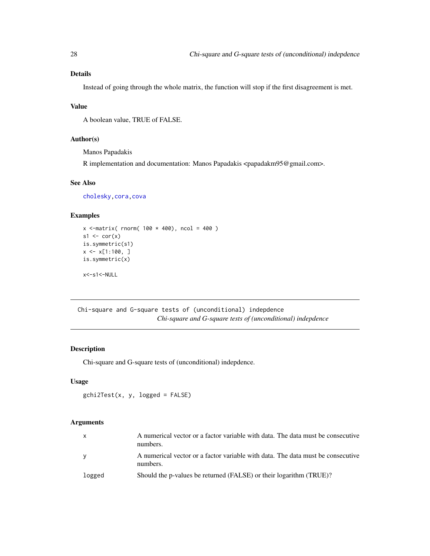# <span id="page-27-0"></span>Details

Instead of going through the whole matrix, the function will stop if the first disagreement is met.

# Value

A boolean value, TRUE of FALSE.

# Author(s)

Manos Papadakis

R implementation and documentation: Manos Papadakis <papadakm95@gmail.com>.

# See Also

[cholesky](#page-28-1)[,cora,cova](#page-63-1)

# Examples

```
x <-matrix( rnorm( 100 * 400), ncol = 400)
s1 \leftarrow cor(x)is.symmetric(s1)
x \leq x[1:100, ]is.symmetric(x)
x<-s1<-NULL
```
Chi-square and G-square tests of (unconditional) indepdence *Chi-square and G-square tests of (unconditional) indepdence*

# Description

Chi-square and G-square tests of (unconditional) indepdence.

# Usage

```
gchi2Test(x, y, logged = FALSE)
```
# Arguments

| $\mathsf{X}$ | A numerical vector or a factor variable with data. The data must be consecutive<br>numbers. |
|--------------|---------------------------------------------------------------------------------------------|
| <b>V</b>     | A numerical vector or a factor variable with data. The data must be consecutive<br>numbers. |
| logged       | Should the p-values be returned (FALSE) or their logarithm (TRUE)?                          |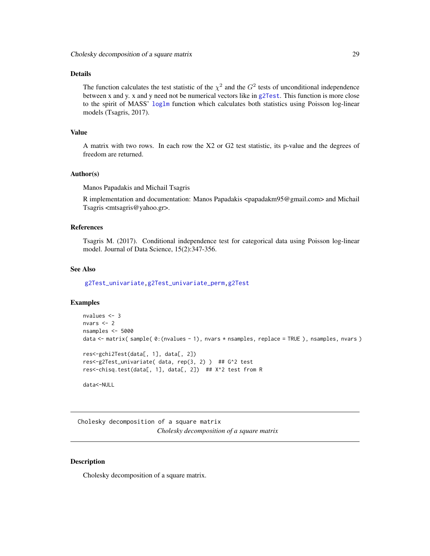# <span id="page-28-0"></span>Details

The function calculates the test statistic of the  $\chi^2$  and the  $G^2$  tests of unconditional independence between x and y. x and y need not be numerical vectors like in [g2Test](#page-99-1). This function is more close to the spirit of MASS' [loglm](#page-0-0) function which calculates both statistics using Poisson log-linear models (Tsagris, 2017).

# Value

A matrix with two rows. In each row the X2 or G2 test statistic, its p-value and the degrees of freedom are returned.

#### Author(s)

Manos Papadakis and Michail Tsagris

R implementation and documentation: Manos Papadakis <papadakm95@gmail.com> and Michail Tsagris <mtsagris@yahoo.gr>.

# References

Tsagris M. (2017). Conditional independence test for categorical data using Poisson log-linear model. Journal of Data Science, 15(2):347-356.

#### See Also

[g2Test\\_univariate,g2Test\\_univariate\\_perm](#page-181-1)[,g2Test](#page-99-1)

#### Examples

```
nvalues <- 3
nvars <- 2
nsamples <- 5000
data <- matrix( sample( 0:(nvalues - 1), nvars * nsamples, replace = TRUE ), nsamples, nvars )
res<-gchi2Test(data[, 1], data[, 2])
res<-g2Test_univariate( data, rep(3, 2) ) ## G^2 test
res<-chisq.test(data[, 1], data[, 2]) ## X^2 test from R
data<-NULL
```
Cholesky decomposition of a square matrix *Cholesky decomposition of a square matrix*

#### <span id="page-28-1"></span>Description

Cholesky decomposition of a square matrix.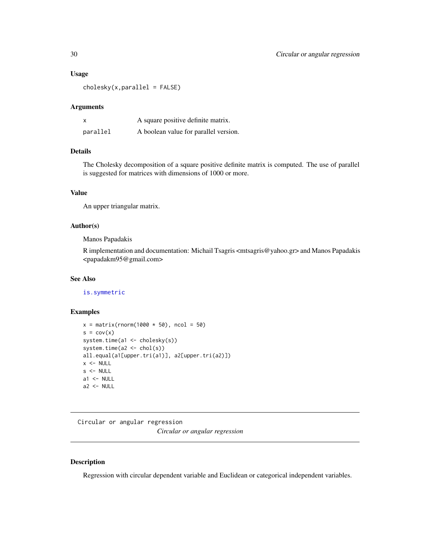#### <span id="page-29-0"></span>Usage

 $cholesky(x,parallel = FALSE)$ 

#### Arguments

| X        | A square positive definite matrix.    |
|----------|---------------------------------------|
| parallel | A boolean value for parallel version. |

# Details

The Cholesky decomposition of a square positive definite matrix is computed. The use of parallel is suggested for matrices with dimensions of 1000 or more.

### Value

An upper triangular matrix.

#### Author(s)

Manos Papadakis

R implementation and documentation: Michail Tsagris <mtsagris@yahoo.gr> and Manos Papadakis <papadakm95@gmail.com>

#### See Also

[is.symmetric](#page-26-1)

# Examples

```
x = matrix(rnorm(1000 * 50), ncol = 50)s = cov(x)system.time(a1 <- cholesky(s))
system.time(a2 <- chol(s))
all.equal(a1[upper.tri(a1)], a2[upper.tri(a2)])
x < - NULL
s <- NULL
a1 < - NULL
a2 < - NULL
```
Circular or angular regression *Circular or angular regression*

# <span id="page-29-1"></span>Description

Regression with circular dependent variable and Euclidean or categorical independent variables.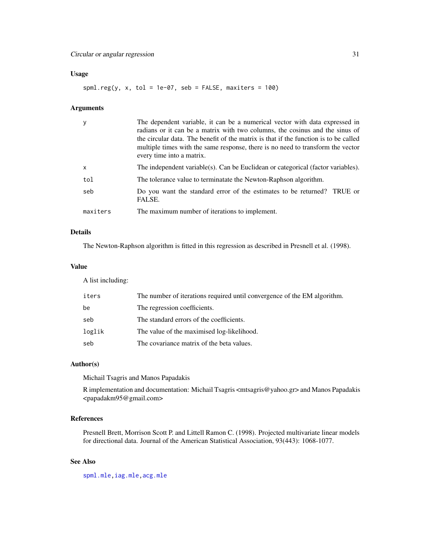# Circular or angular regression 31

# Usage

spml.reg(y, x, tol = 1e-07, seb = FALSE, maxiters = 100)

# Arguments

|          | The dependent variable, it can be a numerical vector with data expressed in<br>radians or it can be a matrix with two columns, the cosinus and the sinus of<br>the circular data. The benefit of the matrix is that if the function is to be called<br>multiple times with the same response, there is no need to transform the vector<br>every time into a matrix. |
|----------|---------------------------------------------------------------------------------------------------------------------------------------------------------------------------------------------------------------------------------------------------------------------------------------------------------------------------------------------------------------------|
| X        | The independent variable(s). Can be Euclidean or categorical (factor variables).                                                                                                                                                                                                                                                                                    |
| tol      | The tolerance value to terminatate the Newton-Raphson algorithm.                                                                                                                                                                                                                                                                                                    |
| seb      | Do you want the standard error of the estimates to be returned? TRUE or<br>FALSE.                                                                                                                                                                                                                                                                                   |
| maxiters | The maximum number of iterations to implement.                                                                                                                                                                                                                                                                                                                      |

# Details

The Newton-Raphson algorithm is fitted in this regression as described in Presnell et al. (1998).

# Value

A list including:

| The number of iterations required until convergence of the EM algorithm. |
|--------------------------------------------------------------------------|
| The regression coefficients.                                             |
| The standard errors of the coefficients.                                 |
| The value of the maximised log-likelihood.                               |
| The covariance matrix of the beta values.                                |
|                                                                          |

#### Author(s)

Michail Tsagris and Manos Papadakis

R implementation and documentation: Michail Tsagris <mtsagris@yahoo.gr> and Manos Papadakis <papadakm95@gmail.com>

# References

Presnell Brett, Morrison Scott P. and Littell Ramon C. (1998). Projected multivariate linear models for directional data. Journal of the American Statistical Association, 93(443): 1068-1077.

# See Also

[spml.mle](#page-198-1)[,iag.mle,acg.mle](#page-189-1)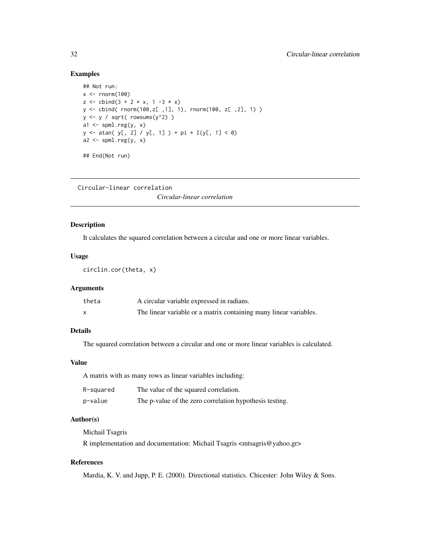```
## Not run:
x \le- rnorm(100)
z \le cbind(3 + 2 * x, 1 -3 * x)
y <- cbind( rnorm(100,z[ ,1], 1), rnorm(100, z[ ,2], 1) )
y \leftarrow y / sqrt(rowsums(y^2))a1 \leftarrow spml.reg(y, x)
y <- atan( y[, 2] / y[, 1] ) + pi * I(y[, 1] < 0)
a2 \leq spml.reg(y, x)
## End(Not run)
```
Circular-linear correlation

*Circular-linear correlation*

# Description

It calculates the squared correlation between a circular and one or more linear variables.

#### Usage

circlin.cor(theta, x)

#### Arguments

| theta | A circular variable expressed in radians.                         |
|-------|-------------------------------------------------------------------|
|       | The linear variable or a matrix containing many linear variables. |

# Details

The squared correlation between a circular and one or more linear variables is calculated.

#### Value

A matrix with as many rows as linear variables including:

| R-squared | The value of the squared correlation.                   |
|-----------|---------------------------------------------------------|
| p-value   | The p-value of the zero correlation hypothesis testing. |

# Author(s)

Michail Tsagris

R implementation and documentation: Michail Tsagris <mtsagris@yahoo.gr>

# References

Mardia, K. V. and Jupp, P. E. (2000). Directional statistics. Chicester: John Wiley & Sons.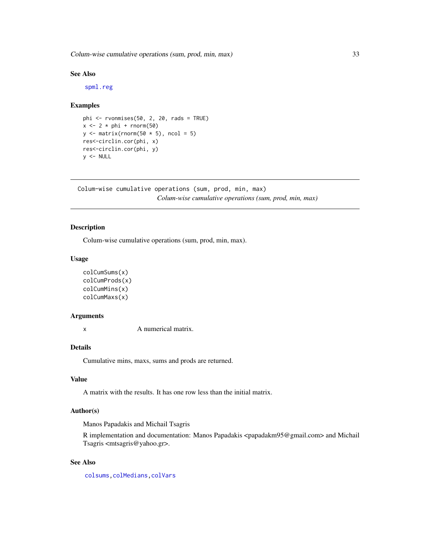<span id="page-32-0"></span>Colum-wise cumulative operations (sum, prod, min, max) 33

# See Also

[spml.reg](#page-29-1)

#### Examples

```
phi \le rvonmises(50, 2, 20, rads = TRUE)
x \le -2 \times phi + rnorm(50)y \leftarrow \text{matrix}(rnorm(50 * 5), ncol = 5)res<-circlin.cor(phi, x)
res<-circlin.cor(phi, y)
y <- NULL
```
Colum-wise cumulative operations (sum, prod, min, max) *Colum-wise cumulative operations (sum, prod, min, max)*

# Description

Colum-wise cumulative operations (sum, prod, min, max).

# Usage

```
colCumSums(x)
colCumProds(x)
colCumMins(x)
colCumMaxs(x)
```
# Arguments

x A numerical matrix.

# Details

Cumulative mins, maxs, sums and prods are returned.

#### Value

A matrix with the results. It has one row less than the initial matrix.

#### Author(s)

Manos Papadakis and Michail Tsagris

R implementation and documentation: Manos Papadakis <papadakm95@gmail.com> and Michail Tsagris <mtsagris@yahoo.gr>.

# See Also

[colsums,](#page-43-1)[colMedians](#page-36-1)[,colVars](#page-45-1)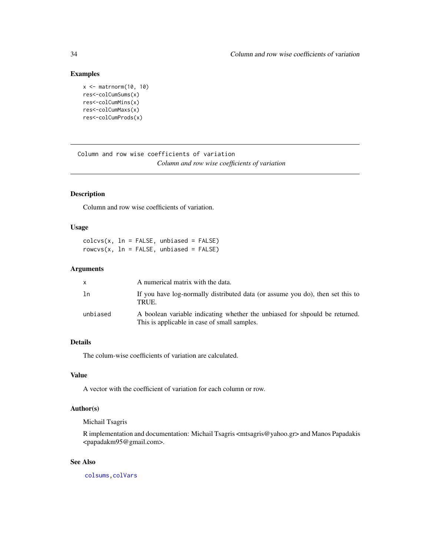```
x \le - matrnorm(10, 10)
res<-colCumSums(x)
res<-colCumMins(x)
res<-colCumMaxs(x)
res<-colCumProds(x)
```
Column and row wise coefficients of variation *Column and row wise coefficients of variation*

# Description

Column and row wise coefficients of variation.

# Usage

 $colcvs(x, ln = FALSE, unbiased = FALSE)$  $rows(x, ln = FALSE, unbiased = FALSE)$ 

#### Arguments

| X        | A numerical matrix with the data.                                                                                          |
|----------|----------------------------------------------------------------------------------------------------------------------------|
| ln       | If you have log-normally distributed data (or assume you do), then set this to<br>TRUE.                                    |
| unbiased | A boolean variable indicating whether the unbiased for should be returned.<br>This is applicable in case of small samples. |

# Details

The colum-wise coefficients of variation are calculated.

# Value

A vector with the coefficient of variation for each column or row.

#### Author(s)

Michail Tsagris

R implementation and documentation: Michail Tsagris <mtsagris@yahoo.gr> and Manos Papadakis <papadakm95@gmail.com>.

# See Also

[colsums,](#page-43-1)[colVars](#page-45-1)

<span id="page-33-0"></span>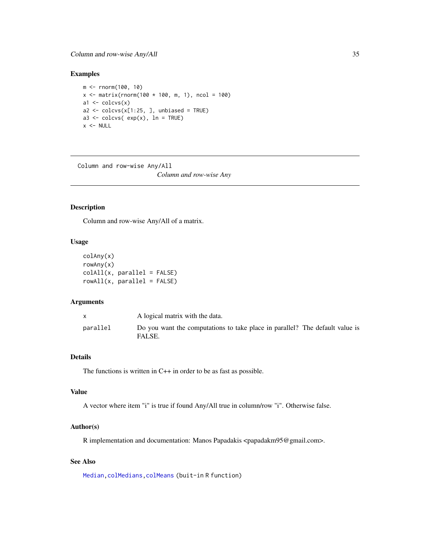```
m <- rnorm(100, 10)
x \le matrix(rnorm(100 * 100, m, 1), ncol = 100)
a1 \leftarrow colcvs(x)a2 \leq -\text{colcvs}(x[1:25, ], unbiased = TRUE)
a3 <- colcvs( exp(x), ln = TRUE)x < - NULL
```
Column and row-wise Any/All *Column and row-wise Any*

#### Description

Column and row-wise Any/All of a matrix.

#### Usage

```
colAny(x)
rowAny(x)
colAll(x, parallel = FALSE)rowAll(x, parallel = FALSE)
```
# Arguments

|          | A logical matrix with the data.                                                        |
|----------|----------------------------------------------------------------------------------------|
| parallel | Do you want the computations to take place in parallel? The default value is<br>FALSE. |

# Details

The functions is written in C++ in order to be as fast as possible.

# Value

A vector where item "i" is true if found Any/All true in column/row "i". Otherwise false.

#### Author(s)

R implementation and documentation: Manos Papadakis <papadakm95@gmail.com>.

# See Also

[Median](#page-184-1)[,colMedians](#page-36-1)[,colMeans](#page-0-0) (buit-in R function)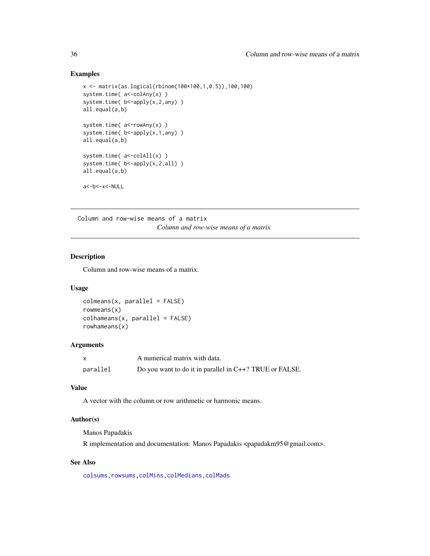```
x <- matrix(as.logical(rbinom(100*100,1,0.5)),100,100)
system.time( a <- colAny(x) )
system.time( b<-apply(x,2,any) )
all.equal(a,b)
system.time( a <- rowAny(x) )
system.time( b <- apply(x, 1, any) )
all.equal(a,b)
system.time( a <- colAll(x) )
system.time( b <- apply(x, 2, all) )
all.equal(a,b)
a<-b<-x<-NULL
```
Column and row-wise means of a matrix *Column and row-wise means of a matrix*

# <span id="page-35-1"></span>Description

Column and row-wise means of a matrix.

#### Usage

 $colmeans(x, parallel = FALSE)$ rowmeans(x)  $collameans(x, parallel = FALSE)$ rowhameans(x)

# Arguments

|          | A numerical matrix with data.                              |
|----------|------------------------------------------------------------|
| parallel | Do you want to do it in parallel in $C++$ ? TRUE or FALSE. |

# Value

A vector with the column or row arithmetic or harmonic means.

# Author(s)

Manos Papadakis

R implementation and documentation: Manos Papadakis <papadakm95@gmail.com>.

# See Also

[colsums,rowsums](#page-43-1)[,colMins,](#page-52-1)[colMedians,](#page-36-1)[colMads](#page-46-1)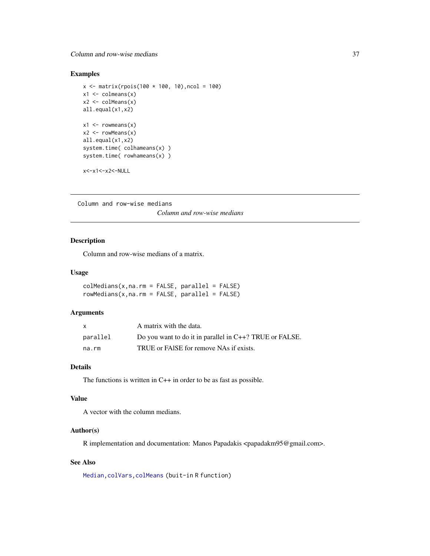### Column and row-wise medians 37

## Examples

```
x \le - matrix(rpois(100 * 100, 10), ncol = 100)
x1 \leftarrow \text{columns}(x)x2 \leq -\text{colMeans}(x)all.equal(x1,x2)
x1 \leftarrow \text{rowmeans}(x)x2 \leq -\text{rowMeans}(x)all.equal(x1,x2)
system.time( colhameans(x) )
system.time( rowhameans(x) )
```
x<-x1<-x2<-NULL

Column and row-wise medians

*Column and row-wise medians*

## <span id="page-36-0"></span>Description

Column and row-wise medians of a matrix.

#### Usage

 $collMedians(x,na.rm = FALSE, parallel = FALSE)$  $rowMedians(x,na.rm = FALSE, parallel = FALSE)$ 

## Arguments

| X        | A matrix with the data.                                    |
|----------|------------------------------------------------------------|
| parallel | Do you want to do it in parallel in $C++$ ? TRUE or FALSE. |
| na.rm    | TRUE or FAISE for remove NAs if exists.                    |

#### Details

The functions is written in  $C++$  in order to be as fast as possible.

### Value

A vector with the column medians.

## Author(s)

R implementation and documentation: Manos Papadakis <papadakm95@gmail.com>.

## See Also

[Median](#page-184-0)[,colVars](#page-45-0)[,colMeans](#page-0-0) (buit-in R function)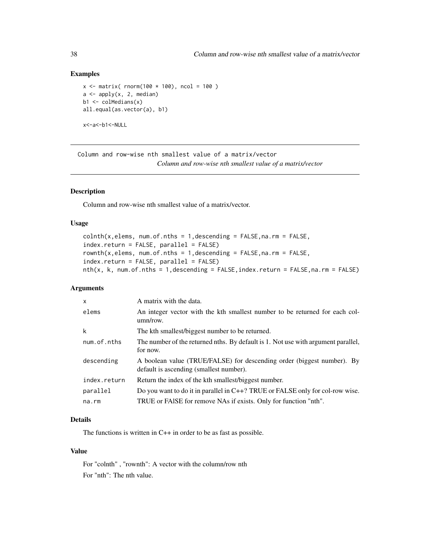### Examples

```
x \le - matrix( rnorm(100 * 100), ncol = 100)
a \leftarrow apply(x, 2, median)b1 \leftarrow \text{colMedians}(x)all.equal(as.vector(a), b1)
x<-a<-b1<-NULL
```
Column and row-wise nth smallest value of a matrix/vector *Column and row-wise nth smallest value of a matrix/vector*

### <span id="page-37-0"></span>Description

Column and row-wise nth smallest value of a matrix/vector.

### Usage

```
\text{colnth}(x, \text{elements}, \text{num.of.}nths = 1, \text{descending} = \text{FALSE}, \text{na.}rm = \text{FALSE},index.return = FALSE, parallel = FALSE)
rownth(x,elems, num.of.nths = 1,descending = FALSE, na. rm = FALSE,index.return = FALSE, parallel = FALSE)
nth(x, k, num.of.nths = 1, descending = FALSE, index.return = FALSE, na.rm = FALSE)
```
### Arguments

| $\boldsymbol{\mathsf{x}}$ | A matrix with the data.                                                                                           |
|---------------------------|-------------------------------------------------------------------------------------------------------------------|
| elems                     | An integer vector with the kth smallest number to be returned for each col-<br>$umn$ /row.                        |
| k                         | The kth smallest/biggest number to be returned.                                                                   |
| num.of.nths               | The number of the returned nths. By default is 1. Not use with argument parallel,<br>for now.                     |
| descending                | A boolean value (TRUE/FALSE) for descending order (biggest number). By<br>default is ascending (smallest number). |
| index.return              | Return the index of the kth smallest/biggest number.                                                              |
| parallel                  | Do you want to do it in parallel in C++? TRUE or FALSE only for col-row wise.                                     |
| na.rm                     | TRUE or FAISE for remove NAs if exists. Only for function "nth".                                                  |

## Details

The functions is written in C++ in order to be as fast as possible.

## Value

For "colnth" , "rownth": A vector with the column/row nth For "nth": The nth value.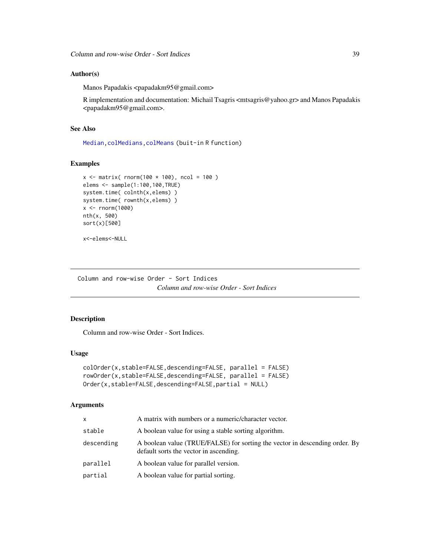### Author(s)

Manos Papadakis <papadakm95@gmail.com>

R implementation and documentation: Michail Tsagris <mtsagris@yahoo.gr> and Manos Papadakis <papadakm95@gmail.com>.

## See Also

[Median](#page-184-0)[,colMedians](#page-36-0)[,colMeans](#page-0-0) (buit-in R function)

### Examples

```
x \le - matrix( rnorm(100 * 100), ncol = 100)
elems <- sample(1:100,100,TRUE)
system.time( colnth(x,elems) )
system.time( rownth(x,elems) )
x <- rnorm(1000)
nth(x, 500)
sort(x)[500]
```

```
x<-elems<-NULL
```
Column and row-wise Order - Sort Indices *Column and row-wise Order - Sort Indices*

## Description

Column and row-wise Order - Sort Indices.

#### Usage

```
colOrder(x,stable=FALSE,descending=FALSE, parallel = FALSE)
rowOrder(x,stable=FALSE,descending=FALSE, parallel = FALSE)
Order(x,stable=FALSE,descending=FALSE,partial = NULL)
```
## Arguments

| x          | A matrix with numbers or a numeric/character vector.                                                                  |
|------------|-----------------------------------------------------------------------------------------------------------------------|
| stable     | A boolean value for using a stable sorting algorithm.                                                                 |
| descending | A boolean value (TRUE/FALSE) for sorting the vector in descending order. By<br>default sorts the vector in ascending. |
| parallel   | A boolean value for parallel version.                                                                                 |
| partial    | A boolean value for partial sorting.                                                                                  |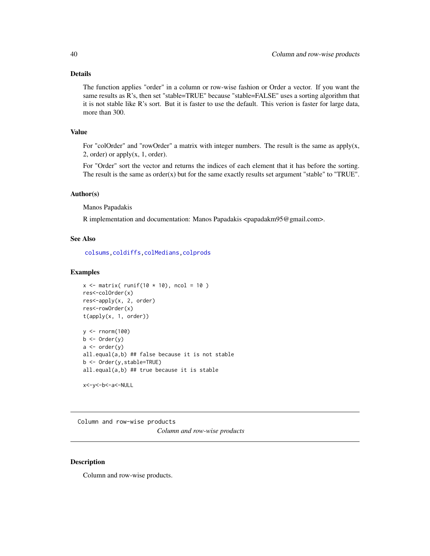### Details

The function applies "order" in a column or row-wise fashion or Order a vector. If you want the same results as R's, then set "stable=TRUE" because "stable=FALSE" uses a sorting algorithm that it is not stable like R's sort. But it is faster to use the default. This verion is faster for large data, more than 300.

## Value

For "colOrder" and "rowOrder" a matrix with integer numbers. The result is the same as apply $(x,$ 2, order) or apply $(x, 1, \text{order})$ .

For "Order" sort the vector and returns the indices of each element that it has before the sorting. The result is the same as order $(x)$  but for the same exactly results set argument "stable" to "TRUE".

#### Author(s)

Manos Papadakis

R implementation and documentation: Manos Papadakis <papadakm95@gmail.com>.

#### See Also

[colsums,](#page-43-0)[coldiffs,](#page-48-0)[colMedians](#page-36-0)[,colprods](#page-39-0)

#### Examples

```
x \le matrix( runif(10 * 10), ncol = 10)
res<-colOrder(x)
res<-apply(x, 2, order)
res<-rowOrder(x)
t(apply(x, 1, order))
y <- rnorm(100)
b \leftarrow Order(y)a \leftarrow order(y)all.equal(a,b) ## false because it is not stable
b <- Order(y,stable=TRUE)
all.equal(a,b) ## true because it is stable
```

```
x<-y<-b<-a<-NULL
```
Column and row-wise products *Column and row-wise products*

#### <span id="page-39-0"></span>Description

Column and row-wise products.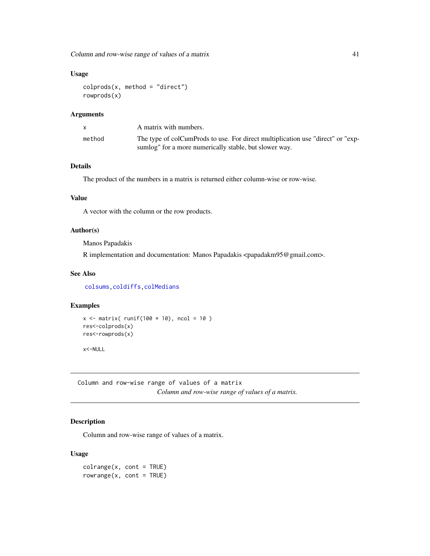Column and row-wise range of values of a matrix 41

### Usage

```
colprods(x, method = "direct")rowprods(x)
```
#### Arguments

|        | A matrix with numbers.                                                                                                                    |
|--------|-------------------------------------------------------------------------------------------------------------------------------------------|
| method | The type of colCumProds to use. For direct multiplication use "direct" or "exp-<br>sumlog" for a more numerically stable, but slower way. |

## Details

The product of the numbers in a matrix is returned either column-wise or row-wise.

## Value

A vector with the column or the row products.

### Author(s)

Manos Papadakis

R implementation and documentation: Manos Papadakis <papadakm95@gmail.com>.

### See Also

[colsums,](#page-43-0)[coldiffs,](#page-48-0)[colMedians](#page-36-0)

### Examples

```
x \le matrix( runif(100 \star 10), ncol = 10)
res<-colprods(x)
res<-rowprods(x)
```
x<-NULL

Column and row-wise range of values of a matrix *Column and row-wise range of values of a matrix.*

## <span id="page-40-0"></span>Description

Column and row-wise range of values of a matrix.

### Usage

 $colrange(x, cont = TRUE)$  $rowrange(x, cont = TRUE)$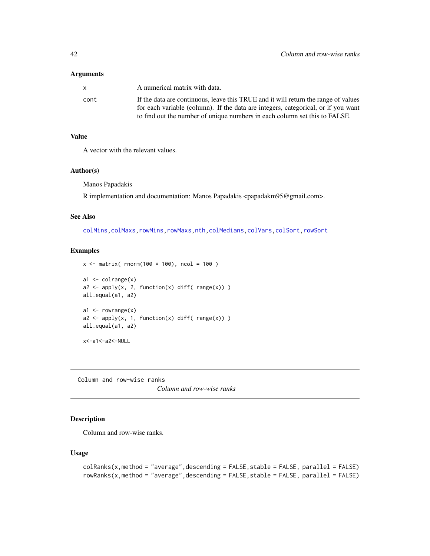| x.   | A numerical matrix with data.                                                      |
|------|------------------------------------------------------------------------------------|
| cont | If the data are continuous, leave this TRUE and it will return the range of values |
|      | for each variable (column). If the data are integers, categorical, or if you want  |
|      | to find out the number of unique numbers in each column set this to FALSE.         |

## Value

A vector with the relevant values.

### Author(s)

Manos Papadakis

R implementation and documentation: Manos Papadakis <papadakm95@gmail.com>.

### See Also

[colMins,colMaxs](#page-52-0)[,rowMins,rowMaxs,](#page-245-0)[nth,](#page-37-0)[colMedians](#page-36-0)[,colVars](#page-45-0)[,colSort,rowSort](#page-261-0)

## Examples

```
x \le - matrix( rnorm(100 * 100), ncol = 100)
a1 \leftarrow colrange(x)a2 \le apply(x, 2, function(x) diff( range(x)) )
all.equal(a1, a2)
a1 \leftarrow rowrange(x)a2 \le apply(x, 1, function(x) diff( range(x)) )
all.equal(a1, a2)
x<-a1<-a2<-NULL
```
Column and row-wise ranks

*Column and row-wise ranks*

## Description

Column and row-wise ranks.

```
colRanks(x,method = "average",descending = FALSE, stable = FALSE, parallel = FALSE)
rowRanks(x,method = "average", descending = FALSE, stable = FALSE, parallel = FALSE)
```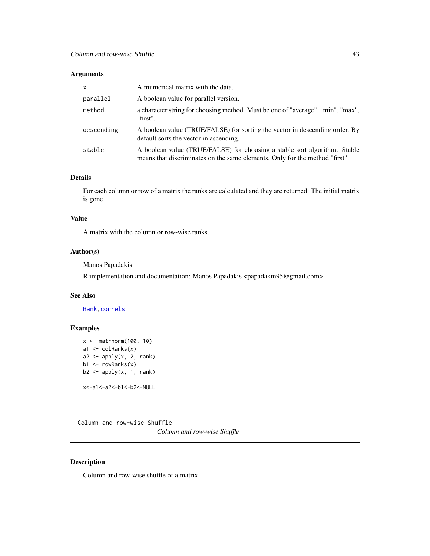| $\mathsf{x}$ | A mumerical matrix with the data.                                                                                                                        |
|--------------|----------------------------------------------------------------------------------------------------------------------------------------------------------|
| parallel     | A boolean value for parallel version.                                                                                                                    |
| method       | a character string for choosing method. Must be one of "average", "min", "max",<br>"first".                                                              |
| descending   | A boolean value (TRUE/FALSE) for sorting the vector in descending order. By<br>default sorts the vector in ascending.                                    |
| stable       | A boolean value (TRUE/FALSE) for choosing a stable sort algorithm. Stable<br>means that discriminates on the same elements. Only for the method "first". |

## Details

For each column or row of a matrix the ranks are calculated and they are returned. The initial matrix is gone.

#### Value

A matrix with the column or row-wise ranks.

## Author(s)

Manos Papadakis

R implementation and documentation: Manos Papadakis <papadakm95@gmail.com>.

## See Also

[Rank](#page-238-0)[,correls](#page-62-0)

## Examples

```
x <- matrnorm(100, 10)
a1 \leftarrow colRanks(x)a2 \leftarrow apply(x, 2, rank)b1 \leftarrow rowRanks(x)b2 \le apply(x, 1, rank)
x<-a1<-a2<-b1<-b2<-NULL
```
Column and row-wise Shuffle *Column and row-wise Shuffle*

## <span id="page-42-0"></span>Description

Column and row-wise shuffle of a matrix.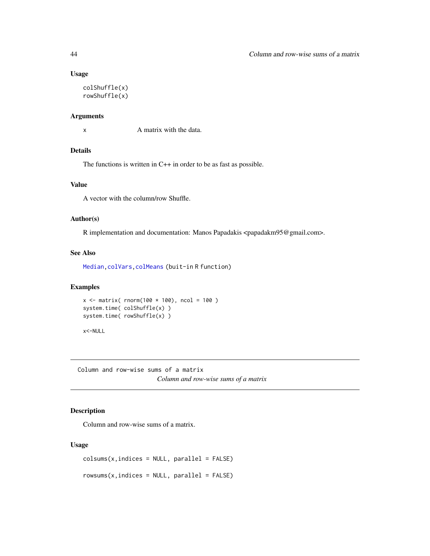## Usage

```
colShuffle(x)
rowShuffle(x)
```
### Arguments

x A matrix with the data.

### Details

The functions is written in C++ in order to be as fast as possible.

## Value

A vector with the column/row Shuffle.

### Author(s)

R implementation and documentation: Manos Papadakis <papadakm95@gmail.com>.

## See Also

[Median](#page-184-0)[,colVars](#page-45-0)[,colMeans](#page-0-0) (buit-in R function)

### Examples

```
x \le - matrix( rnorm(100 * 100), ncol = 100)
system.time( colShuffle(x) )
system.time( rowShuffle(x) )
```
x<-NULL

Column and row-wise sums of a matrix *Column and row-wise sums of a matrix*

## <span id="page-43-0"></span>Description

Column and row-wise sums of a matrix.

```
colsum(x, indices = NULL, parallel = FALSE)
```

```
rowsums(x, indices = NULL, parallel = FALSE)
```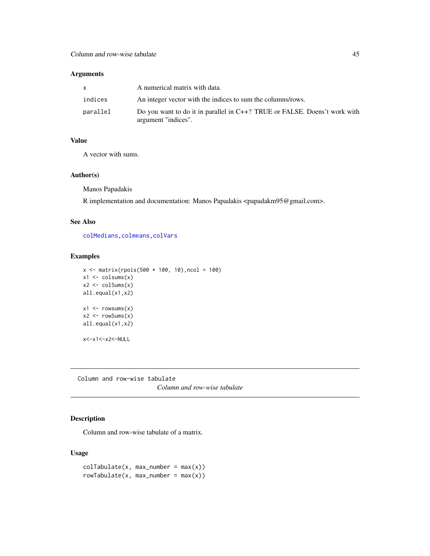|          | A numerical matrix with data.                                                                    |
|----------|--------------------------------------------------------------------------------------------------|
| indices  | An integer vector with the indices to sum the columns/rows.                                      |
| parallel | Do you want to do it in parallel in C++? TRUE or FALSE. Doens't work with<br>argument "indices". |

## Value

A vector with sums.

### Author(s)

Manos Papadakis

R implementation and documentation: Manos Papadakis <papadakm95@gmail.com>.

#### See Also

[colMedians](#page-36-0)[,colmeans,](#page-35-0)[colVars](#page-45-0)

### Examples

```
x \le matrix(rpois(500 * 100, 10), ncol = 100)
x1 \leftarrow \text{colsums}(x)x2 \leftarrow \text{colSums}(x)all.equal(x1,x2)
x1 \leftarrow \text{rowsums}(x)x2 \leq -\text{rowsums}(x)all.equal(x1,x2)
x<-x1<-x2<-NULL
```
Column and row-wise tabulate *Column and row-wise tabulate*

## <span id="page-44-0"></span>Description

Column and row-wise tabulate of a matrix.

```
colTabulate(x, max_number = max(x))rowTable(x, max_number = max(x))
```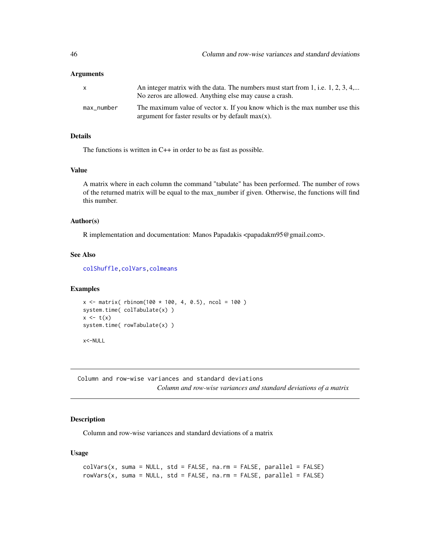| $\mathsf{X}$ | An integer matrix with the data. The numbers must start from 1, i.e. $1, 2, 3, 4,$<br>No zeros are allowed. Anything else may cause a crash. |
|--------------|----------------------------------------------------------------------------------------------------------------------------------------------|
| max_number   | The maximum value of vector x. If you know which is the max number use this<br>argument for faster results or by default $max(x)$ .          |

## Details

The functions is written in C++ in order to be as fast as possible.

### Value

A matrix where in each column the command "tabulate" has been performed. The number of rows of the returned matrix will be equal to the max\_number if given. Otherwise, the functions will find this number.

## Author(s)

R implementation and documentation: Manos Papadakis <papadakm95@gmail.com>.

### See Also

[colShuffle](#page-42-0)[,colVars](#page-45-0)[,colmeans](#page-35-0)

## Examples

```
x \le matrix( rbinom(100 * 100, 4, 0.5), ncol = 100)
system.time( colTabulate(x) )
x \leftarrow t(x)system.time( rowTabulate(x) )
x<-NULL
```
Column and row-wise variances and standard deviations *Column and row-wise variances and standard deviations of a matrix*

## <span id="page-45-0"></span>Description

Column and row-wise variances and standard deviations of a matrix

```
colVars(x, suma = NULL, std = FALSE, na.rm = FALSE, parallel = FALSE)
rowVars(x, suma = NULL, std = FALSE, na.m = FALSE, parallel = FALSE)
```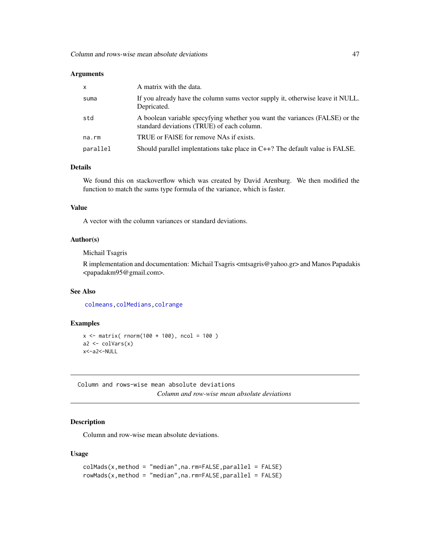| $\mathsf{x}$ | A matrix with the data.                                                                                                   |
|--------------|---------------------------------------------------------------------------------------------------------------------------|
| suma         | If you already have the column sums vector supply it, otherwise leave it NULL.<br>Depricated.                             |
| std          | A boolean variable specyfying whether you want the variances (FALSE) or the<br>standard deviations (TRUE) of each column. |
| na.rm        | TRUE or FAISE for remove NAs if exists.                                                                                   |
| parallel     | Should parallel implentations take place in $C++$ ? The default value is FALSE.                                           |

## Details

We found this on stackoverflow which was created by David Arenburg. We then modified the function to match the sums type formula of the variance, which is faster.

### Value

A vector with the column variances or standard deviations.

## Author(s)

Michail Tsagris

R implementation and documentation: Michail Tsagris <mtsagris@yahoo.gr> and Manos Papadakis <papadakm95@gmail.com>.

### See Also

[colmeans,](#page-35-0)[colMedians](#page-36-0)[,colrange](#page-40-0)

#### Examples

```
x \le - matrix( rnorm(100 * 100), ncol = 100)
a2 \leftarrow colVars(x)x<-a2<-NULL
```
Column and rows-wise mean absolute deviations *Column and row-wise mean absolute deviations*

## Description

Column and row-wise mean absolute deviations.

```
colMads(x,method = "median",na.rm=FALSE,parallel = FALSE)
rowMads(x,method = "median",na.rm=FALSE,parallel = FALSE)
```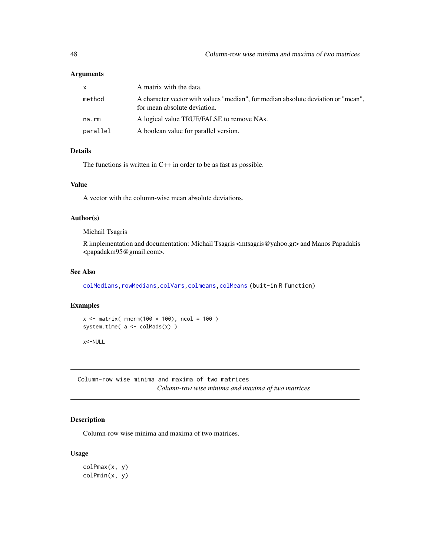| x        | A matrix with the data.                                                                                           |
|----------|-------------------------------------------------------------------------------------------------------------------|
| method   | A character vector with values "median", for median absolute deviation or "mean",<br>for mean absolute deviation. |
| na.rm    | A logical value TRUE/FALSE to remove NAs.                                                                         |
| parallel | A boolean value for parallel version.                                                                             |

## Details

The functions is written in C++ in order to be as fast as possible.

## Value

A vector with the column-wise mean absolute deviations.

#### Author(s)

Michail Tsagris

R implementation and documentation: Michail Tsagris <mtsagris@yahoo.gr> and Manos Papadakis <papadakm95@gmail.com>.

## See Also

[colMedians,rowMedians,](#page-36-0)[colVars,](#page-45-0)[colmeans,](#page-35-0)[colMeans](#page-0-0) (buit-in R function)

### Examples

```
x \le - matrix( rnorm(100 * 100), ncol = 100)
system.time(a \leftarrow \text{colMads}(x))
```
x<-NULL

Column-row wise minima and maxima of two matrices *Column-row wise minima and maxima of two matrices*

## Description

Column-row wise minima and maxima of two matrices.

### Usage

colPmax(x, y) colPmin(x, y)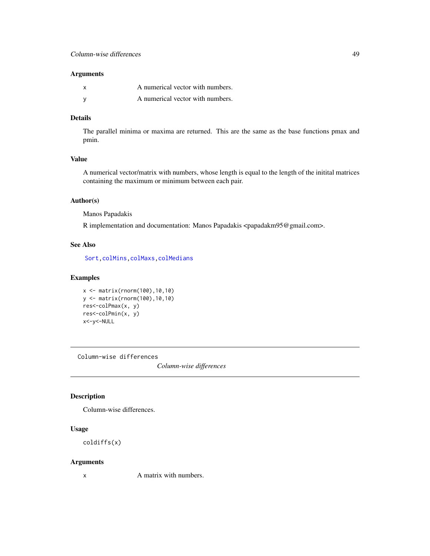| <b>x</b> | A numerical vector with numbers. |
|----------|----------------------------------|
|          | A numerical vector with numbers. |

### Details

The parallel minima or maxima are returned. This are the same as the base functions pmax and pmin.

## Value

A numerical vector/matrix with numbers, whose length is equal to the length of the initital matrices containing the maximum or minimum between each pair.

## Author(s)

Manos Papadakis

R implementation and documentation: Manos Papadakis <papadakm95@gmail.com>.

## See Also

[Sort,](#page-258-0)[colMins,colMaxs](#page-52-0)[,colMedians](#page-36-0)

## Examples

```
x <- matrix(rnorm(100),10,10)
y <- matrix(rnorm(100),10,10)
res<-colPmax(x, y)
res<-colPmin(x, y)
x<-y<-NULL
```
Column-wise differences

*Column-wise differences*

## <span id="page-48-0"></span>Description

Column-wise differences.

## Usage

coldiffs(x)

#### Arguments

x A matrix with numbers.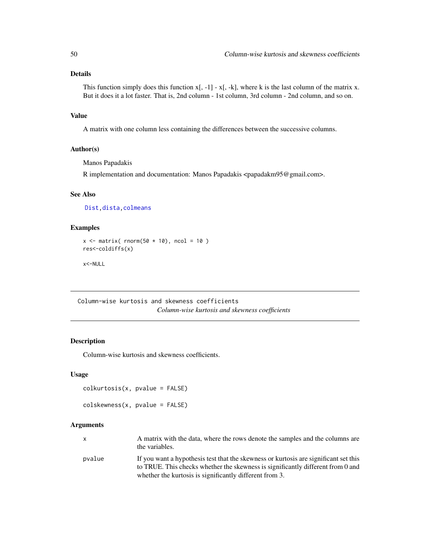## Details

This function simply does this function  $x$ [, -1] -  $x$ [, -k], where k is the last column of the matrix x. But it does it a lot faster. That is, 2nd column - 1st column, 3rd column - 2nd column, and so on.

## Value

A matrix with one column less containing the differences between the successive columns.

### Author(s)

Manos Papadakis

R implementation and documentation: Manos Papadakis <papadakm95@gmail.com>.

#### See Also

[Dist,](#page-76-0)[dista,](#page-74-0)[colmeans](#page-35-0)

## Examples

```
x \le matrix( rnorm(50 \star 10), ncol = 10)
res<-coldiffs(x)
```
x<-NULL

Column-wise kurtosis and skewness coefficients *Column-wise kurtosis and skewness coefficients*

## Description

Column-wise kurtosis and skewness coefficients.

## Usage

colkurtosis(x, pvalue = FALSE)

colskewness(x, pvalue = FALSE)

### Arguments

| X.     | A matrix with the data, where the rows denote the samples and the columns are<br>the variables.                                                                         |
|--------|-------------------------------------------------------------------------------------------------------------------------------------------------------------------------|
| pvalue | If you want a hypothesis test that the skewness or kurtosis are significant set this<br>to TRUE. This checks whether the skewness is significantly different from 0 and |
|        | whether the kurtosis is significantly different from 3.                                                                                                                 |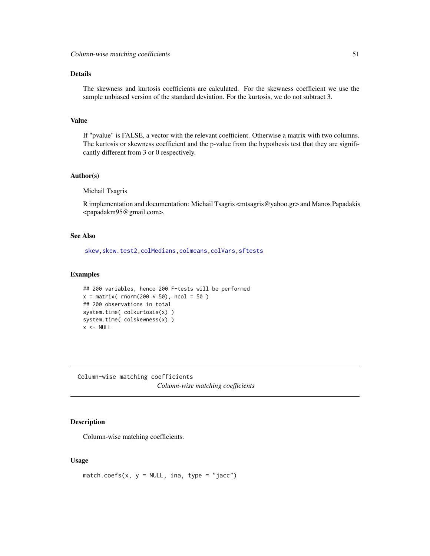### Details

The skewness and kurtosis coefficients are calculated. For the skewness coefficient we use the sample unbiased version of the standard deviation. For the kurtosis, we do not subtract 3.

### Value

If "pvalue" is FALSE, a vector with the relevant coefficient. Otherwise a matrix with two columns. The kurtosis or skewness coefficient and the p-value from the hypothesis test that they are significantly different from 3 or 0 respectively.

#### Author(s)

Michail Tsagris

R implementation and documentation: Michail Tsagris <mtsagris@yahoo.gr> and Manos Papadakis <papadakm95@gmail.com>.

## See Also

[skew,](#page-256-0)[skew.test2,](#page-113-0)[colMedians](#page-36-0)[,colmeans](#page-35-0)[,colVars](#page-45-0)[,sftests](#page-161-0)

## Examples

```
## 200 variables, hence 200 F-tests will be performed
x = matrix( rnorm(200 * 50), ncol = 50)
## 200 observations in total
system.time( colkurtosis(x) )
system.time( colskewness(x) )
x < - NULL
```
Column-wise matching coefficients *Column-wise matching coefficients*

## Description

Column-wise matching coefficients.

#### Usage

match.coefs(x,  $y = NULL$ , ina, type = "jacc")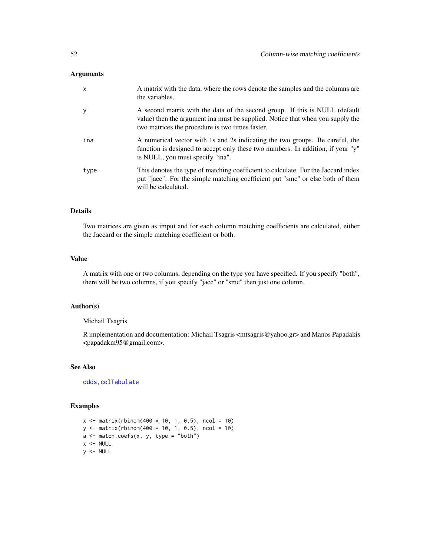| $\mathsf{x}$ | A matrix with the data, where the rows denote the samples and the columns are<br>the variables.                                                                                                                 |
|--------------|-----------------------------------------------------------------------------------------------------------------------------------------------------------------------------------------------------------------|
| y            | A second matrix with the data of the second group. If this is NULL (default<br>value) then the argument in must be supplied. Notice that when you supply the<br>two matrices the procedure is two times faster. |
| ina          | A numerical vector with 1s and 2s indicating the two groups. Be careful, the<br>function is designed to accept only these two numbers. In addition, if your "y"<br>is NULL, you must specify "ina".             |
| type         | This denotes the type of matching coefficient to calculate. For the Jaccard index<br>put "jacc". For the simple matching coefficient put "smc" or else both of them<br>will be calculated.                      |

#### Details

Two matrices are given as imput and for each column matching coefficients are calculated, either the Jaccard or the simple matching coefficient or both.

## Value

A matrix with one or two columns, depending on the type you have specified. If you specify "both", there will be two columns, if you specify "jacc" or "smc" then just one column.

### Author(s)

## Michail Tsagris

R implementation and documentation: Michail Tsagris <mtsagris@yahoo.gr> and Manos Papadakis <papadakm95@gmail.com>.

### See Also

[odds](#page-152-0)[,colTabulate](#page-44-0)

## Examples

```
x \le matrix(rbinom(400 * 10, 1, 0.5), ncol = 10)
y <- matrix(rbinom(400 * 10, 1, 0.5), ncol = 10)
a \leq match.coefs(x, y, type = "both")
x < - NULL
y <- NULL
```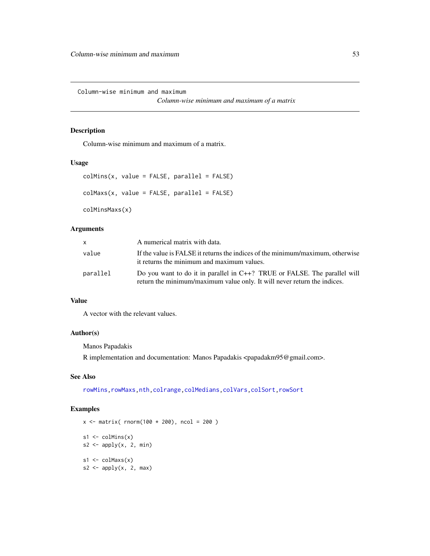Column-wise minimum and maximum

*Column-wise minimum and maximum of a matrix*

## <span id="page-52-0"></span>Description

Column-wise minimum and maximum of a matrix.

### Usage

```
collMiss(x, value = FALSE, parallel = FALSE)colMaxs(x, value = FALSE, parallel = FALSE)colMinsMaxs(x)
```
# Arguments

| <b>X</b> | A numerical matrix with data.                                                                                                                         |
|----------|-------------------------------------------------------------------------------------------------------------------------------------------------------|
| value    | If the value is FALSE it returns the indices of the minimum/maximum, otherwise<br>it returns the minimum and maximum values.                          |
| parallel | Do you want to do it in parallel in C++? TRUE or FALSE. The parallel will<br>return the minimum/maximum value only. It will never return the indices. |

### Value

A vector with the relevant values.

### Author(s)

Manos Papadakis

R implementation and documentation: Manos Papadakis <papadakm95@gmail.com>.

## See Also

[rowMins,rowMaxs](#page-245-0)[,nth,](#page-37-0)[colrange,](#page-40-0)[colMedians,](#page-36-0)[colVars](#page-45-0)[,colSort,rowSort](#page-261-0)

## Examples

 $x \le -$  matrix( rnorm(100  $*$  200), ncol = 200)  $s1 \leftarrow \text{columns}(x)$  $s2 \leftarrow apply(x, 2, min)$  $s1 \leftarrow \text{colMaxs}(x)$  $s2 \le$  apply(x, 2, max)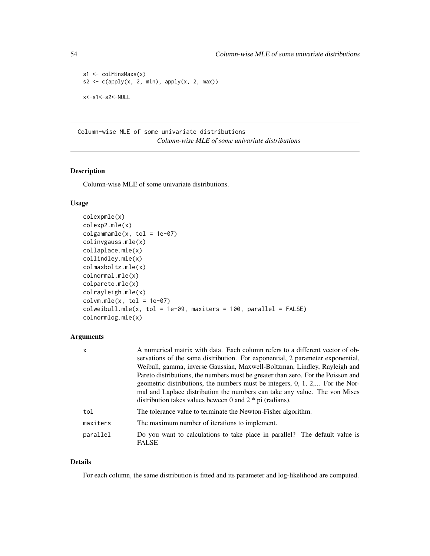```
s1 <- colMinsMaxs(x)
s2 \leftarrow c(\text{apply}(x, 2, \text{min}), \text{apply}(x, 2, \text{max}))x<-s1<-s2<-NULL
```
Column-wise MLE of some univariate distributions *Column-wise MLE of some univariate distributions*

### Description

Column-wise MLE of some univariate distributions.

#### Usage

```
colexpmle(x)
colexp2.mle(x)
colgamma_m = (x, tol = 1e-07)colinvgauss.mle(x)
collaplace.mle(x)
collindley.mle(x)
colmaxboltz.mle(x)
colnormal.mle(x)
colpareto.mle(x)
colrayleigh.mle(x)
column.mle(x, tol = 1e-07)colweibull.mle(x, tol = 1e-09, maxiters = 100, parallel = FALSE)colnormlog.mle(x)
```
### Arguments

| X        | A numerical matrix with data. Each column refers to a different vector of ob-               |
|----------|---------------------------------------------------------------------------------------------|
|          | servations of the same distribution. For exponential, 2 parameter exponential,              |
|          | Weibull, gamma, inverse Gaussian, Maxwell-Boltzman, Lindley, Rayleigh and                   |
|          | Pareto distributions, the numbers must be greater than zero. For the Poisson and            |
|          | geometric distributions, the numbers must be integers, 0, 1, 2, For the Nor-                |
|          | mal and Laplace distribution the numbers can take any value. The von Mises                  |
|          | distribution takes values beween 0 and $2 * pi$ (radians).                                  |
| tol      | The tolerance value to terminate the Newton-Fisher algorithm.                               |
| maxiters | The maximum number of iterations to implement.                                              |
| parallel | Do you want to calculations to take place in parallel? The default value is<br><b>FALSE</b> |

#### Details

For each column, the same distribution is fitted and its parameter and log-likelihood are computed.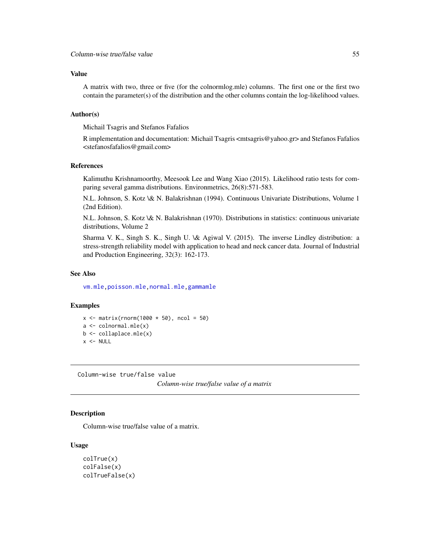### Value

A matrix with two, three or five (for the colnormlog.mle) columns. The first one or the first two contain the parameter(s) of the distribution and the other columns contain the log-likelihood values.

#### Author(s)

Michail Tsagris and Stefanos Fafalios

R implementation and documentation: Michail Tsagris <mtsagris@yahoo.gr> and Stefanos Fafalios <stefanosfafalios@gmail.com>

## References

Kalimuthu Krishnamoorthy, Meesook Lee and Wang Xiao (2015). Likelihood ratio tests for comparing several gamma distributions. Environmetrics, 26(8):571-583.

N.L. Johnson, S. Kotz \& N. Balakrishnan (1994). Continuous Univariate Distributions, Volume 1 (2nd Edition).

N.L. Johnson, S. Kotz \& N. Balakrishnan (1970). Distributions in statistics: continuous univariate distributions, Volume 2

Sharma V. K., Singh S. K., Singh U. \& Agiwal V. (2015). The inverse Lindley distribution: a stress-strength reliability model with application to head and neck cancer data. Journal of Industrial and Production Engineering, 32(3): 162-173.

## See Also

[vm.mle](#page-198-0)[,poisson.mle](#page-194-0)[,normal.mle,](#page-193-0)[gammamle](#page-191-0)

### Examples

```
x \le matrix(rnorm(1000 * 50), ncol = 50)
a \leftarrow \text{column}.mle(x)b \leq collaplace.mle(x)x < - NULL
```
Column-wise true/false value

*Column-wise true/false value of a matrix*

### Description

Column-wise true/false value of a matrix.

```
colTrue(x)
colFalse(x)
colTrueFalse(x)
```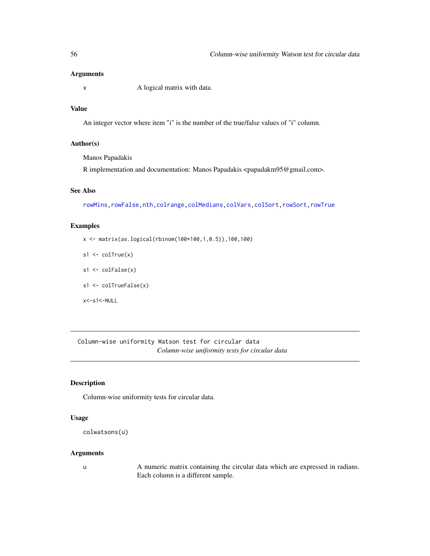x A logical matrix with data.

## Value

An integer vector where item "i" is the number of the true/false values of "i" column.

## Author(s)

Manos Papadakis

R implementation and documentation: Manos Papadakis <papadakm95@gmail.com>.

#### See Also

[rowMins](#page-245-0)[,rowFalse](#page-246-0)[,nth,](#page-37-0)[colrange,](#page-40-0)[colMedians,](#page-36-0)[colVars](#page-45-0)[,colSort,rowSort](#page-261-0)[,rowTrue](#page-246-0)

#### Examples

x <- matrix(as.logical(rbinom(100\*100,1,0.5)),100,100)

- $s1 \leftarrow \text{colTrue}(x)$
- s1 <- colFalse(x)
- s1 <- colTrueFalse(x)

x<-s1<-NULL

Column-wise uniformity Watson test for circular data *Column-wise uniformity tests for circular data*

## Description

Column-wise uniformity tests for circular data.

## Usage

```
colwatsons(u)
```
#### Arguments

u A numeric matrix containing the circular data which are expressed in radians. Each column is a different sample.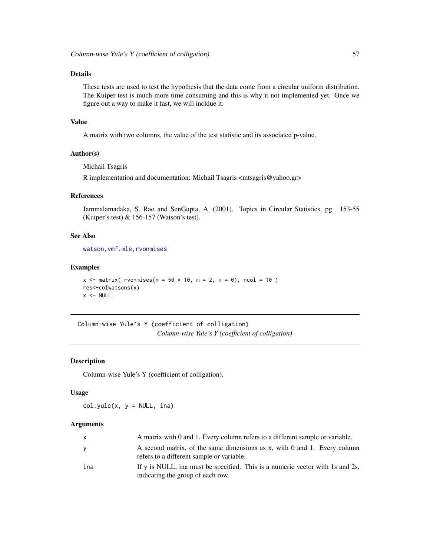## Details

These tests are used to test the hypothesis that the data come from a circular uniform distribution. The Kuiper test is much more time consuming and this is why it not implemented yet. Once we figure out a way to make it fast, we will incldue it.

#### Value

A matrix with two columns, the value of the test statistic and its associated p-value.

### Author(s)

Michail Tsagris

R implementation and documentation: Michail Tsagris <mtsagris@yahoo.gr>

#### References

Jammalamadaka, S. Rao and SenGupta, A. (2001). Topics in Circular Statistics, pg. 153-55 (Kuiper's test) & 156-157 (Watson's test).

## See Also

[watson](#page-275-0)[,vmf.mle](#page-189-0)[,rvonmises](#page-237-0)

#### Examples

```
x \le - matrix( rvonmises(n = 50 * 10, m = 2, k = 0), ncol = 10)
res<-colwatsons(x)
x < - NULL
```
Column-wise Yule's Y (coefficient of colligation) *Column-wise Yule's Y (coefficient of colligation)*

#### Description

Column-wise Yule's Y (coefficient of colligation).

### Usage

 $col.yule(x, y = NULL, ina)$ 

### Arguments

| X   | A matrix with 0 and 1. Every column refers to a different sample or variable.                                         |
|-----|-----------------------------------------------------------------------------------------------------------------------|
| У   | A second matrix, of the same dimensions as x, with 0 and 1. Every column<br>refers to a different sample or variable. |
| ina | If y is NULL, ina must be specified. This is a numeric vector with 1s and 2s,<br>indicating the group of each row.    |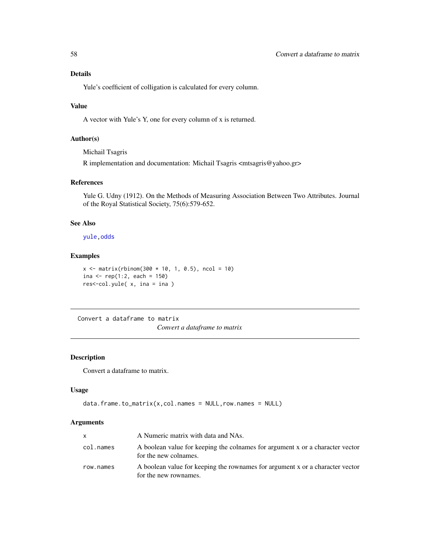Yule's coefficient of colligation is calculated for every column.

## Value

A vector with Yule's Y, one for every column of x is returned.

## Author(s)

Michail Tsagris

R implementation and documentation: Michail Tsagris <mtsagris@yahoo.gr>

## References

Yule G. Udny (1912). On the Methods of Measuring Association Between Two Attributes. Journal of the Royal Statistical Society, 75(6):579-652.

#### See Also

[yule](#page-279-0)[,odds](#page-152-0)

## Examples

```
x \le matrix(rbinom(300 * 10, 1, 0.5), ncol = 10)
ina <- rep(1:2, each = 150)res<-col.yule( x, ina = ina )
```
Convert a dataframe to matrix

*Convert a dataframe to matrix*

### Description

Convert a dataframe to matrix.

## Usage

```
data.frame.to_matrix(x,col.names = NULL,row.names = NULL)
```
### Arguments

|           | A Numeric matrix with data and NAs.                                                                    |
|-----------|--------------------------------------------------------------------------------------------------------|
| col.names | A boolean value for keeping the colnames for argument x or a character vector<br>for the new colnames. |
| row.names | A boolean value for keeping the rownames for argument x or a character vector<br>for the new rownames. |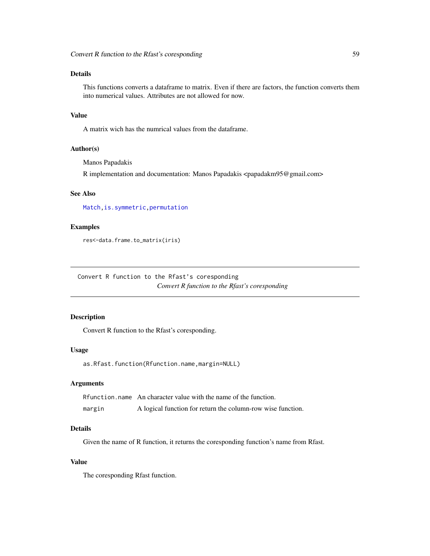## Details

This functions converts a dataframe to matrix. Even if there are factors, the function converts them into numerical values. Attributes are not allowed for now.

## Value

A matrix wich has the numrical values from the dataframe.

### Author(s)

Manos Papadakis

R implementation and documentation: Manos Papadakis <papadakm95@gmail.com>

## See Also

[Match](#page-178-0)[,is.symmetric](#page-26-0)[,permutation](#page-226-0)

## Examples

```
res<-data.frame.to_matrix(iris)
```
Convert R function to the Rfast's coresponding *Convert R function to the Rfast's coresponding*

## Description

Convert R function to the Rfast's coresponding.

#### Usage

as.Rfast.function(Rfunction.name,margin=NULL)

#### Arguments

Rfunction.name An character value with the name of the function. margin A logical function for return the column-row wise function.

## Details

Given the name of R function, it returns the coresponding function's name from Rfast.

### Value

The coresponding Rfast function.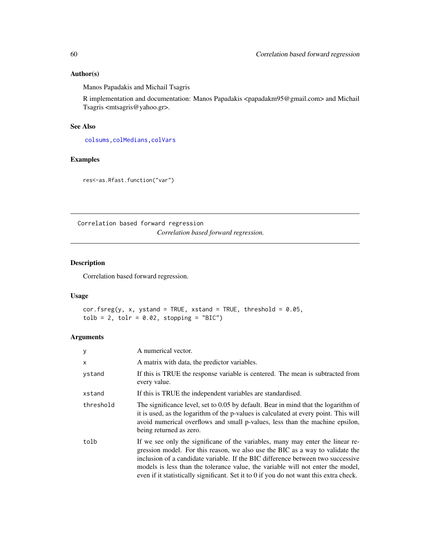## Author(s)

Manos Papadakis and Michail Tsagris

R implementation and documentation: Manos Papadakis <papadakm95@gmail.com> and Michail Tsagris <mtsagris@yahoo.gr>.

### See Also

[colsums,](#page-43-0)[colMedians](#page-36-0)[,colVars](#page-45-0)

## Examples

res<-as.Rfast.function("var")

Correlation based forward regression *Correlation based forward regression.*

## Description

Correlation based forward regression.

### Usage

```
cor.fsreg(y, x, ystand = TRUE, xstand = TRUE, threshold = 0.05,\text{table} = 2, \text{tolr} = 0.02, \text{stopping} = \text{"BIC"}
```
## Arguments

| У         | A numerical vector.                                                                                                                                                                                                                                                                                                                                                                                                                    |
|-----------|----------------------------------------------------------------------------------------------------------------------------------------------------------------------------------------------------------------------------------------------------------------------------------------------------------------------------------------------------------------------------------------------------------------------------------------|
| $\times$  | A matrix with data, the predictor variables.                                                                                                                                                                                                                                                                                                                                                                                           |
| ystand    | If this is TRUE the response variable is centered. The mean is subtracted from<br>every value.                                                                                                                                                                                                                                                                                                                                         |
| xstand    | If this is TRUE the independent variables are standardised.                                                                                                                                                                                                                                                                                                                                                                            |
| threshold | The significance level, set to 0.05 by default. Bear in mind that the logarithm of<br>it is used, as the logarithm of the p-values is calculated at every point. This will<br>avoid numerical overflows and small p-values, less than the machine epsilon,<br>being returned as zero.                                                                                                                                                  |
| tolb      | If we see only the significane of the variables, many may enter the linear re-<br>gression model. For this reason, we also use the BIC as a way to validate the<br>inclusion of a candidate variable. If the BIC difference between two successive<br>models is less than the tolerance value, the variable will not enter the model,<br>even if it statistically significant. Set it to $\theta$ if you do not want this extra check. |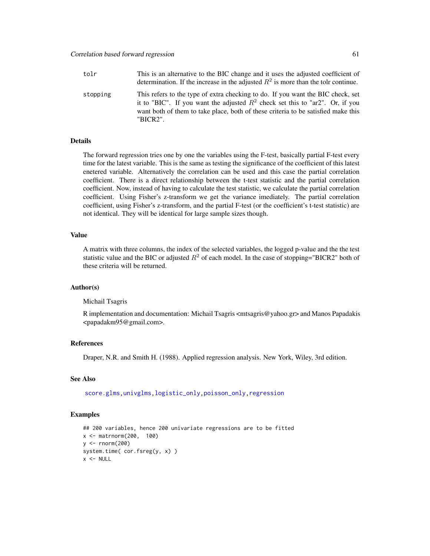| tolr     | This is an alternative to the BIC change and it uses the adjusted coefficient of<br>determination. If the increase in the adjusted $R^2$ is more than the tolr continue.                                                                                               |
|----------|------------------------------------------------------------------------------------------------------------------------------------------------------------------------------------------------------------------------------------------------------------------------|
| stopping | This refers to the type of extra checking to do. If you want the BIC check, set<br>it to "BIC". If you want the adjusted $R^2$ check set this to "ar2". Or, if you<br>want both of them to take place, both of these criteria to be satisfied make this<br>$"BICR2"$ . |

### Details

The forward regression tries one by one the variables using the F-test, basically partial F-test every time for the latest variable. This is the same as testing the significance of the coefficient of this latest enetered variable. Alternatively the correlation can be used and this case the partial correlation coefficient. There is a direct relationship between the t-test statistic and the partial correlation coefficient. Now, instead of having to calculate the test statistic, we calculate the partial correlation coefficient. Using Fisher's z-transform we get the variance imediately. The partial correlation coefficient, using Fisher's z-transform, and the partial F-test (or the coefficient's t-test statistic) are not identical. They will be identical for large sample sizes though.

#### Value

A matrix with three columns, the index of the selected variables, the logged p-value and the the test statistic value and the BIC or adjusted  $R^2$  of each model. In the case of stopping="BICR2" both of these criteria will be returned.

#### Author(s)

Michail Tsagris

R implementation and documentation: Michail Tsagris <mtsagris@yahoo.gr> and Manos Papadakis <papadakm95@gmail.com>.

## References

Draper, N.R. and Smith H. (1988). Applied regression analysis. New York, Wiley, 3rd edition.

## See Also

[score.glms,](#page-159-0)[univglms](#page-171-0)[,logistic\\_only,poisson\\_only,](#page-174-0)[regression](#page-173-0)

### Examples

```
## 200 variables, hence 200 univariate regressions are to be fitted
x <- matrnorm(200, 100)
y \le - rnorm(200)
system.time( cor.fsreg(y, x) )
x < - NULL
```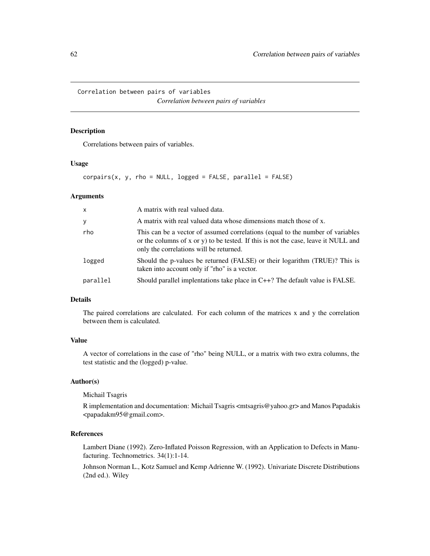Correlation between pairs of variables *Correlation between pairs of variables*

## Description

Correlations between pairs of variables.

### Usage

 $corpairs(x, y, rho = NULL, logged = FALSE, parallel = FALSE)$ 

## Arguments

| $\mathsf{x}$ | A matrix with real valued data.                                                                                                                                                                                 |
|--------------|-----------------------------------------------------------------------------------------------------------------------------------------------------------------------------------------------------------------|
| У            | A matrix with real valued data whose dimensions match those of x.                                                                                                                                               |
| rho          | This can be a vector of assumed correlations (equal to the number of variables<br>or the columns of x or y) to be tested. If this is not the case, leave it NULL and<br>only the correlations will be returned. |
| logged       | Should the p-values be returned (FALSE) or their logarithm (TRUE)? This is<br>taken into account only if "rho" is a vector.                                                                                     |
| parallel     | Should parallel implentations take place in $C++$ ? The default value is FALSE.                                                                                                                                 |

### Details

The paired correlations are calculated. For each column of the matrices x and y the correlation between them is calculated.

## Value

A vector of correlations in the case of "rho" being NULL, or a matrix with two extra columns, the test statistic and the (logged) p-value.

### Author(s)

Michail Tsagris

R implementation and documentation: Michail Tsagris <mtsagris@yahoo.gr> and Manos Papadakis <papadakm95@gmail.com>.

### References

Lambert Diane (1992). Zero-Inflated Poisson Regression, with an Application to Defects in Manufacturing. Technometrics. 34(1):1-14.

Johnson Norman L., Kotz Samuel and Kemp Adrienne W. (1992). Univariate Discrete Distributions (2nd ed.). Wiley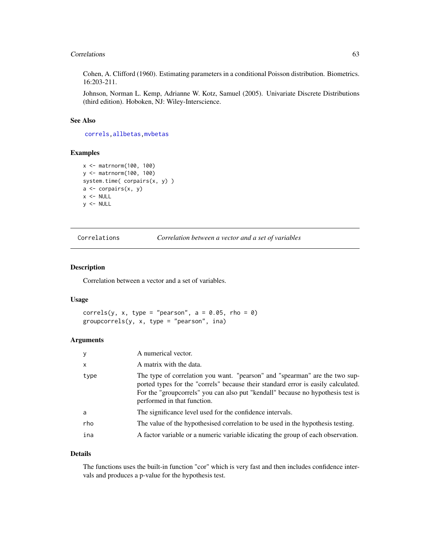#### Correlations 63

Cohen, A. Clifford (1960). Estimating parameters in a conditional Poisson distribution. Biometrics. 16:203-211.

Johnson, Norman L. Kemp, Adrianne W. Kotz, Samuel (2005). Univariate Discrete Distributions (third edition). Hoboken, NJ: Wiley-Interscience.

## See Also

[correls,](#page-62-0)[allbetas,](#page-165-0)[mvbetas](#page-149-0)

### Examples

```
x <- matrnorm(100, 100)
y <- matrnorm(100, 100)
system.time( corpairs(x, y) )
a <- corpairs(x, y)
x < - NULL
y <- NULL
```
Correlations *Correlation between a vector and a set of variables*

### <span id="page-62-0"></span>Description

Correlation between a vector and a set of variables.

### Usage

```
correls(y, x, type = "pearson", a = 0.05, rho = 0)
groupcorrels(y, x, type = "pearson", ina)
```
## Arguments

| y            | A numerical vector.                                                                                                                                                                                                                                                                |
|--------------|------------------------------------------------------------------------------------------------------------------------------------------------------------------------------------------------------------------------------------------------------------------------------------|
| $\mathsf{x}$ | A matrix with the data.                                                                                                                                                                                                                                                            |
| type         | The type of correlation you want. "pearson" and "spearman" are the two sup-<br>ported types for the "correls" because their standard error is easily calculated.<br>For the "groupcorrels" you can also put "kendall" because no hypothesis test is<br>performed in that function. |
| a            | The significance level used for the confidence intervals.                                                                                                                                                                                                                          |
| rho          | The value of the hypothesised correlation to be used in the hypothesis testing.                                                                                                                                                                                                    |
| ina          | A factor variable or a numeric variable idicating the group of each observation.                                                                                                                                                                                                   |
|              |                                                                                                                                                                                                                                                                                    |

#### Details

The functions uses the built-in function "cor" which is very fast and then includes confidence intervals and produces a p-value for the hypothesis test.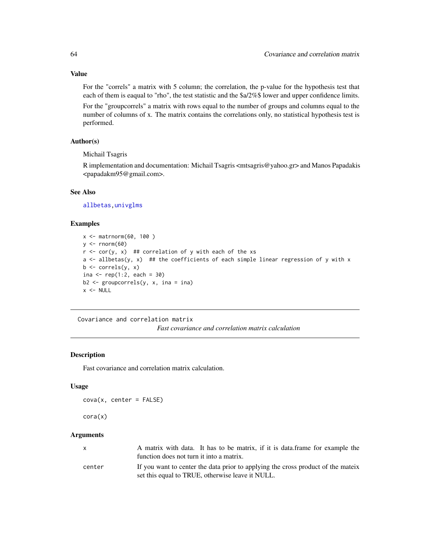For the "correls" a matrix with 5 column; the correlation, the p-value for the hypothesis test that each of them is eaqual to "rho", the test statistic and the \$a/2%\$ lower and upper confidence limits.

For the "groupcorrels" a matrix with rows equal to the number of groups and columns equal to the number of columns of x. The matrix contains the correlations only, no statistical hypothesis test is performed.

### Author(s)

Michail Tsagris

R implementation and documentation: Michail Tsagris <mtsagris@yahoo.gr> and Manos Papadakis <papadakm95@gmail.com>.

#### See Also

[allbetas](#page-165-0)[,univglms](#page-171-0)

### Examples

```
x <- matrnorm(60, 100 )
y \le - rnorm(60)
r < -\text{cor}(y, x) ## correlation of y with each of the xs
a <- allbetas(y, x) ## the coefficients of each simple linear regression of y with x
b \leftarrow \text{correls}(y, x)ina <- rep(1:2, each = 30)b2 \leq - groupcorrels(y, x, ina = ina)
x < - NULL
```
Covariance and correlation matrix *Fast covariance and correlation matrix calculation*

#### Description

Fast covariance and correlation matrix calculation.

### Usage

 $cova(x, center = FALSE)$ 

#### cora(x)

### Arguments

| $\mathsf{x}$ | A matrix with data. It has to be matrix, if it is data frame for example the<br>function does not turn it into a matrix.             |
|--------------|--------------------------------------------------------------------------------------------------------------------------------------|
| center       | If you want to center the data prior to applying the cross product of the mateix<br>set this equal to TRUE, otherwise leave it NULL. |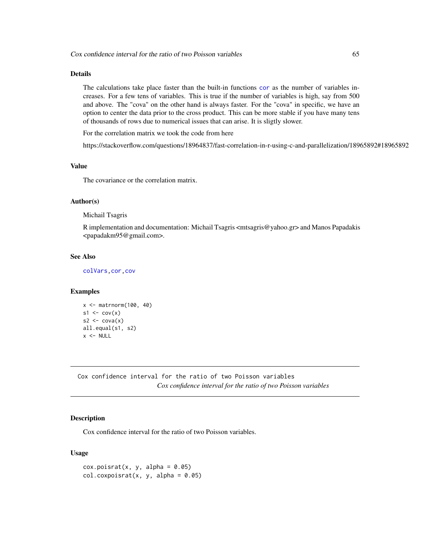## Details

The calculations take place faster than the built-in functions [cor](#page-0-0) as the number of variables increases. For a few tens of variables. This is true if the number of variables is high, say from 500 and above. The "cova" on the other hand is always faster. For the "cova" in specific, we have an option to center the data prior to the cross product. This can be more stable if you have many tens of thousands of rows due to numerical issues that can arise. It is sligtly slower.

For the correlation matrix we took the code from here

https://stackoverflow.com/questions/18964837/fast-correlation-in-r-using-c-and-parallelization/18965892#18965892

## Value

The covariance or the correlation matrix.

### Author(s)

Michail Tsagris

R implementation and documentation: Michail Tsagris <mtsagris@yahoo.gr> and Manos Papadakis <papadakm95@gmail.com>.

## See Also

[colVars](#page-45-0)[,cor,cov](#page-0-0)

### Examples

```
x <- matrnorm(100, 40)
s1 \leftarrow cov(x)s2 \leftarrow cov(a(x))all.equal(s1, s2)
x < - NULL
```
Cox confidence interval for the ratio of two Poisson variables *Cox confidence interval for the ratio of two Poisson variables*

## Description

Cox confidence interval for the ratio of two Poisson variables.

```
cox.poisrat(x, y, alpha = 0.05)col.coxpoisrat(x, y, alpha = 0.05)
```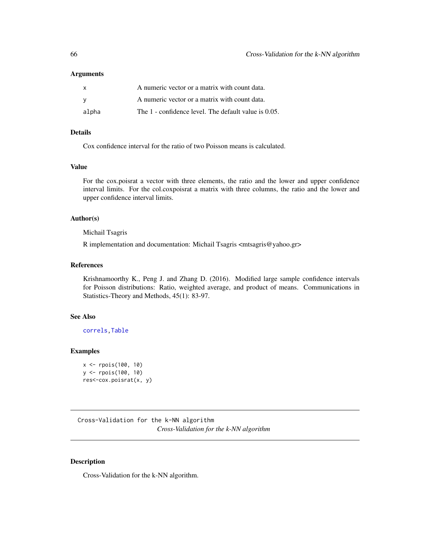| $\mathsf{x}$ | A numeric vector or a matrix with count data.        |
|--------------|------------------------------------------------------|
| - V          | A numeric vector or a matrix with count data.        |
| alpha        | The 1 - confidence level. The default value is 0.05. |

## Details

Cox confidence interval for the ratio of two Poisson means is calculated.

### Value

For the cox.poisrat a vector with three elements, the ratio and the lower and upper confidence interval limits. For the col.coxpoisrat a matrix with three columns, the ratio and the lower and upper confidence interval limits.

#### Author(s)

Michail Tsagris

R implementation and documentation: Michail Tsagris <mtsagris@yahoo.gr>

#### References

Krishnamoorthy K., Peng J. and Zhang D. (2016). Modified large sample confidence intervals for Poisson distributions: Ratio, weighted average, and product of means. Communications in Statistics-Theory and Methods, 45(1): 83-97.

## See Also

[correls](#page-62-0)[,Table](#page-270-0)

### Examples

```
x <- rpois(100, 10)
y <- rpois(100, 10)
res<-cox.poisrat(x, y)
```
Cross-Validation for the k-NN algorithm *Cross-Validation for the k-NN algorithm*

#### <span id="page-65-0"></span>Description

Cross-Validation for the k-NN algorithm.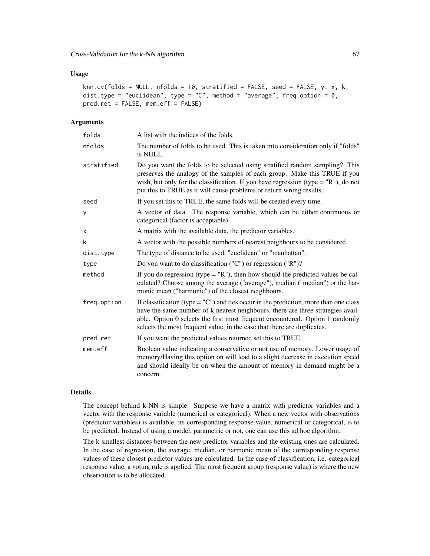### Usage

```
knn.cv(folds = NULL, nfolds = 10, stratified = FALSE, seed = FALSE, y, x, k,
dist.type = "euclidean", type = "C", method = "average", freq.option = 0,
pred.ret = FALSE, mem.eff = FALSE)
```
### **Arguments**

| A list with the indices of the folds.                                                                                                                                                                                                                                                                                                 |
|---------------------------------------------------------------------------------------------------------------------------------------------------------------------------------------------------------------------------------------------------------------------------------------------------------------------------------------|
| The number of folds to be used. This is taken into consideration only if "folds"<br>is NULL.                                                                                                                                                                                                                                          |
| Do you want the folds to be selected using stratified random sampling? This<br>preserves the analogy of the samples of each group. Make this TRUE if you<br>wish, but only for the classification. If you have regression (type = $"R"$ ), do not<br>put this to TRUE as it will cause problems or return wrong results.              |
| If you set this to TRUE, the same folds will be created every time.                                                                                                                                                                                                                                                                   |
| A vector of data. The response variable, which can be either continuous or<br>categorical (factor is acceptable).                                                                                                                                                                                                                     |
| A matrix with the available data, the predictor variables.                                                                                                                                                                                                                                                                            |
| A vector with the possible numbers of nearest neighbours to be considered.                                                                                                                                                                                                                                                            |
| The type of distance to be used, "euclidean" or "manhattan".                                                                                                                                                                                                                                                                          |
| Do you want to do classification ("C") or regression ("R")?                                                                                                                                                                                                                                                                           |
| If you do regression (type $=$ "R"), then how should the predicted values be cal-<br>culated? Choose among the average ("average"), median ("median") or the har-<br>monic mean ("harmonic") of the closest neighbours.                                                                                                               |
| If classification (type = $°C$ ) and ties occur in the prediction, more than one class<br>have the same number of k nearest neighbours, there are three strategies avail-<br>able. Option 0 selects the first most frequent encountered. Option 1 randomly<br>selects the most frequent value, in the case that there are duplicates. |
| If you want the predicted values returned set this to TRUE.                                                                                                                                                                                                                                                                           |
| Boolean value indicating a conservative or not use of memory. Lower usage of<br>memory/Having this option on will lead to a slight decrease in execution speed<br>and should ideally be on when the amount of memory in demand might be a<br>concern.                                                                                 |
|                                                                                                                                                                                                                                                                                                                                       |

### Details

The concept behind k-NN is simple. Suppose we have a matrix with predictor variables and a vector with the response variable (numerical or categorical). When a new vector with observations (predictor variables) is available, its corresponding response value, numerical or categorical, is to be predicted. Instead of using a model, parametric or not, one can use this ad hoc algorithm.

The k smallest distances between the new predictor variables and the existing ones are calculated. In the case of regression, the average, median, or harmonic mean of the corresponding response values of these closest predictor values are calculated. In the case of classification, i.e. categorical response value, a voting rule is applied. The most frequent group (response value) is where the new observation is to be allocated.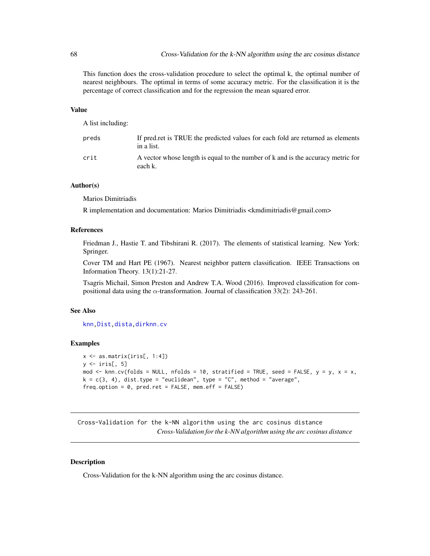This function does the cross-validation procedure to select the optimal k, the optimal number of nearest neighbours. The optimal in terms of some accuracy metric. For the classification it is the percentage of correct classification and for the regression the mean squared error.

## Value

A list including:

| preds | If pred.ret is TRUE the predicted values for each fold are returned as elements<br>in a list. |
|-------|-----------------------------------------------------------------------------------------------|
| crit  | A vector whose length is equal to the number of k and is the accuracy metric for<br>each k.   |

## Author(s)

Marios Dimitriadis

R implementation and documentation: Marios Dimitriadis <kmdimitriadis@gmail.com>

### References

Friedman J., Hastie T. and Tibshirani R. (2017). The elements of statistical learning. New York: Springer.

Cover TM and Hart PE (1967). Nearest neighbor pattern classification. IEEE Transactions on Information Theory. 13(1):21-27.

Tsagris Michail, Simon Preston and Andrew T.A. Wood (2016). Improved classification for compositional data using the  $\alpha$ -transformation. Journal of classification 33(2): 243-261.

### See Also

[knn](#page-122-0)[,Dist](#page-76-0)[,dista](#page-74-0)[,dirknn.cv](#page-67-0)

### Examples

```
x \leftarrow as_matrix(iris[, 1:4])y \leftarrow \text{iris}[, 5]mod \le knn.cv(folds = NULL, nfolds = 10, stratified = TRUE, seed = FALSE, y = y, x = x,
k = c(3, 4), dist.type = "euclidean", type = "C", method = "average",
freq.option = 0, pred.ret = FALSE, mem.eff = FALSE)
```
Cross-Validation for the k-NN algorithm using the arc cosinus distance *Cross-Validation for the k-NN algorithm using the arc cosinus distance*

### <span id="page-67-0"></span>Description

Cross-Validation for the k-NN algorithm using the arc cosinus distance.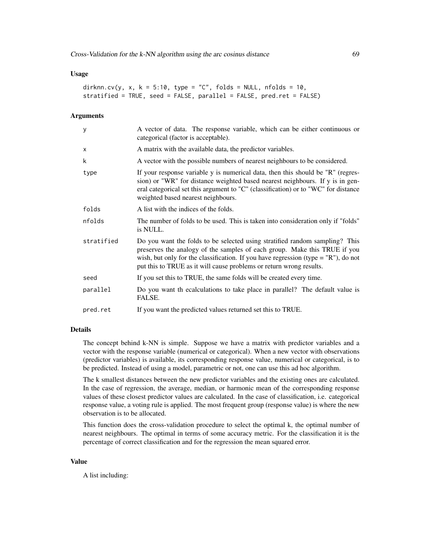### Usage

```
dirknn.cv(y, x, k = 5:10, type = "C", folds = NULL, nfolds = 10,
stratified = TRUE, seed = FALSE, parallel = FALSE, pred.ret = FALSE)
```
### Arguments

| У          | A vector of data. The response variable, which can be either continuous or<br>categorical (factor is acceptable).                                                                                                                                                                                                        |
|------------|--------------------------------------------------------------------------------------------------------------------------------------------------------------------------------------------------------------------------------------------------------------------------------------------------------------------------|
| $\times$   | A matrix with the available data, the predictor variables.                                                                                                                                                                                                                                                               |
| k          | A vector with the possible numbers of nearest neighbours to be considered.                                                                                                                                                                                                                                               |
| type       | If your response variable y is numerical data, then this should be "R" (regres-<br>sion) or "WR" for distance weighted based nearest neighbours. If y is in gen-<br>eral categorical set this argument to "C" (classification) or to "WC" for distance<br>weighted based nearest neighbours.                             |
| folds      | A list with the indices of the folds.                                                                                                                                                                                                                                                                                    |
| nfolds     | The number of folds to be used. This is taken into consideration only if "folds"<br>is NULL.                                                                                                                                                                                                                             |
| stratified | Do you want the folds to be selected using stratified random sampling? This<br>preserves the analogy of the samples of each group. Make this TRUE if you<br>wish, but only for the classification. If you have regression (type = $"R"$ ), do not<br>put this to TRUE as it will cause problems or return wrong results. |
| seed       | If you set this to TRUE, the same folds will be created every time.                                                                                                                                                                                                                                                      |
| parallel   | Do you want the calculations to take place in parallel? The default value is<br>FALSE.                                                                                                                                                                                                                                   |
| pred.ret   | If you want the predicted values returned set this to TRUE.                                                                                                                                                                                                                                                              |

## Details

The concept behind k-NN is simple. Suppose we have a matrix with predictor variables and a vector with the response variable (numerical or categorical). When a new vector with observations (predictor variables) is available, its corresponding response value, numerical or categorical, is to be predicted. Instead of using a model, parametric or not, one can use this ad hoc algorithm.

The k smallest distances between the new predictor variables and the existing ones are calculated. In the case of regression, the average, median, or harmonic mean of the corresponding response values of these closest predictor values are calculated. In the case of classification, i.e. categorical response value, a voting rule is applied. The most frequent group (response value) is where the new observation is to be allocated.

This function does the cross-validation procedure to select the optimal k, the optimal number of nearest neighbours. The optimal in terms of some accuracy metric. For the classification it is the percentage of correct classification and for the regression the mean squared error.

#### Value

A list including: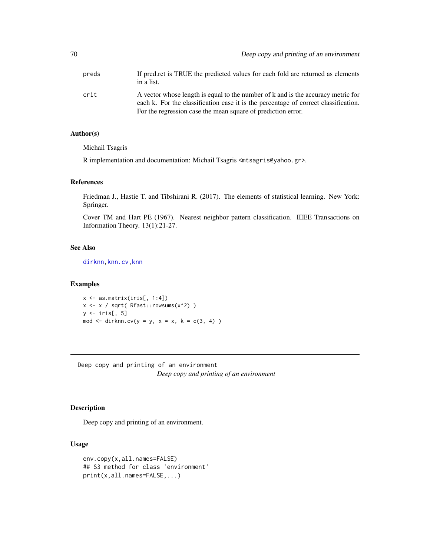| preds | If predicted by reduced values for each fold are returned as elements<br>in a list.                                                                                                                                                     |
|-------|-----------------------------------------------------------------------------------------------------------------------------------------------------------------------------------------------------------------------------------------|
| crit  | A vector whose length is equal to the number of k and is the accuracy metric for<br>each k. For the classification case it is the percentage of correct classification.<br>For the regression case the mean square of prediction error. |

## Author(s)

Michail Tsagris

R implementation and documentation: Michail Tsagris <mtsagris@yahoo.gr>.

### References

Friedman J., Hastie T. and Tibshirani R. (2017). The elements of statistical learning. New York: Springer.

Cover TM and Hart PE (1967). Nearest neighbor pattern classification. IEEE Transactions on Information Theory. 13(1):21-27.

## See Also

[dirknn](#page-124-0)[,knn.cv](#page-65-0)[,knn](#page-122-0)

## Examples

x <- as.matrix(iris[, 1:4]) x <- x / sqrt( Rfast::rowsums(x^2) )  $y \leftarrow \text{iris}[, 5]$ mod  $\le$  dirknn.cv(y = y, x = x, k = c(3, 4))

Deep copy and printing of an environment *Deep copy and printing of an environment*

## Description

Deep copy and printing of an environment.

```
env.copy(x,all.names=FALSE)
## S3 method for class 'environment'
print(x,all.names=FALSE,...)
```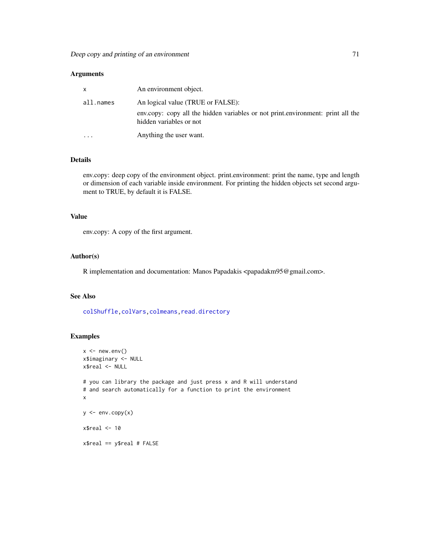| $\mathsf{x}$ | An environment object.                                                                                     |
|--------------|------------------------------------------------------------------------------------------------------------|
| all.names    | An logical value (TRUE or FALSE):                                                                          |
|              | env.copy: copy all the hidden variables or not print.environment: print all the<br>hidden variables or not |
| $\cdots$     | Anything the user want.                                                                                    |

## Details

env.copy: deep copy of the environment object. print.environment: print the name, type and length or dimension of each variable inside environment. For printing the hidden objects set second argument to TRUE, by default it is FALSE.

## Value

env.copy: A copy of the first argument.

### Author(s)

R implementation and documentation: Manos Papadakis <papadakm95@gmail.com>.

### See Also

[colShuffle](#page-42-0)[,colVars](#page-45-0)[,colmeans,](#page-35-0)[read.directory](#page-239-0)

## Examples

```
x \le - new.env()
x$imaginary <- NULL
x$real <- NULL
# you can library the package and just press x and R will understand
# and search automatically for a function to print the environment
x
y \leftarrow env.copy(x)x$real < -10x$real == y$real # FALSE
```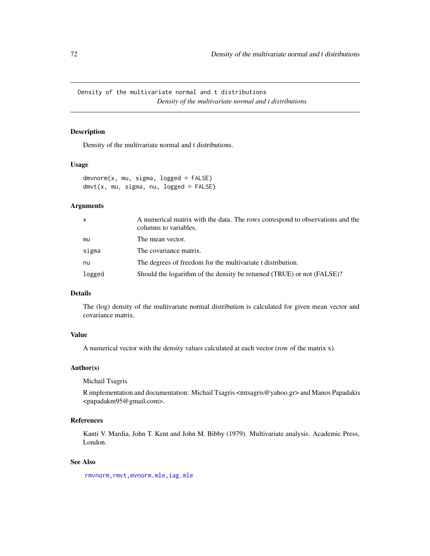Density of the multivariate normal and t distributions *Density of the multivariate normal and t distributions*

## Description

Density of the multivariate normal and t distributions.

### Usage

```
dmvnorm(x, mu, sigma, logged = FALSE)
dmvt(x, mu, sigma, nu, logged = FALSE)
```
## Arguments

| $\mathsf{x}$ | A numerical matrix with the data. The rows correspond to observations and the<br>columns to variables. |
|--------------|--------------------------------------------------------------------------------------------------------|
| mu           | The mean vector.                                                                                       |
| sigma        | The covariance matrix.                                                                                 |
| nu           | The degrees of freedom for the multivariate t distribution.                                            |
| logged       | Should the logarithm of the density be returned (TRUE) or not (FALSE)?                                 |

## Details

The (log) density of the multivariate normal distribution is calculated for given mean vector and covariance matrix.

## Value

A numerical vector with the density values calculated at each vector (row of the matrix x).

## Author(s)

Michail Tsagris

R implementation and documentation: Michail Tsagris <mtsagris@yahoo.gr> and Manos Papadakis <papadakm95@gmail.com>.

## References

Kanti V. Mardia, John T. Kent and John M. Bibby (1979). Multivariate analysis. Academic Press, London.

## See Also

[rmvnorm,rmvt,](#page-212-0)[mvnorm.mle](#page-200-0)[,iag.mle](#page-189-0)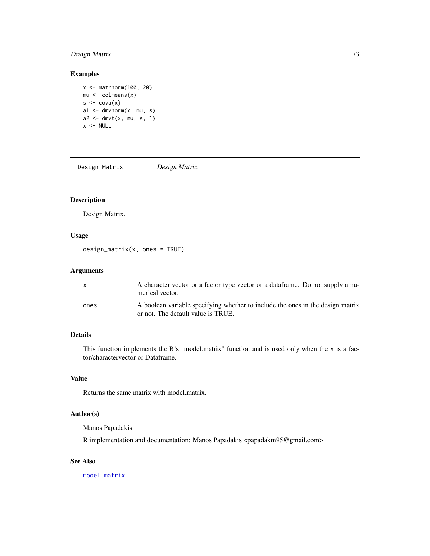# Design Matrix 73

# Examples

```
x <- matrnorm(100, 20)
mu \leftarrow column(x)s \leftarrow cov(a(x))a1 \leq dmvnorm(x, mu, s)a2 \leq -dmvt(x, mu, s, 1)x < - NULL
```
Design Matrix *Design Matrix*

# Description

Design Matrix.

# Usage

design\_matrix(x, ones = TRUE)

# Arguments

| X    | A character vector or a factor type vector or a data frame. Do not supply a nu-<br>merical vector.                   |
|------|----------------------------------------------------------------------------------------------------------------------|
| ones | A boolean variable specifying whether to include the ones in the design matrix<br>or not. The default value is TRUE. |

# Details

This function implements the R's "model.matrix" function and is used only when the x is a factor/charactervector or Dataframe.

# Value

Returns the same matrix with model.matrix.

# Author(s)

Manos Papadakis

R implementation and documentation: Manos Papadakis <papadakm95@gmail.com>

# See Also

[model.matrix](#page-0-0)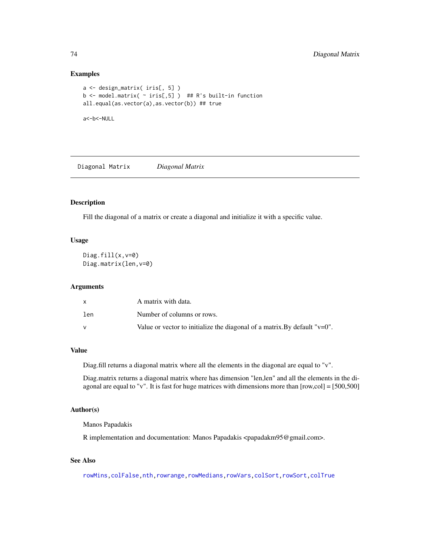## Examples

```
a <- design_matrix( iris[, 5] )
b <- model.matrix( \sim iris[,5] ) ## R's built-in function
all.equal(as.vector(a),as.vector(b)) ## true
a<-b<-NULL
```
Diagonal Matrix *Diagonal Matrix*

# Description

Fill the diagonal of a matrix or create a diagonal and initialize it with a specific value.

#### Usage

```
Diag.fill(x,v=0)
Diag.matrix(len,v=0)
```
#### Arguments

|     | A matrix with data.                                                           |
|-----|-------------------------------------------------------------------------------|
| len | Number of columns or rows.                                                    |
|     | Value or vector to initialize the diagonal of a matrix. By default " $v=0$ ". |

## Value

Diag.fill returns a diagonal matrix where all the elements in the diagonal are equal to "v".

Diag.matrix returns a diagonal matrix where has dimension "len,len" and all the elements in the diagonal are equal to "v". It is fast for huge matrices with dimensions more than [row,col] = [500,500]

## Author(s)

Manos Papadakis

R implementation and documentation: Manos Papadakis <papadakm95@gmail.com>.

# See Also

[rowMins](#page-245-0)[,colFalse](#page-54-0)[,nth,](#page-37-0)[rowrange,](#page-40-0)[rowMedians,](#page-36-0)[rowVars](#page-45-0)[,colSort,rowSort](#page-261-0)[,colTrue](#page-54-0)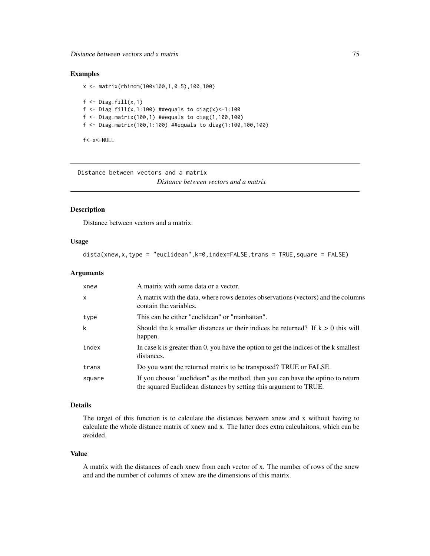Distance between vectors and a matrix 75

# Examples

```
x <- matrix(rbinom(100*100,1,0.5),100,100)
f \leftarrow Diag.fill(x,1)f <- Diag.fill(x,1:100) ##equals to diag(x)<-1:100
f <- Diag.matrix(100,1) ##equals to diag(1,100,100)
f <- Diag.matrix(100,1:100) ##equals to diag(1:100,100,100)
```
f<-x<-NULL

Distance between vectors and a matrix *Distance between vectors and a matrix*

## <span id="page-74-0"></span>Description

Distance between vectors and a matrix.

#### Usage

dista(xnew,x,type = "euclidean",k=0,index=FALSE,trans = TRUE,square = FALSE)

## Arguments

| xnew   | A matrix with some data or a vector.                                                                                                                 |
|--------|------------------------------------------------------------------------------------------------------------------------------------------------------|
| X      | A matrix with the data, where rows denotes observations (vectors) and the columns<br>contain the variables.                                          |
| type   | This can be either "euclidean" or "manhattan".                                                                                                       |
| k      | Should the k smaller distances or their indices be returned? If $k > 0$ this will<br>happen.                                                         |
| index  | In case k is greater than 0, you have the option to get the indices of the k smallest<br>distances.                                                  |
| trans  | Do you want the returned matrix to be transposed? TRUE or FALSE.                                                                                     |
| square | If you choose "euclidean" as the method, then you can have the optino to return<br>the squared Euclidean distances by setting this argument to TRUE. |

# Details

The target of this function is to calculate the distances between xnew and x without having to calculate the whole distance matrix of xnew and x. The latter does extra calculaitons, which can be avoided.

#### Value

A matrix with the distances of each xnew from each vector of x. The number of rows of the xnew and and the number of columns of xnew are the dimensions of this matrix.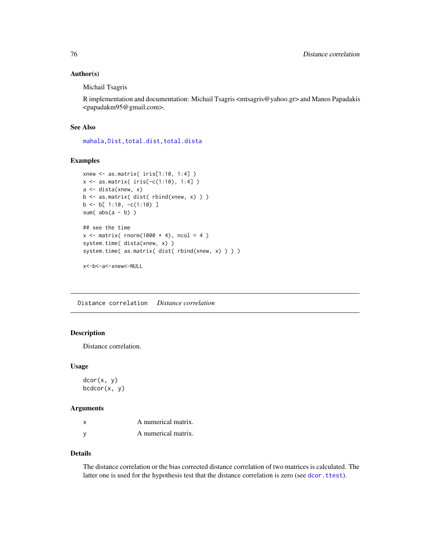## Author(s)

Michail Tsagris

R implementation and documentation: Michail Tsagris <mtsagris@yahoo.gr> and Manos Papadakis <papadakm95@gmail.com>.

# See Also

[mahala](#page-131-0)[,Dist](#page-76-0)[,total.dist,total.dista](#page-269-0)

#### Examples

```
xnew <- as.matrix( iris[1:10, 1:4] )
x <- as.matrix( iris[-c(1:10), 1:4] )
a <- dista(xnew, x)
b <- as.matrix( dist( rbind(xnew, x) ) )
b \leftarrow b[ 1:10, -c(1:10) ]
sum(abs(a - b))
## see the time
x \le matrix( rnorm(1000 \star 4), ncol = 4)
system.time( dista(xnew, x) )
system.time( as.matrix( dist( rbind(xnew, x) ) ) )
```
x<-b<-a<-xnew<-NULL

Distance correlation *Distance correlation*

# <span id="page-75-0"></span>Description

Distance correlation.

## Usage

dcor(x, y)  $bcdcor(x, y)$ 

#### Arguments

| x        | A numerical matrix. |
|----------|---------------------|
| <b>V</b> | A numerical matrix. |

## Details

The distance correlation or the bias corrected distance correlation of two matrices is calculated. The latter one is used for the hypothesis test that the distance correlation is zero (see [dcor.ttest](#page-110-0)).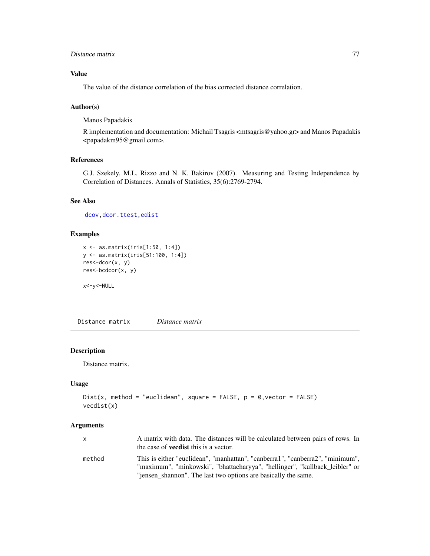# Distance matrix 77

# Value

The value of the distance correlation of the bias corrected distance correlation.

## Author(s)

Manos Papadakis

R implementation and documentation: Michail Tsagris <mtsagris@yahoo.gr> and Manos Papadakis <papadakm95@gmail.com>.

# References

G.J. Szekely, M.L. Rizzo and N. K. Bakirov (2007). Measuring and Testing Independence by Correlation of Distances. Annals of Statistics, 35(6):2769-2794.

# See Also

[dcov,](#page-77-0)[dcor.ttest,](#page-110-0)[edist](#page-82-0)

#### Examples

```
x <- as.matrix(iris[1:50, 1:4])
y <- as.matrix(iris[51:100, 1:4])
res<-dcor(x, y)
res<-bcdcor(x, y)
```
x<-y<-NULL

Distance matrix *Distance matrix*

#### <span id="page-76-0"></span>Description

Distance matrix.

### Usage

```
Dist(x, method = "euclidean", square = FALSE, p = 0, vector = FALSE)
vecdist(x)
```
## Arguments

| X.     | A matrix with data. The distances will be calculated between pairs of rows. In                                                                               |
|--------|--------------------------------------------------------------------------------------------------------------------------------------------------------------|
|        | the case of <b>vecdist</b> this is a vector.                                                                                                                 |
| method | This is either "euclidean", "manhattan", "canberra1", "canberra2", "minimum",<br>"maximum", "minkowski", "bhattacharyya", "hellinger", "kullback leibler" or |
|        | "jensen_shannon". The last two options are basically the same.                                                                                               |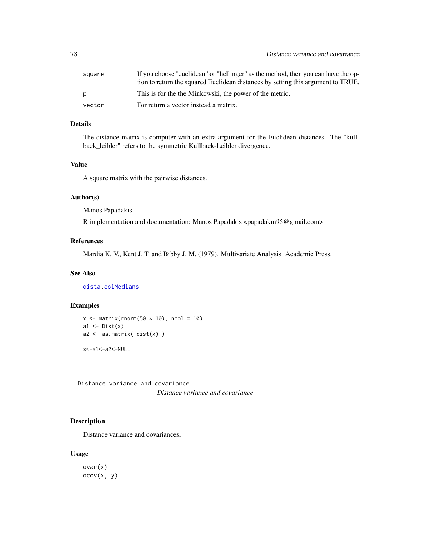| square       | If you choose "euclidean" or "hellinger" as the method, then you can have the op- |
|--------------|-----------------------------------------------------------------------------------|
|              | tion to return the squared Euclidean distances by setting this argument to TRUE.  |
| <sub>D</sub> | This is for the the Minkowski, the power of the metric.                           |
| vector       | For return a vector instead a matrix.                                             |

# Details

The distance matrix is computer with an extra argument for the Euclidean distances. The "kullback\_leibler" refers to the symmetric Kullback-Leibler divergence.

#### Value

A square matrix with the pairwise distances.

## Author(s)

Manos Papadakis

R implementation and documentation: Manos Papadakis <papadakm95@gmail.com>

## References

Mardia K. V., Kent J. T. and Bibby J. M. (1979). Multivariate Analysis. Academic Press.

## See Also

[dista](#page-74-0)[,colMedians](#page-36-0)

## Examples

```
x \le matrix(rnorm(50 \star 10), ncol = 10)
a1 \leftarrow Dist(x)a2 \leftarrow as.matrix( dist(x) )
```
x<-a1<-a2<-NULL

Distance variance and covariance *Distance variance and covariance*

# <span id="page-77-0"></span>Description

Distance variance and covariances.

#### Usage

dvar(x) dcov(x, y)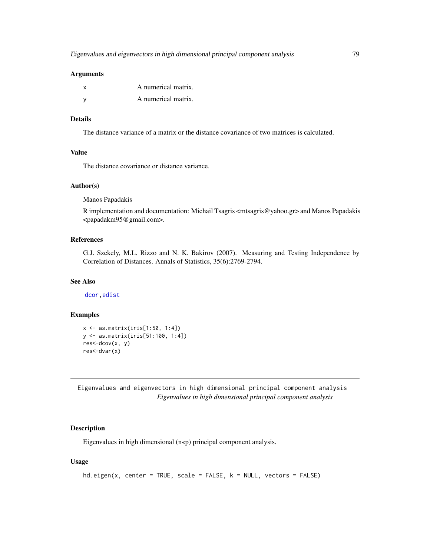#### Arguments

| A numerical matrix. |
|---------------------|
| A numerical matrix. |

## Details

The distance variance of a matrix or the distance covariance of two matrices is calculated.

# Value

The distance covariance or distance variance.

# Author(s)

Manos Papadakis

R implementation and documentation: Michail Tsagris <mtsagris@yahoo.gr> and Manos Papadakis <papadakm95@gmail.com>.

# References

G.J. Szekely, M.L. Rizzo and N. K. Bakirov (2007). Measuring and Testing Independence by Correlation of Distances. Annals of Statistics, 35(6):2769-2794.

#### See Also

[dcor,](#page-75-0)[edist](#page-82-0)

## Examples

```
x <- as.matrix(iris[1:50, 1:4])
y <- as.matrix(iris[51:100, 1:4])
res<-dcov(x, y)
res<-dvar(x)
```
Eigenvalues and eigenvectors in high dimensional principal component analysis *Eigenvalues in high dimensional principal component analysis*

# Description

Eigenvalues in high dimensional (n«p) principal component analysis.

#### Usage

```
hd.eigen(x, center = TRUE, scale = FALSE, k = NULL, vectors = FALSE)
```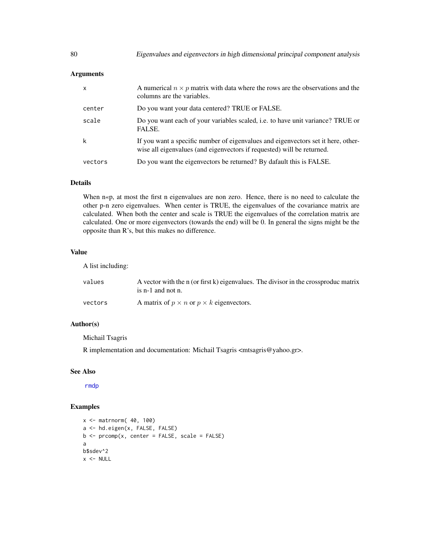# Arguments

| X       | A numerical $n \times p$ matrix with data where the rows are the observations and the<br>columns are the variables.                                         |
|---------|-------------------------------------------------------------------------------------------------------------------------------------------------------------|
| center  | Do you want your data centered? TRUE or FALSE.                                                                                                              |
| scale   | Do you want each of your variables scaled, i.e. to have unit variance? TRUE or<br>FALSE.                                                                    |
| k       | If you want a specific number of eigenvalues and eigenvectors set it here, other-<br>wise all eigenvalues (and eigenvectors if requested) will be returned. |
| vectors | Do you want the eigenvectors be returned? By dafault this is FALSE.                                                                                         |

# Details

When n«p, at most the first n eigenvalues are non zero. Hence, there is no need to calculate the other p-n zero eigenvalues. When center is TRUE, the eigenvalues of the covariance matrix are calculated. When both the center and scale is TRUE the eigenvalues of the correlation matrix are calculated. One or more eigenvectors (towards the end) will be 0. In general the signs might be the opposite than R's, but this makes no difference.

# Value

A list including:

| values  | A vector with the n (or first k) eigenvalues. The divisor in the crossproduc matrix<br>is $n-1$ and not n. |
|---------|------------------------------------------------------------------------------------------------------------|
| vectors | A matrix of $p \times n$ or $p \times k$ eigenvectors.                                                     |

# Author(s)

Michail Tsagris

R implementation and documentation: Michail Tsagris <mtsagris@yahoo.gr>.

## See Also

[rmdp](#page-109-0)

```
x <- matrnorm( 40, 100)
a <- hd.eigen(x, FALSE, FALSE)
b \leq prcomp(x, center = FALSE, scale = FALSE)
a
b$sdev^2
x < - NULL
```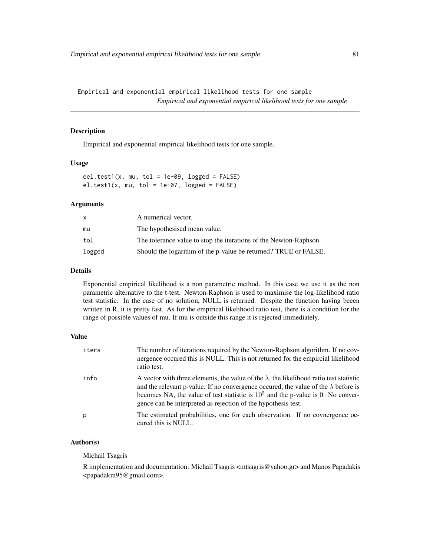Empirical and exponential empirical likelihood tests for one sample *Empirical and exponential empirical likelihood tests for one sample*

# Description

Empirical and exponential empirical likelihood tests for one sample.

## Usage

eel.test1(x, mu, tol = 1e-09, logged =  $FALSE)$  $el.test1(x, mu, tol = 1e-07, logged = FALSE)$ 

# Arguments

| x      | A numerical vector.                                               |
|--------|-------------------------------------------------------------------|
| mu     | The hypothesised mean value.                                      |
| tol    | The tolerance value to stop the iterations of the Newton-Raphson. |
| logged | Should the logarithm of the p-value be returned? TRUE or FALSE.   |

# Details

Exponential empirical likelihood is a non parametric method. In this case we use it as the non parametric alternative to the t-test. Newton-Raphson is used to maximise the log-likelihood ratio test statistic. In the case of no solution, NULL is returned. Despite the function having beeen written in R, it is pretty fast. As for the empirical likelihood ratio test, there is a condition for the range of possible values of mu. If mu is outside this range it is rejected immediately.

# Value

| iters | The number of iterations required by the Newton-Raphson algorithm. If no cov-<br>nergence occured this is NULL. This is not returned for the empircial likelihood<br>ratio test.                                                                                                                                                                    |
|-------|-----------------------------------------------------------------------------------------------------------------------------------------------------------------------------------------------------------------------------------------------------------------------------------------------------------------------------------------------------|
| info  | A vector with three elements, the value of the $\lambda$ , the likelihood ratio test statistic<br>and the relevant p-value. If no convergence occurred, the value of the $\lambda$ before is<br>becomes NA, the value of test statistic is $10^5$ and the p-value is 0. No conver-<br>gence can be interpreted as rejection of the hypothesis test. |
| p     | The estimated probabilities, one for each observation. If no covnergence oc-<br>cured this is NULL.                                                                                                                                                                                                                                                 |

## Author(s)

Michail Tsagris

R implementation and documentation: Michail Tsagris <mtsagris@yahoo.gr> and Manos Papadakis <papadakm95@gmail.com>.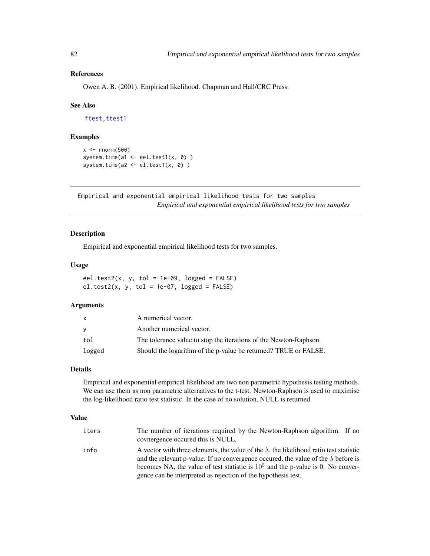# References

Owen A. B. (2001). Empirical likelihood. Chapman and Hall/CRC Press.

#### See Also

[ftest,](#page-207-0) [ttest1](#page-221-0)

## Examples

```
x < - rnorm(500)
system.time(a1 <- eel.test1(x, 0) )
system.time(a2 <- el.test1(x, \theta))
```
Empirical and exponential empirical likelihood tests for two samples *Empirical and exponential empirical likelihood tests for two samples*

## Description

Empirical and exponential empirical likelihood tests for two samples.

#### Usage

```
eel.test2(x, y, tol = 1e-09, logged = FALSE)el.test2(x, y, tol = 1e-07, logged = FALSE)
```
# Arguments

| X        | A numerical vector.                                               |
|----------|-------------------------------------------------------------------|
| <b>V</b> | Another numerical vector.                                         |
| tol      | The tolerance value to stop the iterations of the Newton-Raphson. |
| logged   | Should the logarithm of the p-value be returned? TRUE or FALSE.   |

# Details

Empirical and exponential empirical likelihood are two non parametric hypothesis testing methods. We can use them as non parametric alternatives to the t-test. Newton-Raphson is used to maximise the log-likelihood ratio test statistic. In the case of no solution, NULL is returned.

## Value

| iters | The number of iterations required by the Newton-Raphson algorithm. If no<br>covnergence occurred this is NULL.                                                                               |
|-------|----------------------------------------------------------------------------------------------------------------------------------------------------------------------------------------------|
| info  | A vector with three elements, the value of the $\lambda$ , the likelihood ratio test statistic<br>and the relevant p-value. If no convergence occurred, the value of the $\lambda$ before is |
|       | becomes NA, the value of test statistic is $10^5$ and the p-value is 0. No conver-                                                                                                           |
|       | gence can be interpreted as rejection of the hypothesis test.                                                                                                                                |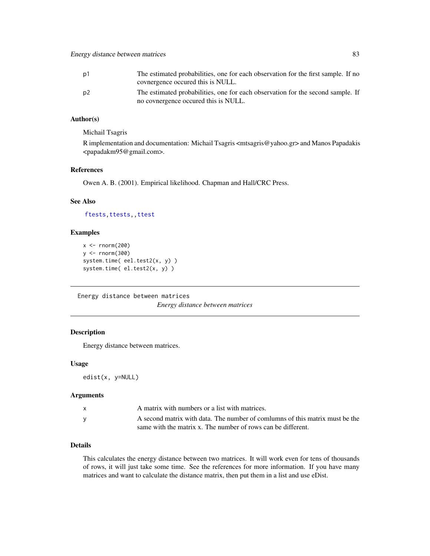| p1             | The estimated probabilities, one for each observation for the first sample. If no |
|----------------|-----------------------------------------------------------------------------------|
|                | covnergence occurred this is NULL.                                                |
| D <sub>2</sub> | The estimated probabilities, one for each observation for the second sample. If   |
|                | no covnergence occurred this is NULL.                                             |

# Author(s)

Michail Tsagris

R implementation and documentation: Michail Tsagris <mtsagris@yahoo.gr> and Manos Papadakis <papadakm95@gmail.com>.

# References

Owen A. B. (2001). Empirical likelihood. Chapman and Hall/CRC Press.

# See Also

[ftests,](#page-148-0)[ttests,](#page-134-0)[,ttest](#page-154-0)

# Examples

```
x < - rnorm(200)
y <- rnorm(300)
system.time( eel.test2(x, y) )
system.time( el.test2(x, y) )
```
Energy distance between matrices

*Energy distance between matrices*

# <span id="page-82-0"></span>Description

Energy distance between matrices.

# Usage

edist(x, y=NULL)

## Arguments

| A matrix with numbers or a list with matrices.                               |
|------------------------------------------------------------------------------|
| A second matrix with data. The number of comlumns of this matrix must be the |
| same with the matrix x. The number of rows can be different.                 |

# Details

This calculates the energy distance between two matrices. It will work even for tens of thousands of rows, it will just take some time. See the references for more information. If you have many matrices and want to calculate the distance matrix, then put them in a list and use eDist.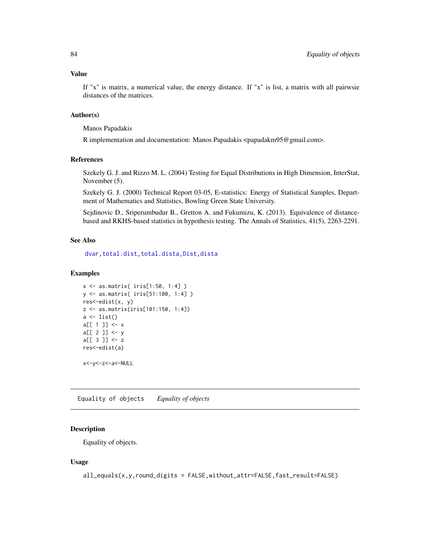## Value

If "x" is matrix, a numerical value, the energy distance. If "x" is list, a matrix with all pairwsie distances of the matrices.

# Author(s)

Manos Papadakis

R implementation and documentation: Manos Papadakis <papadakm95@gmail.com>.

## References

Szekely G. J. and Rizzo M. L. (2004) Testing for Equal Distributions in High Dimension, InterStat, November (5).

Szekely G. J. (2000) Technical Report 03-05, E-statistics: Energy of Statistical Samples, Department of Mathematics and Statistics, Bowling Green State University.

Sejdinovic D., Sriperumbudur B., Gretton A. and Fukumizu, K. (2013). Equivalence of distancebased and RKHS-based statistics in hypothesis testing. The Annals of Statistics, 41(5), 2263-2291.

### See Also

[dvar,](#page-77-0)[total.dist,total.dista](#page-269-0)[,Dist](#page-76-0)[,dista](#page-74-0)

#### Examples

```
x <- as.matrix( iris[1:50, 1:4] )
y <- as.matrix( iris[51:100, 1:4] )
res<-edist(x, y)
z <- as.matrix(iris[101:150, 1:4])
a \leftarrow list()a[[ 1 ]] <- x
a[[ 2 ]] <- y
a[[ 3 ]] <- z
res<-edist(a)
```
x<-y<-z<-a<-NULL

Equality of objects *Equality of objects*

# Description

Equality of objects.

## Usage

```
all_equals(x,y,round_digits = FALSE,without_attr=FALSE,fast_result=FALSE)
```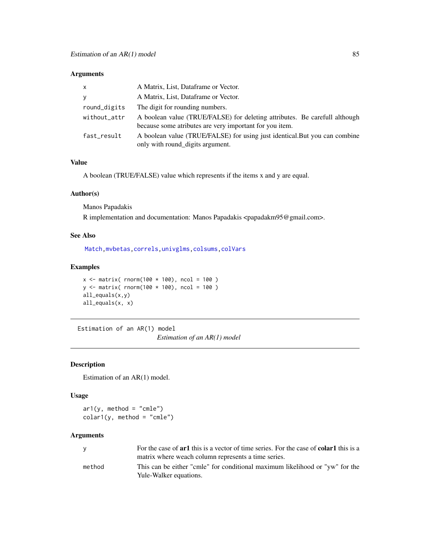## Arguments

| $\mathsf{x}$ | A Matrix, List, Dataframe or Vector.                                                                                                  |
|--------------|---------------------------------------------------------------------------------------------------------------------------------------|
| y            | A Matrix, List, Dataframe or Vector.                                                                                                  |
| round_digits | The digit for rounding numbers.                                                                                                       |
| without_attr | A boolean value (TRUE/FALSE) for deleting attributes. Be carefull although<br>because some atributes are very important for you item. |
| fast_result  | A boolean value (TRUE/FALSE) for using just identical. But you can combine<br>only with round_digits argument.                        |

# Value

A boolean (TRUE/FALSE) value which represents if the items x and y are equal.

## Author(s)

Manos Papadakis

R implementation and documentation: Manos Papadakis <papadakm95@gmail.com>.

# See Also

[Match,](#page-178-0)[mvbetas,](#page-149-0)[correls](#page-62-0)[,univglms](#page-171-0)[,colsums](#page-43-0)[,colVars](#page-45-0)

# Examples

```
x \le - matrix( rnorm(100 * 100), ncol = 100)
y \le - matrix( rnorm(100 * 100), ncol = 100)
all_equals(x,y)
all_equals(x, x)
```
Estimation of an AR(1) model *Estimation of an AR(1) model*

# Description

Estimation of an AR(1) model.

# Usage

 $ar1(y, method = "cmle")$  $colar1(y, method = "cmle")$ 

#### Arguments

| <b>V</b> | For the case of <b>ar1</b> this is a vector of time series. For the case of <b>colar1</b> this is a    |
|----------|--------------------------------------------------------------------------------------------------------|
|          | matrix where weach column represents a time series.                                                    |
| method   | This can be either "cmle" for conditional maximum likelihood or "yw" for the<br>Yule-Walker equations. |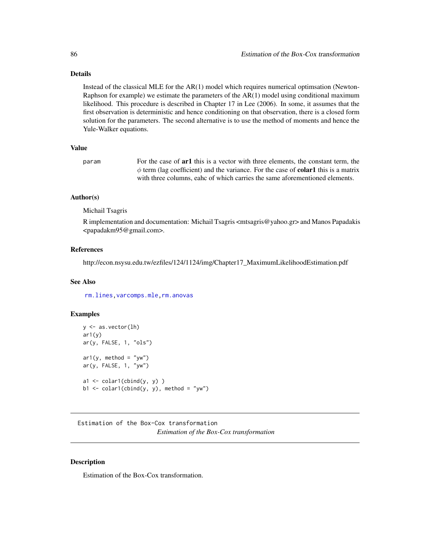# Details

Instead of the classical MLE for the AR(1) model which requires numerical optimsation (Newton-Raphson for example) we estimate the parameters of the AR(1) model using conditional maximum likelihood. This procedure is described in Chapter 17 in Lee (2006). In some, it assumes that the first observation is deterministic and hence conditioning on that observation, there is a closed form solution for the parameters. The second alternative is to use the method of moments and hence the Yule-Walker equations.

#### Value

param For the case of ar1 this is a vector with three elements, the constant term, the  $\phi$  term (lag coefficient) and the variance. For the case of **colar1** this is a matrix with three columns, eahc of which carries the same aforementioned elements.

# Author(s)

Michail Tsagris

R implementation and documentation: Michail Tsagris <mtsagris@yahoo.gr> and Manos Papadakis <papadakm95@gmail.com>.

## References

http://econ.nsysu.edu.tw/ezfiles/124/1124/img/Chapter17\_MaximumLikelihoodEstimation.pdf

# See Also

[rm.lines,](#page-157-0)[varcomps.mle](#page-205-0)[,rm.anovas](#page-157-0)

### Examples

```
y <- as.vector(lh)
ar1(y)ar(y, FALSE, 1, "ols")
ar1(y, method = "yw")ar(y, FALSE, 1, "yw")
a1 \leftarrow colar1(cbind(y, y))
b1 \le -\text{calar}(cbind(y, y), \text{ method} = "yw")
```
Estimation of the Box-Cox transformation *Estimation of the Box-Cox transformation*

# **Description**

Estimation of the Box-Cox transformation.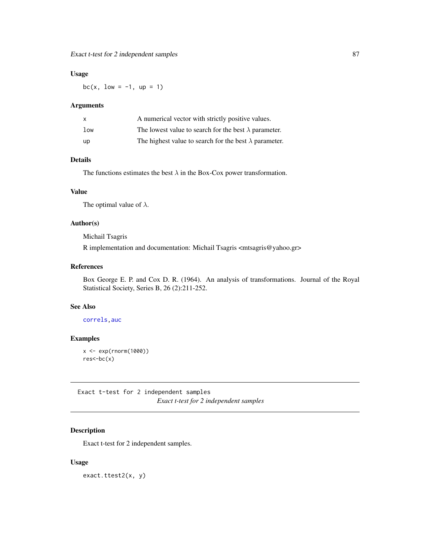## Usage

bc(x,  $low = -1$ ,  $up = 1$ )

## Arguments

| X               | A numerical vector with strictly positive values.             |
|-----------------|---------------------------------------------------------------|
| 1 <sub>ow</sub> | The lowest value to search for the best $\lambda$ parameter.  |
| up              | The highest value to search for the best $\lambda$ parameter. |

# Details

The functions estimates the best  $\lambda$  in the Box-Cox power transformation.

## Value

The optimal value of  $\lambda$ .

# Author(s)

Michail Tsagris

R implementation and documentation: Michail Tsagris <mtsagris@yahoo.gr>

# References

Box George E. P. and Cox D. R. (1964). An analysis of transformations. Journal of the Royal Statistical Society, Series B, 26 (2):211-252.

## See Also

[correls](#page-62-0)[,auc](#page-132-0)

# Examples

x <- exp(rnorm(1000))  $res<-bc(x)$ 

Exact t-test for 2 independent samples *Exact t-test for 2 independent samples*

# Description

Exact t-test for 2 independent samples.

#### Usage

exact.ttest2(x, y)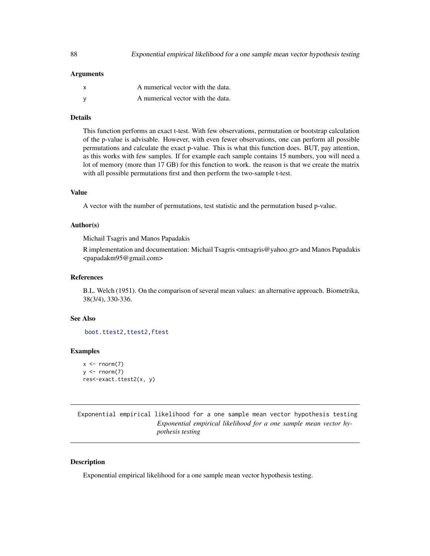## Arguments

| A numerical vector with the data. |
|-----------------------------------|
| A numerical vector with the data. |

#### Details

This function performs an exact t-test. With few observations, permutation or bootstrap calculation of the p-value is advisable. However, with even fewer observations, one can perform all possible permutations and calculate the exact p-value. This is what this function does. BUT, pay attention, as this works with few samples. If for example each sample contains 15 numbers, you will need a lot of memory (more than 17 GB) for this function to work. the reason is that we create the matrix with all possible permutations first and then perform the two-sample t-test.

#### Value

A vector with the number of permutations, test statistic and the permutation based p-value.

#### Author(s)

Michail Tsagris and Manos Papadakis

R implementation and documentation: Michail Tsagris <mtsagris@yahoo.gr> and Manos Papadakis <papadakm95@gmail.com>

## References

B.L. Welch (1951). On the comparison of several mean values: an alternative approach. Biometrika, 38(3/4), 330-336.

#### See Also

[boot.ttest2,](#page-21-0)[ttest2,ftest](#page-207-0)

#### Examples

```
x \leq -rnorm(7)y \le - rnorm(7)res<-exact.ttest2(x, y)
```
Exponential empirical likelihood for a one sample mean vector hypothesis testing *Exponential empirical likelihood for a one sample mean vector hypothesis testing*

## <span id="page-87-0"></span>**Description**

Exponential empirical likelihood for a one sample mean vector hypothesis testing.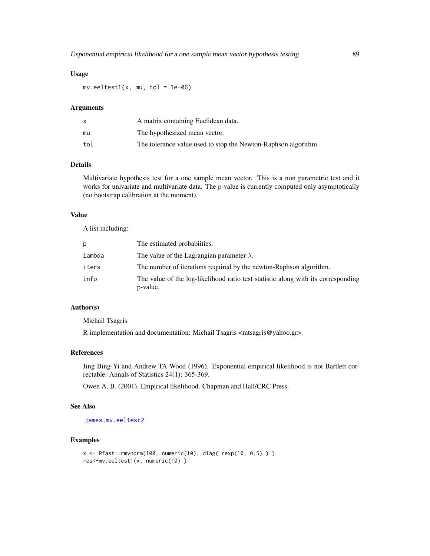## Usage

 $mv.eeltest1(x, mu, tol = 1e-06)$ 

#### Arguments

|     | A matrix containing Euclidean data.                            |
|-----|----------------------------------------------------------------|
| mu  | The hypothesized mean vector.                                  |
| tol | The tolerance value used to stop the Newton-Raphson algorithm. |

## Details

Multivariate hypothesis test for a one sample mean vector. This is a non parametric test and it works for univariate and multivariate data. The p-value is currently computed only asymptotically (no bootstrap calibration at the moment).

#### Value

A list including:

| Ŋ.     | The estimated probabilities.                                                                  |
|--------|-----------------------------------------------------------------------------------------------|
| lambda | The value of the Lagrangian parameter $\lambda$ .                                             |
| iters  | The number of iterations required by the newton-Raphson algorithm.                            |
| info   | The value of the log-likelihood ratio test statistic along with its corresponding<br>p-value. |

## Author(s)

Michail Tsagris

R implementation and documentation: Michail Tsagris <mtsagris@yahoo.gr>.

# References

Jing Bing-Yi and Andrew TA Wood (1996). Exponential empirical likelihood is not Bartlett correctable. Annals of Statistics 24(1): 365-369.

Owen A. B. (2001). Empirical likelihood. Chapman and Hall/CRC Press.

## See Also

[james,](#page-120-0)[mv.eeltest2](#page-89-0)

```
x <- Rfast::rmvnorm(100, numeric(10), diag( rexp(10, 0.5) ) )
res<-mv.eeltest1(x, numeric(10) )
```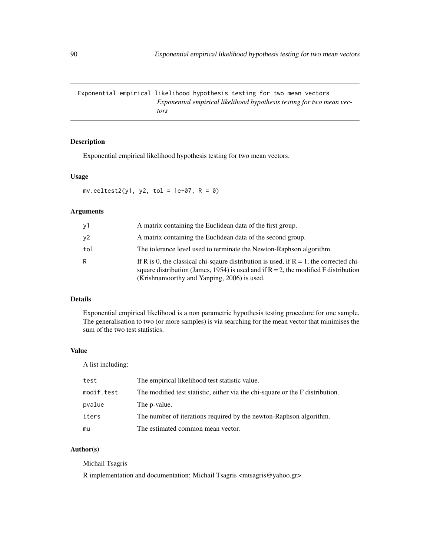Exponential empirical likelihood hypothesis testing for two mean vectors *Exponential empirical likelihood hypothesis testing for two mean vectors*

# <span id="page-89-0"></span>Description

Exponential empirical likelihood hypothesis testing for two mean vectors.

## Usage

 $mv.eeltest2(y1, y2, tol = 1e-07, R = 0)$ 

## Arguments

| y1  | A matrix containing the Euclidean data of the first group.                                                                                                                                                                         |
|-----|------------------------------------------------------------------------------------------------------------------------------------------------------------------------------------------------------------------------------------|
| y2  | A matrix containing the Euclidean data of the second group.                                                                                                                                                                        |
| tol | The tolerance level used to terminate the Newton-Raphson algorithm.                                                                                                                                                                |
| R   | If R is 0, the classical chi-square distribution is used, if $R = 1$ , the corrected chi-<br>square distribution (James, 1954) is used and if $R = 2$ , the modified F distribution<br>(Krishnamoorthy and Yanping, 2006) is used. |

## Details

Exponential empirical likelihood is a non parametric hypothesis testing procedure for one sample. The generalisation to two (or more samples) is via searching for the mean vector that minimises the sum of the two test statistics.

## Value

A list including:

| test       | The empirical likelihood test statistic value.                                |
|------------|-------------------------------------------------------------------------------|
| modif.test | The modified test statistic, either via the chi-square or the F distribution. |
| pvalue     | The p-value.                                                                  |
| iters      | The number of iterations required by the newton-Raphson algorithm.            |
| mu         | The estimated common mean vector.                                             |

# Author(s)

# Michail Tsagris

R implementation and documentation: Michail Tsagris <mtsagris@yahoo.gr>.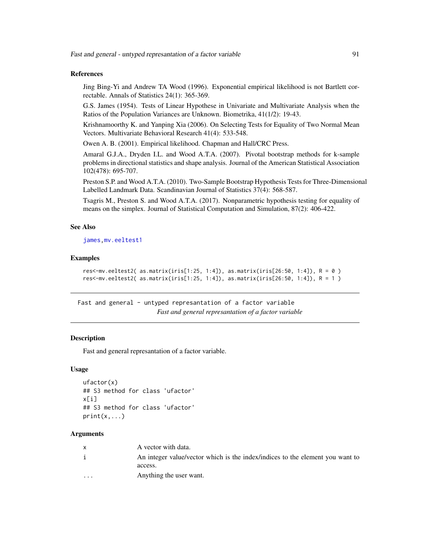## References

Jing Bing-Yi and Andrew TA Wood (1996). Exponential empirical likelihood is not Bartlett correctable. Annals of Statistics 24(1): 365-369.

G.S. James (1954). Tests of Linear Hypothese in Univariate and Multivariate Analysis when the Ratios of the Population Variances are Unknown. Biometrika, 41(1/2): 19-43.

Krishnamoorthy K. and Yanping Xia (2006). On Selecting Tests for Equality of Two Normal Mean Vectors. Multivariate Behavioral Research 41(4): 533-548.

Owen A. B. (2001). Empirical likelihood. Chapman and Hall/CRC Press.

Amaral G.J.A., Dryden I.L. and Wood A.T.A. (2007). Pivotal bootstrap methods for k-sample problems in directional statistics and shape analysis. Journal of the American Statistical Association 102(478): 695-707.

Preston S.P. and Wood A.T.A. (2010). Two-Sample Bootstrap Hypothesis Tests for Three-Dimensional Labelled Landmark Data. Scandinavian Journal of Statistics 37(4): 568-587.

Tsagris M., Preston S. and Wood A.T.A. (2017). Nonparametric hypothesis testing for equality of means on the simplex. Journal of Statistical Computation and Simulation, 87(2): 406-422.

## See Also

[james](#page-120-0), mv.eeltest1

# Examples

```
res<-mv.eeltest2( as.matrix(iris[1:25, 1:4]), as.matrix(iris[26:50, 1:4]), R = 0 )
res<-mv.eeltest2( as.matrix(iris[1:25, 1:4]), as.matrix(iris[26:50, 1:4]), R = 1 )
```
Fast and general - untyped represantation of a factor variable *Fast and general represantation of a factor variable*

# **Description**

Fast and general represantation of a factor variable.

#### Usage

```
ufactor(x)
## S3 method for class 'ufactor'
x[i]## S3 method for class 'ufactor'
print(x, \ldots)
```
#### Arguments

| $\mathsf{x}$ | A vector with data.                                                           |
|--------------|-------------------------------------------------------------------------------|
| j.           | An integer value/vector which is the index/indices to the element you want to |
|              | access.                                                                       |
| $\cdots$     | Anything the user want.                                                       |
|              |                                                                               |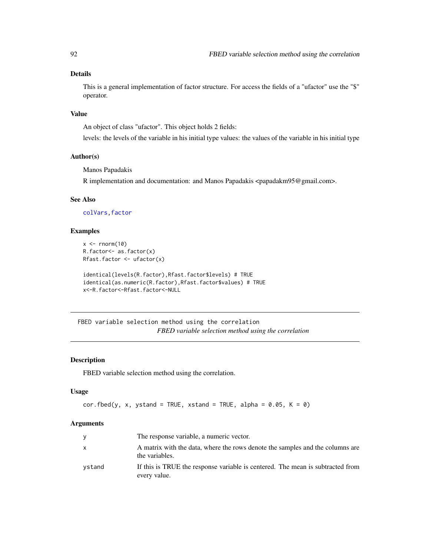# Details

This is a general implementation of factor structure. For access the fields of a "ufactor" use the "\$" operator.

#### Value

An object of class "ufactor". This object holds 2 fields:

levels: the levels of the variable in his initial type values: the values of the variable in his initial type

## Author(s)

Manos Papadakis

R implementation and documentation: and Manos Papadakis <papadakm95@gmail.com>.

# See Also

[colVars](#page-45-0)[,factor](#page-0-0)

# Examples

```
x \leftarrow \text{norm}(10)R.factor<- as.factor(x)
Rfast.factor <- ufactor(x)
```

```
identical(levels(R.factor),Rfast.factor$levels) # TRUE
identical(as.numeric(R.factor),Rfast.factor$values) # TRUE
x<-R.factor<-Rfast.factor<-NULL
```
FBED variable selection method using the correlation *FBED variable selection method using the correlation*

# Description

FBED variable selection method using the correlation.

# Usage

```
cor.fbed(y, x, ystand = TRUE, xstand = TRUE, alpha = 0.05, K = 0)
```
#### Arguments

| y      | The response variable, a numeric vector.                                                        |
|--------|-------------------------------------------------------------------------------------------------|
| X      | A matrix with the data, where the rows denote the samples and the columns are<br>the variables. |
| ystand | If this is TRUE the response variable is centered. The mean is subtracted from<br>every value.  |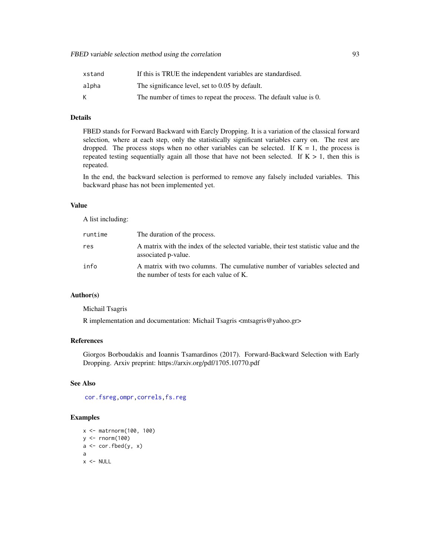# FBED variable selection method using the correlation 93

| xstand | If this is TRUE the independent variables are standardised.        |
|--------|--------------------------------------------------------------------|
| alpha  | The significance level, set to 0.05 by default.                    |
| К      | The number of times to repeat the process. The default value is 0. |

# Details

FBED stands for Forward Backward with Earcly Dropping. It is a variation of the classical forward selection, where at each step, only the statistically significant variables carry on. The rest are dropped. The process stops when no other variables can be selected. If  $K = 1$ , the process is repeated testing sequentially again all those that have not been selected. If  $K > 1$ , then this is repeated.

In the end, the backward selection is performed to remove any falsely included variables. This backward phase has not been implemented yet.

## Value

A list including:

| runtime | The duration of the process.                                                                                           |
|---------|------------------------------------------------------------------------------------------------------------------------|
| res     | A matrix with the index of the selected variable, their test statistic value and the<br>associated p-value.            |
| info    | A matrix with two columns. The cumulative number of variables selected and<br>the number of tests for each value of K. |

# Author(s)

Michail Tsagris

R implementation and documentation: Michail Tsagris <mtsagris@yahoo.gr>

## References

Giorgos Borboudakis and Ioannis Tsamardinos (2017). Forward-Backward Selection with Early Dropping. Arxiv preprint: https://arxiv.org/pdf/1705.10770.pdf

#### See Also

[cor.fsreg,](#page-59-0)[ompr,](#page-224-0)[correls](#page-62-0)[,fs.reg](#page-98-0)

```
x <- matrnorm(100, 100)
y \le - rnorm(100)a \leftarrow cor.fbed(y, x)a
x < - NULL
```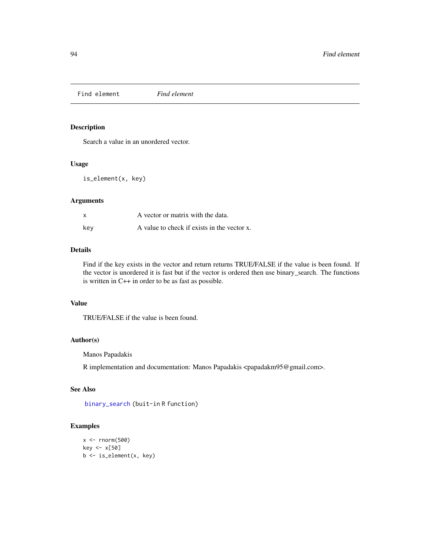Find element *Find element*

# Description

Search a value in an unordered vector.

## Usage

is\_element(x, key)

# Arguments

| x   | A vector or matrix with the data.           |
|-----|---------------------------------------------|
| key | A value to check if exists in the vector x. |

## Details

Find if the key exists in the vector and return returns TRUE/FALSE if the value is been found. If the vector is unordered it is fast but if the vector is ordered then use binary\_search. The functions is written in C++ in order to be as fast as possible.

# Value

TRUE/FALSE if the value is been found.

# Author(s)

Manos Papadakis

R implementation and documentation: Manos Papadakis <papadakm95@gmail.com>.

# See Also

[binary\\_search](#page-19-0) (buit-in R function)

```
x <- rnorm(500)
key <- x[50]
b <- is_element(x, key)
```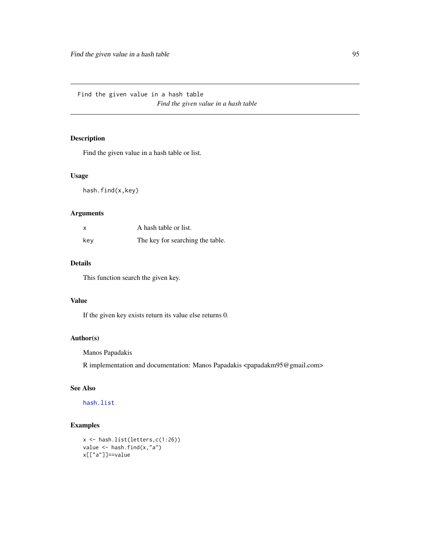Find the given value in a hash table *Find the given value in a hash table*

# <span id="page-94-0"></span>Description

Find the given value in a hash table or list.

#### Usage

hash.find(x,key)

# Arguments

| x   | A hash table or list.            |
|-----|----------------------------------|
| kev | The key for searching the table. |

## Details

This function search the given key.

## Value

If the given key exists return its value else returns 0.

# Author(s)

Manos Papadakis

R implementation and documentation: Manos Papadakis <papadakm95@gmail.com>

# See Also

[hash.list](#page-106-0)

```
x <- hash.list(letters,c(1:26))
value <- hash.find(x,"a")
x[["a"]]==value
```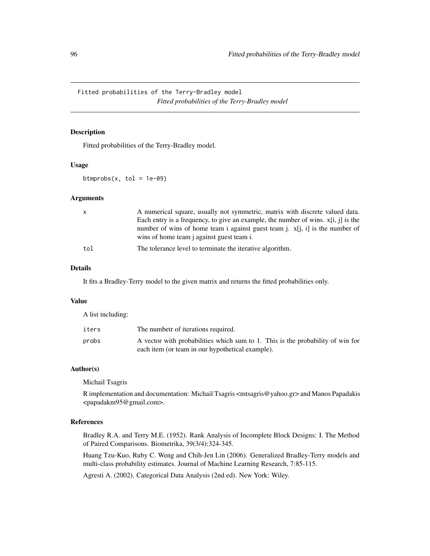Fitted probabilities of the Terry-Bradley model *Fitted probabilities of the Terry-Bradley model*

# Description

Fitted probabilities of the Terry-Bradley model.

## Usage

btmprobs(x, tol =  $1e-09$ )

#### Arguments

| $\mathsf{x}$ | A numerical square, usually not symmetric, matrix with discrete valued data.<br>Each entry is a frequency, to give an example, the number of wins. $x[i, j]$ is the |
|--------------|---------------------------------------------------------------------------------------------------------------------------------------------------------------------|
|              | number of wins of home team i against guest team j. $x[i, i]$ is the number of<br>wins of home team j against guest team i.                                         |
| tol          | The tolerance level to terminate the iterative algorithm.                                                                                                           |

## Details

It fits a Bradley-Terry model to the given matrix and returns the fitted probabilities only.

# Value

A list including:

| iters | The numbetr of iterations required.                                                                                                |
|-------|------------------------------------------------------------------------------------------------------------------------------------|
| probs | A vector with probabilities which sum to 1. This is the probability of win for<br>each item (or team in our hypothetical example). |

## Author(s)

Michail Tsagris

R implementation and documentation: Michail Tsagris <mtsagris@yahoo.gr> and Manos Papadakis <papadakm95@gmail.com>.

## References

Bradley R.A. and Terry M.E. (1952). Rank Analysis of Incomplete Block Designs: I. The Method of Paired Comparisons. Biometrika, 39(3/4):324-345.

Huang Tzu-Kuo, Ruby C. Weng and Chih-Jen Lin (2006). Generalized Bradley-Terry models and multi-class probability estimates. Journal of Machine Learning Research, 7:85-115.

Agresti A. (2002). Categorical Data Analysis (2nd ed). New York: Wiley.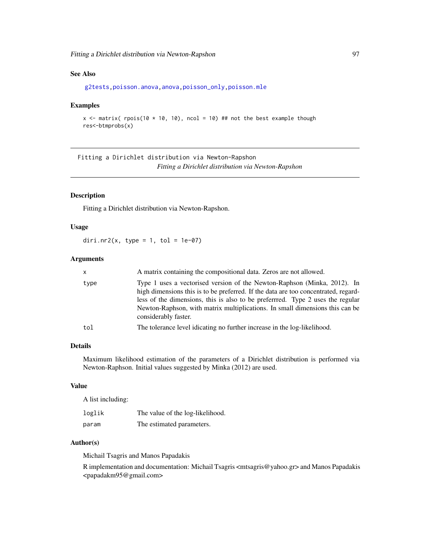# See Also

```
g2tests,poisson.anova,anova,poisson_only,poisson.mle
```
#### Examples

```
x <- matrix( rpois(10 * 10, 10), ncol = 10) ## not the best example though
res<-btmprobs(x)
```
Fitting a Dirichlet distribution via Newton-Rapshon *Fitting a Dirichlet distribution via Newton-Rapshon*

## Description

Fitting a Dirichlet distribution via Newton-Rapshon.

# Usage

diri.nr2(x, type = 1, tol =  $1e-07$ )

# Arguments

| <b>x</b> | A matrix containing the compositional data. Zeros are not allowed.                                                                                                                                                                                                                                                                                       |
|----------|----------------------------------------------------------------------------------------------------------------------------------------------------------------------------------------------------------------------------------------------------------------------------------------------------------------------------------------------------------|
| type     | Type 1 uses a vectorised version of the Newton-Raphson (Minka, 2012). In<br>high dimensions this is to be preferred. If the data are too concentrated, regard-<br>less of the dimensions, this is also to be preferrred. Type 2 uses the regular<br>Newton-Raphson, with matrix multiplications. In small dimensions this can be<br>considerably faster. |
| tol      | The tolerance level idicating no further increase in the log-likelihood.                                                                                                                                                                                                                                                                                 |

# Details

Maximum likelihood estimation of the parameters of a Dirichlet distribution is performed via Newton-Raphson. Initial values suggested by Minka (2012) are used.

## Value

A list including:

| loglik | The value of the log-likelihood. |
|--------|----------------------------------|
| param  | The estimated parameters.        |

#### Author(s)

Michail Tsagris and Manos Papadakis

R implementation and documentation: Michail Tsagris <mtsagris@yahoo.gr> and Manos Papadakis <papadakm95@gmail.com>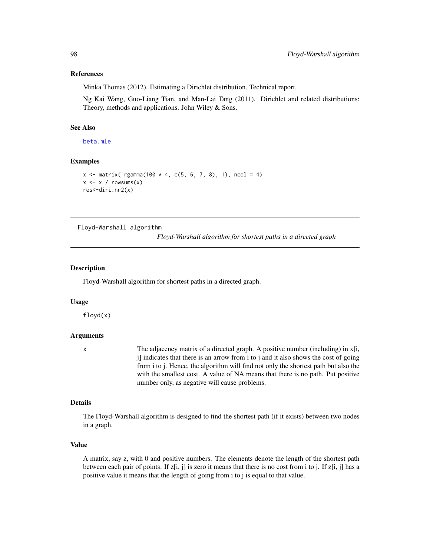#### References

Minka Thomas (2012). Estimating a Dirichlet distribution. Technical report.

Ng Kai Wang, Guo-Liang Tian, and Man-Lai Tang (2011). Dirichlet and related distributions: Theory, methods and applications. John Wiley & Sons.

#### See Also

[beta.mle](#page-196-0)

# Examples

```
x \le matrix( rgamma(100 * 4, c(5, 6, 7, 8), 1), ncol = 4)
x \leftarrow x / rowsums(x)res<-diri.nr2(x)
```
Floyd-Warshall algorithm

*Floyd-Warshall algorithm for shortest paths in a directed graph*

#### **Description**

Floyd-Warshall algorithm for shortest paths in a directed graph.

#### Usage

floyd(x)

#### Arguments

x The adjacency matrix of a directed graph. A positive number (including) in x[i, j] indicates that there is an arrow from i to j and it also shows the cost of going from i to j. Hence, the algorithm will find not only the shortest path but also the with the smallest cost. A value of NA means that there is no path. Put positive number only, as negative will cause problems.

## Details

The Floyd-Warshall algorithm is designed to find the shortest path (if it exists) between two nodes in a graph.

#### Value

A matrix, say z, with 0 and positive numbers. The elements denote the length of the shortest path between each pair of points. If  $z[i, j]$  is zero it means that there is no cost from i to j. If  $z[i, j]$  has a positive value it means that the length of going from i to j is equal to that value.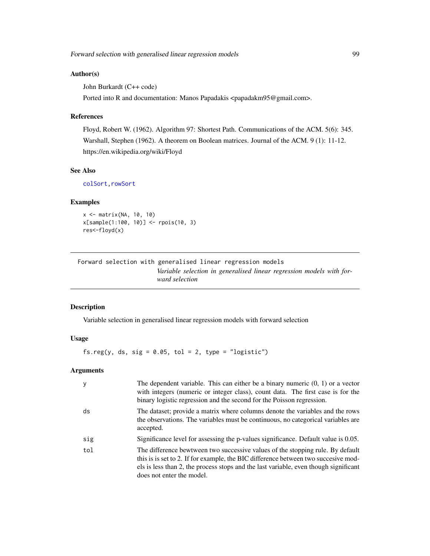# Author(s)

John Burkardt (C++ code)

Ported into R and documentation: Manos Papadakis <papadakm95@gmail.com>.

## References

Floyd, Robert W. (1962). Algorithm 97: Shortest Path. Communications of the ACM. 5(6): 345. Warshall, Stephen (1962). A theorem on Boolean matrices. Journal of the ACM. 9 (1): 11-12. https://en.wikipedia.org/wiki/Floyd

# See Also

[colSort,rowSort](#page-261-0)

## Examples

```
x <- matrix(NA, 10, 10)
x[sample(1:100, 10)] <- rpois(10, 3)
res<-floyd(x)
```
Forward selection with generalised linear regression models *Variable selection in generalised linear regression models with forward selection*

## <span id="page-98-0"></span>Description

Variable selection in generalised linear regression models with forward selection

# Usage

fs.reg(y, ds, sig =  $0.05$ , tol =  $2$ , type = "logistic")

# Arguments

| y   | The dependent variable. This can either be a binary numeric $(0, 1)$ or a vector<br>with integers (numeric or integer class), count data. The first case is for the<br>binary logistic regression and the second for the Poisson regression.                                              |
|-----|-------------------------------------------------------------------------------------------------------------------------------------------------------------------------------------------------------------------------------------------------------------------------------------------|
| ds  | The dataset; provide a matrix where columns denote the variables and the rows<br>the observations. The variables must be continuous, no categorical variables are<br>accepted.                                                                                                            |
| sig | Significance level for assessing the p-values significance. Default value is 0.05.                                                                                                                                                                                                        |
| tol | The difference bewtween two successive values of the stopping rule. By default<br>this is is set to 2. If for example, the BIC difference between two succesive mod-<br>els is less than 2, the process stops and the last variable, even though significant<br>does not enter the model. |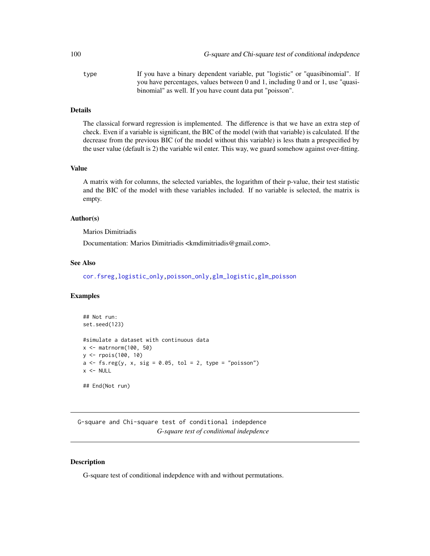type If you have a binary dependent variable, put "logistic" or "quasibinomial". If you have percentages, values between 0 and 1, including 0 and or 1, use "quasibinomial" as well. If you have count data put "poisson".

# Details

The classical forward regression is implemented. The difference is that we have an extra step of check. Even if a variable is significant, the BIC of the model (with that variable) is calculated. If the decrease from the previous BIC (of the model without this variable) is less thatn a prespecified by the user value (default is 2) the variable wil enter. This way, we guard somehow against over-fitting.

#### Value

A matrix with for columns, the selected variables, the logarithm of their p-value, their test statistic and the BIC of the model with these variables included. If no variable is selected, the matrix is empty.

## Author(s)

Marios Dimitriadis

Documentation: Marios Dimitriadis <kmdimitriadis@gmail.com>.

#### See Also

[cor.fsreg](#page-59-0)[,logistic\\_only,poisson\\_only,](#page-174-0)[glm\\_logistic,glm\\_poisson](#page-127-0)

# Examples

```
## Not run:
set.seed(123)
#simulate a dataset with continuous data
x <- matrnorm(100, 50)
y <- rpois(100, 10)
a \leftarrow fs.reg(y, x, sig = 0.05, tol = 2, type = "poisson")x < - NULL
## End(Not run)
```
G-square and Chi-square test of conditional indepdence *G-square test of conditional indepdence*

## Description

G-square test of conditional indepdence with and without permutations.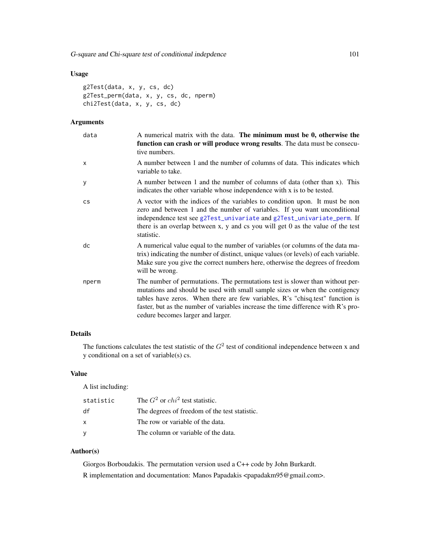# Usage

```
g2Test(data, x, y, cs, dc)
g2Test_perm(data, x, y, cs, dc, nperm)
chi2Test(data, x, y, cs, dc)
```
## Arguments

| data      | A numerical matrix with the data. The minimum must be 0, otherwise the<br>function can crash or will produce wrong results. The data must be consecu-<br>tive numbers.                                                                                                                                                                                                  |
|-----------|-------------------------------------------------------------------------------------------------------------------------------------------------------------------------------------------------------------------------------------------------------------------------------------------------------------------------------------------------------------------------|
| X         | A number between 1 and the number of columns of data. This indicates which<br>variable to take.                                                                                                                                                                                                                                                                         |
| У         | A number between 1 and the number of columns of data (other than x). This<br>indicates the other variable whose independence with x is to be tested.                                                                                                                                                                                                                    |
| <b>CS</b> | A vector with the indices of the variables to condition upon. It must be non<br>zero and between 1 and the number of variables. If you want unconditional<br>independence test see g2Test_univariate and g2Test_univariate_perm. If<br>there is an overlap between x, y and cs you will get $0$ as the value of the test<br>statistic.                                  |
| dc        | A numerical value equal to the number of variables (or columns of the data ma-<br>trix) indicating the number of distinct, unique values (or levels) of each variable.<br>Make sure you give the correct numbers here, otherwise the degrees of freedom<br>will be wrong.                                                                                               |
| nperm     | The number of permutations. The permutations test is slower than without per-<br>mutations and should be used with small sample sizes or when the contigency<br>tables have zeros. When there are few variables, R's "chisq.test" function is<br>faster, but as the number of variables increase the time difference with R's pro-<br>cedure becomes larger and larger. |

# Details

The functions calculates the test statistic of the  $G<sup>2</sup>$  test of conditional independence between x and y conditional on a set of variable(s) cs.

# Value

A list including:

| statistic | The $G^2$ or $chi^2$ test statistic.          |
|-----------|-----------------------------------------------|
| df        | The degrees of freedom of the test statistic. |
| X         | The row or variable of the data.              |
|           | The column or variable of the data.           |

# Author(s)

Giorgos Borboudakis. The permutation version used a C++ code by John Burkardt. R implementation and documentation: Manos Papadakis <papadakm95@gmail.com>.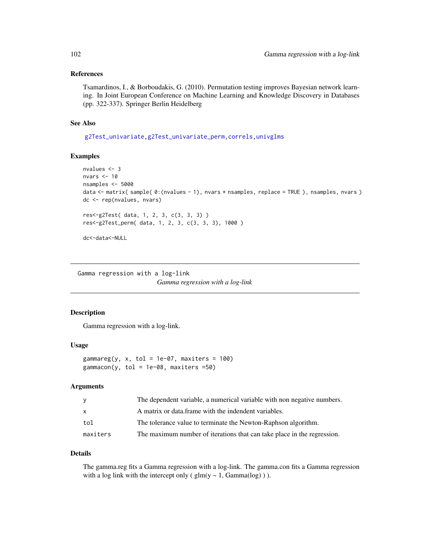## References

Tsamardinos, I., & Borboudakis, G. (2010). Permutation testing improves Bayesian network learning. In Joint European Conference on Machine Learning and Knowledge Discovery in Databases (pp. 322-337). Springer Berlin Heidelberg

# See Also

[g2Test\\_univariate,g2Test\\_univariate\\_perm](#page-181-0)[,correls,](#page-62-0)[univglms](#page-171-0)

#### Examples

```
nvalues <- 3
nvars <-10nsamples <- 5000
data <- matrix( sample( 0:(nvalues - 1), nvars * nsamples, replace = TRUE ), nsamples, nvars )
dc <- rep(nvalues, nvars)
res<-g2Test( data, 1, 2, 3, c(3, 3, 3) )
res<-g2Test_perm( data, 1, 2, 3, c(3, 3, 3), 1000 )
dc<-data<-NULL
```
Gamma regression with a log-link

*Gamma regression with a log-link*

## Description

Gamma regression with a log-link.

#### Usage

gammareg(y, x, tol = 1e-07, maxiters =  $100$ )  $gamma( y, tol = 1e-08, maxiters = 50)$ 

# Arguments

| y        | The dependent variable, a numerical variable with non negative numbers. |
|----------|-------------------------------------------------------------------------|
| X        | A matrix or data frame with the indendent variables.                    |
| tol      | The tolerance value to terminate the Newton-Raphson algorithm.          |
| maxiters | The maximum number of iterations that can take place in the regression. |

## Details

The gamma.reg fits a Gamma regression with a log-link. The gamma.con fits a Gamma regression with a log link with the intercept only ( $glm(y \sim 1, Gamma(log))$ ).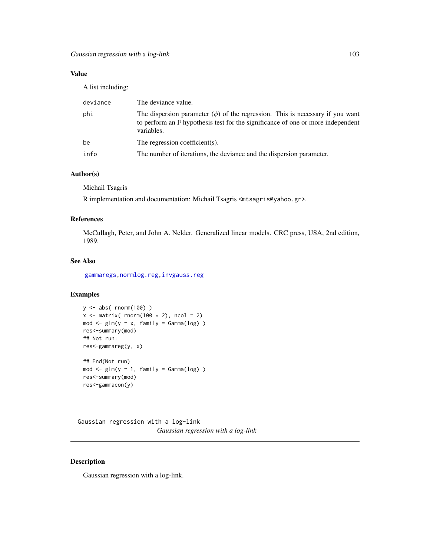# Value

A list including:

| deviance | The deviance value.                                                                                                                                                                 |
|----------|-------------------------------------------------------------------------------------------------------------------------------------------------------------------------------------|
| phi      | The dispersion parameter $(\phi)$ of the regression. This is necessary if you want<br>to perform an F hypothesis test for the significance of one or more independent<br>variables. |
| be       | The regression coefficient(s).                                                                                                                                                      |
| info     | The number of iterations, the deviance and the dispersion parameter.                                                                                                                |

# Author(s)

Michail Tsagris

R implementation and documentation: Michail Tsagris <mtsagris@yahoo.gr>.

# References

McCullagh, Peter, and John A. Nelder. Generalized linear models. CRC press, USA, 2nd edition, 1989.

#### See Also

[gammaregs,](#page-167-0)[normlog.reg](#page-102-0)[,invgauss.reg](#page-117-0)

# Examples

```
y <- abs( rnorm(100) )
x \le matrix( rnorm(100 \star 2), ncol = 2)
mod \leq glm(y \sim x, family = Gamma(log))
res<-summary(mod)
## Not run:
res<-gammareg(y, x)
## End(Not run)
mod \leq glm(y \sim 1, family = Gamma(log) )res<-summary(mod)
res<-gammacon(y)
```
Gaussian regression with a log-link *Gaussian regression with a log-link*

# <span id="page-102-0"></span>Description

Gaussian regression with a log-link.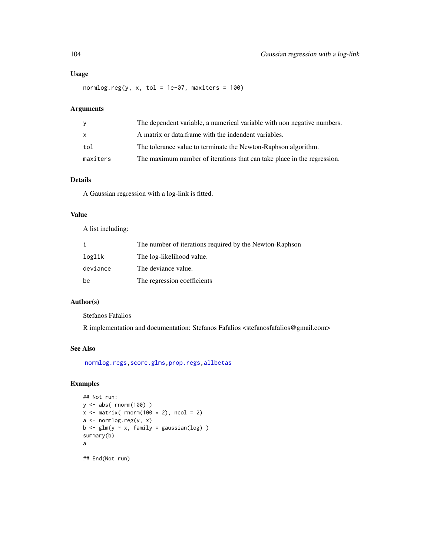## Usage

normlog.reg(y,  $x$ , tol = 1e-07, maxiters = 100)

## Arguments

| y            | The dependent variable, a numerical variable with non negative numbers. |
|--------------|-------------------------------------------------------------------------|
| $\mathsf{x}$ | A matrix or data frame with the indendent variables.                    |
| tol          | The tolerance value to terminate the Newton-Raphson algorithm.          |
| maxiters     | The maximum number of iterations that can take place in the regression. |

# Details

A Gaussian regression with a log-link is fitted.

#### Value

A list including:

|          | The number of iterations required by the Newton-Raphson |
|----------|---------------------------------------------------------|
| loglik   | The log-likelihood value.                               |
| deviance | The deviance value.                                     |
| be       | The regression coefficients                             |

# Author(s)

Stefanos Fafalios

R implementation and documentation: Stefanos Fafalios <stefanosfafalios@gmail.com>

## See Also

[normlog.regs,](#page-167-0)[score.glms](#page-159-0)[,prop.regs](#page-232-0)[,allbetas](#page-165-0)

```
## Not run:
y <- abs( rnorm(100) )
x \le - matrix( rnorm(100 \star 2), ncol = 2)
a <- normlog.reg(y, x)
b \leq glm(y \sim x, family = gaussian(log))
summary(b)
a
## End(Not run)
```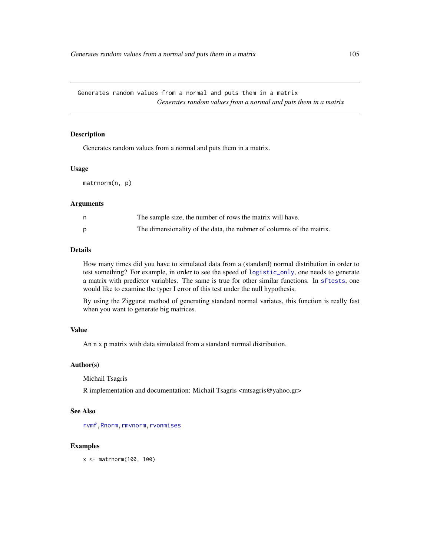Generates random values from a normal and puts them in a matrix *Generates random values from a normal and puts them in a matrix*

#### Description

Generates random values from a normal and puts them in a matrix.

#### Usage

matrnorm(n, p)

#### Arguments

| The sample size, the number of rows the matrix will have.            |
|----------------------------------------------------------------------|
| The dimensionality of the data, the nubmer of columns of the matrix. |

#### Details

How many times did you have to simulated data from a (standard) normal distribution in order to test something? For example, in order to see the speed of [logistic\\_only](#page-174-0), one needs to generate a matrix with predictor variables. The same is true for other similar functions. In [sftests](#page-161-0), one would like to examine the typer I error of this test under the null hypothesis.

By using the Ziggurat method of generating standard normal variates, this function is really fast when you want to generate big matrices.

#### Value

An n x p matrix with data simulated from a standard normal distribution.

#### Author(s)

Michail Tsagris

R implementation and documentation: Michail Tsagris <mtsagris@yahoo.gr>

## See Also

[rvmf](#page-253-0), Rnorm, rmvnorm, [rvonmises](#page-237-0)

## Examples

x <- matrnorm(100, 100)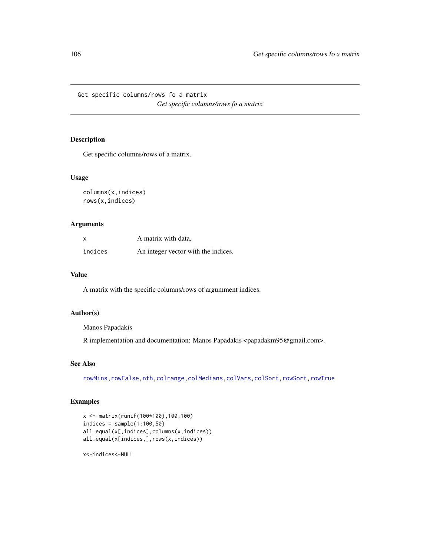Get specific columns/rows fo a matrix *Get specific columns/rows fo a matrix*

# Description

Get specific columns/rows of a matrix.

## Usage

```
columns(x,indices)
rows(x,indices)
```
## Arguments

| $\boldsymbol{\mathsf{x}}$ | A matrix with data.                 |
|---------------------------|-------------------------------------|
| indices                   | An integer vector with the indices. |

# Value

A matrix with the specific columns/rows of argumment indices.

## Author(s)

Manos Papadakis

R implementation and documentation: Manos Papadakis <papadakm95@gmail.com>.

## See Also

[rowMins](#page-245-0)[,rowFalse](#page-246-0)[,nth,](#page-37-0)[colrange,](#page-40-0)[colMedians,](#page-36-0)[colVars](#page-45-0)[,colSort,rowSort](#page-261-0)[,rowTrue](#page-246-0)

# Examples

```
x <- matrix(runif(100*100),100,100)
indices = sample(1:100,50)
all.equal(x[,indices],columns(x,indices))
all.equal(x[indices,],rows(x,indices))
```
x<-indices<-NULL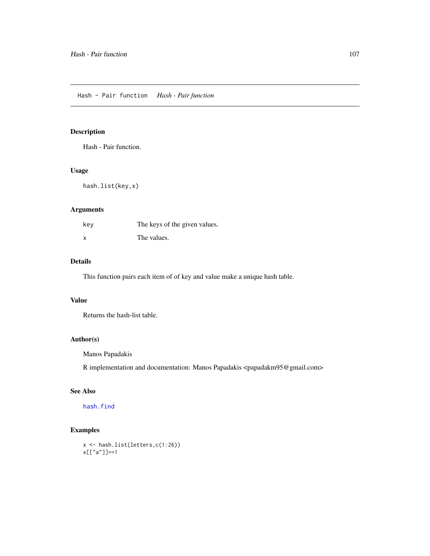# <span id="page-106-0"></span>Description

Hash - Pair function.

# Usage

hash.list(key,x)

# Arguments

| key | The keys of the given values. |
|-----|-------------------------------|
| x   | The values.                   |

## Details

This function pairs each item of of key and value make a unique hash table.

#### Value

Returns the hash-list table.

# Author(s)

Manos Papadakis

R implementation and documentation: Manos Papadakis <papadakm95@gmail.com>

# See Also

[hash.find](#page-94-0)

```
x <- hash.list(letters,c(1:26))
x[["a"]]==1
```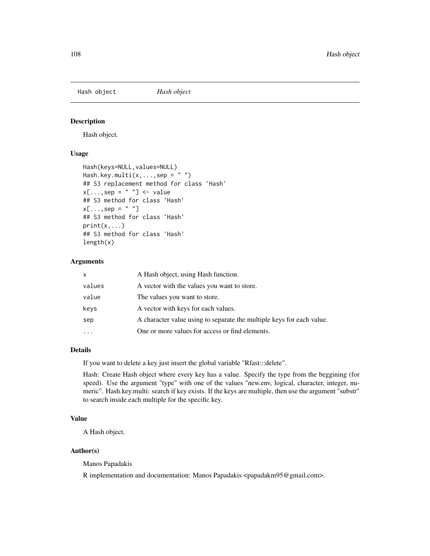Hash object *Hash object*

# Description

Hash object.

# Usage

```
Hash(keys=NULL, values=NULL)
Hash.key.multi(x, \ldots, sep = "")
## S3 replacement method for class 'Hash'
x[\ldots, sep = " " ] <- value
## S3 method for class 'Hash'
x[\ldots,sep = " "]
## S3 method for class 'Hash'
print(x, \ldots)## S3 method for class 'Hash'
length(x)
```
#### Arguments

| x      | A Hash object, using Hash function.                                   |
|--------|-----------------------------------------------------------------------|
| values | A vector with the values you want to store.                           |
| value  | The values you want to store.                                         |
| keys   | A vector with keys for each values.                                   |
| sep    | A character value using to separate the multiple keys for each value. |
|        | One or more values for access or find elements.                       |

#### Details

If you want to delete a key just insert the global variable "Rfast:::delete".

Hash: Create Hash object where every key has a value. Specify the type from the beggining (for speed). Use the argument "type" with one of the values "new.env, logical, character, integer, numeric". Hash.key.multi: search if key exists. If the keys are multiple, then use the argument "substr" to search inside each multiple for the specific key.

### Value

A Hash object.

# Author(s)

Manos Papadakis

R implementation and documentation: Manos Papadakis <papadakm95@gmail.com>.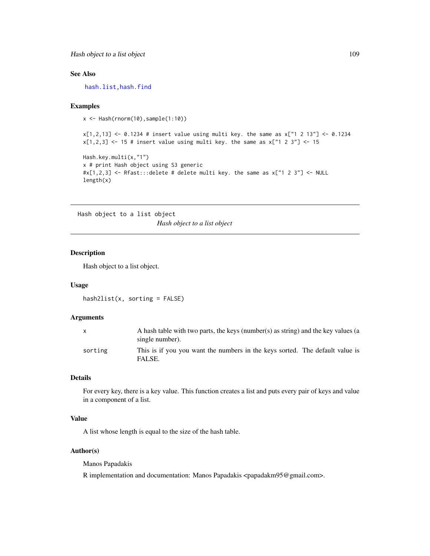# See Also

[hash.list,](#page-106-0)[hash.find](#page-94-0)

## Examples

 $x \leftarrow$  Hash(rnorm(10), sample(1:10))

 $x[1,2,13]$  <- 0.1234 # insert value using multi key. the same as  $x['1 2 13"]$  <- 0.1234  $x[1,2,3]$  <- 15 # insert value using multi key. the same as  $x['1 2 3"]$  <- 15

```
Hash.key.multi(x,"1")
x # print Hash object using S3 generic
\#x[1,2,3] <- Rfast:::delete # delete multi key. the same as x['1 2 3"] <- NULL
length(x)
```
Hash object to a list object *Hash object to a list object*

#### Description

Hash object to a list object.

#### Usage

 $hash2list(x, sorting = FALSE)$ 

## Arguments

| $\mathsf{x}$ | A hash table with two parts, the keys (number(s) as string) and the key values (a<br>single number). |
|--------------|------------------------------------------------------------------------------------------------------|
| sorting      | This is if you you want the numbers in the keys sorted. The default value is<br>FALSE.               |

# Details

For every key, there is a key value. This function creates a list and puts every pair of keys and value in a component of a list.

## Value

A list whose length is equal to the size of the hash table.

# Author(s)

Manos Papadakis

R implementation and documentation: Manos Papadakis <papadakm95@gmail.com>.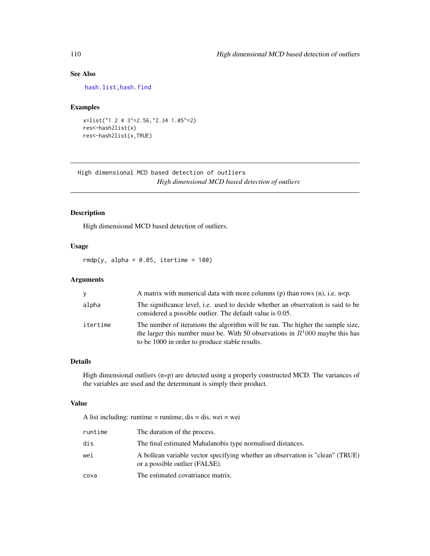# See Also

[hash.list,](#page-106-0)[hash.find](#page-94-0)

## Examples

```
x=list("1 2 4 3"=2.56,"2.34 1.05"=2)
res<-hash2list(x)
res<-hash2list(x,TRUE)
```
High dimensional MCD based detection of outliers *High dimensional MCD based detection of outliers*

# Description

High dimensional MCD based detection of outliers.

## Usage

 $rmdp(y, alpha = 0.05, iteration = 100)$ 

# Arguments

| <b>V</b> | A matrix with numerical data with more columns (p) than rows (n), i.e. $n < p$ .                                                                                                                                     |
|----------|----------------------------------------------------------------------------------------------------------------------------------------------------------------------------------------------------------------------|
| alpha    | The significance level, i.e. used to decide whether an observation is said to be<br>considered a possible outlier. The default value is 0.05.                                                                        |
| itertime | The number of iterations the algorithm will be ran. The higher the sample size,<br>the larger this number must be. With 50 observations in $R^1000$ maybe this has<br>to be 1000 in order to produce stable results. |

# Details

High dimensional outliers (n«p) are detected using a properly constructed MCD. The variances of the variables are used and the determinant is simply their product.

## Value

A list including: runtime = runtime,  $dis = dis$ , wei = wei

| runtime | The duration of the process.                                                                                    |
|---------|-----------------------------------------------------------------------------------------------------------------|
| dis     | The final estimated Mahalanobis type normalised distances.                                                      |
| wei     | A bollean variable vector specifying whether an observation is "clean" (TRUE)<br>or a possible outlier (FALSE). |
| cova    | The estimated covatriance matrix.                                                                               |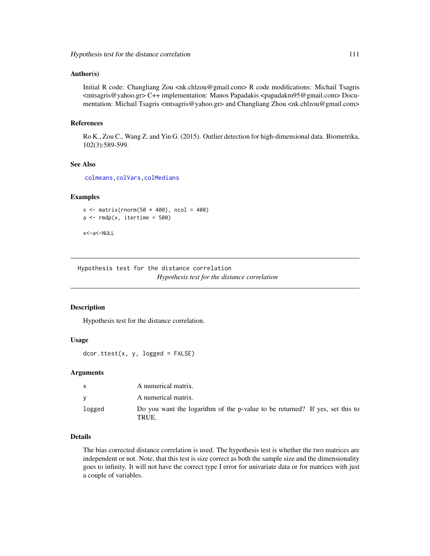#### Author(s)

Initial R code: Changliang Zou  $\langle$ nk.chlzou@gmail.com> R code modifications: Michail Tsagris <mtsagris@yahoo.gr> C++ implementation: Manos Papadakis <papadakm95@gmail.com> Documentation: Michail Tsagris <mtsagris@yahoo.gr> and Changliang Zhou <nk.chlzou@gmail.com>

# References

Ro K., Zou C., Wang Z. and Yin G. (2015). Outlier detection for high-dimensional data. Biometrika, 102(3):589-599.

## See Also

[colmeans,](#page-35-0)[colVars,](#page-45-0)[colMedians](#page-36-0)

# Examples

```
x \leftarrow \text{matrix}(rnorm(50 * 400), ncol = 400)a \leftarrow \text{rmdp}(x, \text{itertime} = 500)
```
x<-a<-NULL

Hypothesis test for the distance correlation *Hypothesis test for the distance correlation*

## Description

Hypothesis test for the distance correlation.

#### Usage

dcor.ttest(x, y, logged = FALSE)

#### Arguments

| X      | A numerical matrix.                                                                   |
|--------|---------------------------------------------------------------------------------------|
|        | A numerical matrix.                                                                   |
| logged | Do you want the logarithm of the p-value to be returned? If yes, set this to<br>TRUE. |

## Details

The bias corrected distance correlation is used. The hypothesis test is whether the two matrices are independent or not. Note, that this test is size correct as both the sample size and the dimensionality goes to infinity. It will not have the correct type I error for univariate data or for matrices with just a couple of variables.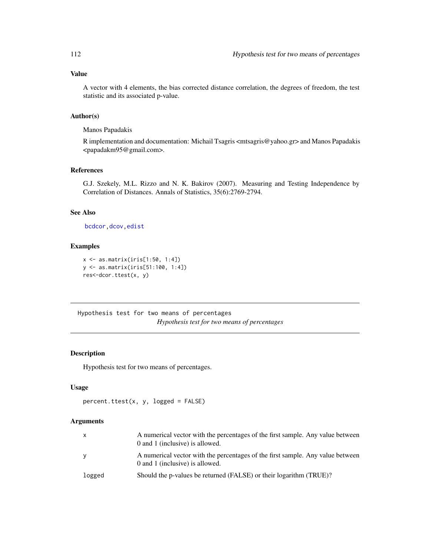# Value

A vector with 4 elements, the bias corrected distance correlation, the degrees of freedom, the test statistic and its associated p-value.

# Author(s)

Manos Papadakis

R implementation and documentation: Michail Tsagris <mtsagris@yahoo.gr> and Manos Papadakis <papadakm95@gmail.com>.

## References

G.J. Szekely, M.L. Rizzo and N. K. Bakirov (2007). Measuring and Testing Independence by Correlation of Distances. Annals of Statistics, 35(6):2769-2794.

# See Also

[bcdcor,](#page-75-0)[dcov,](#page-77-0)[edist](#page-82-0)

## Examples

```
x <- as.matrix(iris[1:50, 1:4])
y <- as.matrix(iris[51:100, 1:4])
res<-dcor.ttest(x, y)
```
Hypothesis test for two means of percentages *Hypothesis test for two means of percentages*

## Description

Hypothesis test for two means of percentages.

#### Usage

```
percent.ttest(x, y, logged = FALSE)
```
## Arguments

| $\mathsf{X}$ | A numerical vector with the percentages of the first sample. Any value between<br>0 and 1 (inclusive) is allowed. |
|--------------|-------------------------------------------------------------------------------------------------------------------|
| <b>V</b>     | A numerical vector with the percentages of the first sample. Any value between<br>0 and 1 (inclusive) is allowed. |
| logged       | Should the p-values be returned (FALSE) or their logarithm (TRUE)?                                                |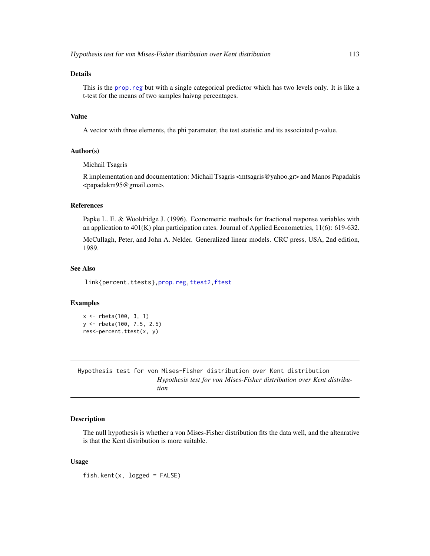This is the [prop.reg](#page-232-0) but with a single categorical predictor which has two levels only. It is like a t-test for the means of two samples haivng percentages.

#### Value

A vector with three elements, the phi parameter, the test statistic and its associated p-value.

#### Author(s)

Michail Tsagris

R implementation and documentation: Michail Tsagris <mtsagris@yahoo.gr> and Manos Papadakis <papadakm95@gmail.com>.

#### References

Papke L. E. & Wooldridge J. (1996). Econometric methods for fractional response variables with an application to 401(K) plan participation rates. Journal of Applied Econometrics, 11(6): 619-632.

McCullagh, Peter, and John A. Nelder. Generalized linear models. CRC press, USA, 2nd edition, 1989.

#### See Also

link{percent.ttests}[,prop.reg](#page-232-0)[,ttest2,ftest](#page-207-0)

#### Examples

```
x <- rbeta(100, 3, 1)
y <- rbeta(100, 7.5, 2.5)
res<-percent.ttest(x, y)
```
Hypothesis test for von Mises-Fisher distribution over Kent distribution *Hypothesis test for von Mises-Fisher distribution over Kent distribution*

#### Description

The null hypothesis is whether a von Mises-Fisher distribution fits the data well, and the altenrative is that the Kent distribution is more suitable.

#### Usage

fish.kent(x, logged = FALSE)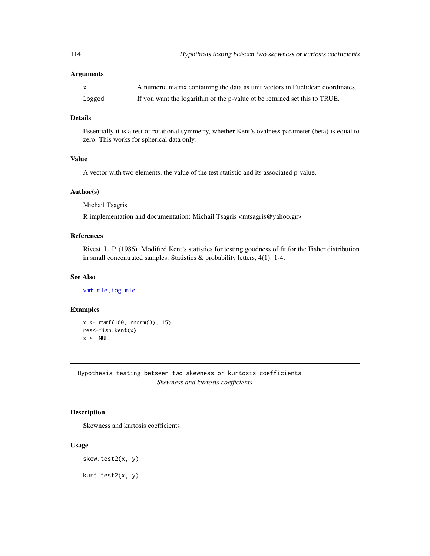| $\mathsf{X}$ | A numeric matrix containing the data as unit vectors in Euclidean coordinates. |
|--------------|--------------------------------------------------------------------------------|
| logged       | If you want the logarithm of the p-value ot be returned set this to TRUE.      |

# Details

Essentially it is a test of rotational symmetry, whether Kent's ovalness parameter (beta) is equal to zero. This works for spherical data only.

## Value

A vector with two elements, the value of the test statistic and its associated p-value.

#### Author(s)

Michail Tsagris

R implementation and documentation: Michail Tsagris <mtsagris@yahoo.gr>

# References

Rivest, L. P. (1986). Modified Kent's statistics for testing goodness of fit for the Fisher distribution in small concentrated samples. Statistics & probability letters, 4(1): 1-4.

## See Also

[vmf.mle,iag.mle](#page-189-0)

#### Examples

x <- rvmf(100, rnorm(3), 15) res<-fish.kent(x)  $x < -$  NULL

Hypothesis testing betseen two skewness or kurtosis coefficients *Skewness and kurtosis coefficients*

# Description

Skewness and kurtosis coefficients.

#### Usage

```
skew.test2(x, y)
```
kurt.test2(x, y)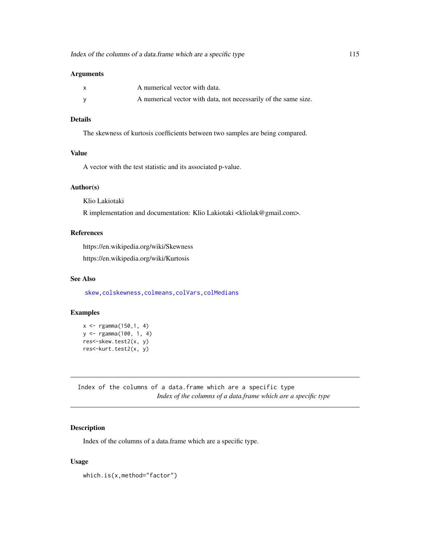| $\mathsf{x}$ | A numerical vector with data.                                   |
|--------------|-----------------------------------------------------------------|
|              | A numerical vector with data, not necessarily of the same size. |

# Details

The skewness of kurtosis coefficients between two samples are being compared.

#### Value

A vector with the test statistic and its associated p-value.

#### Author(s)

Klio Lakiotaki

R implementation and documentation: Klio Lakiotaki <kliolak@gmail.com>.

## References

https://en.wikipedia.org/wiki/Skewness https://en.wikipedia.org/wiki/Kurtosis

## See Also

[skew,](#page-256-0)[colskewness,](#page-49-0)[colmeans](#page-35-0)[,colVars](#page-45-0)[,colMedians](#page-36-0)

# Examples

```
x \leq - \text{rgamma}(150, 1, 4)y <- rgamma(100, 1, 4)
res<-skew.test2(x, y)
res<-kurt.test2(x, y)
```
Index of the columns of a data.frame which are a specific type *Index of the columns of a data.frame which are a specific type*

# Description

Index of the columns of a data.frame which are a specific type.

## Usage

which.is(x,method="factor")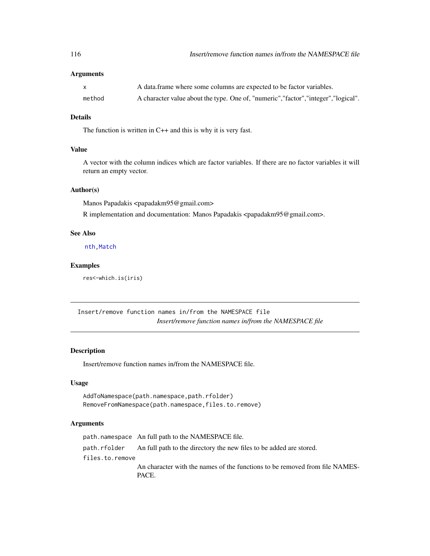| X      | A data frame where some columns are expected to be factor variables.                 |
|--------|--------------------------------------------------------------------------------------|
| method | A character value about the type. One of, "numeric", "factor", "integer", "logical". |

## Details

The function is written in C++ and this is why it is very fast.

## Value

A vector with the column indices which are factor variables. If there are no factor variables it will return an empty vector.

# Author(s)

Manos Papadakis <papadakm95@gmail.com>

R implementation and documentation: Manos Papadakis <papadakm95@gmail.com>.

#### See Also

[nth,](#page-37-0) [Match](#page-178-0)

## Examples

res<-which.is(iris)

Insert/remove function names in/from the NAMESPACE file *Insert/remove function names in/from the NAMESPACE file*

## Description

Insert/remove function names in/from the NAMESPACE file.

#### Usage

AddToNamespace(path.namespace,path.rfolder) RemoveFromNamespace(path.namespace,files.to.remove)

## Arguments

path.namespace An full path to the NAMESPACE file. path.rfolder An full path to the directory the new files to be added are stored. files.to.remove An character with the names of the functions to be removed from file NAMES-PACE.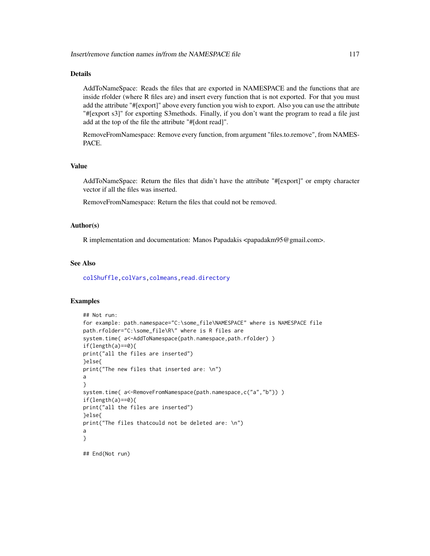## Details

AddToNameSpace: Reads the files that are exported in NAMESPACE and the functions that are inside rfolder (where R files are) and insert every function that is not exported. For that you must add the attribute "#[export]" above every function you wish to export. Also you can use the attribute "#[export s3]" for exporting S3methods. Finally, if you don't want the program to read a file just add at the top of the file the attribute "#[dont read]".

RemoveFromNamespace: Remove every function, from argument "files.to.remove", from NAMES-PACE.

# Value

AddToNameSpace: Return the files that didn't have the attribute "#[export]" or empty character vector if all the files was inserted.

RemoveFromNamespace: Return the files that could not be removed.

#### Author(s)

R implementation and documentation: Manos Papadakis <papadakm95@gmail.com>.

#### See Also

[colShuffle](#page-42-0)[,colVars](#page-45-0)[,colmeans,](#page-35-0)[read.directory](#page-239-0)

# Examples

```
## Not run:
for example: path.namespace="C:\some_file\NAMESPACE" where is NAMESPACE file
path.rfolder="C:\some_file\R\" where is R files are
system.time( a<-AddToNamespace(path.namespace,path.rfolder) )
if(length(a)==0){
print("all the files are inserted")
}else{
print("The new files that inserted are: \n")
a
}
system.time( a<-RemoveFromNamespace(path.namespace,c("a","b")) )
if(length(a)=0){
print("all the files are inserted")
}else{
print("The files thatcould not be deleted are: \n")
a
}
## End(Not run)
```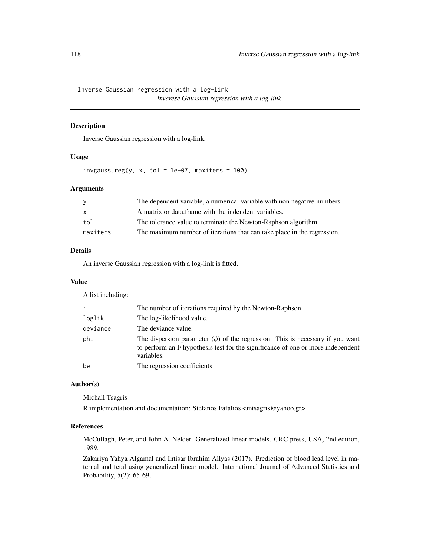Inverse Gaussian regression with a log-link *Inverese Gaussian regression with a log-link*

### Description

Inverse Gaussian regression with a log-link.

#### Usage

invgauss.reg(y, x, tol = 1e-07, maxiters = 100)

#### Arguments

| <b>V</b>     | The dependent variable, a numerical variable with non negative numbers. |
|--------------|-------------------------------------------------------------------------|
| $\mathsf{x}$ | A matrix or data frame with the indendent variables.                    |
| tol          | The tolerance value to terminate the Newton-Raphson algorithm.          |
| maxiters     | The maximum number of iterations that can take place in the regression. |

## Details

An inverse Gaussian regression with a log-link is fitted.

## Value

A list including:

| i        | The number of iterations required by the Newton-Raphson                                                                                                                             |
|----------|-------------------------------------------------------------------------------------------------------------------------------------------------------------------------------------|
| loglik   | The log-likelihood value.                                                                                                                                                           |
| deviance | The deviance value.                                                                                                                                                                 |
| phi      | The dispersion parameter $(\phi)$ of the regression. This is necessary if you want<br>to perform an F hypothesis test for the significance of one or more independent<br>variables. |
| be       | The regression coefficients                                                                                                                                                         |

# Author(s)

Michail Tsagris R implementation and documentation: Stefanos Fafalios <mtsagris@yahoo.gr>

#### References

McCullagh, Peter, and John A. Nelder. Generalized linear models. CRC press, USA, 2nd edition, 1989.

Zakariya Yahya Algamal and Intisar Ibrahim Allyas (2017). Prediction of blood lead level in maternal and fetal using generalized linear model. International Journal of Advanced Statistics and Probability, 5(2): 65-69.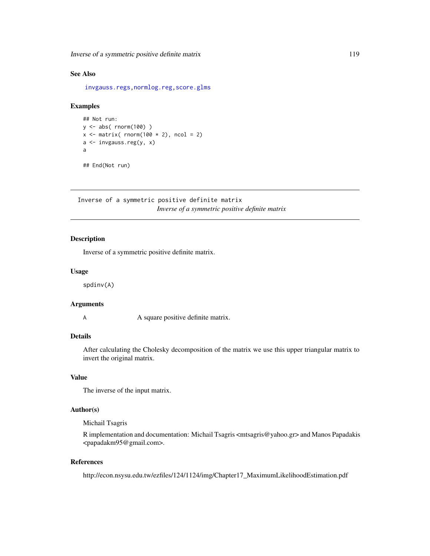Inverse of a symmetric positive definite matrix 119

# See Also

[invgauss.regs,](#page-167-0)[normlog.reg](#page-102-0)[,score.glms](#page-159-0)

# Examples

```
## Not run:
y <- abs( rnorm(100) )
x \leftarrow \text{matrix} (\text{norm}(100 * 2), \text{ncol} = 2)a <- invgauss.reg(y, x)
a
```
## End(Not run)

Inverse of a symmetric positive definite matrix *Inverse of a symmetric positive definite matrix*

# **Description**

Inverse of a symmetric positive definite matrix.

## Usage

spdinv(A)

#### Arguments

A square positive definite matrix.

## Details

After calculating the Cholesky decomposition of the matrix we use this upper triangular matrix to invert the original matrix.

## Value

The inverse of the input matrix.

# Author(s)

Michail Tsagris

R implementation and documentation: Michail Tsagris <mtsagris@yahoo.gr> and Manos Papadakis <papadakm95@gmail.com>.

# References

http://econ.nsysu.edu.tw/ezfiles/124/1124/img/Chapter17\_MaximumLikelihoodEstimation.pdf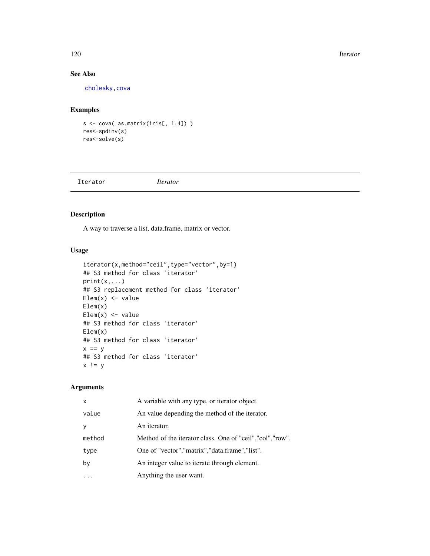#### 120 Iterator **International Contract Contract Contract Contract Contract Contract Contract Contract Contract Contract Contract Contract Contract Contract Contract Contract Contract Contract Contract Contract Contract Contr**

# See Also

[cholesky,](#page-28-0)[cova](#page-63-0)

# Examples

```
s <- cova( as.matrix(iris[, 1:4]) )
res<-spdinv(s)
res<-solve(s)
```
Iterator *Iterator*

# Description

A way to traverse a list, data.frame, matrix or vector.

# Usage

```
iterator(x,method="ceil",type="vector",by=1)
## S3 method for class 'iterator'
print(x, \ldots)## S3 replacement method for class 'iterator'
Elem(x) < - value
Elem(x)
Elem(x) < - value
## S3 method for class 'iterator'
Elem(x)
## S3 method for class 'iterator'
x == y## S3 method for class 'iterator'
x != y
```
## Arguments

| $\mathsf{x}$ | A variable with any type, or iterator object.              |
|--------------|------------------------------------------------------------|
| value        | An value depending the method of the iterator.             |
| V            | An iterator.                                               |
| method       | Method of the iterator class. One of "ceil", "col", "row". |
| type         | One of "vector", "matrix", "data.frame", "list".           |
| by           | An integer value to iterate through element.               |
|              | Anything the user want.                                    |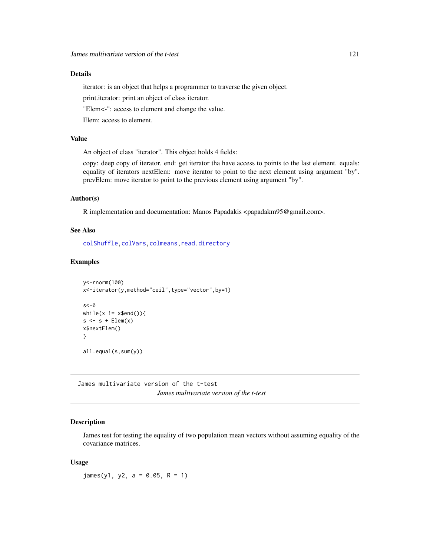# Details

iterator: is an object that helps a programmer to traverse the given object.

print.iterator: print an object of class iterator.

"Elem<-": access to element and change the value.

Elem: access to element.

# Value

An object of class "iterator". This object holds 4 fields:

copy: deep copy of iterator. end: get iterator tha have access to points to the last element. equals: equality of iterators nextElem: move iterator to point to the next element using argument "by". prevElem: move iterator to point to the previous element using argument "by".

#### Author(s)

R implementation and documentation: Manos Papadakis <papadakm95@gmail.com>.

## See Also

[colShuffle](#page-42-0)[,colVars](#page-45-0)[,colmeans,](#page-35-0)[read.directory](#page-239-0)

# Examples

```
y<-rnorm(100)
x<-iterator(y,method="ceil",type="vector",by=1)
s < -\varnothingwhile(x := x$end()){
s \leq s + \text{Elem}(x)x$nextElem()
}
all.equal(s,sum(y))
```
James multivariate version of the t-test *James multivariate version of the t-test*

#### Description

James test for testing the equality of two population mean vectors without assuming equality of the covariance matrices.

#### Usage

 $james(y1, y2, a = 0.05, R = 1)$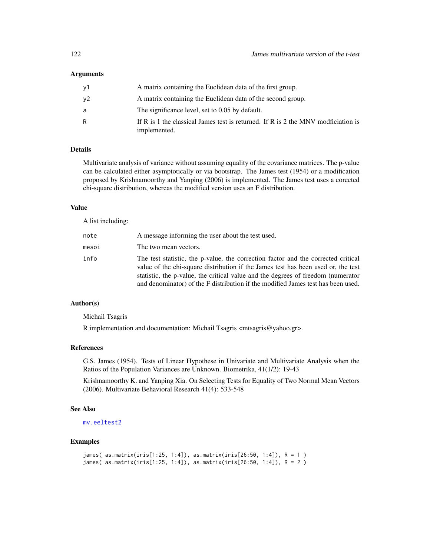| ν1 | A matrix containing the Euclidean data of the first group.                                        |
|----|---------------------------------------------------------------------------------------------------|
| ν2 | A matrix containing the Euclidean data of the second group.                                       |
| a  | The significance level, set to 0.05 by default.                                                   |
| R  | If R is 1 the classical James test is returned. If R is 2 the MNV modficiation is<br>implemented. |

#### Details

Multivariate analysis of variance without assuming equality of the covariance matrices. The p-value can be calculated either asymptotically or via bootstrap. The James test (1954) or a modification proposed by Krishnamoorthy and Yanping (2006) is implemented. The James test uses a corected chi-square distribution, whereas the modified version uses an F distribution.

## Value

A list including:

| note  | A message informing the user about the test used.                                                                                                                                                                                                                                                                                              |
|-------|------------------------------------------------------------------------------------------------------------------------------------------------------------------------------------------------------------------------------------------------------------------------------------------------------------------------------------------------|
| mesoi | The two mean vectors.                                                                                                                                                                                                                                                                                                                          |
| info  | The test statistic, the p-value, the correction factor and the corrected critical<br>value of the chi-square distribution if the James test has been used or, the test<br>statistic, the p-value, the critical value and the degrees of freedom (numerator<br>and denominator) of the F distribution if the modified James test has been used. |

# Author(s)

Michail Tsagris

R implementation and documentation: Michail Tsagris <mtsagris@yahoo.gr>.

## References

G.S. James (1954). Tests of Linear Hypothese in Univariate and Multivariate Analysis when the Ratios of the Population Variances are Unknown. Biometrika, 41(1/2): 19-43

Krishnamoorthy K. and Yanping Xia. On Selecting Tests for Equality of Two Normal Mean Vectors (2006). Multivariate Behavioral Research 41(4): 533-548

#### See Also

[mv.eeltest2](#page-89-0)

# Examples

```
james( as.matrix(iris[1:25, 1:4]), as.matrix(iris[26:50, 1:4]), R = 1 )
james( as.matrix(iris[1:25, 1:4]), as.matrix(iris[26:50, 1:4]), R = 2 )
```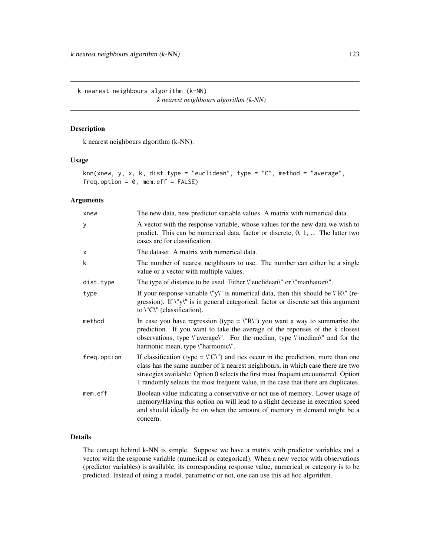k nearest neighbours algorithm (k-NN) *k nearest neighbours algorithm (k-NN)*

# <span id="page-122-0"></span>Description

k nearest neighbours algorithm (k-NN).

#### Usage

```
knn(xnew, y, x, k, dist.type = "euclidean", type = "C", method = "average",
freq.option = 0, mem.eff = FALSE)
```
# Arguments

| xnew        | The new data, new predictor variable values. A matrix with numerical data.                                                                                                                                                                                                                                                                                         |
|-------------|--------------------------------------------------------------------------------------------------------------------------------------------------------------------------------------------------------------------------------------------------------------------------------------------------------------------------------------------------------------------|
| У           | A vector with the response variable, whose values for the new data we wish to<br>predict. This can be numerical data, factor or discrete, $0, 1, \ldots$ The latter two<br>cases are for classification.                                                                                                                                                           |
| X           | The dataset. A matrix with numerical data.                                                                                                                                                                                                                                                                                                                         |
| k           | The number of nearest neighbours to use. The number can either be a single<br>value or a vector with multiple values.                                                                                                                                                                                                                                              |
| dist.type   | The type of distance to be used. Either \"euclidean\" or \"manhattan\".                                                                                                                                                                                                                                                                                            |
| type        | If your response variable $\forall y \forall$ is numerical data, then this should be $\forall R \forall$ (re-<br>gression). If \"y\" is in general categorical, factor or discrete set this argument<br>to $\Upsilon$ (classification).                                                                                                                            |
| method      | In case you have regression (type = $\langle "R \rangle"$ ) you want a way to summarise the<br>prediction. If you want to take the average of the reponses of the k closest<br>observations, type \"average\". For the median, type \"median\" and for the<br>harmonic mean, type \"harmonic\".                                                                    |
| freq.option | If classification (type = $\Upsilon$ °C $\Upsilon$ ) and ties occur in the prediction, more than one<br>class has the same number of k nearest neighbours, in which case there are two<br>strategies available: Option 0 selects the first most frequent encountered. Option<br>1 randomly selects the most frequent value, in the case that there are duplicates. |
| mem.eff     | Boolean value indicating a conservative or not use of memory. Lower usage of<br>memory/Having this option on will lead to a slight decrease in execution speed<br>and should ideally be on when the amount of memory in demand might be a<br>concern.                                                                                                              |

# Details

The concept behind k-NN is simple. Suppose we have a matrix with predictor variables and a vector with the response variable (numerical or categorical). When a new vector with observations (predictor variables) is available, its corresponding response value, numerical or category is to be predicted. Instead of using a model, parametric or not, one can use this ad hoc algorithm.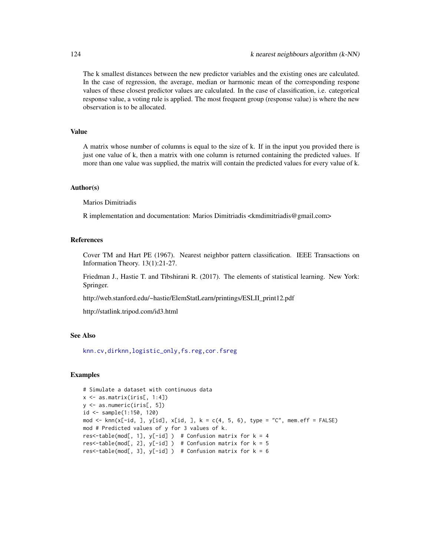The k smallest distances between the new predictor variables and the existing ones are calculated. In the case of regression, the average, median or harmonic mean of the corresponding respone values of these closest predictor values are calculated. In the case of classification, i.e. categorical response value, a voting rule is applied. The most frequent group (response value) is where the new observation is to be allocated.

#### Value

A matrix whose number of columns is equal to the size of k. If in the input you provided there is just one value of k, then a matrix with one column is returned containing the predicted values. If more than one value was supplied, the matrix will contain the predicted values for every value of k.

## Author(s)

Marios Dimitriadis

R implementation and documentation: Marios Dimitriadis <kmdimitriadis@gmail.com>

# References

Cover TM and Hart PE (1967). Nearest neighbor pattern classification. IEEE Transactions on Information Theory. 13(1):21-27.

Friedman J., Hastie T. and Tibshirani R. (2017). The elements of statistical learning. New York: Springer.

http://web.stanford.edu/~hastie/ElemStatLearn/printings/ESLII\_print12.pdf

http://statlink.tripod.com/id3.html

#### See Also

[knn.cv](#page-65-0)[,dirknn](#page-124-0)[,logistic\\_only,](#page-174-0)[fs.reg,](#page-98-0)[cor.fsreg](#page-59-0)

# Examples

```
# Simulate a dataset with continuous data
x <- as.matrix(iris[, 1:4])
y <- as.numeric(iris[, 5])
id <- sample(1:150, 120)
mod \le knn(x[-id, ], y[id], x[id, ], k = c(4, 5, 6), type = "C", mem.eff = FALSE)
mod # Predicted values of y for 3 values of k.
res<-table(mod[, 1], y[-id]) # Confusion matrix for k = 4res<-table(mod[, 2], y[-id]) # Confusion matrix for k = 5res<-table(mod[, 3], y[-id]) # Confusion matrix for k = 6
```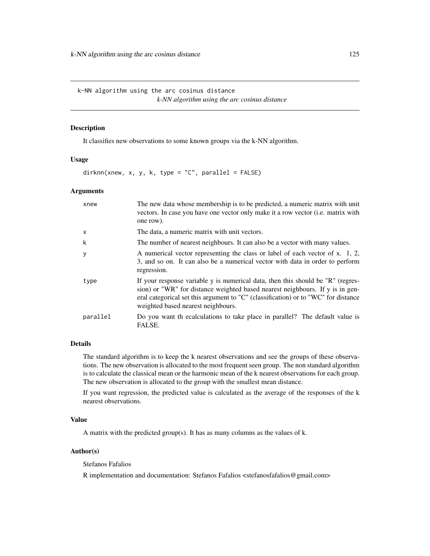k-NN algorithm using the arc cosinus distance *k-NN algorithm using the arc cosinus distance*

# <span id="page-124-0"></span>Description

It classifies new observations to some known groups via the k-NN algorithm.

## Usage

dirknn(xnew, x, y, k, type = "C", parallel =  $FALSE$ )

## Arguments

| xnew         | The new data whose membership is to be predicted, a numeric matrix with unit<br>vectors. In case you have one vector only make it a row vector (i.e. matrix with<br>one row).                                                                                                                |
|--------------|----------------------------------------------------------------------------------------------------------------------------------------------------------------------------------------------------------------------------------------------------------------------------------------------|
| $\mathsf{x}$ | The data, a numeric matrix with unit vectors.                                                                                                                                                                                                                                                |
| k            | The number of nearest neighbours. It can also be a vector with many values.                                                                                                                                                                                                                  |
| y            | A numerical vector representing the class or label of each vector of x. 1, 2,<br>3, and so on. It can also be a numerical vector with data in order to perform<br>regression.                                                                                                                |
| type         | If your response variable y is numerical data, then this should be "R" (regres-<br>sion) or "WR" for distance weighted based nearest neighbours. If y is in gen-<br>eral categorical set this argument to "C" (classification) or to "WC" for distance<br>weighted based nearest neighbours. |
| parallel     | Do you want the calculations to take place in parallel? The default value is<br>FALSE.                                                                                                                                                                                                       |

# Details

The standard algorithm is to keep the k nearest observations and see the groups of these observations. The new observation is allocated to the most frequent seen group. The non standard algorithm is to calculate the classical mean or the harmonic mean of the k nearest observations for each group. The new observation is allocated to the group with the smallest mean distance.

If you want regression, the predicted value is calculated as the average of the responses of the k nearest observations.

# Value

A matrix with the predicted group(s). It has as many columns as the values of  $k$ .

# Author(s)

Stefanos Fafalios

R implementation and documentation: Stefanos Fafalios <stefanosfafalios@gmail.com>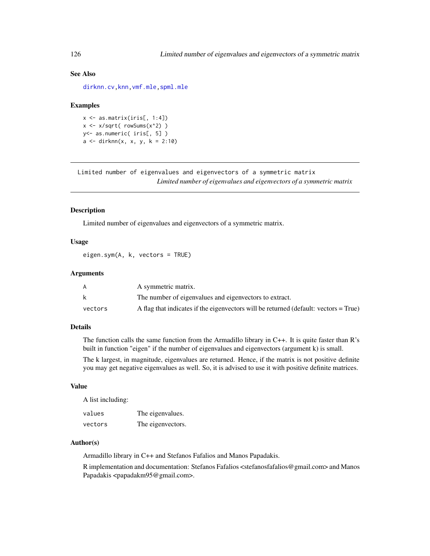# See Also

[dirknn.cv](#page-67-0)[,knn](#page-122-0)[,vmf.mle,](#page-189-0)[spml.mle](#page-198-0)

#### Examples

 $x \leftarrow as_matrix(iris[, 1:4])$  $x \leq x / \sqrt{sqrt(x + x)}$  rowSums( $x^2$ ) ) y<- as.numeric( iris[, 5] )  $a \leq - \text{dirknn}(x, x, y, k = 2:10)$ 

Limited number of eigenvalues and eigenvectors of a symmetric matrix *Limited number of eigenvalues and eigenvectors of a symmetric matrix*

## Description

Limited number of eigenvalues and eigenvectors of a symmetric matrix.

## Usage

eigen.sym(A, k, vectors = TRUE)

## Arguments

|         | A symmetric matrix.                                                                  |
|---------|--------------------------------------------------------------------------------------|
|         | The number of eigenvalues and eigenvectors to extract.                               |
| vectors | A flag that indicates if the eigenvectors will be returned (default: vectors = True) |

# Details

The function calls the same function from the Armadillo library in C++. It is quite faster than R's built in function "eigen" if the number of eigenvalues and eigenvectors (argument k) is small.

The k largest, in magnitude, eigenvalues are returned. Hence, if the matrix is not positive definite you may get negative eigenvalues as well. So, it is advised to use it with positive definite matrices.

# Value

A list including:

| values  | The eigenvalues.  |
|---------|-------------------|
| vectors | The eigenvectors. |

#### Author(s)

Armadillo library in C++ and Stefanos Fafalios and Manos Papadakis.

R implementation and documentation: Stefanos Fafalios <stefanosfafalios@gmail.com> and Manos Papadakis <papadakm95@gmail.com>.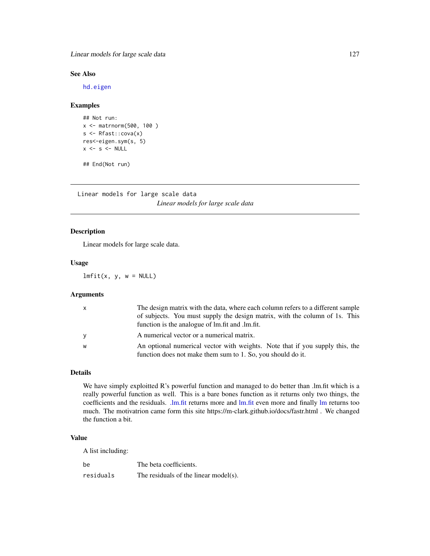Linear models for large scale data 127

## See Also

[hd.eigen](#page-78-0)

# Examples

```
## Not run:
x <- matrnorm(500, 100 )
s <- Rfast::cova(x)
res<-eigen.sym(s, 5)
x \leftarrow s \leftarrow \text{NULL}
```
## End(Not run)

Linear models for large scale data *Linear models for large scale data*

# Description

Linear models for large scale data.

#### Usage

 $lmfit(x, y, w = NULL)$ 

## Arguments

| X | The design matrix with the data, where each column refers to a different sample |
|---|---------------------------------------------------------------------------------|
|   | of subjects. You must supply the design matrix, with the column of 1s. This     |
|   | function is the analogue of lm.fit and .lm.fit.                                 |
| V | A numerical vector or a numerical matrix.                                       |
| W | An optional numerical vector with weights. Note that if you supply this, the    |
|   | function does not make them sum to 1. So, you should do it.                     |

#### Details

We have simply exploitted R's powerful function and managed to do better than .lm.fit which is a really powerful function as well. This is a bare bones function as it returns only two things, the coefficients and the residuals. [.lm.fit](#page-0-0) returns more and [lm.fit](#page-0-0) even more and finally [lm](#page-0-0) returns too much. The motivatrion came form this site https://m-clark.github.io/docs/fastr.html . We changed the function a bit.

## Value

A list including:

| be        | The beta coefficients.                |
|-----------|---------------------------------------|
| residuals | The residuals of the linear model(s). |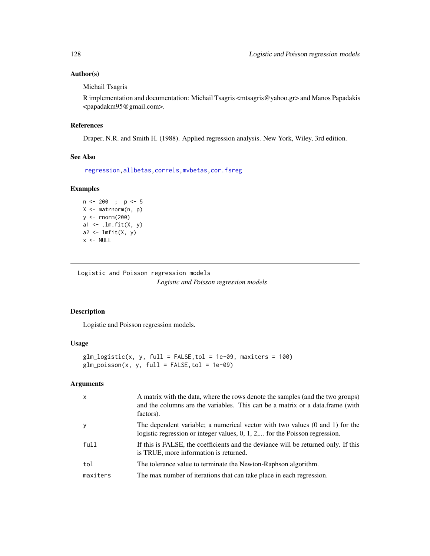# Author(s)

Michail Tsagris

R implementation and documentation: Michail Tsagris <mtsagris@yahoo.gr> and Manos Papadakis <papadakm95@gmail.com>.

## References

Draper, N.R. and Smith H. (1988). Applied regression analysis. New York, Wiley, 3rd edition.

#### See Also

[regression,](#page-173-0)[allbetas](#page-165-0)[,correls](#page-62-0)[,mvbetas](#page-149-0)[,cor.fsreg](#page-59-0)

# Examples

```
n <- 200 ; p <- 5
X <- matrnorm(n, p)
y <- rnorm(200)
a1 \leftarrow .lm.fit(X, y)a2 \leftarrow lmfit(X, y)
x < - NULL
```
Logistic and Poisson regression models *Logistic and Poisson regression models*

## Description

Logistic and Poisson regression models.

# Usage

```
glm\_logistic(x, y, full = FALSE, tol = 1e-09, maxiters = 100)glm_poisson(x, y, full = FALSE, tol = 1e-09)
```
## Arguments

| $\mathsf{x}$ | A matrix with the data, where the rows denote the samples (and the two groups)<br>and the columns are the variables. This can be a matrix or a data.frame (with<br>factors). |
|--------------|------------------------------------------------------------------------------------------------------------------------------------------------------------------------------|
| y            | The dependent variable; a numerical vector with two values (0 and 1) for the<br>logistic regression or integer values, $0, 1, 2, \dots$ for the Poisson regression.          |
| full         | If this is FALSE, the coefficients and the deviance will be returned only. If this<br>is TRUE, more information is returned.                                                 |
| tol          | The tolerance value to terminate the Newton-Raphson algorithm.                                                                                                               |
| maxiters     | The max number of iterations that can take place in each regression.                                                                                                         |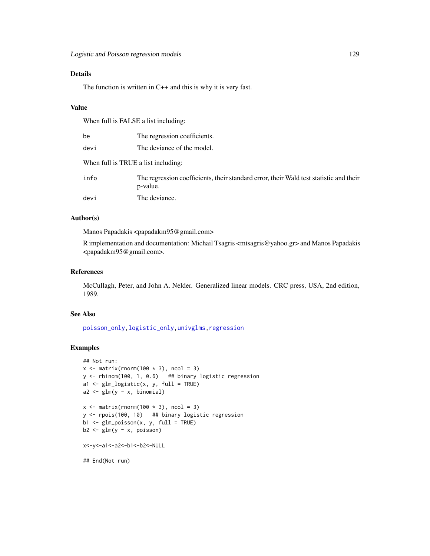# Details

The function is written in  $C++$  and this is why it is very fast.

#### Value

When full is FALSE a list including:

| be                                  | The regression coefficients.                                                                       |
|-------------------------------------|----------------------------------------------------------------------------------------------------|
| devi                                | The deviance of the model.                                                                         |
| When full is TRUE a list including: |                                                                                                    |
| info                                | The regression coefficients, their standard error, their Wald test statistic and their<br>p-value. |
| devi                                | The deviance.                                                                                      |

#### Author(s)

Manos Papadakis <papadakm95@gmail.com>

R implementation and documentation: Michail Tsagris <mtsagris@yahoo.gr> and Manos Papadakis <papadakm95@gmail.com>.

## References

McCullagh, Peter, and John A. Nelder. Generalized linear models. CRC press, USA, 2nd edition, 1989.

## See Also

[poisson\\_only,logistic\\_only,](#page-174-0)[univglms,](#page-171-0)[regression](#page-173-0)

# Examples

```
## Not run:
x \le matrix(rnorm(100 \star 3), ncol = 3)
y \le - rbinom(100, 1, 0.6) ## binary logistic regression
a1 <- glm_logistic(x, y, full = TRUE)
a2 \leq glm(y \sim x, binomial)x \le matrix(rnorm(100 \star 3), ncol = 3)
y <- rpois(100, 10) ## binary logistic regression
b1 <- glm_poisson(x, y, full = TRUE)
b2 \leq glm(y \sim x, \text{poisson})x<-y<-a1<-a2<-b1<-b2<-NULL
## End(Not run)
```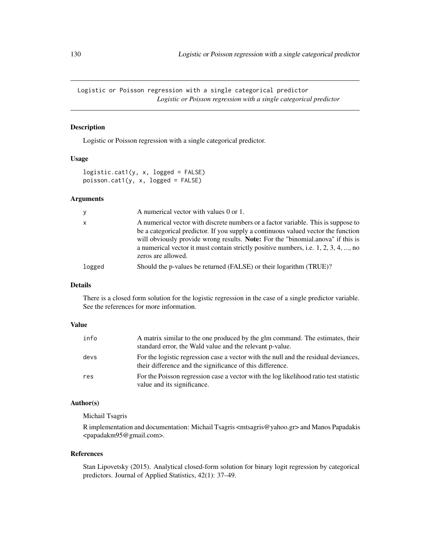Logistic or Poisson regression with a single categorical predictor *Logistic or Poisson regression with a single categorical predictor*

# Description

Logistic or Poisson regression with a single categorical predictor.

## Usage

```
logistic.cat1(y, x, logged = FALSE)
poisson.cat1(y, x, logged = FALSE)
```
## Arguments

| y            | A numerical vector with values 0 or 1.                                                                                                                                                                                                                                                                                                                                                |
|--------------|---------------------------------------------------------------------------------------------------------------------------------------------------------------------------------------------------------------------------------------------------------------------------------------------------------------------------------------------------------------------------------------|
| $\mathsf{x}$ | A numerical vector with discrete numbers or a factor variable. This is suppose to<br>be a categorical predictor. If you supply a continuous valued vector the function<br>will obviously provide wrong results. <b>Note:</b> For the "binomial.anova" if this is<br>a numerical vector it must contain strictly positive numbers, i.e. $1, 2, 3, 4, \dots$ , no<br>zeros are allowed. |
| logged       | Should the p-values be returned (FALSE) or their logarithm (TRUE)?                                                                                                                                                                                                                                                                                                                    |

# Details

There is a closed form solution for the logistic regression in the case of a single predictor variable. See the references for more information.

# Value

| info | A matrix similar to the one produced by the glm command. The estimates, their<br>standard error, the Wald value and the relevant p-value.        |
|------|--------------------------------------------------------------------------------------------------------------------------------------------------|
| devs | For the logistic regression case a vector with the null and the residual deviances,<br>their difference and the significance of this difference. |
| res  | For the Poisson regression case a vector with the log likelihood ratio test statistic<br>value and its significance.                             |

## Author(s)

Michail Tsagris

R implementation and documentation: Michail Tsagris <mtsagris@yahoo.gr> and Manos Papadakis <papadakm95@gmail.com>.

#### References

Stan Lipovetsky (2015). Analytical closed-form solution for binary logit regression by categorical predictors. Journal of Applied Statistics, 42(1): 37–49.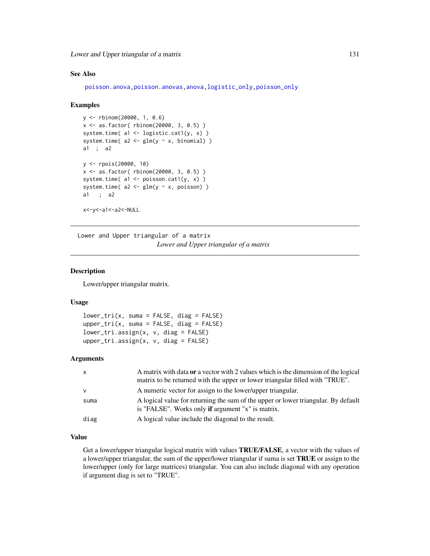Lower and Upper triangular of a matrix 131

## See Also

[poisson.anova,](#page-10-0)[poisson.anovas](#page-136-0)[,anova](#page-0-0)[,logistic\\_only,poisson\\_only](#page-174-0)

#### Examples

```
y <- rbinom(20000, 1, 0.6)
x <- as.factor( rbinom(20000, 3, 0.5) )
system.time( a1 <- logistic.cat1(y, x) )
system.time(a2 \leq glm(y \sim x, binomial))
a1 ; a2
y <- rpois(20000, 10)
x <- as.factor( rbinom(20000, 3, 0.5) )
system.time(a1 \leftarrow \text{poisson.cat1}(y, x))
system.time(a2 \leq glm(y \sim x, \text{poisson}))
a1 ; a2
x<-y<-a1<-a2<-NULL
```
Lower and Upper triangular of a matrix *Lower and Upper triangular of a matrix*

# Description

Lower/upper triangular matrix.

## Usage

```
lower\_tri(x, suma = FALSE, diag = FALSE)upper\_tri(x, suma = FALSE, diag = FALSE)lower_tri.assign(x, v, diag = FALSE)
upper\_tri.assign(x, v, diag = FALSE)
```
## Arguments

| $\mathsf{x}$ | A matrix with data or a vector with 2 values which is the dimension of the logical                                                             |
|--------------|------------------------------------------------------------------------------------------------------------------------------------------------|
|              | matrix to be returned with the upper or lower triangular filled with "TRUE".                                                                   |
| $\mathsf{v}$ | A numeric vector for assign to the lower/upper triangular.                                                                                     |
| suma         | A logical value for returning the sum of the upper or lower triangular. By default<br>is "FALSE". Works only <b>if</b> argument "x" is matrix. |
| diag         | A logical value include the diagonal to the result.                                                                                            |

## Value

Get a lower/upper triangular logical matrix with values TRUE/FALSE, a vector with the values of a lower/upper triangular, the sum of the upper/lower triangular if suma is set TRUE or assign to the lower/upper (only for large matrices) triangular. You can also include diagonal with any operation if argument diag is set to "TRUE".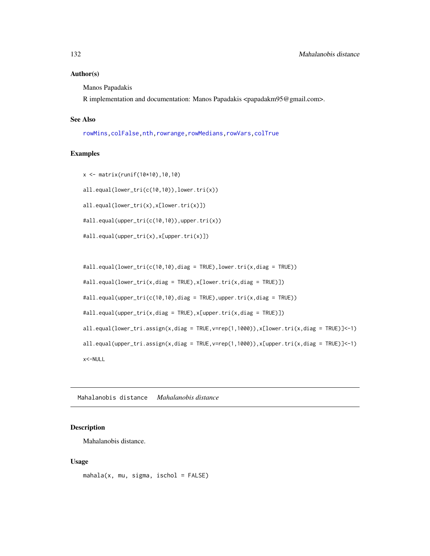#### Author(s)

Manos Papadakis

R implementation and documentation: Manos Papadakis <papadakm95@gmail.com>.

# See Also

[rowMins](#page-245-0)[,colFalse](#page-54-0)[,nth,](#page-37-0)[rowrange,](#page-40-0)[rowMedians,](#page-36-0)[rowVars](#page-45-0)[,colTrue](#page-54-0)

#### Examples

```
x <- matrix(runif(10*10),10,10)
```
all.equal(lower\_tri(c(10,10)),lower.tri(x))

all.equal(lower\_tri(x),x[lower.tri(x)])

#all.equal(upper\_tri(c(10,10)),upper.tri(x))

```
#all.equal(upper_tri(x),x[upper.tri(x)])
```

```
#all.equal(lower_tri(c(10,10),diag = TRUE),lower.tri(x,diag = TRUE))
#all.equal(lower_tri(x,diag = TRUE),x[lower.tri(x,diag = TRUE)])
#all.equal(upper_tri(c(10,10),diag = TRUE),upper.tri(x,diag = TRUE))
#all.equal(upper_tri(x,diag = TRUE),x[upper.tri(x,diag = TRUE)])
all.equal(lower_tri.assign(x,diag = TRUE,v=rep(1,1000)),x[lower.tri(x,diag = TRUE)]<-1)
all.equal(upper_tri.assign(x,diag = TRUE,v=rep(1,1000)),x[upper.tri(x,diag = TRUE)]<-1)
x<-NULL
```
Mahalanobis distance *Mahalanobis distance*

## Description

Mahalanobis distance.

#### Usage

mahala(x, mu, sigma, ischol = FALSE)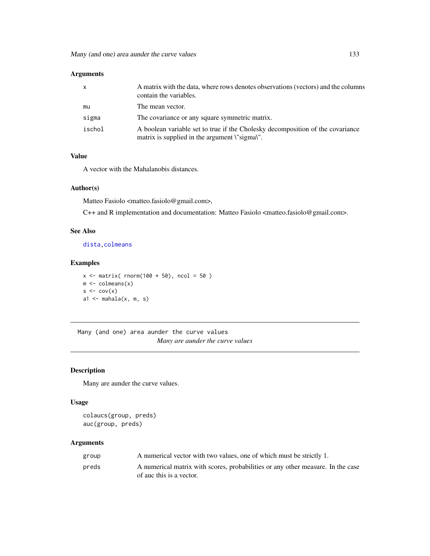| $\mathsf{x}$ | A matrix with the data, where rows denotes observations (vectors) and the columns<br>contain the variables.                     |
|--------------|---------------------------------------------------------------------------------------------------------------------------------|
| mu           | The mean vector.                                                                                                                |
| sigma        | The covariance or any square symmetric matrix.                                                                                  |
| ischol       | A boolean variable set to true if the Cholesky decomposition of the covariance<br>matrix is supplied in the argument \"sigma\". |

## Value

A vector with the Mahalanobis distances.

# Author(s)

Matteo Fasiolo <matteo.fasiolo@gmail.com>,

C++ and R implementation and documentation: Matteo Fasiolo <matteo.fasiolo@gmail.com>.

# See Also

[dista](#page-74-0)[,colmeans](#page-35-0)

# Examples

```
x \le matrix( rnorm(100 \star 50), ncol = 50)
m \leftarrow column(x)s \leq cov(x)a1 \leq mahala(x, m, s)
```
Many (and one) area aunder the curve values *Many are aunder the curve values*

# Description

Many are aunder the curve values.

## Usage

```
colaucs(group, preds)
auc(group, preds)
```
## Arguments

| group | A numerical vector with two values, one of which must be strictly 1.                                        |
|-------|-------------------------------------------------------------------------------------------------------------|
| preds | A numerical matrix with scores, probabilities or any other measure. In the case<br>of auc this is a vector. |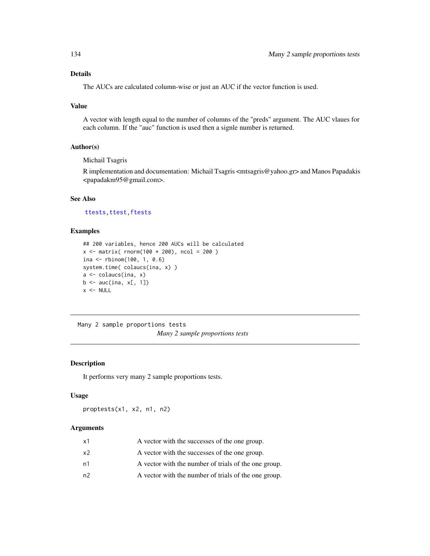# Details

The AUCs are calculated column-wise or just an AUC if the vector function is used.

# Value

A vector with length equal to the number of columns of the "preds" argument. The AUC vlaues for each column. If the "auc" function is used then a signle number is returned.

# Author(s)

Michail Tsagris

R implementation and documentation: Michail Tsagris <mtsagris@yahoo.gr> and Manos Papadakis <papadakm95@gmail.com>.

# See Also

[ttests,](#page-134-0) [ttest,](#page-154-0) [ftests](#page-148-0)

# Examples

```
## 200 variables, hence 200 AUCs will be calculated
x \le - matrix( rnorm(100 * 200), ncol = 200)
ina <- rbinom(100, 1, 0.6)
system.time( colaucs(ina, x) )
a <- colaucs(ina, x)
b \leftarrow \text{auc}(ina, x[, 1])x < - NULL
```
Many 2 sample proportions tests *Many 2 sample proportions tests*

# Description

It performs very many 2 sample proportions tests.

#### Usage

proptests(x1, x2, n1, n2)

# Arguments

| x1 | A vector with the successes of the one group.        |
|----|------------------------------------------------------|
| x2 | A vector with the successes of the one group.        |
| n1 | A vector with the number of trials of the one group. |
| n2 | A vector with the number of trials of the one group. |
|    |                                                      |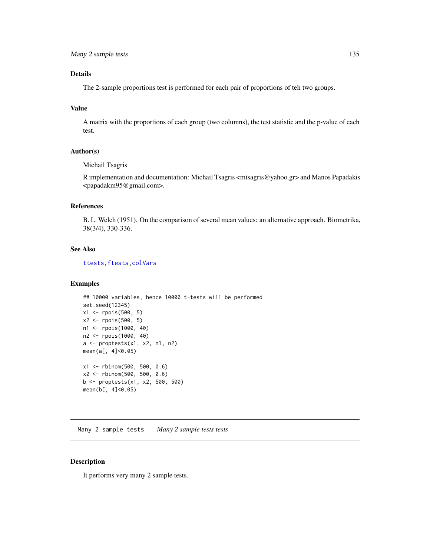# Details

The 2-sample proportions test is performed for each pair of proportions of teh two groups.

# Value

A matrix with the proportions of each group (two columns), the test statistic and the p-value of each test.

## Author(s)

Michail Tsagris

R implementation and documentation: Michail Tsagris <mtsagris@yahoo.gr> and Manos Papadakis <papadakm95@gmail.com>.

# References

B. L. Welch (1951). On the comparison of several mean values: an alternative approach. Biometrika, 38(3/4), 330-336.

# See Also

[ttests](#page-134-0)[,ftests](#page-148-0)[,colVars](#page-45-0)

## Examples

```
## 10000 variables, hence 10000 t-tests will be performed
set.seed(12345)
x1 <- rpois(500, 5)
x2 <- rpois(500, 5)
n1 <- rpois(1000, 40)
n2 <- rpois(1000, 40)
a \leftarrow proptests(x1, x2, n1, n2)
mean(a[, 4]<0.05)
x1 <- rbinom(500, 500, 0.6)
x2 <- rbinom(500, 500, 0.6)
b <- proptests(x1, x2, 500, 500)
mean(b[, 4]<0.05)
```
Many 2 sample tests *Many 2 sample tests tests*

#### <span id="page-134-0"></span>Description

It performs very many 2 sample tests.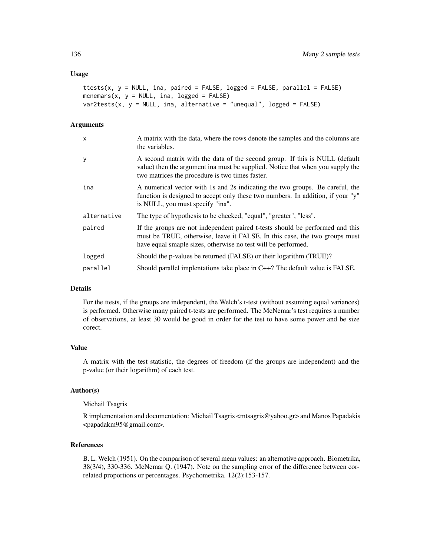#### Usage

```
ttests(x, y = NULL, ina, paired = FALSE, logged = FALSE, parallel = FALSE)
mcnemars(x, y = NULL, ina, logged = FALSE)
var2tests(x, y = NULL, ina, alternative = "unequal", logged = FALSE)
```
#### Arguments

| X           | A matrix with the data, where the rows denote the samples and the columns are<br>the variables.                                                                                                                              |
|-------------|------------------------------------------------------------------------------------------------------------------------------------------------------------------------------------------------------------------------------|
| у           | A second matrix with the data of the second group. If this is NULL (default<br>value) then the argument in must be supplied. Notice that when you supply the<br>two matrices the procedure is two times faster.              |
| ina         | A numerical vector with 1s and 2s indicating the two groups. Be careful, the<br>function is designed to accept only these two numbers. In addition, if your "y"<br>is NULL, you must specify "ina".                          |
| alternative | The type of hypothesis to be checked, "equal", "greater", "less".                                                                                                                                                            |
| paired      | If the groups are not independent paired t-tests should be performed and this<br>must be TRUE, otherwise, leave it FALSE. In this case, the two groups must<br>have equal smaple sizes, otherwise no test will be performed. |
| logged      | Should the p-values be returned (FALSE) or their logarithm (TRUE)?                                                                                                                                                           |
| parallel    | Should parallel implentations take place in $C++$ ? The default value is FALSE.                                                                                                                                              |
|             |                                                                                                                                                                                                                              |

## Details

For the ttests, if the groups are independent, the Welch's t-test (without assuming equal variances) is performed. Otherwise many paired t-tests are performed. The McNemar's test requires a number of observations, at least 30 would be good in order for the test to have some power and be size corect.

# Value

A matrix with the test statistic, the degrees of freedom (if the groups are independent) and the p-value (or their logarithm) of each test.

#### Author(s)

#### Michail Tsagris

R implementation and documentation: Michail Tsagris <mtsagris@yahoo.gr> and Manos Papadakis <papadakm95@gmail.com>.

## References

B. L. Welch (1951). On the comparison of several mean values: an alternative approach. Biometrika, 38(3/4), 330-336. McNemar Q. (1947). Note on the sampling error of the difference between correlated proportions or percentages. Psychometrika. 12(2):153-157.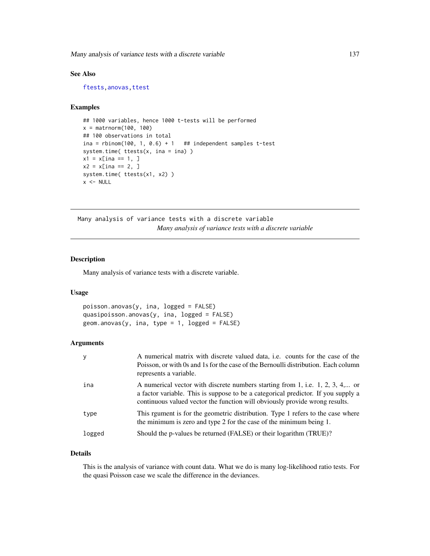Many analysis of variance tests with a discrete variable 137

# See Also

[ftests,anovas](#page-148-0)[,ttest](#page-154-0)

## Examples

```
## 1000 variables, hence 1000 t-tests will be performed
x = matrnorm(100, 100)
## 100 observations in total
ina = rbinom(100, 1, 0.6) + 1 ## independent samples t-test
system.time( ttests(x, ina = ina) )
x1 = x[ina == 1, ]
x2 = x[ina == 2, ]system.time( ttests(x1, x2) )
x < - NULL
```
Many analysis of variance tests with a discrete variable *Many analysis of variance tests with a discrete variable*

# <span id="page-136-0"></span>Description

Many analysis of variance tests with a discrete variable.

#### Usage

```
poisson.anovas(y, ina, logged = FALSE)
quasipoisson.anovas(y, ina, logged = FALSE)
geom. anovas(y, ina, type = 1, logged = FALSE)
```
# Arguments

| y      | A numerical matrix with discrete valued data, i.e. counts for the case of the<br>Poisson, or with 0s and 1s for the case of the Bernoulli distribution. Each column<br>represents a variable.                                                     |
|--------|---------------------------------------------------------------------------------------------------------------------------------------------------------------------------------------------------------------------------------------------------|
| ina    | A numerical vector with discrete numbers starting from 1, i.e. 1, 2, 3, 4, or<br>a factor variable. This is suppose to be a categorical predictor. If you supply a<br>continuous valued vector the function will obviously provide wrong results. |
| type   | This regiment is for the geometric distribution. Type 1 refers to the case where<br>the minimum is zero and type 2 for the case of the minimum being 1.                                                                                           |
| logged | Should the p-values be returned (FALSE) or their logarithm (TRUE)?                                                                                                                                                                                |

# Details

This is the analysis of variance with count data. What we do is many log-likelihood ratio tests. For the quasi Poisson case we scale the difference in the deviances.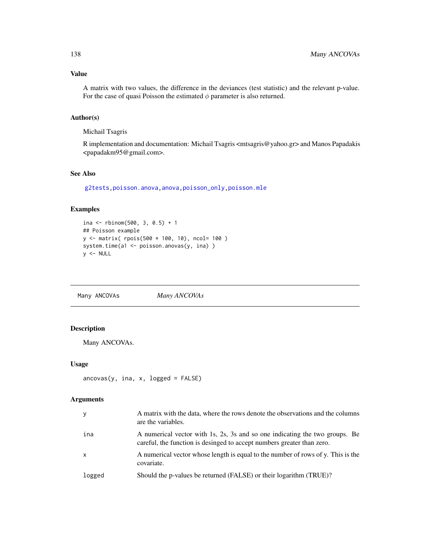# Value

A matrix with two values, the difference in the deviances (test statistic) and the relevant p-value. For the case of quasi Poisson the estimated  $\phi$  parameter is also returned.

# Author(s)

Michail Tsagris

R implementation and documentation: Michail Tsagris <mtsagris@yahoo.gr> and Manos Papadakis <papadakm95@gmail.com>.

# See Also

[g2tests,](#page-142-0)[poisson.anova](#page-10-0)[,anova](#page-0-0)[,poisson\\_only](#page-174-0)[,poisson.mle](#page-194-0)

## Examples

```
ina <- rbinom(500, 3, 0.5) + 1
## Poisson example
y <- matrix( rpois(500 * 100, 10), ncol= 100 )
system.time(a1 <- poisson.anovas(y, ina) )
y <- NULL
```
Many ANCOVAs *Many ANCOVAs*

# Description

Many ANCOVAs.

## Usage

```
\arccos(y, \text{ina}, x, \text{logged} = \text{FALSE})
```
## Arguments

| y            | A matrix with the data, where the rows denote the observations and the columns<br>are the variables.                                                  |
|--------------|-------------------------------------------------------------------------------------------------------------------------------------------------------|
| ina          | A numerical vector with 1s, 2s, 3s and so one indicating the two groups. Be<br>careful, the function is desinged to accept numbers greater than zero. |
| $\mathsf{x}$ | A numerical vector whose length is equal to the number of rows of y. This is the<br>covariate.                                                        |
| logged       | Should the p-values be returned (FALSE) or their logarithm (TRUE)?                                                                                    |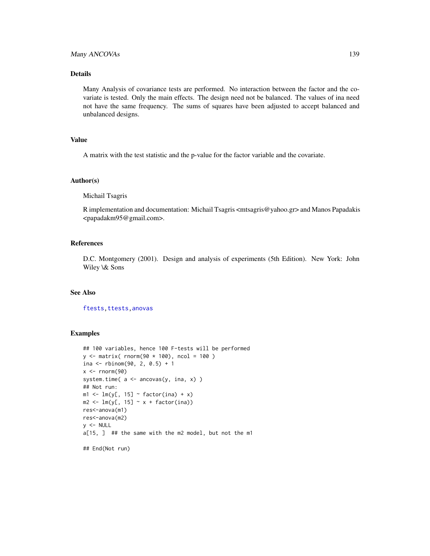## Many ANCOVAs 139

## Details

Many Analysis of covariance tests are performed. No interaction between the factor and the covariate is tested. Only the main effects. The design need not be balanced. The values of ina need not have the same frequency. The sums of squares have been adjusted to accept balanced and unbalanced designs.

# Value

A matrix with the test statistic and the p-value for the factor variable and the covariate.

#### Author(s)

Michail Tsagris

R implementation and documentation: Michail Tsagris <mtsagris@yahoo.gr> and Manos Papadakis <papadakm95@gmail.com>.

# References

D.C. Montgomery (2001). Design and analysis of experiments (5th Edition). New York: John Wiley \& Sons

#### See Also

[ftests](#page-148-0)[,ttests](#page-134-0)[,anovas](#page-148-0)

#### Examples

```
## 100 variables, hence 100 F-tests will be performed
y \le - matrix( rnorm(90 * 100), ncol = 100)
ina <- rbinom(90, 2, 0.5) + 1
x < - rnorm(90)
system.time(a \leftarrow \text{arrows}(y, \text{ ina}, x))
## Not run:
m1 \leftarrow lm(y[, 15] \sim factor(ina) + x)m2 \leq Im(y[, 15] \sim x + factor(ina))res<-anova(m1)
res<-anova(m2)
y <- NULL
a[15, ] ## the same with the m2 model, but not the m1
## End(Not run)
```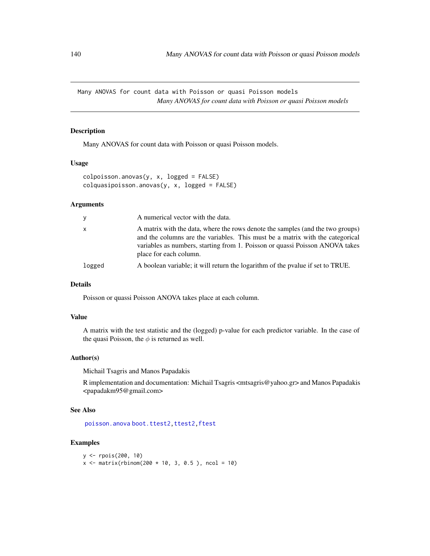Many ANOVAS for count data with Poisson or quasi Poisson models *Many ANOVAS for count data with Poisson or quasi Poisson models*

# Description

Many ANOVAS for count data with Poisson or quasi Poisson models.

## Usage

```
colpoisson.anovas(y, x, logged = FALSE)
colquasipoisson.anovas(y, x, logged = FALSE)
```
# Arguments

| V      | A numerical vector with the data.                                                                                                                                                                                                                                         |
|--------|---------------------------------------------------------------------------------------------------------------------------------------------------------------------------------------------------------------------------------------------------------------------------|
| X.     | A matrix with the data, where the rows denote the samples (and the two groups)<br>and the columns are the variables. This must be a matrix with the categorical<br>variables as numbers, starting from 1. Poisson or quassi Poisson ANOVA takes<br>place for each column. |
| logged | A boolean variable; it will return the logarithm of the pvalue if set to TRUE.                                                                                                                                                                                            |

#### Details

Poisson or quassi Poisson ANOVA takes place at each column.

## Value

A matrix with the test statistic and the (logged) p-value for each predictor variable. In the case of the quasi Poisson, the  $\phi$  is returned as well.

#### Author(s)

Michail Tsagris and Manos Papadakis

R implementation and documentation: Michail Tsagris <mtsagris@yahoo.gr> and Manos Papadakis <papadakm95@gmail.com>

# See Also

[poisson.anova](#page-10-0) [boot.ttest2,](#page-21-0) ttest2, ftest

#### Examples

```
y <- rpois(200, 10)
x \le - matrix(rbinom(200 * 10, 3, 0.5), ncol = 10)
```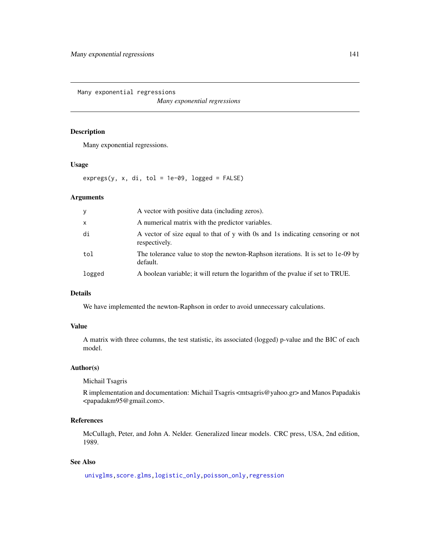Many exponential regressions

*Many exponential regressions*

## Description

Many exponential regressions.

## Usage

 $expregs(y, x, di, tol = 1e-09, logged = FALSE)$ 

# Arguments

| y            | A vector with positive data (including zeros).                                                  |
|--------------|-------------------------------------------------------------------------------------------------|
| $\mathsf{x}$ | A numerical matrix with the predictor variables.                                                |
| di           | A vector of size equal to that of y with 0s and 1s indicating censoring or not<br>respectively. |
| tol          | The tolerance value to stop the newton-Raphson iterations. It is set to 1e-09 by<br>default.    |
| logged       | A boolean variable; it will return the logarithm of the pvalue if set to TRUE.                  |

# Details

We have implemented the newton-Raphson in order to avoid unnecessary calculations.

## Value

A matrix with three columns, the test statistic, its associated (logged) p-value and the BIC of each model.

# Author(s)

Michail Tsagris

R implementation and documentation: Michail Tsagris <mtsagris@yahoo.gr> and Manos Papadakis <papadakm95@gmail.com>.

# References

McCullagh, Peter, and John A. Nelder. Generalized linear models. CRC press, USA, 2nd edition, 1989.

# See Also

[univglms,](#page-171-0)[score.glms](#page-159-0)[,logistic\\_only,poisson\\_only,](#page-174-0)[regression](#page-173-0)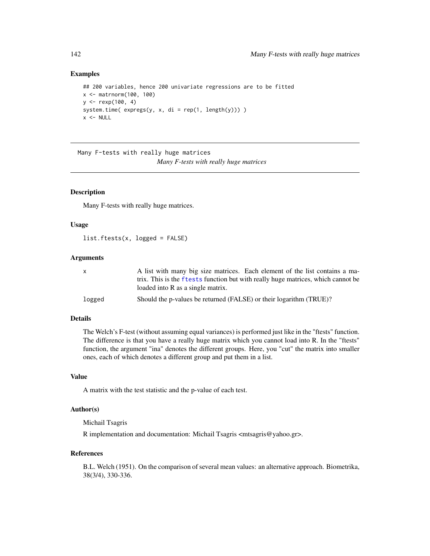## Examples

```
## 200 variables, hence 200 univariate regressions are to be fitted
x <- matrnorm(100, 100)
y \le - rexp(100, 4)
system.time( express(y, x, di = rep(1, length(y))) )
x < - NULL
```
Many F-tests with really huge matrices *Many F-tests with really huge matrices*

#### Description

Many F-tests with really huge matrices.

## Usage

list.ftests(x, logged = FALSE)

#### Arguments

| x.     | A list with many big size matrices. Each element of the list contains a ma-      |
|--------|----------------------------------------------------------------------------------|
|        | trix. This is the ftests function but with really huge matrices, which cannot be |
|        | loaded into R as a single matrix.                                                |
| logged | Should the p-values be returned (FALSE) or their logarithm (TRUE)?               |

# Details

The Welch's F-test (without assuming equal variances) is performed just like in the "ftests" function. The difference is that you have a really huge matrix which you cannot load into R. In the "ftests" function, the argument "ina" denotes the different groups. Here, you "cut" the matrix into smaller ones, each of which denotes a different group and put them in a list.

## Value

A matrix with the test statistic and the p-value of each test.

## Author(s)

Michail Tsagris

R implementation and documentation: Michail Tsagris <mtsagris@yahoo.gr>.

#### References

B.L. Welch (1951). On the comparison of several mean values: an alternative approach. Biometrika, 38(3/4), 330-336.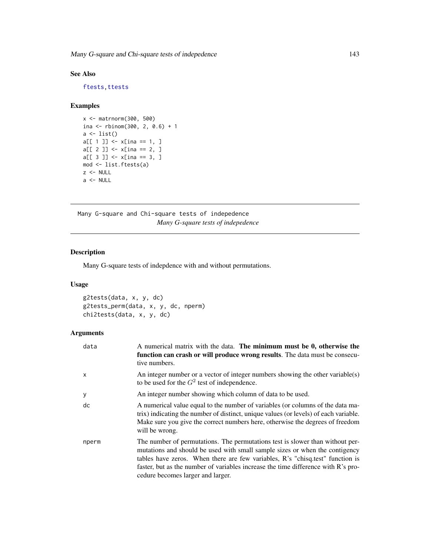# See Also

[ftests](#page-148-0)[,ttests](#page-134-0)

# Examples

```
x <- matrnorm(300, 500)
ina <- rbinom(300, 2, 0.6) + 1
a <- list()
a[[1]] < -x[ina == 1, ]
a[[2]] < -x[ina == 2, ]a[[ 3 ]] < -x[ina == 3, ]
mod <- list.ftests(a)
z <- NULL
a \leftarrow \text{NULL}
```
Many G-square and Chi-square tests of indepedence *Many G-square tests of indepedence*

# <span id="page-142-0"></span>Description

Many G-square tests of indepdence with and without permutations.

# Usage

```
g2tests(data, x, y, dc)
g2tests_perm(data, x, y, dc, nperm)
chi2tests(data, x, y, dc)
```
## Arguments

| data  | A numerical matrix with the data. The minimum must be $0$ , otherwise the<br>function can crash or will produce wrong results. The data must be consecu-<br>tive numbers.                                                                                                                                                                                               |
|-------|-------------------------------------------------------------------------------------------------------------------------------------------------------------------------------------------------------------------------------------------------------------------------------------------------------------------------------------------------------------------------|
| x     | An integer number or a vector of integer numbers showing the other variable(s)<br>to be used for the $G^2$ test of independence.                                                                                                                                                                                                                                        |
| У     | An integer number showing which column of data to be used.                                                                                                                                                                                                                                                                                                              |
| dc    | A numerical value equal to the number of variables (or columns of the data ma-<br>trix) indicating the number of distinct, unique values (or levels) of each variable.<br>Make sure you give the correct numbers here, otherwise the degrees of freedom<br>will be wrong.                                                                                               |
| nperm | The number of permutations. The permutations test is slower than without per-<br>mutations and should be used with small sample sizes or when the contigency<br>tables have zeros. When there are few variables, R's "chisq.test" function is<br>faster, but as the number of variables increase the time difference with R's pro-<br>cedure becomes larger and larger. |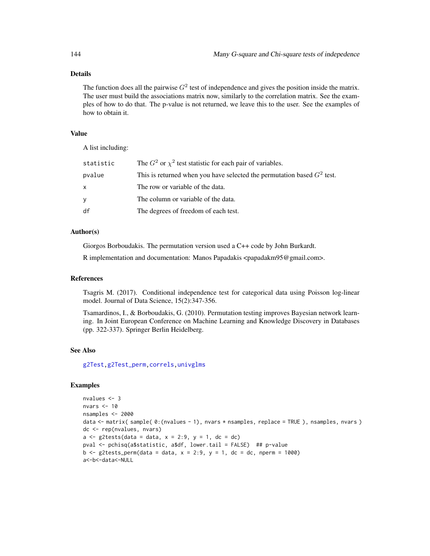# Details

The function does all the pairwise  $G^2$  test of independence and gives the position inside the matrix. The user must build the associations matrix now, similarly to the correlation matrix. See the examples of how to do that. The p-value is not returned, we leave this to the user. See the examples of how to obtain it.

#### Value

A list including:

| statistic | The $G2$ or $\chi2$ test statistic for each pair of variables.           |
|-----------|--------------------------------------------------------------------------|
| pvalue    | This is returned when you have selected the permutation based $G2$ test. |
| x         | The row or variable of the data.                                         |
| ٧         | The column or variable of the data.                                      |
| df        | The degrees of freedom of each test.                                     |

## Author(s)

Giorgos Borboudakis. The permutation version used a C++ code by John Burkardt.

R implementation and documentation: Manos Papadakis <papadakm95@gmail.com>.

# References

Tsagris M. (2017). Conditional independence test for categorical data using Poisson log-linear model. Journal of Data Science, 15(2):347-356.

Tsamardinos, I., & Borboudakis, G. (2010). Permutation testing improves Bayesian network learning. In Joint European Conference on Machine Learning and Knowledge Discovery in Databases (pp. 322-337). Springer Berlin Heidelberg.

## See Also

[g2Test,g2Test\\_perm](#page-99-0)[,correls,](#page-62-0)[univglms](#page-171-0)

## Examples

```
nvalues <- 3
nvars <- 10
nsamples <- 2000
data <- matrix( sample( 0:(nvalues - 1), nvars * nsamples, replace = TRUE ), nsamples, nvars )
dc <- rep(nvalues, nvars)
a \leq g2tests(data = data, x = 2:9, y = 1, dc = dc)
pval <- pchisq(a$statistic, a$df, lower.tail = FALSE) ## p-value
b \leq g2tests_perm(data = data, x = 2:9, y = 1, dc = dc, nperm = 1000)
a<-b<-data<-NULL
```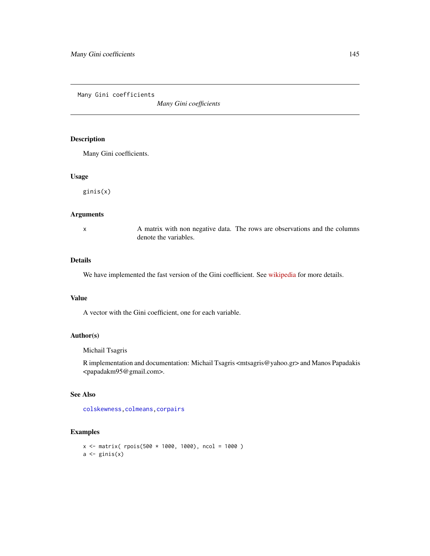Many Gini coefficients

*Many Gini coefficients*

# Description

Many Gini coefficients.

#### Usage

ginis(x)

# Arguments

x A matrix with non negative data. The rows are observations and the columns denote the variables.

# Details

We have implemented the fast version of the Gini coefficient. See [wikipedia](https://en.wikipedia.org/wiki/Gini_coefficient) for more details.

## Value

A vector with the Gini coefficient, one for each variable.

# Author(s)

Michail Tsagris

R implementation and documentation: Michail Tsagris <mtsagris@yahoo.gr> and Manos Papadakis <papadakm95@gmail.com>.

## See Also

[colskewness](#page-49-0)[,colmeans,](#page-35-0)[corpairs](#page-61-0)

# Examples

```
x \le matrix( rpois(500 * 1000, 1000), ncol = 1000)
a \leftarrow \text{ginis}(x)
```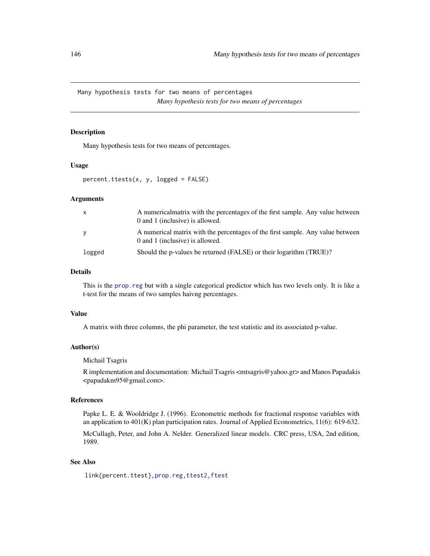Many hypothesis tests for two means of percentages *Many hypothesis tests for two means of percentages*

# Description

Many hypothesis tests for two means of percentages.

# Usage

```
percent.ttests(x, y, logged = FALSE)
```
#### Arguments

| $\mathsf{x}$ | A numericalmatrix with the percentages of the first sample. Any value between<br>0 and 1 (inclusive) is allowed.  |
|--------------|-------------------------------------------------------------------------------------------------------------------|
| y            | A numerical matrix with the percentages of the first sample. Any value between<br>0 and 1 (inclusive) is allowed. |
| logged       | Should the p-values be returned (FALSE) or their logarithm (TRUE)?                                                |

# Details

This is the [prop.reg](#page-232-0) but with a single categorical predictor which has two levels only. It is like a t-test for the means of two samples haivng percentages.

## Value

A matrix with three columns, the phi parameter, the test statistic and its associated p-value.

## Author(s)

Michail Tsagris

R implementation and documentation: Michail Tsagris <mtsagris@yahoo.gr> and Manos Papadakis <papadakm95@gmail.com>.

#### References

Papke L. E. & Wooldridge J. (1996). Econometric methods for fractional response variables with an application to 401(K) plan participation rates. Journal of Applied Econometrics, 11(6): 619-632.

McCullagh, Peter, and John A. Nelder. Generalized linear models. CRC press, USA, 2nd edition, 1989.

## See Also

link{percent.ttest}[,prop.reg](#page-232-0)[,ttest2,ftest](#page-207-0)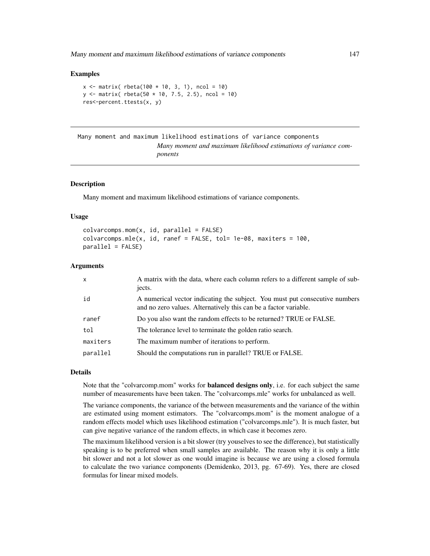## Examples

```
x \le matrix( rbeta(100 * 10, 3, 1), ncol = 10)
y \le - matrix( rbeta(50 * 10, 7.5, 2.5), ncol = 10)
res<-percent.ttests(x, y)
```

```
Many moment and maximum likelihood estimations of variance components
                        Many moment and maximum likelihood estimations of variance com-
                        ponents
```
## <span id="page-146-0"></span>Description

Many moment and maximum likelihood estimations of variance components.

## Usage

```
colvarcomps.mom(x, id, parallel = FALSE)colvarcomps.mle(x, id, raref = FALSE, tol = 1e-08, maxiters = 100,parallel = FALSE)
```
# Arguments

| $\mathsf{x}$ | A matrix with the data, where each column refers to a different sample of sub-<br>jects.                                                        |
|--------------|-------------------------------------------------------------------------------------------------------------------------------------------------|
| id           | A numerical vector indicating the subject. You must put consecutive numbers<br>and no zero values. Alternatively this can be a factor variable. |
| ranef        | Do you also want the random effects to be returned? TRUE or FALSE.                                                                              |
| tol          | The tolerance level to terminate the golden ratio search.                                                                                       |
| maxiters     | The maximum number of iterations to perform.                                                                                                    |
| parallel     | Should the computations run in parallel? TRUE or FALSE.                                                                                         |

#### Details

Note that the "colvarcomp.mom" works for **balanced designs only**, i.e. for each subject the same number of measurements have been taken. The "colvarcomps.mle" works for unbalanced as well.

The variance components, the variance of the between measurements and the variance of the within are estimated using moment estimators. The "colvarcomps.mom" is the moment analogue of a random effects model which uses likelihood estimation ("colvarcomps.mle"). It is much faster, but can give negative variance of the random effects, in which case it becomes zero.

The maximum likelihood version is a bit slower (try youselves to see the difference), but statistically speaking is to be preferred when small samples are available. The reason why it is only a little bit slower and not a lot slower as one would imagine is because we are using a closed formula to calculate the two variance components (Demidenko, 2013, pg. 67-69). Yes, there are closed formulas for linear mixed models.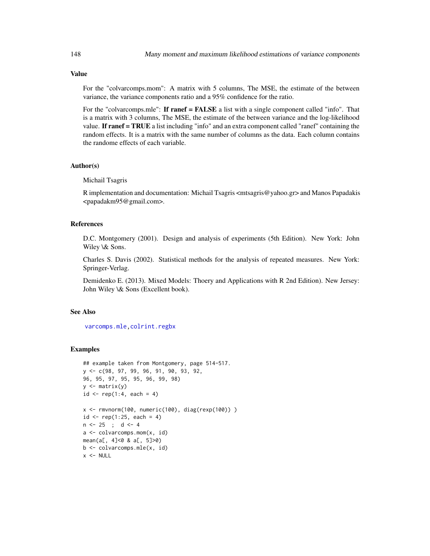# Value

For the "colvarcomps.mom": A matrix with 5 columns, The MSE, the estimate of the between variance, the variance components ratio and a 95% confidence for the ratio.

For the "colvarcomps.mle": **If ranef = FALSE** a list with a single component called "info". That is a matrix with 3 columns, The MSE, the estimate of the between variance and the log-likelihood value. If ranef  $= TRUE$  a list including "info" and an extra component called "ranef" containing the random effects. It is a matrix with the same number of columns as the data. Each column contains the randome effects of each variable.

# Author(s)

Michail Tsagris

R implementation and documentation: Michail Tsagris <mtsagris@yahoo.gr> and Manos Papadakis <papadakm95@gmail.com>.

## References

D.C. Montgomery (2001). Design and analysis of experiments (5th Edition). New York: John Wiley \& Sons.

Charles S. Davis (2002). Statistical methods for the analysis of repeated measures. New York: Springer-Verlag.

Demidenko E. (2013). Mixed Models: Thoery and Applications with R 2nd Edition). New Jersey: John Wiley \& Sons (Excellent book).

# See Also

[varcomps.mle,](#page-205-0)[colrint.regbx](#page-155-0)

#### Examples

```
## example taken from Montgomery, page 514-517.
y <- c(98, 97, 99, 96, 91, 90, 93, 92,
96, 95, 97, 95, 95, 96, 99, 98)
y \leftarrow matrix(y)
id \leq rep(1:4, each = 4)x <- rmvnorm(100, numeric(100), diag(rexp(100)) )
id \leq rep(1:25, each = 4)n <- 25 ; d <- 4
a <- colvarcomps.mom(x, id)
mean(a[, 4]<0 & a[, 5]>0)
b <- colvarcomps.mle(x, id)
x < - NULL
```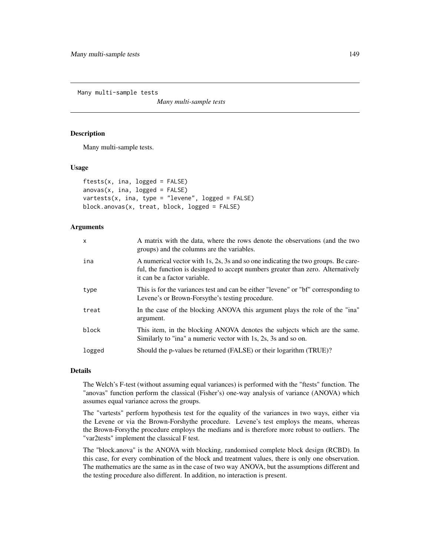Many multi-sample tests

*Many multi-sample tests*

## <span id="page-148-0"></span>**Description**

Many multi-sample tests.

#### Usage

```
ftests(x, ina, logged = FALSE)
anovas(x, ina, logged = FALSE)vartests(x, ina, type = "levene", logged = FALSE)
block.anovas(x, treat, block, logged = FALSE)
```
## **Arguments**

| X      | A matrix with the data, where the rows denote the observations (and the two<br>groups) and the columns are the variables.                                                                             |
|--------|-------------------------------------------------------------------------------------------------------------------------------------------------------------------------------------------------------|
| ina    | A numerical vector with 1s, 2s, 3s and so one indicating the two groups. Be care-<br>ful, the function is desinged to accept numbers greater than zero. Alternatively<br>it can be a factor variable. |
| type   | This is for the variances test and can be either "levene" or "bf" corresponding to<br>Levene's or Brown-Forsythe's testing procedure.                                                                 |
| treat  | In the case of the blocking ANOVA this argument plays the role of the "ina"<br>argument.                                                                                                              |
| block  | This item, in the blocking ANOVA denotes the subjects which are the same.<br>Similarly to "ina" a numeric vector with 1s, 2s, 3s and so on.                                                           |
| logged | Should the p-values be returned (FALSE) or their logarithm (TRUE)?                                                                                                                                    |

# Details

The Welch's F-test (without assuming equal variances) is performed with the "ftests" function. The "anovas" function perform the classical (Fisher's) one-way analysis of variance (ANOVA) which assumes equal variance across the groups.

The "vartests" perform hypothesis test for the equality of the variances in two ways, either via the Levene or via the Brown-Forshythe procedure. Levene's test employs the means, whereas the Brown-Forsythe procedure employs the medians and is therefore more robust to outliers. The "var2tests" implement the classical F test.

The "block.anova" is the ANOVA with blocking, randomised complete block design (RCBD). In this case, for every combination of the block and treatment values, there is only one observation. The mathematics are the same as in the case of two way ANOVA, but the assumptions different and the testing procedure also different. In addition, no interaction is present.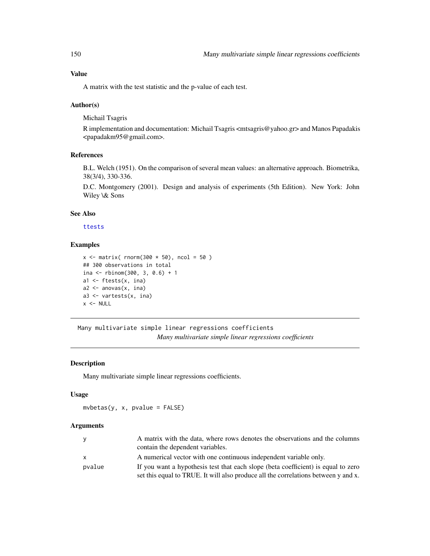## Value

A matrix with the test statistic and the p-value of each test.

## Author(s)

Michail Tsagris

R implementation and documentation: Michail Tsagris <mtsagris@yahoo.gr> and Manos Papadakis <papadakm95@gmail.com>.

# References

B.L. Welch (1951). On the comparison of several mean values: an alternative approach. Biometrika, 38(3/4), 330-336.

D.C. Montgomery (2001). Design and analysis of experiments (5th Edition). New York: John Wiley \& Sons

# See Also

[ttests](#page-134-0)

## Examples

```
x \le matrix( rnorm(300 \star 50), ncol = 50)
## 300 observations in total
ina <- rbinom(300, 3, 0.6) + 1
a1 <- ftests(x, ina)
a2 \leftarrow anovas(x, ina)a3 <- vartests(x, ina)
x < - NULL
```
Many multivariate simple linear regressions coefficients *Many multivariate simple linear regressions coefficients*

# <span id="page-149-0"></span>Description

Many multivariate simple linear regressions coefficients.

## Usage

 $m\nu betas(y, x, pvalue = FALSE)$ 

#### Arguments

|        | A matrix with the data, where rows denotes the observations and the columns<br>contain the dependent variables. |
|--------|-----------------------------------------------------------------------------------------------------------------|
|        | A numerical vector with one continuous independent variable only.                                               |
| pvalue | If you want a hypothesis test that each slope (beta coefficient) is equal to zero                               |
|        | set this equal to TRUE. It will also produce all the correlations between y and x.                              |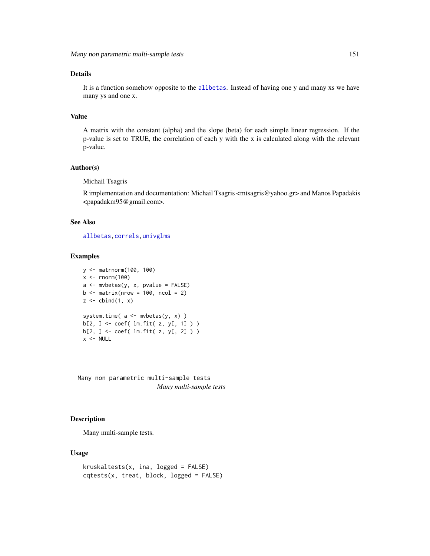## Details

It is a function somehow opposite to the [allbetas](#page-165-0). Instead of having one y and many xs we have many ys and one x.

## Value

A matrix with the constant (alpha) and the slope (beta) for each simple linear regression. If the p-value is set to TRUE, the correlation of each y with the x is calculated along with the relevant p-value.

#### Author(s)

Michail Tsagris

R implementation and documentation: Michail Tsagris <mtsagris@yahoo.gr> and Manos Papadakis <papadakm95@gmail.com>.

## See Also

[allbetas](#page-165-0)[,correls](#page-62-0)[,univglms](#page-171-0)

## Examples

```
y <- matrnorm(100, 100)
x \leftarrow \text{norm}(100)a \leq mvbetas(y, x, pvalue = FALSE)
b \le matrix(nrow = 100, ncol = 2)
z \le cbind(1, x)
system.time( a <- mvbetas(y, x) )
b[2, ] <- coef( lm.fit( z, y[, 1] ) )
b[2, ] <- coef( lm.fit( z, y[, 2] ) )
x < - NULL
```
Many non parametric multi-sample tests *Many multi-sample tests*

## Description

Many multi-sample tests.

## Usage

```
kruskaltests(x, ina, logged = FALSE)
cqtests(x, treat, block, logged = FALSE)
```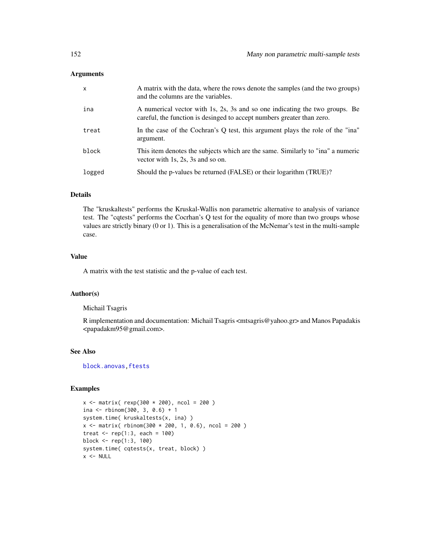| X      | A matrix with the data, where the rows denote the samples (and the two groups)<br>and the columns are the variables.                                  |
|--------|-------------------------------------------------------------------------------------------------------------------------------------------------------|
| ina    | A numerical vector with 1s, 2s, 3s and so one indicating the two groups. Be<br>careful, the function is desinged to accept numbers greater than zero. |
| treat  | In the case of the Cochran's Q test, this argument plays the role of the "ina"<br>argument.                                                           |
| block  | This item denotes the subjects which are the same. Similarly to "ina" a numeric<br>vector with 1s, 2s, 3s and so on.                                  |
| logged | Should the p-values be returned (FALSE) or their logarithm (TRUE)?                                                                                    |

#### Details

The "kruskaltests" performs the Kruskal-Wallis non parametric alternative to analysis of variance test. The "cqtests" performs the Cocrhan's Q test for the equality of more than two groups whose values are strictly binary (0 or 1). This is a generalisation of the McNemar's test in the multi-sample case.

# Value

A matrix with the test statistic and the p-value of each test.

# Author(s)

Michail Tsagris

R implementation and documentation: Michail Tsagris <mtsagris@yahoo.gr> and Manos Papadakis <papadakm95@gmail.com>.

# See Also

[block.anovas,ftests](#page-148-0)

# Examples

```
x \le - matrix( rexp(300 * 200), ncol = 200)
ina <- rbinom(300, 3, 0.6) + 1system.time( kruskaltests(x, ina) )
x \le - matrix( rbinom(300 * 200, 1, 0.6), ncol = 200)
treat \leq rep(1:3, each = 100)
block <- rep(1:3, 100)
system.time( cqtests(x, treat, block) )
x < - NULL
```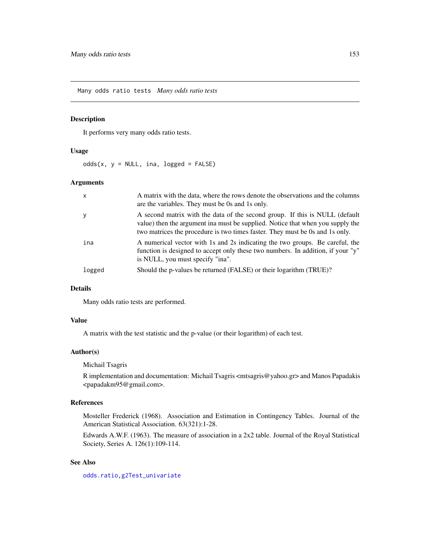Many odds ratio tests *Many odds ratio tests*

# Description

It performs very many odds ratio tests.

## Usage

odds(x,  $y = NULL$ , ina, logged = FALSE)

# Arguments

| X      | A matrix with the data, where the rows denote the observations and the columns<br>are the variables. They must be 0s and 1s only.                                                                                                            |
|--------|----------------------------------------------------------------------------------------------------------------------------------------------------------------------------------------------------------------------------------------------|
| У      | A second matrix with the data of the second group. If this is NULL (default<br>value) then the argument in must be supplied. Notice that when you supply the<br>two matrices the procedure is two times faster. They must be 0s and 1s only. |
| ina    | A numerical vector with 1s and 2s indicating the two groups. Be careful, the<br>function is designed to accept only these two numbers. In addition, if your "y"<br>is NULL, you must specify "ina".                                          |
| logged | Should the p-values be returned (FALSE) or their logarithm (TRUE)?                                                                                                                                                                           |

# Details

Many odds ratio tests are performed.

## Value

A matrix with the test statistic and the p-value (or their logarithm) of each test.

## Author(s)

Michail Tsagris

R implementation and documentation: Michail Tsagris <mtsagris@yahoo.gr> and Manos Papadakis <papadakm95@gmail.com>.

## References

Mosteller Frederick (1968). Association and Estimation in Contingency Tables. Journal of the American Statistical Association. 63(321):1-28.

Edwards A.W.F. (1963). The measure of association in a 2x2 table. Journal of the Royal Statistical Society, Series A. 126(1):109-114.

# See Also

[odds.ratio](#page-220-0)[,g2Test\\_univariate](#page-181-0)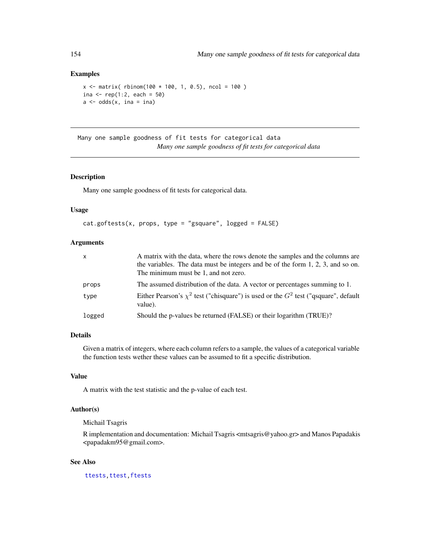# Examples

```
x \le matrix( rbinom(100 * 100, 1, 0.5), ncol = 100)
ina \le rep(1:2, each = 50)
a \leftarrow odds(x, ina = ina)
```

```
Many one sample goodness of fit tests for categorical data
                         Many one sample goodness of fit tests for categorical data
```
# Description

Many one sample goodness of fit tests for categorical data.

#### Usage

```
cat.goftests(x, props, type = "gsquare", logged = FALSE)
```
# Arguments

| X      | A matrix with the data, where the rows denote the samples and the columns are<br>the variables. The data must be integers and be of the form $1, 2, 3$ , and so on.<br>The minimum must be 1, and not zero. |
|--------|-------------------------------------------------------------------------------------------------------------------------------------------------------------------------------------------------------------|
| props  | The assumed distribution of the data. A vector or percentages summing to 1.                                                                                                                                 |
| type   | Either Pearson's $\chi^2$ test ("chisquare") is used or the $G^2$ test ("qsquare", default<br>value).                                                                                                       |
| logged | Should the p-values be returned (FALSE) or their logarithm (TRUE)?                                                                                                                                          |

# Details

Given a matrix of integers, where each column refers to a sample, the values of a categorical variable the function tests wether these values can be assumed to fit a specific distribution.

## Value

A matrix with the test statistic and the p-value of each test.

## Author(s)

Michail Tsagris

R implementation and documentation: Michail Tsagris <mtsagris@yahoo.gr> and Manos Papadakis <papadakm95@gmail.com>.

# See Also

[ttests,](#page-134-0)[ttest,](#page-154-0)[ftests](#page-148-0)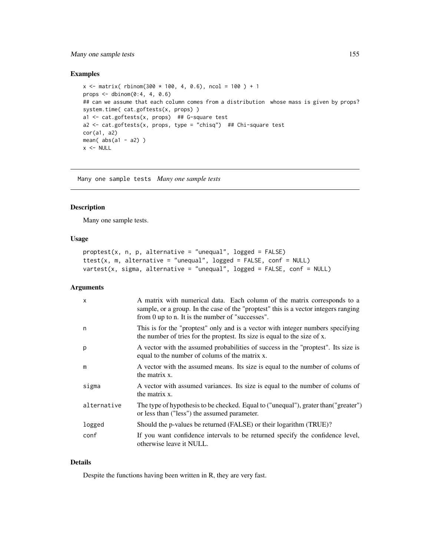# Many one sample tests 155

# Examples

```
x \le matrix( rbinom(300 * 100, 4, 0.6), ncol = 100 ) + 1
props \leq dbinom(0:4, 4, 0.6)
## can we assume that each column comes from a distribution whose mass is given by props?
system.time( cat.goftests(x, props) )
a1 <- cat.goftests(x, props) ## G-square test
a2 <- cat.goftests(x, props, type = "chisq") ## Chi-square test
cor(a1, a2)
mean(abs(a1 - a2))
x < - NULL
```
Many one sample tests *Many one sample tests*

#### <span id="page-154-0"></span>Description

Many one sample tests.

#### Usage

```
proptest(x, n, p, alternative = "unequal", logged = FALSE)
ttest(x, m, alternative = "unequal", logged = FALSE, conf = NULL)
vartest(x, sigma, alternative = "unequal", logged = FALSE, conf = NULL)
```
#### Arguments

| $\boldsymbol{\mathsf{x}}$ | A matrix with numerical data. Each column of the matrix corresponds to a<br>sample, or a group. In the case of the "proptest" this is a vector integers ranging<br>from 0 up to n. It is the number of "successes". |
|---------------------------|---------------------------------------------------------------------------------------------------------------------------------------------------------------------------------------------------------------------|
| n                         | This is for the "proptest" only and is a vector with integer numbers specifying<br>the number of tries for the proptest. Its size is equal to the size of x.                                                        |
| p                         | A vector with the assumed probabilities of success in the "proptest". Its size is<br>equal to the number of colums of the matrix x.                                                                                 |
| m                         | A vector with the assumed means. Its size is equal to the number of colums of<br>the matrix x.                                                                                                                      |
| sigma                     | A vector with assumed variances. Its size is equal to the number of colums of<br>the matrix x.                                                                                                                      |
| alternative               | The type of hypothesis to be checked. Equal to ("unequal"), grater than ("greater")<br>or less than ("less") the assumed parameter.                                                                                 |
| logged                    | Should the p-values be returned (FALSE) or their logarithm (TRUE)?                                                                                                                                                  |
| conf                      | If you want confidence intervals to be returned specify the confidence level,<br>otherwise leave it NULL.                                                                                                           |

## Details

Despite the functions having been written in R, they are very fast.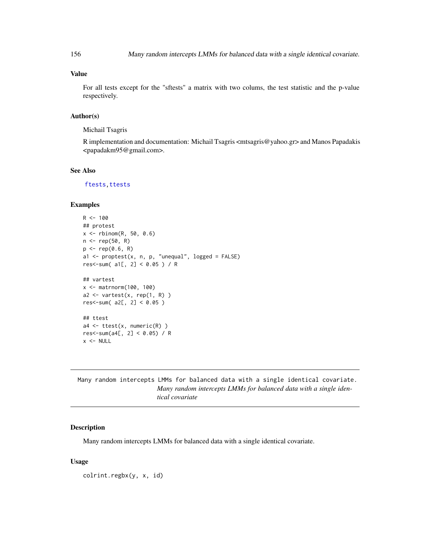# Value

For all tests except for the "sftests" a matrix with two colums, the test statistic and the p-value respectively.

## Author(s)

Michail Tsagris

R implementation and documentation: Michail Tsagris <mtsagris@yahoo.gr> and Manos Papadakis <papadakm95@gmail.com>.

## See Also

[ftests,](#page-148-0)[ttests](#page-134-0)

# Examples

```
R < - 100## protest
x \le - rbinom(R, 50, 0.6)n < - rep(50, R)
p \leftarrow rep(0.6, R)a1 <- proptest(x, n, p, "unequal", logged = FALSE)
res<-sum( a1[, 2] < 0.05 ) / R
## vartest
x <- matrnorm(100, 100)
a2 \leq -vartest(x, rep(1, R))res< -sum( a2[, 2] < 0.05 )## ttest
a4 \leftarrow \text{ttest}(x, \text{ numeric}(R))res< -sum(a4[, 2] < 0.05) / Rx < - NULL
```
Many random intercepts LMMs for balanced data with a single identical covariate. *Many random intercepts LMMs for balanced data with a single identical covariate*

## <span id="page-155-0"></span>Description

Many random intercepts LMMs for balanced data with a single identical covariate.

## Usage

colrint.regbx(y, x, id)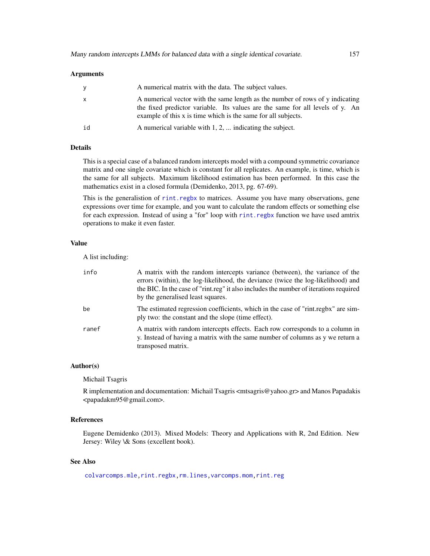| y            | A numerical matrix with the data. The subject values.                                                                                                                                                                           |
|--------------|---------------------------------------------------------------------------------------------------------------------------------------------------------------------------------------------------------------------------------|
| $\mathsf{x}$ | A numerical vector with the same length as the number of rows of y indicating<br>the fixed predictor variable. Its values are the same for all levels of y. An<br>example of this x is time which is the same for all subjects. |
| id           | A numerical variable with $1, 2, \ldots$ indicating the subject.                                                                                                                                                                |

# Details

This is a special case of a balanced random intercepts model with a compound symmetric covariance matrix and one single covariate which is constant for all replicates. An example, is time, which is the same for all subjects. Maximum likelihood estimation has been performed. In this case the mathematics exist in a closed formula (Demidenko, 2013, pg. 67-69).

This is the generalistion of [rint.regbx](#page-235-0) to matrices. Assume you have many observations, gene expressions over time for example, and you want to calculate the random effects or something else for each expression. Instead of using a "for" loop with [rint.regbx](#page-235-0) function we have used amtrix operations to make it even faster.

# Value

A list including:

| info  | A matrix with the random intercepts variance (between), the variance of the<br>errors (within), the log-likelihood, the deviance (twice the log-likelihood) and<br>the BIC. In the case of "rint.reg" it also includes the number of iterations required<br>by the generalised least squares. |
|-------|-----------------------------------------------------------------------------------------------------------------------------------------------------------------------------------------------------------------------------------------------------------------------------------------------|
| be    | The estimated regression coefficients, which in the case of "rint.regbx" are sim-<br>ply two: the constant and the slope (time effect).                                                                                                                                                       |
| ranef | A matrix with random intercepts effects. Each row corresponds to a column in<br>y. Instead of having a matrix with the same number of columns as y we return a<br>transposed matrix.                                                                                                          |

#### Author(s)

Michail Tsagris

R implementation and documentation: Michail Tsagris <mtsagris@yahoo.gr> and Manos Papadakis <papadakm95@gmail.com>.

# References

Eugene Demidenko (2013). Mixed Models: Theory and Applications with R, 2nd Edition. New Jersey: Wiley \& Sons (excellent book).

## See Also

[colvarcomps.mle,](#page-146-0)[rint.regbx](#page-235-0)[,rm.lines](#page-157-0)[,varcomps.mom,](#page-205-0)[rint.reg](#page-235-0)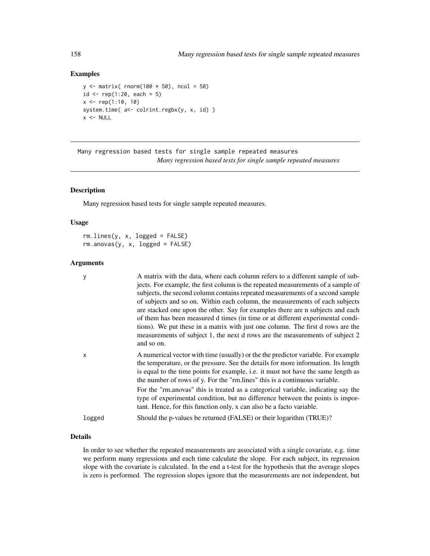## Examples

```
y \le - matrix( rnorm(100 * 50), ncol = 50)
id \leq rep(1:20, each = 5)x \leq - rep(1:10, 10)
system.time( a<- colrint.regbx(y, x, id) )
x < - NULL
```
Many regression based tests for single sample repeated measures *Many regression based tests for single sample repeated measures*

#### <span id="page-157-0"></span>Description

Many regression based tests for single sample repeated measures.

## Usage

rm.lines(y, x, logged = FALSE)  $rm.$ anovas(y, x, logged = FALSE)

#### Arguments

| y            | A matrix with the data, where each column refers to a different sample of sub-<br>jects. For example, the first column is the repeated measurements of a sample of<br>subjects, the second column contains repeated measurements of a second sample<br>of subjects and so on. Within each column, the measurements of each subjects<br>are stacked one upon the other. Say for examples there are n subjects and each<br>of them has been measured d times (in time or at different experimental condi-<br>tions). We put these in a matrix with just one column. The first d rows are the<br>measurements of subject 1, the next d rows are the measurements of subject 2<br>and so on. |
|--------------|------------------------------------------------------------------------------------------------------------------------------------------------------------------------------------------------------------------------------------------------------------------------------------------------------------------------------------------------------------------------------------------------------------------------------------------------------------------------------------------------------------------------------------------------------------------------------------------------------------------------------------------------------------------------------------------|
| $\mathsf{x}$ | A numerical vector with time (usually) or the the predictor variable. For example<br>the temperature, or the pressure. See the details for more information. Its length<br>is equal to the time points for example, i.e. it must not have the same length as<br>the number of rows of y. For the "rm.lines" this is a continuous variable.<br>For the "rm.anovas" this is treated as a categorical variable, indicating say the                                                                                                                                                                                                                                                          |
|              | type of experimental condition, but no difference between the points is impor-<br>tant. Hence, for this function only, x can also be a facto variable.                                                                                                                                                                                                                                                                                                                                                                                                                                                                                                                                   |
| logged       | Should the p-values be returned (FALSE) or their logarithm (TRUE)?                                                                                                                                                                                                                                                                                                                                                                                                                                                                                                                                                                                                                       |

# Details

In order to see whether the repeated measurements are associated with a single covariate, e.g. time we perform many regressions and each time calculate the slope. For each subject, its regression slope with the covariate is calculated. In the end a t-test for the hypothesis that the average slopes is zero is performed. The regression slopes ignore that the measurements are not independent, but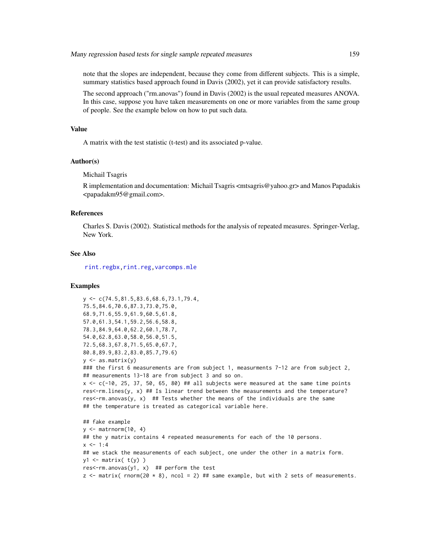note that the slopes are independent, because they come from different subjects. This is a simple, summary statistics based approach found in Davis (2002), yet it can provide satisfactory results.

The second approach ("rm.anovas") found in Davis (2002) is the usual repeated measures ANOVA. In this case, suppose you have taken measurements on one or more variables from the same group of people. See the example below on how to put such data.

## Value

A matrix with the test statistic (t-test) and its associated p-value.

## Author(s)

Michail Tsagris

R implementation and documentation: Michail Tsagris <mtsagris@yahoo.gr> and Manos Papadakis <papadakm95@gmail.com>.

## References

Charles S. Davis (2002). Statistical methods for the analysis of repeated measures. Springer-Verlag, New York.

## See Also

[rint.regbx,rint.reg](#page-235-0)[,varcomps.mle](#page-205-0)

## Examples

```
y <- c(74.5,81.5,83.6,68.6,73.1,79.4,
75.5,84.6,70.6,87.3,73.0,75.0,
68.9,71.6,55.9,61.9,60.5,61.8,
57.0,61.3,54.1,59.2,56.6,58.8,
78.3,84.9,64.0,62.2,60.1,78.7,
54.0,62.8,63.0,58.0,56.0,51.5,
72.5,68.3,67.8,71.5,65.0,67.7,
80.8,89.9,83.2,83.0,85.7,79.6)
y \leq -as.matrix(y)### the first 6 measurements are from subject 1, measurments 7-12 are from subject 2,
## measurements 13-18 are from subject 3 and so on.
x \leq -c(-10, 25, 37, 50, 65, 80) ## all subjects were measured at the same time points
res<-rm.lines(y, x) ## Is linear trend between the measurements and the temperature?
res<-rm.anovas(y, x) ## Tests whether the means of the individuals are the same
## the temperature is treated as categorical variable here.
## fake example
y \le - matrnorm(10, 4)## the y matrix contains 4 repeated measurements for each of the 10 persons.
x \le -1:4## we stack the measurements of each subject, one under the other in a matrix form.
y1 \leftarrow matrix(t(y))
```
res<-rm.anovas(y1, x) ## perform the test

 $z \le$  matrix( rnorm(20  $*$  8), ncol = 2) ## same example, but with 2 sets of measurements.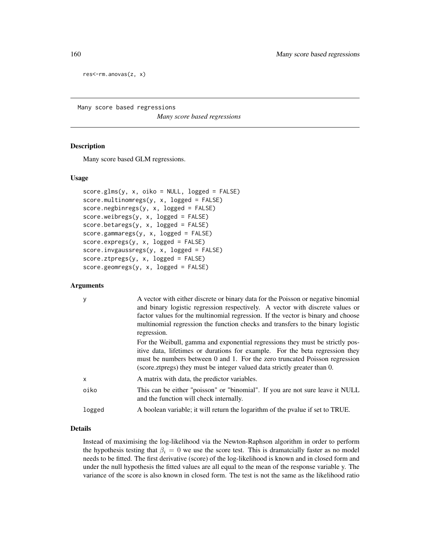res<-rm.anovas(z, x)

Many score based regressions

*Many score based regressions*

## <span id="page-159-0"></span>**Description**

Many score based GLM regressions.

## Usage

```
score.glms(y, x, oiko = NULL, logged = FALSE)
score.multinomregs(y, x, logged = FALSE)
score.negbinregs(y, x, logged = FALSE)
score.weibregs(y, x, logged = FALSE)
score.betaregs(y, x, logged = FALSE)
score.gammaregs(y, x, logged = FALSE)
score.expregs(y, x, logged = FALSE)
score.invgaussregs(y, x, logged = FALSE)
score.ztpregs(y, x, logged = FALSE)
score.geomregs(y, x, logged = FALSE)
```
# Arguments

| у      | A vector with either discrete or binary data for the Poisson or negative binomial<br>and binary logistic regression respectively. A vector with discrete values or<br>factor values for the multinomial regression. If the vector is binary and choose<br>multinomial regression the function checks and transfers to the binary logistic<br>regression. |
|--------|----------------------------------------------------------------------------------------------------------------------------------------------------------------------------------------------------------------------------------------------------------------------------------------------------------------------------------------------------------|
|        | For the Weibull, gamma and exponential regressions they must be strictly pos-<br>itive data, lifetimes or durations for example. For the beta regression they<br>must be numbers between 0 and 1. For the zero truncated Poisson regression<br>(score.ztpregs) they must be integer valued data strictly greater than 0.                                 |
| x      | A matrix with data, the predictor variables.                                                                                                                                                                                                                                                                                                             |
| oiko   | This can be either "poisson" or "binomial". If you are not sure leave it NULL<br>and the function will check internally.                                                                                                                                                                                                                                 |
| logged | A boolean variable; it will return the logarithm of the pvalue if set to TRUE.                                                                                                                                                                                                                                                                           |
|        |                                                                                                                                                                                                                                                                                                                                                          |

# Details

Instead of maximising the log-likelihood via the Newton-Raphson algorithm in order to perform the hypothesis testing that  $\beta_i = 0$  we use the score test. This is dramatcially faster as no model needs to be fitted. The first derivative (score) of the log-likelihood is known and in closed form and under the null hypothesis the fitted values are all equal to the mean of the response variable y. The variance of the score is also known in closed form. The test is not the same as the likelihood ratio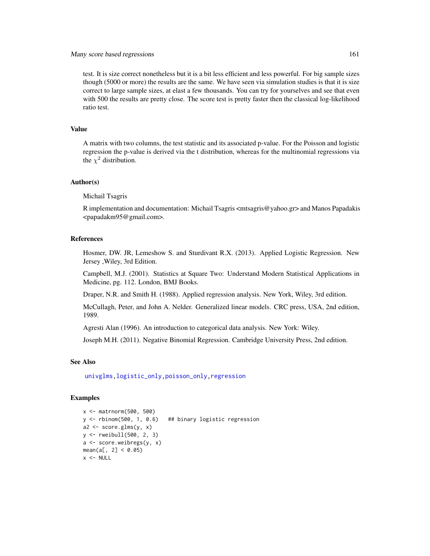# Many score based regressions 161

test. It is size correct nonetheless but it is a bit less efficient and less powerful. For big sample sizes though (5000 or more) the results are the same. We have seen via simulation studies is that it is size correct to large sample sizes, at elast a few thousands. You can try for yourselves and see that even with 500 the results are pretty close. The score test is pretty faster then the classical log-likelihood ratio test.

## Value

A matrix with two columns, the test statistic and its associated p-value. For the Poisson and logistic regression the p-value is derived via the t distribution, whereas for the multinomial regressions via the  $\chi^2$  distribution.

### Author(s)

Michail Tsagris

R implementation and documentation: Michail Tsagris <mtsagris@yahoo.gr> and Manos Papadakis <papadakm95@gmail.com>.

## References

Hosmer, DW. JR, Lemeshow S. and Sturdivant R.X. (2013). Applied Logistic Regression. New Jersey ,Wiley, 3rd Edition.

Campbell, M.J. (2001). Statistics at Square Two: Understand Modern Statistical Applications in Medicine, pg. 112. London, BMJ Books.

Draper, N.R. and Smith H. (1988). Applied regression analysis. New York, Wiley, 3rd edition.

McCullagh, Peter, and John A. Nelder. Generalized linear models. CRC press, USA, 2nd edition, 1989.

Agresti Alan (1996). An introduction to categorical data analysis. New York: Wiley.

Joseph M.H. (2011). Negative Binomial Regression. Cambridge University Press, 2nd edition.

## See Also

[univglms,](#page-171-0)[logistic\\_only,poisson\\_only](#page-174-0)[,regression](#page-173-0)

## Examples

```
x <- matrnorm(500, 500)
y <- rbinom(500, 1, 0.6) ## binary logistic regression
a2 \leq score.glms(y, x)
y <- rweibull(500, 2, 3)
a <- score.weibregs(y, x)
mean(a[, 2] < 0.05)x < - NULL
```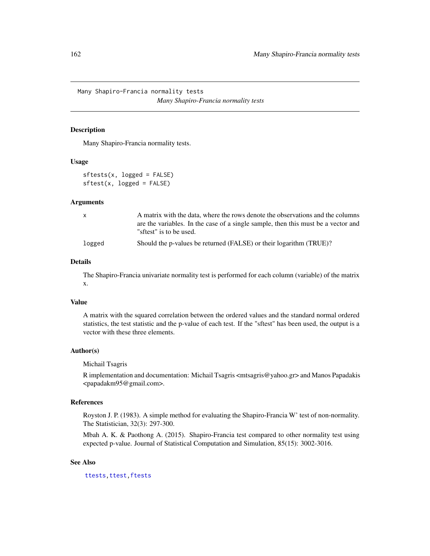Many Shapiro-Francia normality tests *Many Shapiro-Francia normality tests*

## Description

Many Shapiro-Francia normality tests.

# Usage

```
sftests(x, logged = FALSE)
sftest(x, logged = FALSE)
```
#### Arguments

| x      | A matrix with the data, where the rows denote the observations and the columns    |
|--------|-----------------------------------------------------------------------------------|
|        | are the variables. In the case of a single sample, then this must be a vector and |
|        | "sftest" is to be used.                                                           |
| logged | Should the p-values be returned (FALSE) or their logarithm (TRUE)?                |

## Details

The Shapiro-Francia univariate normality test is performed for each column (variable) of the matrix x.

## Value

A matrix with the squared correlation between the ordered values and the standard normal ordered statistics, the test statistic and the p-value of each test. If the "sftest" has been used, the output is a vector with these three elements.

# Author(s)

Michail Tsagris

R implementation and documentation: Michail Tsagris <mtsagris@yahoo.gr> and Manos Papadakis <papadakm95@gmail.com>.

#### References

Royston J. P. (1983). A simple method for evaluating the Shapiro-Francia W' test of non-normality. The Statistician, 32(3): 297-300.

Mbah A. K. & Paothong A. (2015). Shapiro-Francia test compared to other normality test using expected p-value. Journal of Statistical Computation and Simulation, 85(15): 3002-3016.

## See Also

[ttests,](#page-134-0)[ttest,](#page-154-0)[ftests](#page-148-0)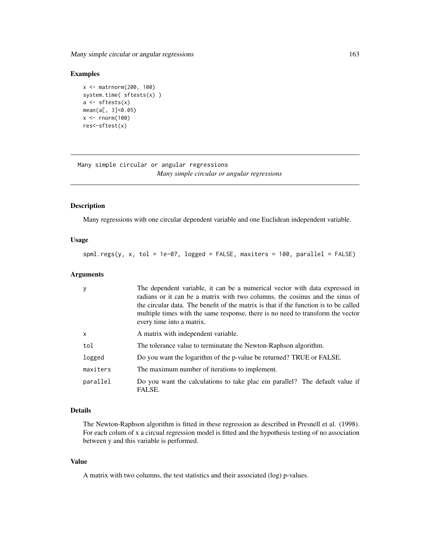Many simple circular or angular regressions 163

# Examples

```
x <- matrnorm(200, 100)
system.time( sftests(x) )
a \leftarrow sftests(x)mean(a[, 3]<0.05)
x \le rnorm(100)
res<-sftest(x)
```
Many simple circular or angular regressions *Many simple circular or angular regressions*

# Description

Many regressions with one circular dependent variable and one Euclidean independent variable.

# Usage

spml.regs(y, x, tol = 1e-07, logged = FALSE, maxiters = 100, parallel = FALSE)

## Arguments

| y            | The dependent variable, it can be a numerical vector with data expressed in<br>radians or it can be a matrix with two columns, the cosinus and the sinus of<br>the circular data. The benefit of the matrix is that if the function is to be called<br>multiple times with the same response, there is no need to transform the vector<br>every time into a matrix. |
|--------------|---------------------------------------------------------------------------------------------------------------------------------------------------------------------------------------------------------------------------------------------------------------------------------------------------------------------------------------------------------------------|
| $\mathsf{x}$ | A matrix with independent variable.                                                                                                                                                                                                                                                                                                                                 |
| tol          | The tolerance value to terminatate the Newton-Raphson algorithm.                                                                                                                                                                                                                                                                                                    |
| logged       | Do you want the logarithm of the p-value be returned? TRUE or FALSE.                                                                                                                                                                                                                                                                                                |
| maxiters     | The maximum number of iterations to implement.                                                                                                                                                                                                                                                                                                                      |
| parallel     | Do you want the calculations to take place in parallel? The default value if<br>FALSE.                                                                                                                                                                                                                                                                              |

## Details

The Newton-Raphson algorithm is fitted in these regression as described in Presnell et al. (1998). For each colum of x a circual regression model is fitted and the hypothesis testing of no association between y and this variable is performed.

#### Value

A matrix with two columns, the test statistics and their associated (log) p-values.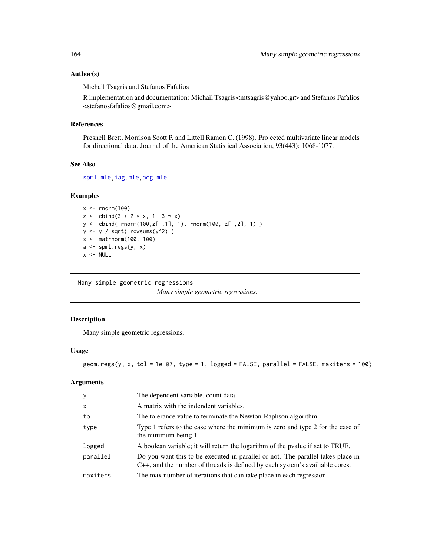## Author(s)

Michail Tsagris and Stefanos Fafalios

R implementation and documentation: Michail Tsagris <mtsagris@yahoo.gr> and Stefanos Fafalios <stefanosfafalios@gmail.com>

# References

Presnell Brett, Morrison Scott P. and Littell Ramon C. (1998). Projected multivariate linear models for directional data. Journal of the American Statistical Association, 93(443): 1068-1077.

#### See Also

[spml.mle](#page-198-0)[,iag.mle,acg.mle](#page-189-0)

## Examples

```
x < - rnorm(100)
z \le cbind(3 + 2 * x, 1 -3 * x)
y <- cbind( rnorm(100,z[ ,1], 1), rnorm(100, z[ ,2], 1) )
y \leftarrow y / sqrt(rowsums(y^2))x <- matrnorm(100, 100)
a \leftarrow spml.regs(y, x)
x < - NULL
```
Many simple geometric regressions *Many simple geometric regressions.*

# Description

Many simple geometric regressions.

# Usage

```
geom.regs(y, x, tol = 1e-07, type = 1, logged = FALSE, parallel = FALSE, maxiters = 100)
```
# Arguments

| y            | The dependent variable, count data.                                                                                                                            |
|--------------|----------------------------------------------------------------------------------------------------------------------------------------------------------------|
| $\mathsf{x}$ | A matrix with the indendent variables.                                                                                                                         |
| tol          | The tolerance value to terminate the Newton-Raphson algorithm.                                                                                                 |
| type         | Type 1 refers to the case where the minimum is zero and type 2 for the case of<br>the minimum being 1.                                                         |
| logged       | A boolean variable; it will return the logarithm of the pvalue if set to TRUE.                                                                                 |
| parallel     | Do you want this to be executed in parallel or not. The parallel takes place in<br>C++, and the number of threads is defined by each system's available cores. |
| maxiters     | The max number of iterations that can take place in each regression.                                                                                           |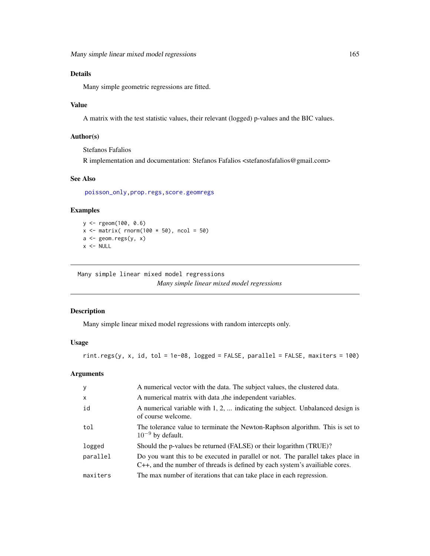# Details

Many simple geometric regressions are fitted.

# Value

A matrix with the test statistic values, their relevant (logged) p-values and the BIC values.

# Author(s)

Stefanos Fafalios

R implementation and documentation: Stefanos Fafalios <stefanosfafalios@gmail.com>

# See Also

[poisson\\_only,](#page-174-0)[prop.regs](#page-232-0)[,score.geomregs](#page-159-0)

# Examples

```
y <- rgeom(100, 0.6)
x \leftarrow \text{matrix} (\text{norm}(100 * 50), \text{ncol} = 50)a \leftarrow \text{geom}.\text{regs}(y, x)x < - NULL
```
Many simple linear mixed model regressions *Many simple linear mixed model regressions*

#### Description

Many simple linear mixed model regressions with random intercepts only.

## Usage

```
rint.regs(y, x, id, tol = 1e-08, logged = FALSE, parallel = FALSE, maxiters = 100)
```
## Arguments

| y                         | A numerical vector with the data. The subject values, the clustered data.                                                                                      |
|---------------------------|----------------------------------------------------------------------------------------------------------------------------------------------------------------|
| $\boldsymbol{\mathsf{x}}$ | A numerical matrix with data, the independent variables.                                                                                                       |
| id                        | A numerical variable with 1, 2,  indicating the subject. Unbalanced design is<br>of course welcome.                                                            |
| tol                       | The tolerance value to terminate the Newton-Raphson algorithm. This is set to<br>$10^{-9}$ by default.                                                         |
| logged                    | Should the p-values be returned (FALSE) or their logarithm (TRUE)?                                                                                             |
| parallel                  | Do you want this to be executed in parallel or not. The parallel takes place in<br>C++, and the number of threads is defined by each system's available cores. |
| maxiters                  | The max number of iterations that can take place in each regression.                                                                                           |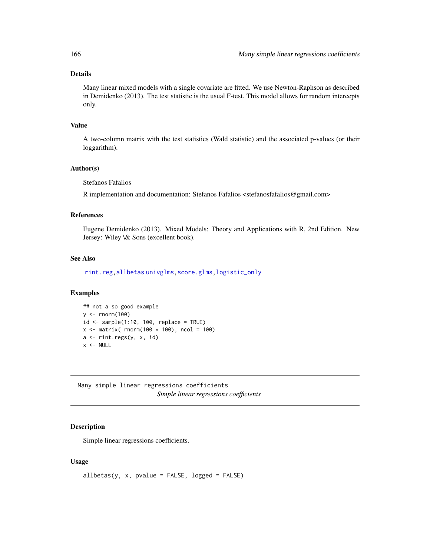# Details

Many linear mixed models with a single covariate are fitted. We use Newton-Raphson as described in Demidenko (2013). The test statistic is the usual F-test. This model allows for random intercepts only.

## Value

A two-column matrix with the test statistics (Wald statistic) and the associated p-values (or their loggarithm).

#### Author(s)

Stefanos Fafalios

R implementation and documentation: Stefanos Fafalios <stefanosfafalios@gmail.com>

#### References

Eugene Demidenko (2013). Mixed Models: Theory and Applications with R, 2nd Edition. New Jersey: Wiley \& Sons (excellent book).

# See Also

[rint.reg,](#page-235-0)[allbetas](#page-165-0) [univglms,](#page-171-0) [score.glms,](#page-159-0) [logistic\\_only](#page-174-0)

# Examples

```
## not a so good example
y \le - rnorm(100)id \leq samemath>sample(1:10, 100, replace = TRUE)x \le - matrix( rnorm(100 * 100), ncol = 100)
a <- rint.regs(y, x, id)
x < - NULL
```
Many simple linear regressions coefficients *Simple linear regressions coefficients*

## <span id="page-165-0"></span>Description

Simple linear regressions coefficients.

#### Usage

 $allbeta(y, x, pvalue = FALSE, logged = FALSE)$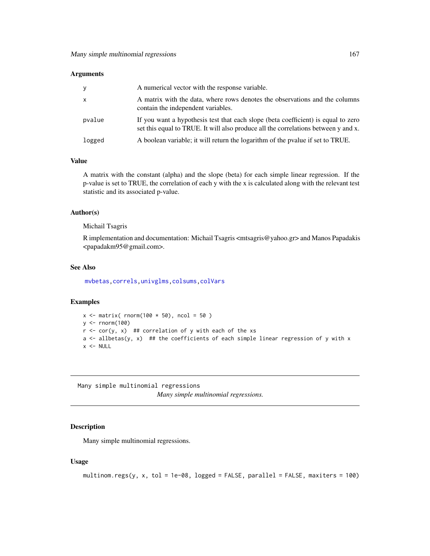| y            | A numerical vector with the response variable.                                                                                                                          |
|--------------|-------------------------------------------------------------------------------------------------------------------------------------------------------------------------|
| $\mathsf{X}$ | A matrix with the data, where rows denotes the observations and the columns<br>contain the independent variables.                                                       |
| pvalue       | If you want a hypothesis test that each slope (beta coefficient) is equal to zero<br>set this equal to TRUE. It will also produce all the correlations between y and x. |
| logged       | A boolean variable; it will return the logarithm of the pvalue if set to TRUE.                                                                                          |

## Value

A matrix with the constant (alpha) and the slope (beta) for each simple linear regression. If the p-value is set to TRUE, the correlation of each y with the x is calculated along with the relevant test statistic and its associated p-value.

## Author(s)

Michail Tsagris

R implementation and documentation: Michail Tsagris <mtsagris@yahoo.gr> and Manos Papadakis <papadakm95@gmail.com>.

## See Also

[mvbetas,](#page-149-0)[correls,](#page-62-0)[univglms](#page-171-0)[,colsums](#page-43-0)[,colVars](#page-45-0)

# Examples

```
x \le matrix( rnorm(100 \star 50), ncol = 50)
y <- rnorm(100)
r < -\text{cor}(y, x) ## correlation of y with each of the xs
a \leftarrow allbeta(y, x) ## the coefficients of each simple linear regression of y with x
x < - NULL
```
Many simple multinomial regressions *Many simple multinomial regressions.*

## Description

Many simple multinomial regressions.

## Usage

```
multinom.regs(y, x, tol = 1e-08, logged = FALSE, parallel = FALSE, maxiters = 100)
```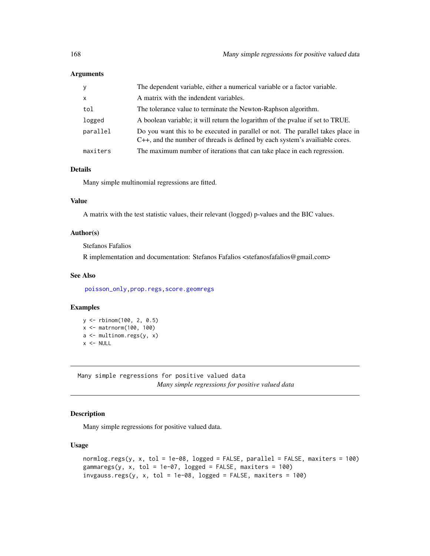| У            | The dependent variable, either a numerical variable or a factor variable.                                                                                      |
|--------------|----------------------------------------------------------------------------------------------------------------------------------------------------------------|
| $\mathsf{x}$ | A matrix with the indendent variables.                                                                                                                         |
| tol          | The tolerance value to terminate the Newton-Raphson algorithm.                                                                                                 |
| logged       | A boolean variable; it will return the logarithm of the pvalue if set to TRUE.                                                                                 |
| parallel     | Do you want this to be executed in parallel or not. The parallel takes place in<br>C++, and the number of threads is defined by each system's available cores. |
| maxiters     | The maximum number of iterations that can take place in each regression.                                                                                       |

# Details

Many simple multinomial regressions are fitted.

# Value

A matrix with the test statistic values, their relevant (logged) p-values and the BIC values.

#### Author(s)

Stefanos Fafalios

R implementation and documentation: Stefanos Fafalios <stefanosfafalios@gmail.com>

## See Also

[poisson\\_only,](#page-174-0)[prop.regs](#page-232-0)[,score.geomregs](#page-159-0)

## Examples

```
y <- rbinom(100, 2, 0.5)
x <- matrnorm(100, 100)
a <- multinom.regs(y, x)
x < - NULL
```
Many simple regressions for positive valued data *Many simple regressions for positive valued data*

# Description

Many simple regressions for positive valued data.

## Usage

```
normlog.regs(y, x, tol = 1e-08, logged = FALSE, parallel = FALSE, maxiters = 100)
gammaregs(y, x, tol = 1e-07, logged = FALSE, maxiters = 100)
invgauss.regs(y, x, tol = 1e-08, logged = FALSE, maxiters = 100)
```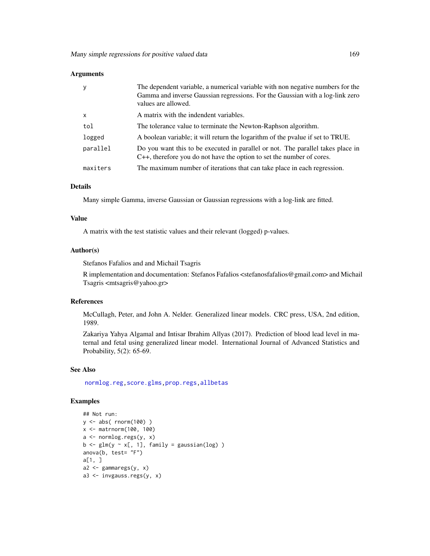| y            | The dependent variable, a numerical variable with non negative numbers for the<br>Gamma and inverse Gaussian regressions. For the Gaussian with a log-link zero<br>values are allowed. |
|--------------|----------------------------------------------------------------------------------------------------------------------------------------------------------------------------------------|
| $\mathsf{x}$ | A matrix with the indendent variables.                                                                                                                                                 |
| tol          | The tolerance value to terminate the Newton-Raphson algorithm.                                                                                                                         |
| logged       | A boolean variable; it will return the logarithm of the pvalue if set to TRUE.                                                                                                         |
| parallel     | Do you want this to be executed in parallel or not. The parallel takes place in<br>C++, therefore you do not have the option to set the number of cores.                               |
| maxiters     | The maximum number of iterations that can take place in each regression.                                                                                                               |

#### Details

Many simple Gamma, inverse Gaussian or Gaussian regressions with a log-link are fitted.

#### Value

A matrix with the test statistic values and their relevant (logged) p-values.

## Author(s)

Stefanos Fafalios and and Michail Tsagris

R implementation and documentation: Stefanos Fafalios <stefanosfafalios@gmail.com> and Michail Tsagris <mtsagris@yahoo.gr>

# References

McCullagh, Peter, and John A. Nelder. Generalized linear models. CRC press, USA, 2nd edition, 1989.

Zakariya Yahya Algamal and Intisar Ibrahim Allyas (2017). Prediction of blood lead level in maternal and fetal using generalized linear model. International Journal of Advanced Statistics and Probability, 5(2): 65-69.

## See Also

[normlog.reg,](#page-102-0)[score.glms](#page-159-0)[,prop.regs](#page-232-0)[,allbetas](#page-165-0)

## Examples

```
## Not run:
y <- abs( rnorm(100) )
x <- matrnorm(100, 100)
a \leftarrow normlog.regs(y, x)
b \leftarrow \text{glm}(y \sim x[, 1], \text{ family} = \text{gaussian(log)})
anova(b, test= "F")
a[1, ]
a2 <- gammaregs(y, x)
a3 <- invgauss.regs(y, x)
```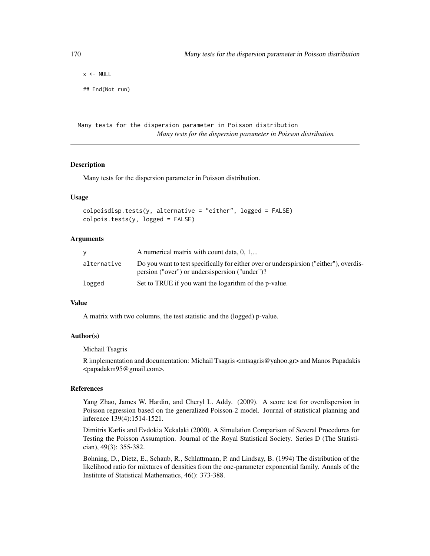$x < -$  NULL ## End(Not run)

Many tests for the dispersion parameter in Poisson distribution *Many tests for the dispersion parameter in Poisson distribution*

### Description

Many tests for the dispersion parameter in Poisson distribution.

## Usage

```
colpoisdisp.tests(y, alternative = "either", logged = FALSE)
colpois.tests(y, logged = FALSE)
```
## Arguments

|             | A numerical matrix with count data, 0, 1,                                                                                                |
|-------------|------------------------------------------------------------------------------------------------------------------------------------------|
| alternative | Do you want to test specifically for either over or underspirsion ("either"), overdis-<br>persion ("over") or undersispersion ("under")? |
| logged      | Set to TRUE if you want the logarithm of the p-value.                                                                                    |

## Value

A matrix with two columns, the test statistic and the (logged) p-value.

# Author(s)

Michail Tsagris

R implementation and documentation: Michail Tsagris <mtsagris@yahoo.gr> and Manos Papadakis <papadakm95@gmail.com>.

# References

Yang Zhao, James W. Hardin, and Cheryl L. Addy. (2009). A score test for overdispersion in Poisson regression based on the generalized Poisson-2 model. Journal of statistical planning and inference 139(4):1514-1521.

Dimitris Karlis and Evdokia Xekalaki (2000). A Simulation Comparison of Several Procedures for Testing the Poisson Assumption. Journal of the Royal Statistical Society. Series D (The Statistician), 49(3): 355-382.

Bohning, D., Dietz, E., Schaub, R., Schlattmann, P. and Lindsay, B. (1994) The distribution of the likelihood ratio for mixtures of densities from the one-parameter exponential family. Annals of the Institute of Statistical Mathematics, 46(): 373-388.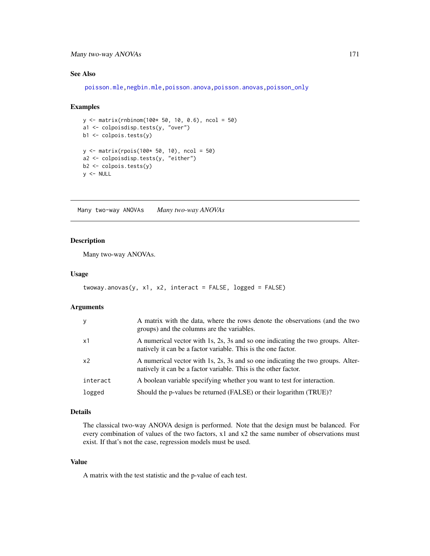# Many two-way ANOVAs 171

# See Also

[poisson.mle,negbin.mle](#page-194-0)[,poisson.anova](#page-10-0)[,poisson.anovas,](#page-136-0)[poisson\\_only](#page-174-0)

## Examples

```
y <- matrix(rnbinom(100* 50, 10, 0.6), ncol = 50)
a1 <- colpoisdisp.tests(y, "over")
b1 <- colpois.tests(y)
y <- matrix(rpois(100* 50, 10), ncol = 50)
a2 <- colpoisdisp.tests(y, "either")
b2 <- colpois.tests(y)
y <- NULL
```
Many two-way ANOVAs *Many two-way ANOVAs*

#### Description

Many two-way ANOVAs.

# Usage

```
twoway.anovas(y, x1, x2, interact = FALSE, logged = FALSE)
```
## Arguments

| <b>V</b>       | A matrix with the data, where the rows denote the observations (and the two<br>groups) and the columns are the variables.                          |
|----------------|----------------------------------------------------------------------------------------------------------------------------------------------------|
| x1             | A numerical vector with 1s, 2s, 3s and so one indicating the two groups. Alter-<br>natively it can be a factor variable. This is the one factor.   |
| x <sub>2</sub> | A numerical vector with 1s, 2s, 3s and so one indicating the two groups. Alter-<br>natively it can be a factor variable. This is the other factor. |
| interact       | A boolean variable specifying whether you want to test for interaction.                                                                            |
| logged         | Should the p-values be returned (FALSE) or their logarithm (TRUE)?                                                                                 |

## Details

The classical two-way ANOVA design is performed. Note that the design must be balanced. For every combination of values of the two factors, x1 and x2 the same number of observations must exist. If that's not the case, regression models must be used.

#### Value

A matrix with the test statistic and the p-value of each test.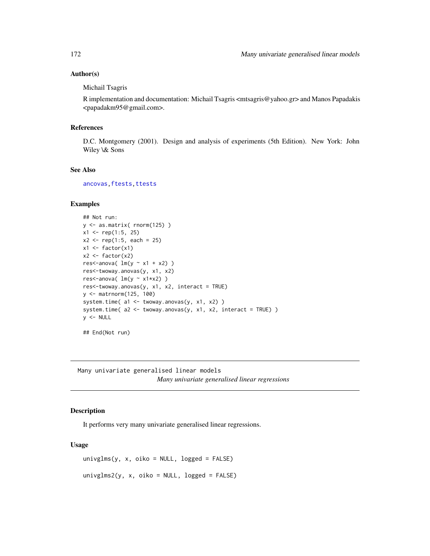# Author(s)

Michail Tsagris

R implementation and documentation: Michail Tsagris <mtsagris@yahoo.gr> and Manos Papadakis <papadakm95@gmail.com>.

### References

D.C. Montgomery (2001). Design and analysis of experiments (5th Edition). New York: John Wiley \& Sons

# See Also

[ancovas](#page-137-0)[,ftests](#page-148-0)[,ttests](#page-134-0)

# Examples

```
## Not run:
y <- as.matrix( rnorm(125) )
x1 \le rep(1:5, 25)
x2 \le rep(1:5, each = 25)
x1 \leftarrow factor(x1)
x2 \leftarrow factor(x2)
res<-anova( lm(y \sim x1 + x2) )
res<-twoway.anovas(y, x1, x2)
res<-anova( lm(y ~ x1*x2) )
res<-twoway.anovas(y, x1, x2, interact = TRUE)
y <- matrnorm(125, 100)
system.time( a1 <- twoway.anovas(y, x1, x2) )
system.time(a2 \le f twoway.anovas(y, x1, x2, interact = TRUE) )
y < - NULL
## End(Not run)
```
Many univariate generalised linear models *Many univariate generalised linear regressions*

## <span id="page-171-0"></span>Description

It performs very many univariate generalised linear regressions.

#### Usage

```
univglms(y, x, oiko = NULL, logged = FALSE)
univglms2(y, x, oiko = NULL, logged = FALSE)
```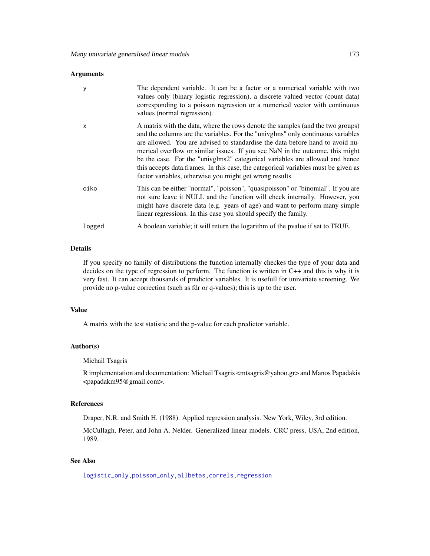| y      | The dependent variable. It can be a factor or a numerical variable with two<br>values only (binary logistic regression), a discrete valued vector (count data)<br>corresponding to a poisson regression or a numerical vector with continuous<br>values (normal regression).                                                                                                                                                                                                                                                                                          |
|--------|-----------------------------------------------------------------------------------------------------------------------------------------------------------------------------------------------------------------------------------------------------------------------------------------------------------------------------------------------------------------------------------------------------------------------------------------------------------------------------------------------------------------------------------------------------------------------|
| X      | A matrix with the data, where the rows denote the samples (and the two groups)<br>and the columns are the variables. For the "univglms" only continuous variables<br>are allowed. You are advised to standardise the data before hand to avoid nu-<br>merical overflow or similar issues. If you see NaN in the outcome, this might<br>be the case. For the "univglms2" categorical variables are allowed and hence<br>this accepts data frames. In this case, the categorical variables must be given as<br>factor variables, otherwise you might get wrong results. |
| oiko   | This can be either "normal", "poisson", "quasipoisson" or "binomial". If you are<br>not sure leave it NULL and the function will check internally. However, you<br>might have discrete data (e.g. years of age) and want to perform many simple<br>linear regressions. In this case you should specify the family.                                                                                                                                                                                                                                                    |
| logged | A boolean variable; it will return the logarithm of the pvalue if set to TRUE.                                                                                                                                                                                                                                                                                                                                                                                                                                                                                        |

## Details

If you specify no family of distributions the function internally checkes the type of your data and decides on the type of regression to perform. The function is written in C++ and this is why it is very fast. It can accept thousands of predictor variables. It is usefull for univariate screening. We provide no p-value correction (such as fdr or q-values); this is up to the user.

# Value

A matrix with the test statistic and the p-value for each predictor variable.

#### Author(s)

Michail Tsagris

R implementation and documentation: Michail Tsagris <mtsagris@yahoo.gr> and Manos Papadakis <papadakm95@gmail.com>.

## References

Draper, N.R. and Smith H. (1988). Applied regression analysis. New York, Wiley, 3rd edition.

McCullagh, Peter, and John A. Nelder. Generalized linear models. CRC press, USA, 2nd edition, 1989.

# See Also

[logistic\\_only,poisson\\_only,](#page-174-0)[allbetas,](#page-165-0)[correls,](#page-62-0)[regression](#page-173-0)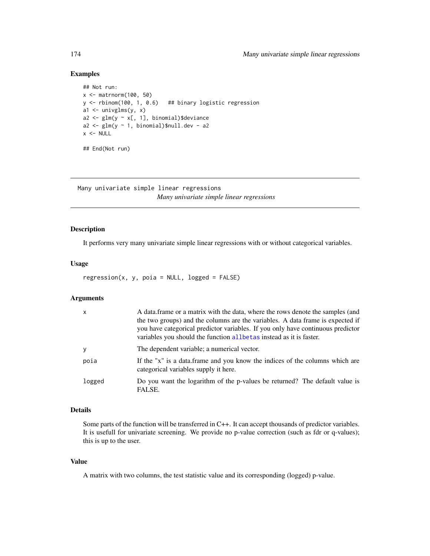# Examples

```
## Not run:
x <- matrnorm(100, 50)
y <- rbinom(100, 1, 0.6) ## binary logistic regression
a1 \leftarrow univglms(y, x)
a2 <- glm(y \sim x[, 1], binomial)$deviance
a2 \leq glm(y \sim 1, binomial)\null.dev - a2
x < - NULL
## End(Not run)
```
Many univariate simple linear regressions *Many univariate simple linear regressions*

# <span id="page-173-0"></span>Description

It performs very many univariate simple linear regressions with or without categorical variables.

#### Usage

```
regression(x, y, poia = NULL, logged = FALSE)
```
## Arguments

| $\times$ | A data frame or a matrix with the data, where the rows denote the samples (and<br>the two groups) and the columns are the variables. A data frame is expected if<br>you have categorical predictor variables. If you only have continuous predictor<br>variables you should the function all be tas instead as it is faster. |
|----------|------------------------------------------------------------------------------------------------------------------------------------------------------------------------------------------------------------------------------------------------------------------------------------------------------------------------------|
| y        | The dependent variable; a numerical vector.                                                                                                                                                                                                                                                                                  |
| poia     | If the "x" is a data.frame and you know the indices of the columns which are<br>categorical variables supply it here.                                                                                                                                                                                                        |
| logged   | Do you want the logarithm of the p-values be returned? The default value is<br>FALSE.                                                                                                                                                                                                                                        |

# Details

Some parts of the function will be transferred in C++. It can accept thousands of predictor variables. It is usefull for univariate screening. We provide no p-value correction (such as fdr or q-values); this is up to the user.

## Value

A matrix with two columns, the test statistic value and its corresponding (logged) p-value.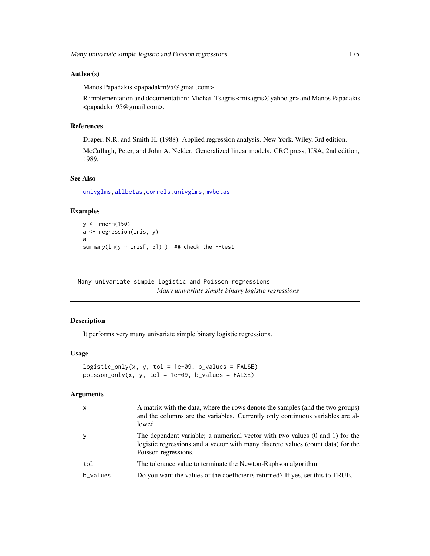## Author(s)

Manos Papadakis <papadakm95@gmail.com>

R implementation and documentation: Michail Tsagris <mtsagris@yahoo.gr> and Manos Papadakis <papadakm95@gmail.com>.

## References

Draper, N.R. and Smith H. (1988). Applied regression analysis. New York, Wiley, 3rd edition.

McCullagh, Peter, and John A. Nelder. Generalized linear models. CRC press, USA, 2nd edition, 1989.

# See Also

[univglms](#page-171-0)[,allbetas](#page-165-0)[,correls,](#page-62-0)[univglms,](#page-171-0)[mvbetas](#page-149-0)

## Examples

```
y \leftarrow \text{norm}(150)a <- regression(iris, y)
a
summary(lm(y \sim iris[, 5])) ## check the F-test
```
Many univariate simple logistic and Poisson regressions *Many univariate simple binary logistic regressions*

# <span id="page-174-0"></span>Description

It performs very many univariate simple binary logistic regressions.

#### Usage

```
logistic\_only(x, y, tol = 1e-09, b_values = FALSE)poisson\_only(x, y, tol = 1e-09, b_values = FALSE)
```
# Arguments

| $\mathsf{x}$ | A matrix with the data, where the rows denote the samples (and the two groups)<br>and the columns are the variables. Currently only continuous variables are al-<br>lowed.               |
|--------------|------------------------------------------------------------------------------------------------------------------------------------------------------------------------------------------|
| y            | The dependent variable; a numerical vector with two values (0 and 1) for the<br>logistic regressions and a vector with many discrete values (count data) for the<br>Poisson regressions. |
| tol          | The tolerance value to terminate the Newton-Raphson algorithm.                                                                                                                           |
| b_values     | Do you want the values of the coefficients returned? If yes, set this to TRUE.                                                                                                           |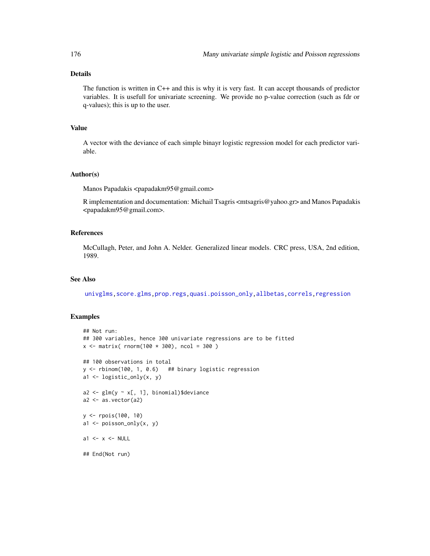# Details

The function is written in C++ and this is why it is very fast. It can accept thousands of predictor variables. It is usefull for univariate screening. We provide no p-value correction (such as fdr or q-values); this is up to the user.

# Value

A vector with the deviance of each simple binayr logistic regression model for each predictor variable.

#### Author(s)

Manos Papadakis <papadakm95@gmail.com>

R implementation and documentation: Michail Tsagris <mtsagris@yahoo.gr> and Manos Papadakis <papadakm95@gmail.com>.

## References

McCullagh, Peter, and John A. Nelder. Generalized linear models. CRC press, USA, 2nd edition, 1989.

# See Also

[univglms,](#page-171-0) [score.glms](#page-159-0), prop.regs, quasi.poisson\_only,[allbetas,](#page-165-0) [correls,](#page-62-0) [regression](#page-173-0)

#### Examples

## End(Not run)

```
## Not run:
## 300 variables, hence 300 univariate regressions are to be fitted
x \le - matrix( rnorm(100 * 300), ncol = 300)
## 100 observations in total
y \le rbinom(100, 1, 0.6) ## binary logistic regression
a1 <- logistic_only(x, y)
a2 \leq glm(y \sim x[, 1], binomial)$deviance
a2 \leftarrow as.vector(a2)y <- rpois(100, 10)
a1 <- poisson_only(x, y)
a1 \leftarrow x \leftarrow NULL
```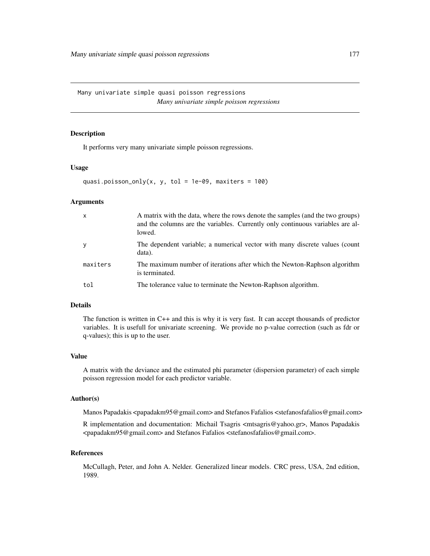Many univariate simple quasi poisson regressions *Many univariate simple poisson regressions*

## <span id="page-176-0"></span>Description

It performs very many univariate simple poisson regressions.

#### Usage

```
quasi.poisson_only(x, y, tol = 1e-09, maxiters = 100)
```
#### Arguments

| $\mathsf{x}$ | A matrix with the data, where the rows denote the samples (and the two groups)<br>and the columns are the variables. Currently only continuous variables are al-<br>lowed. |
|--------------|----------------------------------------------------------------------------------------------------------------------------------------------------------------------------|
| y            | The dependent variable; a numerical vector with many discrete values (count<br>data).                                                                                      |
| maxiters     | The maximum number of iterations after which the Newton-Raphson algorithm<br>is terminated.                                                                                |
| tol          | The tolerance value to terminate the Newton-Raphson algorithm.                                                                                                             |

# Details

The function is written in C++ and this is why it is very fast. It can accept thousands of predictor variables. It is usefull for univariate screening. We provide no p-value correction (such as fdr or q-values); this is up to the user.

## Value

A matrix with the deviance and the estimated phi parameter (dispersion parameter) of each simple poisson regression model for each predictor variable.

#### Author(s)

Manos Papadakis <papadakm95@gmail.com> and Stefanos Fafalios <stefanosfafalios@gmail.com>

R implementation and documentation: Michail Tsagris  $\langle$ mtsagris@yahoo.gr>, Manos Papadakis <papadakm95@gmail.com> and Stefanos Fafalios <stefanosfafalios@gmail.com>.

## References

McCullagh, Peter, and John A. Nelder. Generalized linear models. CRC press, USA, 2nd edition, 1989.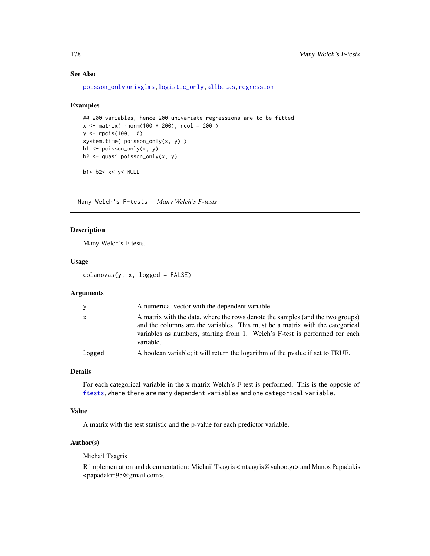# See Also

```
poisson_only univglms,logistic_only,allbetas,regression
```
#### Examples

```
## 200 variables, hence 200 univariate regressions are to be fitted
x \le - matrix( rnorm(100 * 200), ncol = 200)
y <- rpois(100, 10)
system.time( poisson_only(x, y) )
b1 <- poisson_only(x, y)
b2 <- quasi.poisson_only(x, y)
```
b1<-b2<-x<-y<-NULL

Many Welch's F-tests *Many Welch's F-tests*

### Description

Many Welch's F-tests.

## Usage

 $colanovas(y, x, logged = FALSE)$ 

# Arguments

| y      | A numerical vector with the dependent variable.                                                                                                                                                                                                             |  |
|--------|-------------------------------------------------------------------------------------------------------------------------------------------------------------------------------------------------------------------------------------------------------------|--|
| x      | A matrix with the data, where the rows denote the samples (and the two groups)<br>and the columns are the variables. This must be a matrix with the categorical<br>variables as numbers, starting from 1. Welch's F-test is performed for each<br>variable. |  |
| logged | A boolean variable; it will return the logarithm of the pvalue if set to TRUE.                                                                                                                                                                              |  |

# Details

For each categorical variable in the x matrix Welch's F test is performed. This is the opposie of [ftests,](#page-148-0)where there are many dependent variables and one categorical variable.

## Value

A matrix with the test statistic and the p-value for each predictor variable.

## Author(s)

Michail Tsagris

R implementation and documentation: Michail Tsagris <mtsagris@yahoo.gr> and Manos Papadakis <papadakm95@gmail.com>.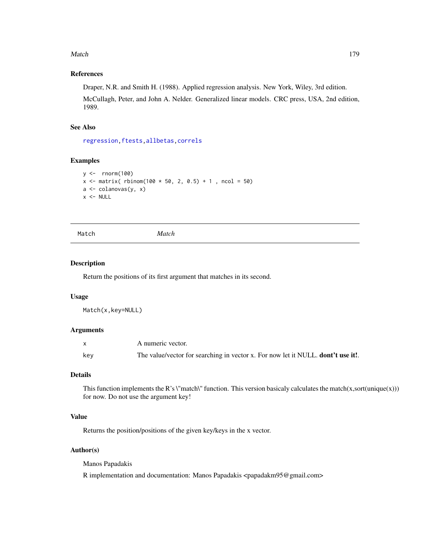#### Match 279

# References

Draper, N.R. and Smith H. (1988). Applied regression analysis. New York, Wiley, 3rd edition.

McCullagh, Peter, and John A. Nelder. Generalized linear models. CRC press, USA, 2nd edition, 1989.

# See Also

[regression](#page-173-0)[,ftests](#page-148-0)[,allbetas,](#page-165-0)[correls](#page-62-0)

# Examples

```
y <- rnorm(100)
x \le matrix( rbinom(100 * 50, 2, 0.5) + 1, ncol = 50)
a <- colanovas(y, x)
x < - NULL
```
Match *Match*

## Description

Return the positions of its first argument that matches in its second.

# Usage

Match(x,key=NULL)

### Arguments

|     | A numeric vector.                                                                |
|-----|----------------------------------------------------------------------------------|
| key | The value/vector for searching in vector x. For now let it NULL. dont't use it!. |

# Details

This function implements the R's \"match\" function. This version basicaly calculates the match(x,sort(unique(x))) for now. Do not use the argument key!

# Value

Returns the position/positions of the given key/keys in the x vector.

# Author(s)

Manos Papadakis

R implementation and documentation: Manos Papadakis <papadakm95@gmail.com>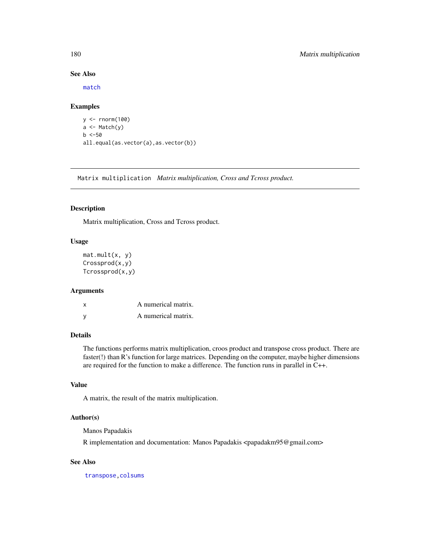## See Also

[match](#page-0-0)

## Examples

```
y <- rnorm(100)
a \leftarrow \text{Match}(y)b < -50all.equal(as.vector(a),as.vector(b))
```
Matrix multiplication *Matrix multiplication, Cross and Tcross product.*

# Description

Matrix multiplication, Cross and Tcross product.

## Usage

mat.mult(x, y) Crossprod(x,y) Tcrossprod(x,y)

#### Arguments

| x | A numerical matrix. |
|---|---------------------|
| v | A numerical matrix. |

# Details

The functions performs matrix multiplication, croos product and transpose cross product. There are faster(!) than R's function for large matrices. Depending on the computer, maybe higher dimensions are required for the function to make a difference. The function runs in parallel in C++.

# Value

A matrix, the result of the matrix multiplication.

# Author(s)

Manos Papadakis

R implementation and documentation: Manos Papadakis <papadakm95@gmail.com>

# See Also

[transpose,](#page-274-0)[colsums](#page-43-0)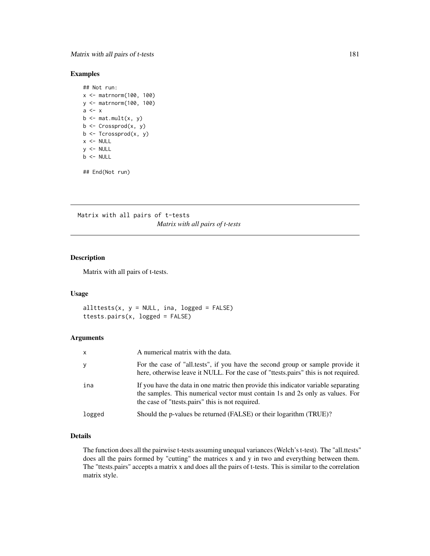## Examples

```
## Not run:
x <- matrnorm(100, 100)
y <- matrnorm(100, 100)
a \leftarrow xb \leq mat.mult(x, y)b <- Crossprod(x, y)
b <- Tcrossprod(x, y)
x < - NULL
y <- NULL
b \le - NULL
## End(Not run)
```
Matrix with all pairs of t-tests *Matrix with all pairs of t-tests*

#### Description

Matrix with all pairs of t-tests.

#### Usage

 $allttests(x, y = NULL, ina, logged = FALSE)$ ttests.pairs(x, logged = FALSE)

#### Arguments

| $\mathsf{x}$ | A numerical matrix with the data.                                                                                                                                                                                       |
|--------------|-------------------------------------------------------------------------------------------------------------------------------------------------------------------------------------------------------------------------|
| y            | For the case of "all.tests", if you have the second group or sample provide it<br>here, otherwise leave it NULL. For the case of "ttests pairs" this is not required.                                                   |
| ina          | If you have the data in one matric then provide this indicator variable separating<br>the samples. This numerical vector must contain 1s and 2s only as values. For<br>the case of "ttests.pairs" this is not required. |
| logged       | Should the p-values be returned (FALSE) or their logarithm (TRUE)?                                                                                                                                                      |

## Details

The function does all the pairwise t-tests assuming unequal variances (Welch's t-test). The "all.ttests" does all the pairs formed by "cutting" the matrices x and y in two and everything between them. The "ttests.pairs" accepts a matrix x and does all the pairs of t-tests. This is similar to the correlation matrix style.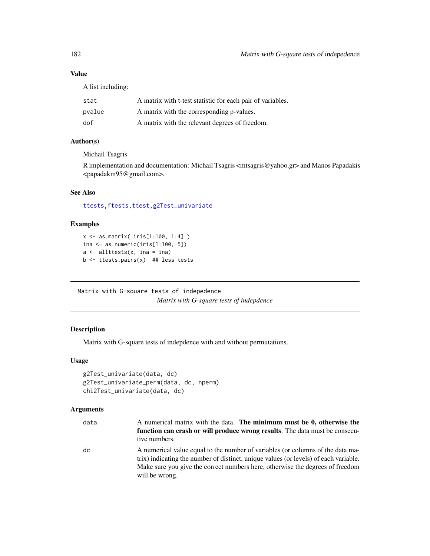# Value

A list including:

| stat   | A matrix with t-test statistic for each pair of variables. |
|--------|------------------------------------------------------------|
| pvalue | A matrix with the corresponding p-values.                  |
| dof    | A matrix with the relevant degrees of freedom.             |

## Author(s)

Michail Tsagris

R implementation and documentation: Michail Tsagris <mtsagris@yahoo.gr> and Manos Papadakis <papadakm95@gmail.com>.

## See Also

[ttests](#page-134-0)[,ftests](#page-148-0)[,ttest,](#page-154-0)[g2Test\\_univariate](#page-181-0)

# Examples

```
x <- as.matrix( iris[1:100, 1:4] )
ina \leq as.numeric(iris[1:100, 5])
a \leftarrow allttests(x, ina = ina)b <- ttests.pairs(x) ## less tests
```
Matrix with G-square tests of indepedence *Matrix with G-square tests of indepdence*

# <span id="page-181-0"></span>Description

Matrix with G-square tests of indepdence with and without permutations.

## Usage

```
g2Test_univariate(data, dc)
g2Test_univariate_perm(data, dc, nperm)
chi2Test_univariate(data, dc)
```
## Arguments

| data | A numerical matrix with the data. The minimum must be 0, otherwise the<br>function can crash or will produce wrong results. The data must be consecu-<br>tive numbers.                                                                                                    |
|------|---------------------------------------------------------------------------------------------------------------------------------------------------------------------------------------------------------------------------------------------------------------------------|
| dc   | A numerical value equal to the number of variables (or columns of the data ma-<br>trix) indicating the number of distinct, unique values (or levels) of each variable.<br>Make sure you give the correct numbers here, otherwise the degrees of freedom<br>will be wrong. |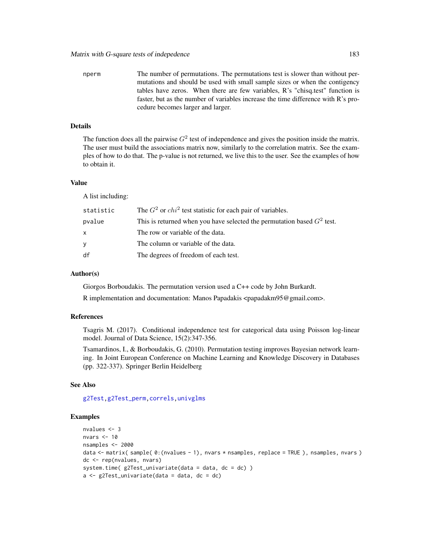nperm The number of permutations. The permutations test is slower than without permutations and should be used with small sample sizes or when the contigency tables have zeros. When there are few variables, R's "chisq.test" function is faster, but as the number of variables increase the time difference with R's procedure becomes larger and larger.

#### Details

The function does all the pairwise  $G^2$  test of independence and gives the position inside the matrix. The user must build the associations matrix now, similarly to the correlation matrix. See the examples of how to do that. The p-value is not returned, we live this to the user. See the examples of how to obtain it.

#### Value

A list including:

| statistic | The $G^2$ or $chi^2$ test statistic for each pair of variables.          |
|-----------|--------------------------------------------------------------------------|
| pvalue    | This is returned when you have selected the permutation based $G2$ test. |
| x         | The row or variable of the data.                                         |
| ٧         | The column or variable of the data.                                      |
| df        | The degrees of freedom of each test.                                     |

#### Author(s)

Giorgos Borboudakis. The permutation version used a C++ code by John Burkardt.

R implementation and documentation: Manos Papadakis <papadakm95@gmail.com>.

## References

Tsagris M. (2017). Conditional independence test for categorical data using Poisson log-linear model. Journal of Data Science, 15(2):347-356.

Tsamardinos, I., & Borboudakis, G. (2010). Permutation testing improves Bayesian network learning. In Joint European Conference on Machine Learning and Knowledge Discovery in Databases (pp. 322-337). Springer Berlin Heidelberg

## See Also

[g2Test,g2Test\\_perm,](#page-99-0)[correls,](#page-62-0)[univglms](#page-171-0)

```
nvalues <- 3
nvars <- 10
nsamples <- 2000
data <- matrix( sample( 0:(nvalues - 1), nvars * nsamples, replace = TRUE ), nsamples, nvars )
dc <- rep(nvalues, nvars)
system.time(g2Test\_univariate(data = data, dc = dc))
a \leftarrow g2Test\_univariate(data = data, dc = dc)
```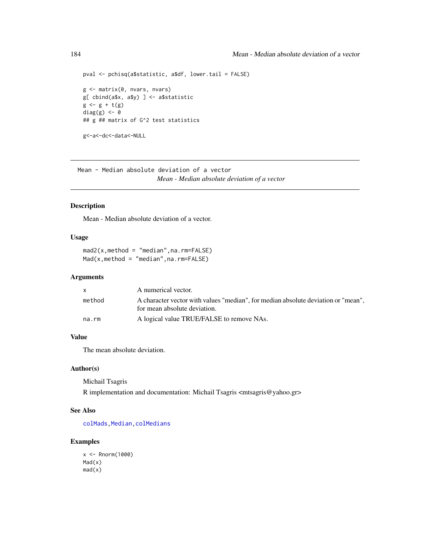```
pval <- pchisq(a$statistic, a$df, lower.tail = FALSE)
g <- matrix(0, nvars, nvars)
g[ cbind(a$x, a$y) ] <- a$statistic
g \leftarrow g + t(g)diag(g) <- 0
## g ## matrix of G^2 test statistics
g<-a<-dc<-data<-NULL
```
Mean - Median absolute deviation of a vector *Mean - Median absolute deviation of a vector*

#### Description

Mean - Median absolute deviation of a vector.

#### Usage

mad2(x,method = "median",na.rm=FALSE)  $Mad(x,method = "median",na,rm=FALSE)$ 

#### Arguments

|        | A numerical vector.                                                               |
|--------|-----------------------------------------------------------------------------------|
| method | A character vector with values "median", for median absolute deviation or "mean", |
|        | for mean absolute deviation.                                                      |
| na.rm  | A logical value TRUE/FALSE to remove NAs.                                         |
|        |                                                                                   |

#### Value

The mean absolute deviation.

#### Author(s)

Michail Tsagris R implementation and documentation: Michail Tsagris <mtsagris@yahoo.gr>

# See Also

[colMads](#page-46-0), Median, colMedians

```
x < - Rnorm(1000)
Mad(x)
mad(x)
```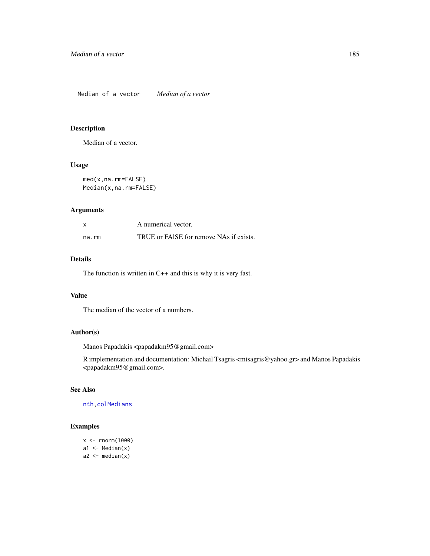## <span id="page-184-0"></span>Description

Median of a vector.

#### Usage

med(x,na.rm=FALSE) Median(x,na.rm=FALSE)

## Arguments

| X     | A numerical vector.                     |
|-------|-----------------------------------------|
| na.rm | TRUE or FAISE for remove NAs if exists. |

# Details

The function is written in C++ and this is why it is very fast.

## Value

The median of the vector of a numbers.

# Author(s)

Manos Papadakis <papadakm95@gmail.com>

R implementation and documentation: Michail Tsagris <mtsagris@yahoo.gr> and Manos Papadakis <papadakm95@gmail.com>.

# See Also

[nth](#page-37-0)[,colMedians](#page-36-0)

```
x <- rnorm(1000)
a1 \leftarrow Median(x)a2 \le median(x)
```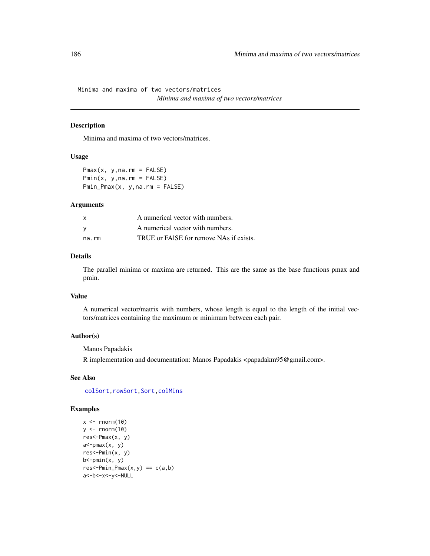Minima and maxima of two vectors/matrices *Minima and maxima of two vectors/matrices*

#### Description

Minima and maxima of two vectors/matrices.

#### Usage

 $Pmax(x, y, na.rm = FALSE)$  $Pmin(x, y, na.rm = FALSE)$ Pmin\_Pmax(x, y,na.rm = FALSE)

## Arguments

| X     | A numerical vector with numbers.        |
|-------|-----------------------------------------|
| - V   | A numerical vector with numbers.        |
| na.rm | TRUE or FAISE for remove NAs if exists. |

## Details

The parallel minima or maxima are returned. This are the same as the base functions pmax and pmin.

## Value

A numerical vector/matrix with numbers, whose length is equal to the length of the initial vectors/matrices containing the maximum or minimum between each pair.

## Author(s)

Manos Papadakis

R implementation and documentation: Manos Papadakis <papadakm95@gmail.com>.

## See Also

col[Sort](#page-258-0), rowSort, Sort, colMins

```
x \leftarrow \text{norm}(10)y \le - rnorm(10)
res<-Pmax(x, y)
a <-pmax(x, y)res<-Pmin(x, y)
b <-pmin(x, y)res<-Pmin_Pmax(x,y) == c(a,b)a<-b<-x<-y<-NULL
```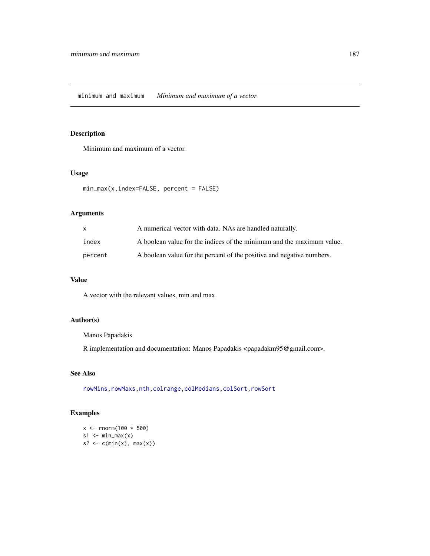## Description

Minimum and maximum of a vector.

## Usage

```
min_max(x,index=FALSE, percent = FALSE)
```
## Arguments

| $\mathsf{X}$ | A numerical vector with data. NAs are handled naturally.              |
|--------------|-----------------------------------------------------------------------|
| index        | A boolean value for the indices of the minimum and the maximum value. |
| percent      | A boolean value for the percent of the positive and negative numbers. |

## Value

A vector with the relevant values, min and max.

# Author(s)

Manos Papadakis

R implementation and documentation: Manos Papadakis <papadakm95@gmail.com>.

### See Also

[rowMins,rowMaxs](#page-245-0)[,nth,](#page-37-0)[colrange,](#page-40-0)[colMedians,](#page-36-0)[colSort,rowSort](#page-261-0)

# Examples

 $x < -$  rnorm(100  $*$  500)  $s1 \leq -\min_{x} s(x)$  $s2 \leq c(min(x), max(x))$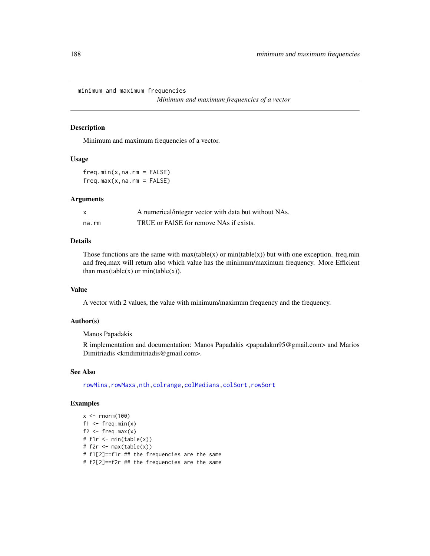minimum and maximum frequencies

*Minimum and maximum frequencies of a vector*

## Description

Minimum and maximum frequencies of a vector.

#### Usage

 $freq.min(x,na.rm = FALSE)$  $freq.max(x,na.rm = FALSE)$ 

#### Arguments

|       | A numerical/integer vector with data but without NAs. |
|-------|-------------------------------------------------------|
| na.rm | TRUE or FAISE for remove NAs if exists.               |

#### Details

Those functions are the same with  $max(table(x))$  or  $min(table(x))$  but with one exception. freq.min and freq.max will return also which value has the minimum/maximum frequency. More Efficient than  $max(table(x))$  or  $min(table(x))$ .

## Value

A vector with 2 values, the value with minimum/maximum frequency and the frequency.

# Author(s)

Manos Papadakis

R implementation and documentation: Manos Papadakis <papadakm95@gmail.com> and Marios Dimitriadis <kmdimitriadis@gmail.com>.

#### See Also

[rowMins,rowMaxs](#page-245-0)[,nth,](#page-37-0)[colrange,](#page-40-0)[colMedians,](#page-36-0)[colSort,rowSort](#page-261-0)

```
x < - rnorm(100)
f1 \leftarrow freq.min(x)f2 \leq -\text{freq.max}(x)# f1r <- min(table(x))
# f2r <- max(table(x))
# f1[2]==f1r ## the frequencies are the same
# f2[2]==f2r ## the frequencies are the same
```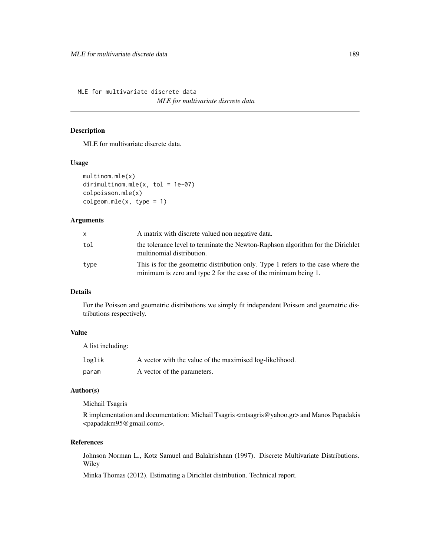MLE for multivariate discrete data *MLE for multivariate discrete data*

## <span id="page-188-0"></span>Description

MLE for multivariate discrete data.

#### Usage

```
multinom.mle(x)
dirimultinom.mle(x, tol = 1e-07)
colpoisson.mle(x)
colgeom.mle(x, type = 1)
```
## Arguments

| x.   | A matrix with discrete valued non negative data.                                                                                                    |
|------|-----------------------------------------------------------------------------------------------------------------------------------------------------|
| tol  | the tolerance level to terminate the Newton-Raphson algorithm for the Dirichlet<br>multinomial distribution.                                        |
| type | This is for the geometric distribution only. Type 1 refers to the case where the<br>minimum is zero and type 2 for the case of the minimum being 1. |

## Details

For the Poisson and geometric distributions we simply fit independent Poisson and geometric distributions respectively.

# Value

A list including:

| loglik | A vector with the value of the maximised log-likelihood. |
|--------|----------------------------------------------------------|
| param  | A vector of the parameters.                              |

# Author(s)

Michail Tsagris

R implementation and documentation: Michail Tsagris <mtsagris@yahoo.gr> and Manos Papadakis <papadakm95@gmail.com>.

## References

Johnson Norman L., Kotz Samuel and Balakrishnan (1997). Discrete Multivariate Distributions. Wiley

Minka Thomas (2012). Estimating a Dirichlet distribution. Technical report.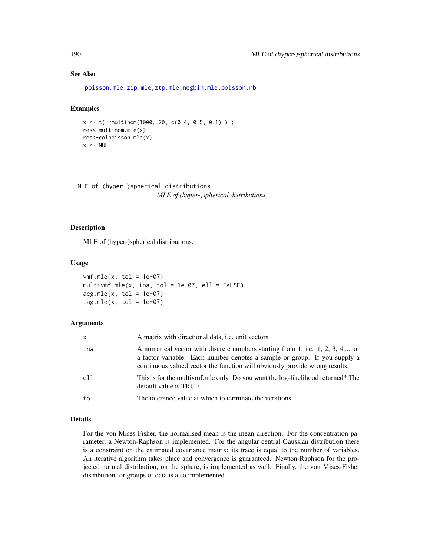## See Also

[poisson.mle,zip.mle,ztp.mle,negbin.mle](#page-194-0)[,poisson.nb](#page-213-0)

## Examples

```
x <- t( rmultinom(1000, 20, c(0.4, 0.5, 0.1) ) )
res<-multinom.mle(x)
res<-colpoisson.mle(x)
x < - NULL
```
MLE of (hyper-)spherical distributions *MLE of (hyper-)spherical distributions*

## <span id="page-189-0"></span>Description

MLE of (hyper-)spherical distributions.

#### Usage

```
vmf.mle(x, tol = 1e-07)multivmf.mle(x, ina, tol = 1e-07, ell = FALSE)
acg.mle(x, tol = 1e-07)iag.mle(x, tol = 1e-07)
```
#### Arguments

| x   | A matrix with directional data, <i>i.e.</i> unit vectors.                                                                                                                                                                                 |
|-----|-------------------------------------------------------------------------------------------------------------------------------------------------------------------------------------------------------------------------------------------|
| ina | A numerical vector with discrete numbers starting from 1, i.e. 1, 2, 3, 4, or<br>a factor variable. Each number denotes a sample or group. If you supply a<br>continuous valued vector the function will obviously provide wrong results. |
| ell | This is for the multivmf.mle only. Do you want the log-likelihood returned? The<br>default value is TRUE.                                                                                                                                 |
| tol | The tolerance value at which to terminate the iterations.                                                                                                                                                                                 |

## Details

For the von Mises-Fisher, the normalised mean is the mean direction. For the concentration parameter, a Newton-Raphson is implemented. For the angular central Gaussian distribution there is a constraint on the estimated covariance matrix; its trace is equal to the number of variables. An iterative algorithm takes place and convergence is guaranteed. Newton-Raphson for the projected normal distribution, on the sphere, is implemented as well. Finally, the von Mises-Fisher distribution for groups of data is also implemented.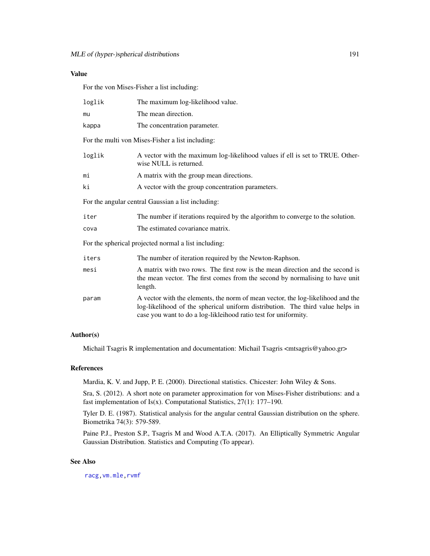## Value

For the von Mises-Fisher a list including:

| loglik                                               | The maximum log-likelihood value.                                                                                                                                                                                                    |  |  |
|------------------------------------------------------|--------------------------------------------------------------------------------------------------------------------------------------------------------------------------------------------------------------------------------------|--|--|
| mu                                                   | The mean direction.                                                                                                                                                                                                                  |  |  |
| kappa                                                | The concentration parameter.                                                                                                                                                                                                         |  |  |
|                                                      | For the multi von Mises-Fisher a list including:                                                                                                                                                                                     |  |  |
| loglik                                               | A vector with the maximum log-likelihood values if ell is set to TRUE. Other-<br>wise NULL is returned.                                                                                                                              |  |  |
| mi                                                   | A matrix with the group mean directions.                                                                                                                                                                                             |  |  |
| ki                                                   | A vector with the group concentration parameters.                                                                                                                                                                                    |  |  |
|                                                      | For the angular central Gaussian a list including:                                                                                                                                                                                   |  |  |
| iter                                                 | The number if iterations required by the algorithm to converge to the solution.                                                                                                                                                      |  |  |
| cova                                                 | The estimated covariance matrix.                                                                                                                                                                                                     |  |  |
| For the spherical projected normal a list including: |                                                                                                                                                                                                                                      |  |  |
| iters                                                | The number of iteration required by the Newton-Raphson.                                                                                                                                                                              |  |  |
| mesi                                                 | A matrix with two rows. The first row is the mean direction and the second is<br>the mean vector. The first comes from the second by normalising to have unit<br>length.                                                             |  |  |
| param                                                | A vector with the elements, the norm of mean vector, the log-likelihood and the<br>log-likelihood of the spherical uniform distribution. The third value helps in<br>case you want to do a log-likleihood ratio test for uniformity. |  |  |

#### Author(s)

Michail Tsagris R implementation and documentation: Michail Tsagris <mtsagris@yahoo.gr>

#### References

Mardia, K. V. and Jupp, P. E. (2000). Directional statistics. Chicester: John Wiley & Sons.

Sra, S. (2012). A short note on parameter approximation for von Mises-Fisher distributions: and a fast implementation of Is(x). Computational Statistics,  $27(1)$ : 177–190.

Tyler D. E. (1987). Statistical analysis for the angular central Gaussian distribution on the sphere. Biometrika 74(3): 579-589.

Paine P.J., Preston S.P., Tsagris M and Wood A.T.A. (2017). An Elliptically Symmetric Angular Gaussian Distribution. Statistics and Computing (To appear).

#### See Also

[racg,](#page-11-0)[vm.mle,](#page-198-0)[rvmf](#page-253-0)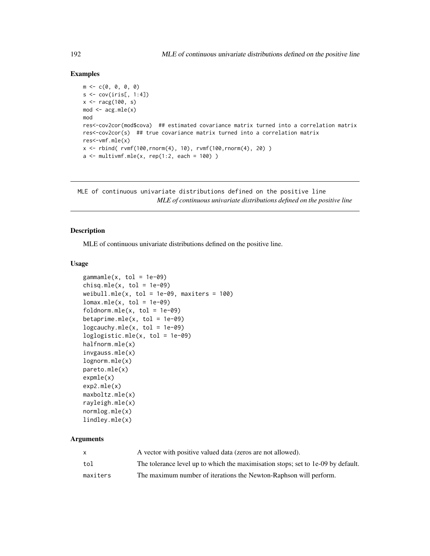## Examples

```
m \leftarrow c(0, 0, 0, 0)s \leftarrow cov(iris[, 1:4]x \leftarrow \text{racg}(100, s)mod \leq -acg.mle(x)mod
res<-cov2cor(mod$cova) ## estimated covariance matrix turned into a correlation matrix
res<-cov2cor(s) ## true covariance matrix turned into a correlation matrix
res<-vmf.mle(x)
x \le rbind( rvmf(100, rnorm(4), 10), rvmf(100, rnorm(4), 20) )
a \le multivmf.mle(x, rep(1:2, each = 100))
```
MLE of continuous univariate distributions defined on the positive line *MLE of continuous univariate distributions defined on the positive line*

## <span id="page-191-0"></span>Description

MLE of continuous univariate distributions defined on the positive line.

#### Usage

```
gamma = (x, tol = 1e-09)chisq.mle(x, tol = 1e-09)weibull.mle(x, tol = 1e-09, maxiters = 100)
lomax.mle(x, tol = 1e-09)foldnorm.mle(x, tol = 1e-09)betaprime.mle(x, tol = 1e-09)logcauchy.mle(x, tol = 1e-09)loglogistic.mle(x, tol = 1e-09)
halfnorm.mle(x)
invgauss.mle(x)
lognorm.mle(x)
pareto.mle(x)
expmle(x)
exp2.mle(x)
maxboltz.mle(x)
rayleigh.mle(x)
normlog.mle(x)
lindley.mle(x)
```
#### Arguments

|          | A vector with positive valued data (zeros are not allowed).                      |
|----------|----------------------------------------------------------------------------------|
| tol      | The tolerance level up to which the maximisation stops; set to 1e-09 by default. |
| maxiters | The maximum number of iterations the Newton-Raphson will perform.                |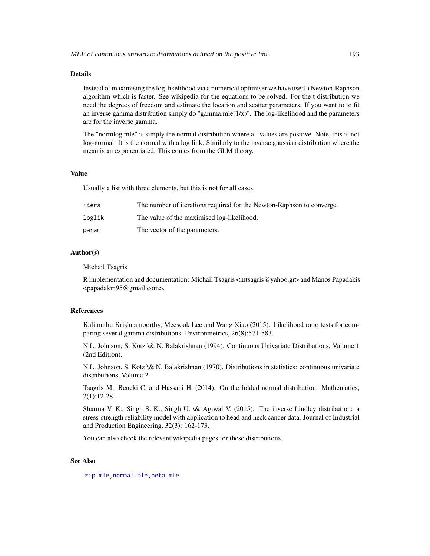#### Details

Instead of maximising the log-likelihood via a numerical optimiser we have used a Newton-Raphson algorithm which is faster. See wikipedia for the equations to be solved. For the t distribution we need the degrees of freedom and estimate the location and scatter parameters. If you want to to fit an inverse gamma distribution simply do "gamma.mle(1/x)". The log-likelihood and the parameters are for the inverse gamma.

The "normlog.mle" is simply the normal distribution where all values are positive. Note, this is not log-normal. It is the normal with a log link. Similarly to the inverse gaussian distribution where the mean is an exponentiated. This comes from the GLM theory.

#### Value

Usually a list with three elements, but this is not for all cases.

| iters  | The number of iterations required for the Newton-Raphson to converge. |
|--------|-----------------------------------------------------------------------|
| loglik | The value of the maximised log-likelihood.                            |
| param  | The vector of the parameters.                                         |

## Author(s)

Michail Tsagris

R implementation and documentation: Michail Tsagris <mtsagris@yahoo.gr> and Manos Papadakis <papadakm95@gmail.com>.

#### References

Kalimuthu Krishnamoorthy, Meesook Lee and Wang Xiao (2015). Likelihood ratio tests for comparing several gamma distributions. Environmetrics, 26(8):571-583.

N.L. Johnson, S. Kotz \& N. Balakrishnan (1994). Continuous Univariate Distributions, Volume 1 (2nd Edition).

N.L. Johnson, S. Kotz \& N. Balakrishnan (1970). Distributions in statistics: continuous univariate distributions, Volume 2

Tsagris M., Beneki C. and Hassani H. (2014). On the folded normal distribution. Mathematics, 2(1):12-28.

Sharma V. K., Singh S. K., Singh U. \& Agiwal V. (2015). The inverse Lindley distribution: a stress-strength reliability model with application to head and neck cancer data. Journal of Industrial and Production Engineering, 32(3): 162-173.

You can also check the relevant wikipedia pages for these distributions.

#### See Also

[zip.mle,](#page-194-0)[normal.mle](#page-193-0)[,beta.mle](#page-196-0)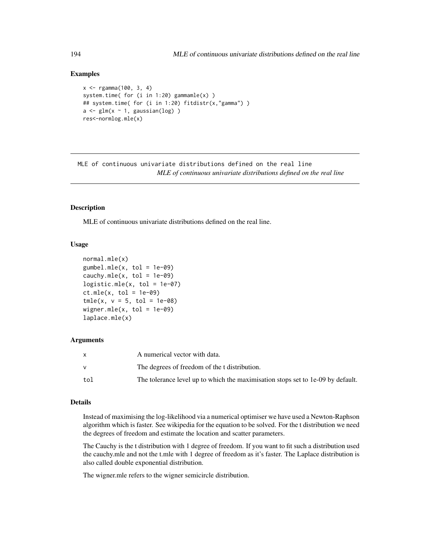### Examples

```
x <- rgamma(100, 3, 4)
system.time( for (i in 1:20) gammamle(x) )
## system.time( for (i in 1:20) fitdistr(x,"gamma") )
a \leftarrow \text{glm}(x \sim 1, \text{ gaussian}(\text{log}))
res<-normlog.mle(x)
```
MLE of continuous univariate distributions defined on the real line *MLE of continuous univariate distributions defined on the real line*

#### <span id="page-193-0"></span>**Description**

MLE of continuous univariate distributions defined on the real line.

#### Usage

```
normal.mle(x)
gumbel.mle(x, tol = 1e-09)cauchy.mle(x, tol = 1e-09)
logistic.mle(x, tol = 1e-07)ct.mle(x, tol = 1e-09)tmle(x, v = 5, tol = 1e-08)wigner.mle(x, tol = 1e-09)
laplace.mle(x)
```
#### Arguments

|     | A numerical vector with data.                                                   |
|-----|---------------------------------------------------------------------------------|
|     | The degrees of freedom of the t distribution.                                   |
| tol | The tolerance level up to which the maximisation stops set to 1e-09 by default. |

#### Details

Instead of maximising the log-likelihood via a numerical optimiser we have used a Newton-Raphson algorithm which is faster. See wikipedia for the equation to be solved. For the t distribution we need the degrees of freedom and estimate the location and scatter parameters.

The Cauchy is the t distribution with 1 degree of freedom. If you want to fit such a distribution used the cauchy.mle and not the t.mle with 1 degree of freedom as it's faster. The Laplace distribution is also called double exponential distribution.

The wigner.mle refers to the wigner semicircle distribution.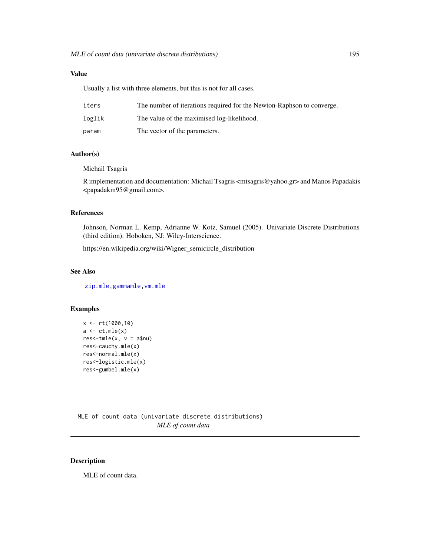# Value

Usually a list with three elements, but this is not for all cases.

| iters  | The number of iterations required for the Newton-Raphson to converge. |
|--------|-----------------------------------------------------------------------|
| loglik | The value of the maximised log-likelihood.                            |
| param  | The vector of the parameters.                                         |

## Author(s)

Michail Tsagris

R implementation and documentation: Michail Tsagris <mtsagris@yahoo.gr> and Manos Papadakis <papadakm95@gmail.com>.

# References

Johnson, Norman L. Kemp, Adrianne W. Kotz, Samuel (2005). Univariate Discrete Distributions (third edition). Hoboken, NJ: Wiley-Interscience.

https://en.wikipedia.org/wiki/Wigner\_semicircle\_distribution

# See Also

[zip.mle,](#page-194-0)[gammamle,](#page-191-0)[vm.mle](#page-198-0)

## Examples

```
x <- rt(1000,10)
a \leftarrow ct.mle(x)res<-tmle(x, v = a$nu)res<-cauchy.mle(x)
res<-normal.mle(x)
res<-logistic.mle(x)
res<-gumbel.mle(x)
```
MLE of count data (univariate discrete distributions) *MLE of count data*

## <span id="page-194-0"></span>Description

MLE of count data.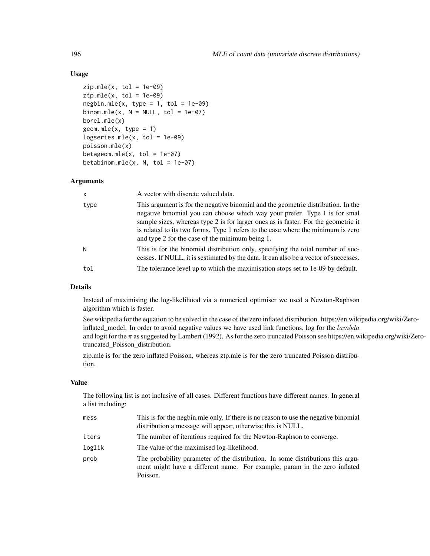## Usage

```
zip.mle(x, tol = 1e-09)ztp.mle(x, tol = 1e-09)negbin.mle(x, type = 1, tol = 1e-09)binom.mle(x, N = NULL, tol = 1e-07)
borel.mle(x)
geom.mle(x, type = 1)logseries.mle(x, tol = 1e-09)poisson.mle(x)
betageom.mle(x, tol = 1e-07)betabinom.mle(x, N, tol = 1e-07)
```
#### Arguments

| $\mathsf{x}$ | A vector with discrete valued data.                                                                                                                                                                                                                                                                                                                                                          |
|--------------|----------------------------------------------------------------------------------------------------------------------------------------------------------------------------------------------------------------------------------------------------------------------------------------------------------------------------------------------------------------------------------------------|
| type         | This argument is for the negative binomial and the geometric distribution. In the<br>negative binomial you can choose which way your prefer. Type 1 is for smal<br>sample sizes, whereas type 2 is for larger ones as is faster. For the geometric it<br>is related to its two forms. Type 1 refers to the case where the minimum is zero<br>and type 2 for the case of the minimum being 1. |
| N            | This is for the binomial distribution only, specifying the total number of suc-<br>cesses. If NULL, it is sestimated by the data. It can also be a vector of successes.                                                                                                                                                                                                                      |
| tol          | The tolerance level up to which the maximisation stops set to 1e-09 by default.                                                                                                                                                                                                                                                                                                              |

## Details

Instead of maximising the log-likelihood via a numerical optimiser we used a Newton-Raphson algorithm which is faster.

See wikipedia for the equation to be solved in the case of the zero inflated distribution. https://en.wikipedia.org/wiki/Zeroinflated\_model. In order to avoid negative values we have used link functions, log for the  $lambda$ and logit for the  $\pi$  as suggested by Lambert (1992). As for the zero truncated Poisson see https://en.wikipedia.org/wiki/Zerotruncated\_Poisson\_distribution.

zip.mle is for the zero inflated Poisson, whereas ztp.mle is for the zero truncated Poisson distribution.

## Value

The following list is not inclusive of all cases. Different functions have different names. In general a list including:

| mess   | This is for the negbin.mle only. If there is no reason to use the negative binomial<br>distribution a message will appear, otherwise this is NULL.                       |
|--------|--------------------------------------------------------------------------------------------------------------------------------------------------------------------------|
| iters  | The number of iterations required for the Newton-Raphson to converge.                                                                                                    |
| loglik | The value of the maximised log-likelihood.                                                                                                                               |
| prob   | The probability parameter of the distribution. In some distributions this argu-<br>ment might have a different name. For example, param in the zero inflated<br>Poisson. |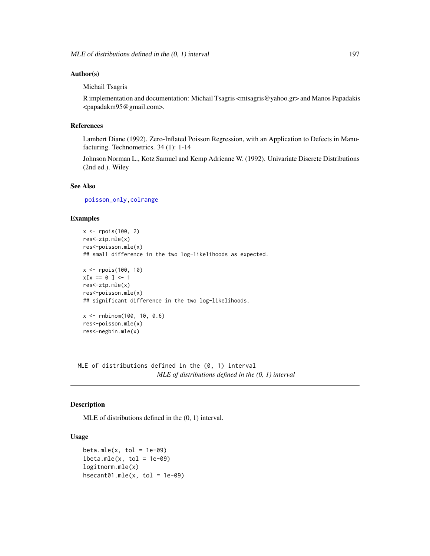#### Author(s)

Michail Tsagris

R implementation and documentation: Michail Tsagris <mtsagris@yahoo.gr> and Manos Papadakis <papadakm95@gmail.com>.

#### References

Lambert Diane (1992). Zero-Inflated Poisson Regression, with an Application to Defects in Manufacturing. Technometrics. 34 (1): 1-14

Johnson Norman L., Kotz Samuel and Kemp Adrienne W. (1992). Univariate Discrete Distributions (2nd ed.). Wiley

## See Also

[poisson\\_only,](#page-174-0)[colrange](#page-40-0)

## Examples

```
x <- rpois(100, 2)
res<-zip.mle(x)
res<-poisson.mle(x)
## small difference in the two log-likelihoods as expected.
x <- rpois(100, 10)
x[x == 0 ] < -1res<-ztp.mle(x)
res<-poisson.mle(x)
## significant difference in the two log-likelihoods.
x <- rnbinom(100, 10, 0.6)
res<-poisson.mle(x)
res<-negbin.mle(x)
```
MLE of distributions defined in the (0, 1) interval *MLE of distributions defined in the (0, 1) interval*

## <span id="page-196-0"></span>Description

MLE of distributions defined in the (0, 1) interval.

#### Usage

```
beta.mle(x, tol = 1e-09)ibeta.mle(x, tol = 1e-09)logitnorm.mle(x)
hsecant@1.mle(x, tol = 1e-@9)
```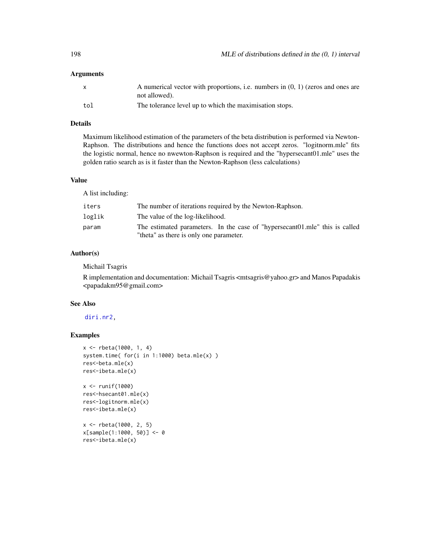#### Arguments

| $\mathsf{X}$ | A numerical vector with proportions, i.e. numbers in $(0, 1)$ (zeros and ones are |
|--------------|-----------------------------------------------------------------------------------|
|              | not allowed).                                                                     |
| tol          | The tolerance level up to which the maximisation stops.                           |

# Details

Maximum likelihood estimation of the parameters of the beta distribution is performed via Newton-Raphson. The distributions and hence the functions does not accept zeros. "logitnorm.mle" fits the logistic normal, hence no nwewton-Raphson is required and the "hypersecant01.mle" uses the golden ratio search as is it faster than the Newton-Raphson (less calculations)

## Value

A list including:

| iters  | The number of iterations required by the Newton-Raphson.                    |
|--------|-----------------------------------------------------------------------------|
| loglik | The value of the log-likelihood.                                            |
| param  | The estimated parameters. In the case of "hypersecant01.mle" this is called |
|        | "theta" as there is only one parameter.                                     |

## Author(s)

Michail Tsagris

R implementation and documentation: Michail Tsagris <mtsagris@yahoo.gr> and Manos Papadakis <papadakm95@gmail.com>

#### See Also

## [diri.nr2,](#page-96-0)

```
x <- rbeta(1000, 1, 4)
system.time( for(i in 1:1000) beta.mle(x) )
res<-beta.mle(x)
res<-ibeta.mle(x)
x <- runif(1000)
res<-hsecant01.mle(x)
res<-logitnorm.mle(x)
res<-ibeta.mle(x)
x <- rbeta(1000, 2, 5)
x[sample(1:1000, 50)] <- 0
res<-ibeta.mle(x)
```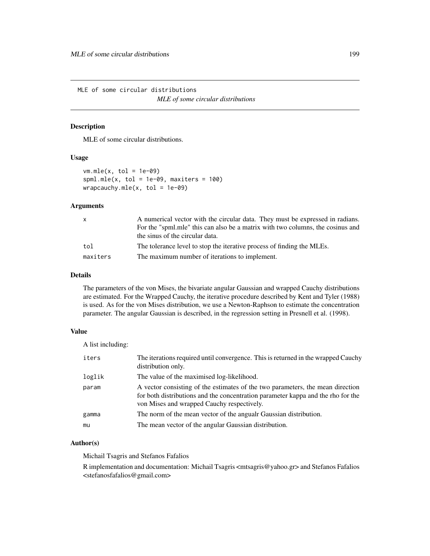MLE of some circular distributions *MLE of some circular distributions*

#### <span id="page-198-0"></span>Description

MLE of some circular distributions.

## Usage

```
vm.mle(x, tol = 1e-09)spml.mle(x, tol = 1e-09, maxiters = 100)
wrapcauchy.mle(x, tol = 1e-09)
```
## Arguments

| X.       | A numerical vector with the circular data. They must be expressed in radians.  |
|----------|--------------------------------------------------------------------------------|
|          | For the "spml.mle" this can also be a matrix with two columns, the cosinus and |
|          | the sinus of the circular data.                                                |
| tol      | The tolerance level to stop the iterative process of finding the MLEs.         |
| maxiters | The maximum number of iterations to implement.                                 |

#### Details

The parameters of the von Mises, the bivariate angular Gaussian and wrapped Cauchy distributions are estimated. For the Wrapped Cauchy, the iterative procedure described by Kent and Tyler (1988) is used. As for the von Mises distribution, we use a Newton-Raphson to estimate the concentration parameter. The angular Gaussian is described, in the regression setting in Presnell et al. (1998).

## Value

A list including:

| iters  | The iterations required until convergence. This is returned in the wrapped Cauchy<br>distribution only.                                                                                                          |
|--------|------------------------------------------------------------------------------------------------------------------------------------------------------------------------------------------------------------------|
| loglik | The value of the maximised log-likelihood.                                                                                                                                                                       |
| param  | A vector consisting of the estimates of the two parameters, the mean direction<br>for both distributions and the concentration parameter kappa and the rho for the<br>von Mises and wrapped Cauchy respectively. |
| gamma  | The norm of the mean vector of the angualr Gaussian distribution.                                                                                                                                                |
| mu     | The mean vector of the angular Gaussian distribution.                                                                                                                                                            |

## Author(s)

Michail Tsagris and Stefanos Fafalios

R implementation and documentation: Michail Tsagris <mtsagris@yahoo.gr> and Stefanos Fafalios <stefanosfafalios@gmail.com>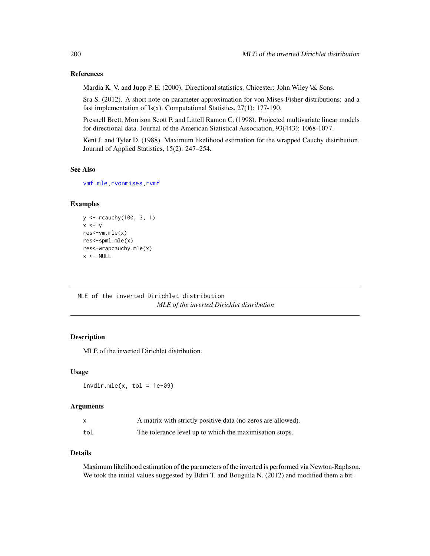#### References

Mardia K. V. and Jupp P. E. (2000). Directional statistics. Chicester: John Wiley \& Sons.

Sra S. (2012). A short note on parameter approximation for von Mises-Fisher distributions: and a fast implementation of  $Is(x)$ . Computational Statistics, 27(1): 177-190.

Presnell Brett, Morrison Scott P. and Littell Ramon C. (1998). Projected multivariate linear models for directional data. Journal of the American Statistical Association, 93(443): 1068-1077.

Kent J. and Tyler D. (1988). Maximum likelihood estimation for the wrapped Cauchy distribution. Journal of Applied Statistics, 15(2): 247–254.

## See Also

[vmf.mle](#page-189-0)[,rvonmises](#page-237-0)[,rvmf](#page-253-0)

# Examples

```
y <- rcauchy(100, 3, 1)
x \leftarrow yres<-vm.mle(x)
res<-spml.mle(x)
res<-wrapcauchy.mle(x)
x < - NULL
```
MLE of the inverted Dirichlet distribution *MLE of the inverted Dirichlet distribution*

#### Description

MLE of the inverted Dirichlet distribution.

#### Usage

 $invdir.mle(x, tol = 1e-09)$ 

## Arguments

| $\mathsf{x}$ | A matrix with strictly positive data (no zeros are allowed). |
|--------------|--------------------------------------------------------------|
| tol          | The tolerance level up to which the maximisation stops.      |

## Details

Maximum likelihood estimation of the parameters of the inverted is performed via Newton-Raphson. We took the initial values suggested by Bdiri T. and Bouguila N. (2012) and modified them a bit.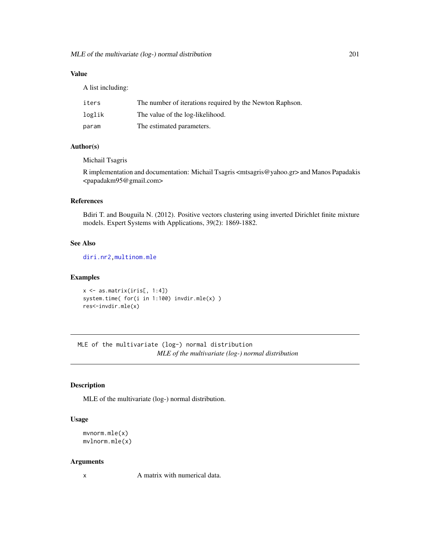# Value

A list including:

| iters  | The number of iterations required by the Newton Raphson. |
|--------|----------------------------------------------------------|
| loglik | The value of the log-likelihood.                         |
| param  | The estimated parameters.                                |

# Author(s)

Michail Tsagris

R implementation and documentation: Michail Tsagris <mtsagris@yahoo.gr> and Manos Papadakis <papadakm95@gmail.com>

# References

Bdiri T. and Bouguila N. (2012). Positive vectors clustering using inverted Dirichlet finite mixture models. Expert Systems with Applications, 39(2): 1869-1882.

## See Also

[diri.nr2](#page-96-0)[,multinom.mle](#page-188-0)

## Examples

```
x \leftarrow as.matrix(iris[, 1:4])system.time( for(i in 1:100) invdir.mle(x) )
res<-invdir.mle(x)
```
MLE of the multivariate (log-) normal distribution *MLE of the multivariate (log-) normal distribution*

#### <span id="page-200-0"></span>Description

MLE of the multivariate (log-) normal distribution.

#### Usage

```
mvnorm.mle(x)
mvlnorm.mle(x)
```
#### Arguments

x A matrix with numerical data.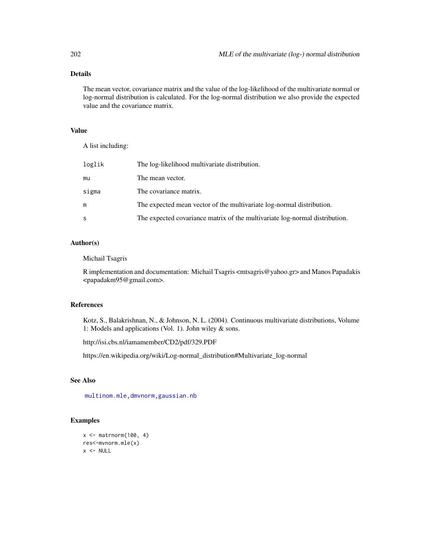# Details

The mean vector, covariance matrix and the value of the log-likelihood of the multivariate normal or log-normal distribution is calculated. For the log-normal distribution we also provide the expected value and the covariance matrix.

## Value

A list including:

| loglik | The log-likelihood multivariate distribution.                               |
|--------|-----------------------------------------------------------------------------|
| mu     | The mean vector.                                                            |
| sigma  | The covariance matrix.                                                      |
| m      | The expected mean vector of the multivariate log-normal distribution.       |
| S      | The expected covariance matrix of the multivariate log-normal distribution. |

# Author(s)

Michail Tsagris

R implementation and documentation: Michail Tsagris <mtsagris@yahoo.gr> and Manos Papadakis <papadakm95@gmail.com>.

## References

Kotz, S., Balakrishnan, N., & Johnson, N. L. (2004). Continuous multivariate distributions, Volume 1: Models and applications (Vol. 1). John wiley & sons.

http://isi.cbs.nl/iamamember/CD2/pdf/329.PDF

https://en.wikipedia.org/wiki/Log-normal\_distribution#Multivariate\_log-normal

## See Also

[multinom.mle,](#page-188-0)[dmvnorm](#page-71-0)[,gaussian.nb](#page-213-0)

```
x \le - matrnorm(100, 4)
res<-mvnorm.mle(x)
x < - NULL
```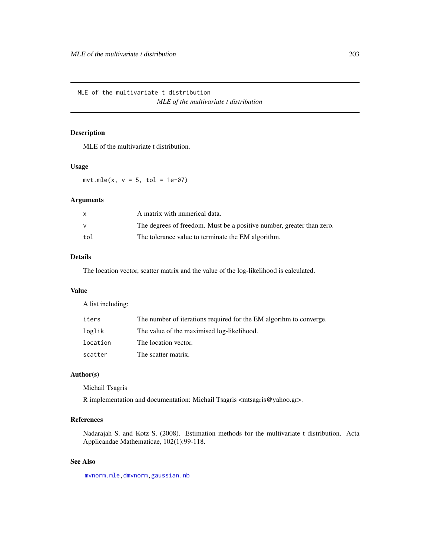MLE of the multivariate t distribution *MLE of the multivariate t distribution*

## Description

MLE of the multivariate t distribution.

## Usage

 $mvt.mle(x, v = 5, tol = 1e-07)$ 

#### Arguments

|     | A matrix with numerical data.                                         |
|-----|-----------------------------------------------------------------------|
|     | The degrees of freedom. Must be a positive number, greater than zero. |
| tol | The tolerance value to terminate the EM algorithm.                    |

## Details

The location vector, scatter matrix and the value of the log-likelihood is calculated.

## Value

A list including:

| iters    | The number of iterations required for the EM algorihm to converge. |
|----------|--------------------------------------------------------------------|
| loglik   | The value of the maximised log-likelihood.                         |
| location | The location vector.                                               |
| scatter  | The scatter matrix.                                                |

## Author(s)

Michail Tsagris

R implementation and documentation: Michail Tsagris <mtsagris@yahoo.gr>.

# References

Nadarajah S. and Kotz S. (2008). Estimation methods for the multivariate t distribution. Acta Applicandae Mathematicae, 102(1):99-118.

## See Also

[mvnorm.mle,](#page-200-0)[dmvnorm](#page-71-0)[,gaussian.nb](#page-213-0)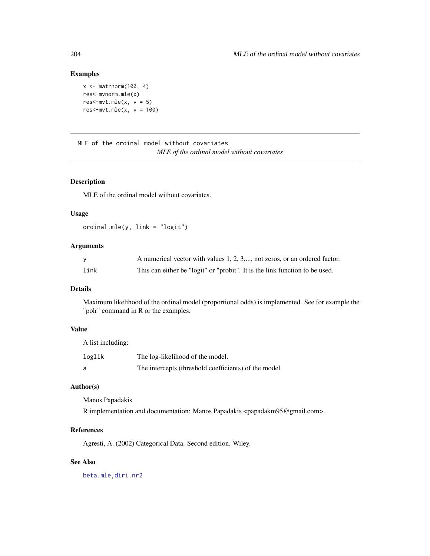#### Examples

```
x \le - matrnorm(100, 4)
res<-mvnorm.mle(x)
res<-\text{mvt.mle}(x, v = 5)res<-\text{mvt.mle}(x, v = 100)
```
MLE of the ordinal model without covariates *MLE of the ordinal model without covariates*

## Description

MLE of the ordinal model without covariates.

## Usage

ordinal.mle(y, link = "logit")

#### Arguments

|      | A numerical vector with values 1, 2, 3,, not zeros, or an ordered factor.   |
|------|-----------------------------------------------------------------------------|
| link | This can either be "logit" or "probit". It is the link function to be used. |

## Details

Maximum likelihood of the ordinal model (proportional odds) is implemented. See for example the "polr" command in R or the examples.

# Value

A list including: loglik The log-likelihood of the model. a The intercepts (threshold coefficients) of the model.

#### Author(s)

Manos Papadakis

R implementation and documentation: Manos Papadakis <papadakm95@gmail.com>.

#### References

Agresti, A. (2002) Categorical Data. Second edition. Wiley.

# See Also

[beta.mle](#page-196-0)[,diri.nr2](#page-96-0)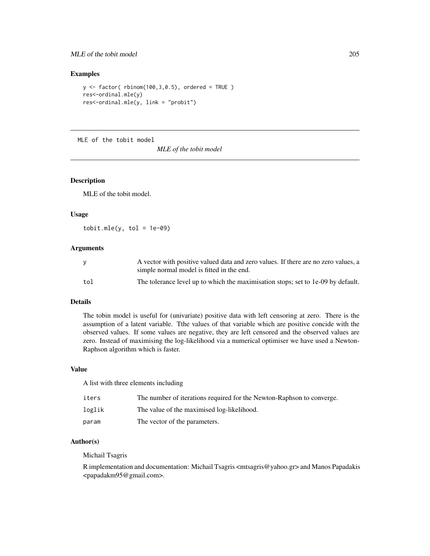## MLE of the tobit model 205

## Examples

```
y \leftarrow factor( rbinom(100,3,0.5), ordered = TRUE )
res<-ordinal.mle(y)
res<-ordinal.mle(y, link = "probit")
```
MLE of the tobit model

*MLE of the tobit model*

## Description

MLE of the tobit model.

## Usage

 $\text{tobit.mle}(y, \text{tol} = 1e-09)$ 

#### **Arguments**

|     | A vector with positive valued data and zero values. If there are no zero values, a<br>simple normal model is fitted in the end. |
|-----|---------------------------------------------------------------------------------------------------------------------------------|
|     |                                                                                                                                 |
| tol | The tolerance level up to which the maximisation stops; set to 1e-09 by default.                                                |

#### Details

The tobin model is useful for (univariate) positive data with left censoring at zero. There is the assumption of a latent variable. Tthe values of that variable which are positive concide with the observed values. If some values are negative, they are left censored and the observed values are zero. Instead of maximising the log-likelihood via a numerical optimiser we have used a Newton-Raphson algorithm which is faster.

## Value

A list with three elements including

| iters  | The number of iterations required for the Newton-Raphson to converge. |
|--------|-----------------------------------------------------------------------|
| loglik | The value of the maximised log-likelihood.                            |
| param  | The vector of the parameters.                                         |

## Author(s)

Michail Tsagris

R implementation and documentation: Michail Tsagris <mtsagris@yahoo.gr> and Manos Papadakis <papadakm95@gmail.com>.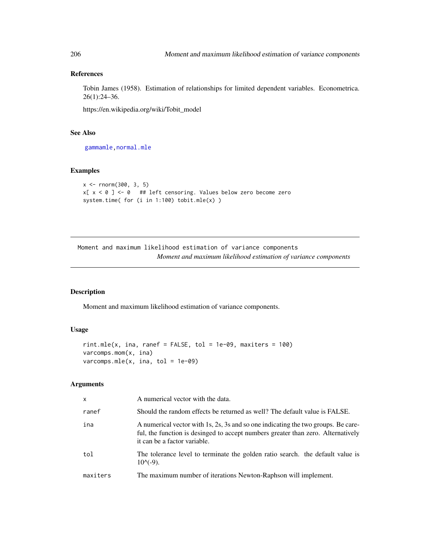# References

Tobin James (1958). Estimation of relationships for limited dependent variables. Econometrica. 26(1):24–36.

https://en.wikipedia.org/wiki/Tobit\_model

## See Also

[gammamle,](#page-191-0) [normal.mle](#page-193-0)

## Examples

```
x < - rnorm(300, 3, 5)
x[x < 0] <- 0 ## left censoring. Values below zero become zero
system.time( for (i in 1:100) tobit.mle(x) )
```
Moment and maximum likelihood estimation of variance components *Moment and maximum likelihood estimation of variance components*

## Description

Moment and maximum likelihood estimation of variance components.

## Usage

```
rint.\text{mle}(x, \text{ ina}, \text{ranef = FALSE}, \text{tol = 1e-09}, \text{maxiters = 100})varcomps.mom(x, ina)
varcomps.mle(x, ina, tol = 1e-09)
```
# Arguments

| $\mathsf{x}$ | A numerical vector with the data.                                                                                                                                                                     |
|--------------|-------------------------------------------------------------------------------------------------------------------------------------------------------------------------------------------------------|
| ranef        | Should the random effects be returned as well? The default value is FALSE.                                                                                                                            |
| ina          | A numerical vector with 1s, 2s, 3s and so one indicating the two groups. Be care-<br>ful, the function is desinged to accept numbers greater than zero. Alternatively<br>it can be a factor variable. |
| tol          | The tolerance level to terminate the golden ratio search, the default value is<br>$10^{(-9)}$ .                                                                                                       |
| maxiters     | The maximum number of iterations Newton-Raphson will implement.                                                                                                                                       |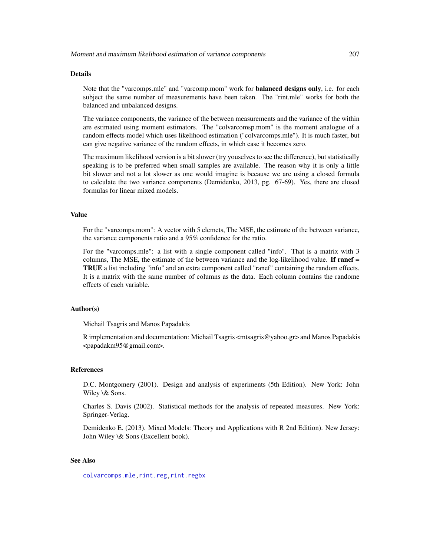#### Details

Note that the "varcomps.mle" and "varcomp.mom" work for **balanced designs only**, i.e. for each subject the same number of measurements have been taken. The "rint.mle" works for both the balanced and unbalanced designs.

The variance components, the variance of the between measurements and the variance of the within are estimated using moment estimators. The "colvarcomsp.mom" is the moment analogue of a random effects model which uses likelihood estimation ("colvarcomps.mle"). It is much faster, but can give negative variance of the random effects, in which case it becomes zero.

The maximum likelihood version is a bit slower (try youselves to see the difference), but statistically speaking is to be preferred when small samples are available. The reason why it is only a little bit slower and not a lot slower as one would imagine is because we are using a closed formula to calculate the two variance components (Demidenko, 2013, pg. 67-69). Yes, there are closed formulas for linear mixed models.

#### Value

For the "varcomps.mom": A vector with 5 elemets, The MSE, the estimate of the between variance, the variance components ratio and a 95% confidence for the ratio.

For the "varcomps.mle": a list with a single component called "info". That is a matrix with 3 columns, The MSE, the estimate of the between variance and the log-likelihood value. If  $\text{rand} =$ TRUE a list including "info" and an extra component called "ranef" containing the random effects. It is a matrix with the same number of columns as the data. Each column contains the randome effects of each variable.

#### Author(s)

Michail Tsagris and Manos Papadakis

R implementation and documentation: Michail Tsagris <mtsagris@yahoo.gr> and Manos Papadakis <papadakm95@gmail.com>.

#### **References**

D.C. Montgomery (2001). Design and analysis of experiments (5th Edition). New York: John Wiley \& Sons.

Charles S. Davis (2002). Statistical methods for the analysis of repeated measures. New York: Springer-Verlag.

Demidenko E. (2013). Mixed Models: Theory and Applications with R 2nd Edition). New Jersey: John Wiley \& Sons (Excellent book).

## See Also

[colvarcomps.mle](#page-146-0)[,rint.reg,rint.regbx](#page-235-0)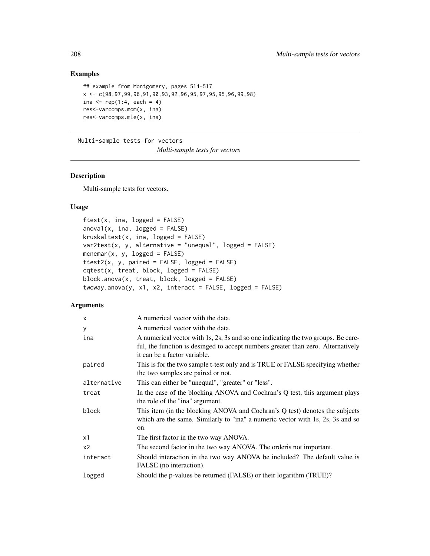# Examples

```
## example from Montgomery, pages 514-517
x <- c(98,97,99,96,91,90,93,92,96,95,97,95,95,96,99,98)
ina \leq rep(1:4, each = 4)
res<-varcomps.mom(x, ina)
res<-varcomps.mle(x, ina)
```
Multi-sample tests for vectors

*Multi-sample tests for vectors*

#### Description

Multi-sample tests for vectors.

#### Usage

```
ftest(x, ina, logged = FALSE)anoval(x, ina, logged = FALSE)kruskaltest(x, ina, logged = FALSE)
var2test(x, y, alternative = "unequal", logged = FALSE)
mcnemar(x, y, \text{logged} = \text{FALSE})ttest2(x, y, paired = FALSE, logged = FALSE)
cqtest(x, treat, block, logged = FALSE)
block.anova(x, treat, block, logged = FALSE)
twoway.anova(y, x1, x2, interact = FALSE, logged = FALSE)
```
## Arguments

| $\mathsf{x}$   | A numerical vector with the data.                                                                                                                                                                     |
|----------------|-------------------------------------------------------------------------------------------------------------------------------------------------------------------------------------------------------|
| У              | A numerical vector with the data.                                                                                                                                                                     |
| ina            | A numerical vector with 1s, 2s, 3s and so one indicating the two groups. Be care-<br>ful, the function is desinged to accept numbers greater than zero. Alternatively<br>it can be a factor variable. |
| paired         | This is for the two sample t-test only and is TRUE or FALSE specifying whether<br>the two samples are paired or not.                                                                                  |
| alternative    | This can either be "unequal", "greater" or "less".                                                                                                                                                    |
| treat          | In the case of the blocking ANOVA and Cochran's Q test, this argument plays<br>the role of the "ina" argument.                                                                                        |
| block          | This item (in the blocking ANOVA and Cochran's Q test) denotes the subjects<br>which are the same. Similarly to "ina" a numeric vector with 1s, 2s, 3s and so<br>on.                                  |
| x1             | The first factor in the two way ANOVA.                                                                                                                                                                |
| x <sub>2</sub> | The second factor in the two way ANOVA. The order is not important.                                                                                                                                   |
| interact       | Should interaction in the two way ANOVA be included? The default value is<br>FALSE (no interaction).                                                                                                  |
| logged         | Should the p-values be returned (FALSE) or their logarithm (TRUE)?                                                                                                                                    |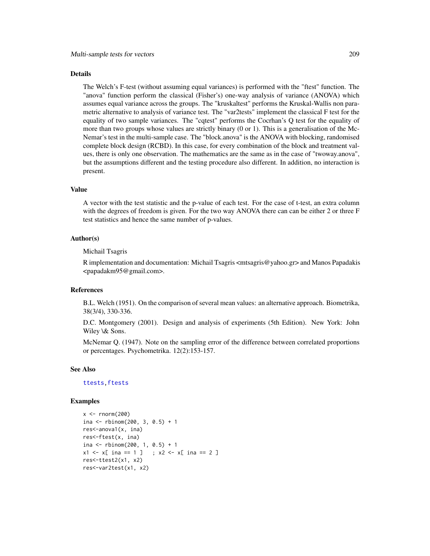#### Details

The Welch's F-test (without assuming equal variances) is performed with the "ftest" function. The "anova" function perform the classical (Fisher's) one-way analysis of variance (ANOVA) which assumes equal variance across the groups. The "kruskaltest" performs the Kruskal-Wallis non parametric alternative to analysis of variance test. The "var2tests" implement the classical F test for the equality of two sample variances. The "cqtest" performs the Cocrhan's Q test for the equality of more than two groups whose values are strictly binary (0 or 1). This is a generalisation of the Mc-Nemar's test in the multi-sample case. The "block.anova" is the ANOVA with blocking, randomised complete block design (RCBD). In this case, for every combination of the block and treatment values, there is only one observation. The mathematics are the same as in the case of "twoway.anova", but the assumptions different and the testing procedure also different. In addition, no interaction is present.

#### Value

A vector with the test statistic and the p-value of each test. For the case of t-test, an extra column with the degrees of freedom is given. For the two way ANOVA there can can be either 2 or three F test statistics and hence the same number of p-values.

#### Author(s)

Michail Tsagris

R implementation and documentation: Michail Tsagris <mtsagris@yahoo.gr> and Manos Papadakis <papadakm95@gmail.com>.

#### References

B.L. Welch (1951). On the comparison of several mean values: an alternative approach. Biometrika, 38(3/4), 330-336.

D.C. Montgomery (2001). Design and analysis of experiments (5th Edition). New York: John Wiley \& Sons.

McNemar Q. (1947). Note on the sampling error of the difference between correlated proportions or percentages. Psychometrika. 12(2):153-157.

#### See Also

[ttests](#page-134-0)[,ftests](#page-148-0)

```
x < - rnorm(200)
ina <- rbinom(200, 3, 0.5) + 1
res<-anova1(x, ina)
res<-ftest(x, ina)
ina <- rbinom(200, 1, 0.5) + 1x1 \leftarrow x[ ina == 1 ] ; x2 \leftarrow x[ ina == 2 ]
res<-ttest2(x1, x2)
res<-var2test(x1, x2)
```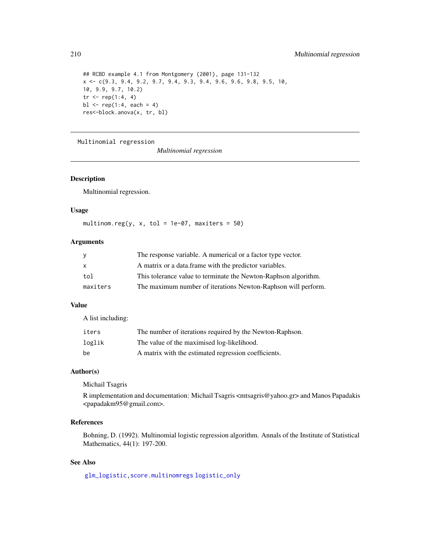```
## RCBD example 4.1 from Montgomery (2001), page 131-132
x <- c(9.3, 9.4, 9.2, 9.7, 9.4, 9.3, 9.4, 9.6, 9.6, 9.8, 9.5, 10,
10, 9.9, 9.7, 10.2)
tr < - rep(1:4, 4)b1 \leq -rep(1:4, each = 4)res<-block.anova(x, tr, bl)
```
Multinomial regression

*Multinomial regression*

## Description

Multinomial regression.

#### Usage

multinom.reg(y, x, tol = 1e-07, maxiters =  $50$ )

# Arguments

| <b>V</b> | The response variable. A numerical or a factor type vector.     |
|----------|-----------------------------------------------------------------|
| X        | A matrix or a data frame with the predictor variables.          |
| tol      | This tolerance value to terminate the Newton-Raphson algorithm. |
| maxiters | The maximum number of iterations Newton-Raphson will perform.   |

## Value

A list including:

| iters  | The number of iterations required by the Newton-Raphson. |
|--------|----------------------------------------------------------|
| loglik | The value of the maximised log-likelihood.               |
| be     | A matrix with the estimated regression coefficients.     |

## Author(s)

Michail Tsagris

R implementation and documentation: Michail Tsagris <mtsagris@yahoo.gr> and Manos Papadakis <papadakm95@gmail.com>.

#### References

Bohning, D. (1992). Multinomial logistic regression algorithm. Annals of the Institute of Statistical Mathematics, 44(1): 197-200.

# See Also

[glm\\_logistic,](#page-127-0)[score.multinomregs](#page-159-0) [logistic\\_only](#page-174-0)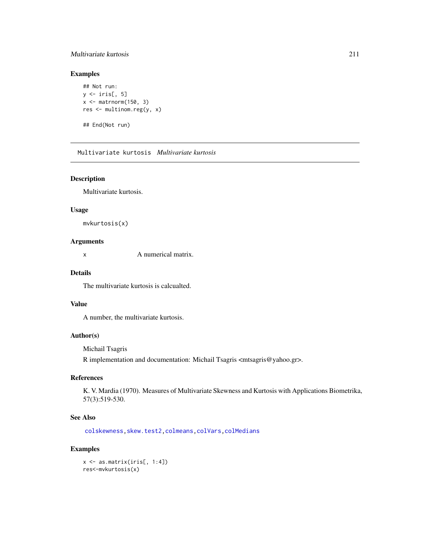## Multivariate kurtosis 211

## Examples

```
## Not run:
y \leftarrow \text{iris}[, 5]x <- matrnorm(150, 3)
res <- multinom.reg(y, x)
## End(Not run)
```
Multivariate kurtosis *Multivariate kurtosis*

## Description

Multivariate kurtosis.

#### Usage

mvkurtosis(x)

## Arguments

x A numerical matrix.

## Details

The multivariate kurtosis is calcualted.

#### Value

A number, the multivariate kurtosis.

## Author(s)

Michail Tsagris

R implementation and documentation: Michail Tsagris <mtsagris@yahoo.gr>.

## References

K. V. Mardia (1970). Measures of Multivariate Skewness and Kurtosis with Applications Biometrika, 57(3):519-530.

# See Also

[colskewness,](#page-49-0)[skew.test2](#page-113-0)[,colmeans](#page-35-0)[,colVars](#page-45-0)[,colMedians](#page-36-0)

```
x <- as.matrix(iris[, 1:4])
res<-mvkurtosis(x)
```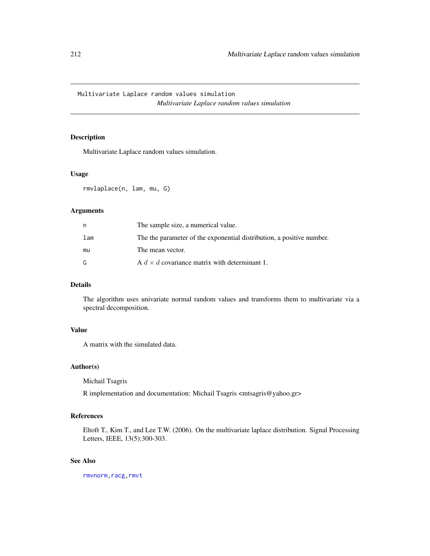# Multivariate Laplace random values simulation *Multivariate Laplace random values simulation*

## <span id="page-211-0"></span>Description

Multivariate Laplace random values simulation.

#### Usage

rmvlaplace(n, lam, mu, G)

## Arguments

|     | The sample size, a numerical value.                                   |
|-----|-----------------------------------------------------------------------|
| lam | The the parameter of the exponential distribution, a positive number. |
| mu  | The mean vector.                                                      |
| G.  | A $d \times d$ covariance matrix with determinant 1.                  |

## Details

The algorithm uses univariate normal random values and transforms them to multivariate via a spectral decomposition.

# Value

A matrix with the simulated data.

## Author(s)

Michail Tsagris

R implementation and documentation: Michail Tsagris <mtsagris@yahoo.gr>

## References

Eltoft T., Kim T., and Lee T.W. (2006). On the multivariate laplace distribution. Signal Processing Letters, IEEE, 13(5):300-303.

## See Also

[rmvnorm](#page-212-0)[,racg](#page-11-0)[,rmvt](#page-212-0)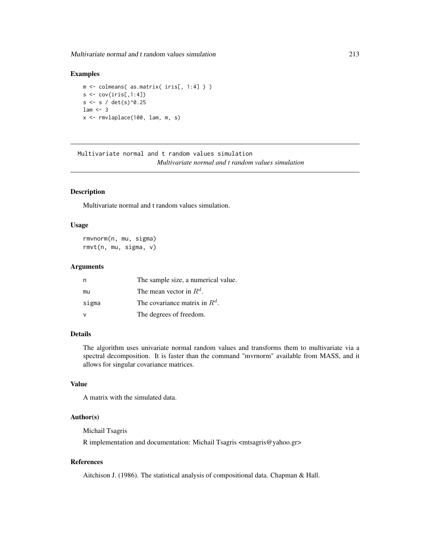Multivariate normal and t random values simulation 213

## Examples

```
m <- colmeans( as.matrix( iris[, 1:4] ) )
s \leftarrow cov(iris[, 1:4])s \leq s / det(s)^0.25lam \leftarrow 3x <- rmvlaplace(100, lam, m, s)
```
Multivariate normal and t random values simulation *Multivariate normal and t random values simulation*

#### <span id="page-212-0"></span>Description

Multivariate normal and t random values simulation.

#### Usage

rmvnorm(n, mu, sigma) rmvt(n, mu, sigma, v)

## Arguments

|       | The sample size, a numerical value. |
|-------|-------------------------------------|
| mu    | The mean vector in $R^d$ .          |
| sigma | The covariance matrix in $R^d$ .    |
|       | The degrees of freedom.             |

## Details

The algorithm uses univariate normal random values and transforms them to multivariate via a spectral decomposition. It is faster than the command "mvrnorm" available from MASS, and it allows for singular covariance matrices.

## Value

A matrix with the simulated data.

## Author(s)

Michail Tsagris

R implementation and documentation: Michail Tsagris <mtsagris@yahoo.gr>

## References

Aitchison J. (1986). The statistical analysis of compositional data. Chapman & Hall.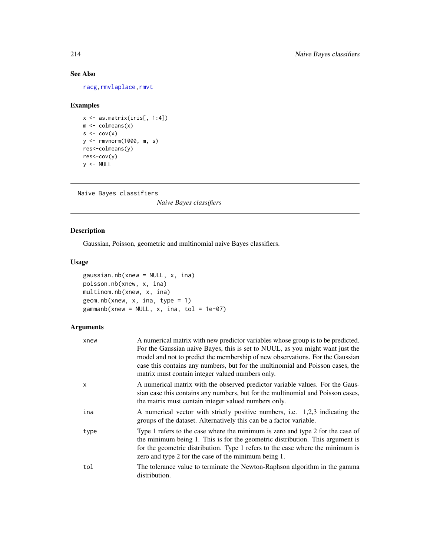# See Also

[racg](#page-11-0)[,rmvlaplace](#page-211-0)[,rmvt](#page-212-0)

## Examples

```
x \leftarrow as.matrix(iris[, 1:4])m \leftarrow column(x)s \leftarrow cov(x)y <- rmvnorm(1000, m, s)
res<-colmeans(y)
res<-cov(y)
y <- NULL
```

```
Naive Bayes classifiers
```
*Naive Bayes classifiers*

## <span id="page-213-0"></span>Description

Gaussian, Poisson, geometric and multinomial naive Bayes classifiers.

## Usage

```
gaussian.nb(xnew = NULL, x, ina)
poisson.nb(xnew, x, ina)
multinom.nb(xnew, x, ina)
geom.nb(xnew, x, ina, type = 1)
gamma(xnew = NULL, x, ina, tol = 1e-07)
```
## Arguments

| xnew         | A numerical matrix with new predictor variables whose group is to be predicted.<br>For the Gaussian naive Bayes, this is set to NUUL, as you might want just the<br>model and not to predict the membership of new observations. For the Gaussian<br>case this contains any numbers, but for the multinomial and Poisson cases, the<br>matrix must contain integer valued numbers only. |
|--------------|-----------------------------------------------------------------------------------------------------------------------------------------------------------------------------------------------------------------------------------------------------------------------------------------------------------------------------------------------------------------------------------------|
| $\mathsf{x}$ | A numerical matrix with the observed predictor variable values. For the Gaus-<br>sian case this contains any numbers, but for the multinomial and Poisson cases,<br>the matrix must contain integer valued numbers only.                                                                                                                                                                |
| ina          | A numerical vector with strictly positive numbers, i.e. 1,2,3 indicating the<br>groups of the dataset. Alternatively this can be a factor variable.                                                                                                                                                                                                                                     |
| type         | Type 1 refers to the case where the minimum is zero and type 2 for the case of<br>the minimum being 1. This is for the geometric distribution. This argument is<br>for the geometric distribution. Type 1 refers to the case where the minimum is<br>zero and type 2 for the case of the minimum being 1.                                                                               |
| tol          | The tolerance value to terminate the Newton-Raphson algorithm in the gamma<br>distribution.                                                                                                                                                                                                                                                                                             |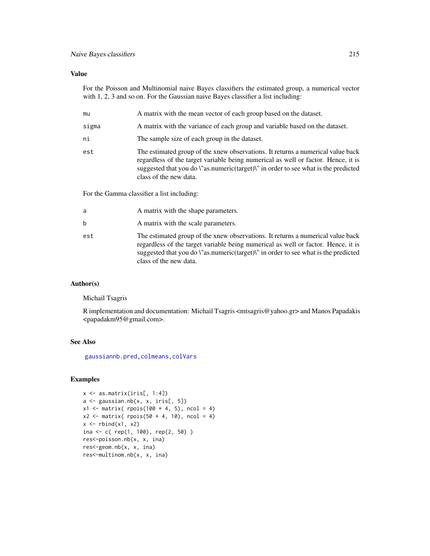## Value

For the Poisson and Multinomial naive Bayes classifiers the estimated group, a numerical vector with 1, 2, 3 and so on. For the Gaussian naive Bayes classifier a list including:

| mu    | A matrix with the mean vector of each group based on the dataset.                                                                                                                                                                                                                    |
|-------|--------------------------------------------------------------------------------------------------------------------------------------------------------------------------------------------------------------------------------------------------------------------------------------|
| sigma | A matrix with the variance of each group and variable based on the dataset.                                                                                                                                                                                                          |
| ni    | The sample size of each group in the dataset.                                                                                                                                                                                                                                        |
| est   | The estimated group of the xnew observations. It returns a numerical value back<br>regardless of the target variable being numerical as well or factor. Hence, it is<br>suggested that you do \"as.numeric(target)\" in order to see what is the predicted<br>class of the new data. |

For the Gamma classifier a list including:

| a   | A matrix with the shape parameters.                                                                                                                                                                                                                                                                     |
|-----|---------------------------------------------------------------------------------------------------------------------------------------------------------------------------------------------------------------------------------------------------------------------------------------------------------|
| b   | A matrix with the scale parameters.                                                                                                                                                                                                                                                                     |
| est | The estimated group of the xnew observations. It returns a numerical value back<br>regardless of the target variable being numerical as well or factor. Hence, it is<br>suggested that you do $\Upsilon$ as numeric (target) $\Upsilon$ in order to see what is the predicted<br>class of the new data. |

## Author(s)

Michail Tsagris

R implementation and documentation: Michail Tsagris <mtsagris@yahoo.gr> and Manos Papadakis <papadakm95@gmail.com>.

## See Also

[gaussiannb.pred,](#page-231-0)[colmeans](#page-35-0)[,colVars](#page-45-0)

```
x <- as.matrix(iris[, 1:4])
a \leftarrow gaussian.nb(x, x, iris[, 5])
x1 \leftarrow \text{matrix} (\text{ppis}(100 * 4, 5), \text{ncol} = 4)x2 \le matrix( rpois(50 * 4, 10), ncol = 4)
x \leftarrow \text{rbind}(x1, x2)ina <- c( rep(1, 100), rep(2, 50) )
res<-poisson.nb(x, x, ina)
res<-geom.nb(x, x, ina)
res<-multinom.nb(x, x, ina)
```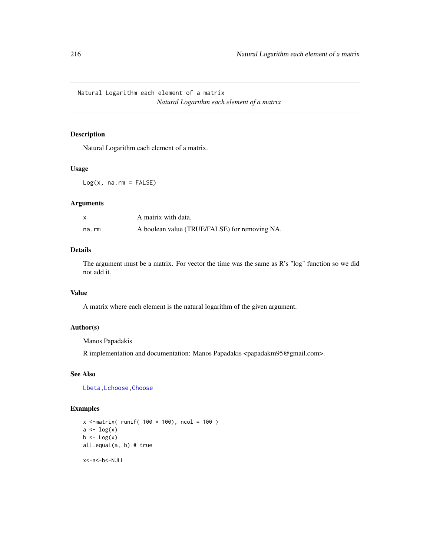Natural Logarithm each element of a matrix *Natural Logarithm each element of a matrix*

## Description

Natural Logarithm each element of a matrix.

#### Usage

 $Log(x, na.rm = FALSE)$ 

#### Arguments

|       | A matrix with data.                           |
|-------|-----------------------------------------------|
| na.rm | A boolean value (TRUE/FALSE) for removing NA. |

#### Details

The argument must be a matrix. For vector the time was the same as R's "log" function so we did not add it.

#### Value

A matrix where each element is the natural logarithm of the given argument.

## Author(s)

Manos Papadakis

R implementation and documentation: Manos Papadakis <papadakm95@gmail.com>.

## See Also

[Lbeta](#page-216-0)[,Lchoose,Choose](#page-20-0)

## Examples

```
x <-matrix( runif( 100 * 100), ncol = 100)
a \leftarrow \log(x)b \leftarrow \text{Log}(x)all.equal(a, b) # true
```
x<-a<-b<-NULL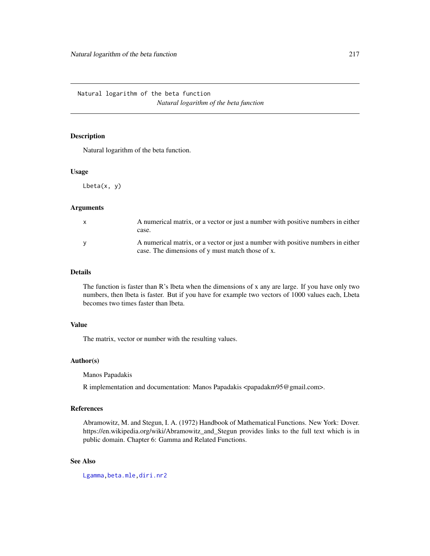Natural logarithm of the beta function *Natural logarithm of the beta function*

## Description

Natural logarithm of the beta function.

#### Usage

Lbeta(x, y)

## Arguments

| A numerical matrix, or a vector or just a number with positive numbers in either<br>case.                                            |
|--------------------------------------------------------------------------------------------------------------------------------------|
| A numerical matrix, or a vector or just a number with positive numbers in either<br>case. The dimensions of y must match those of x. |

#### Details

The function is faster than R's lbeta when the dimensions of x any are large. If you have only two numbers, then lbeta is faster. But if you have for example two vectors of 1000 values each, Lbeta becomes two times faster than lbeta.

## Value

The matrix, vector or number with the resulting values.

## Author(s)

Manos Papadakis

R implementation and documentation: Manos Papadakis <papadakm95@gmail.com>.

#### References

Abramowitz, M. and Stegun, I. A. (1972) Handbook of Mathematical Functions. New York: Dover. https://en.wikipedia.org/wiki/Abramowitz\_and\_Stegun provides links to the full text which is in public domain. Chapter 6: Gamma and Related Functions.

# See Also

[Lgamma](#page-217-0)[,beta.mle](#page-196-0)[,diri.nr2](#page-96-0)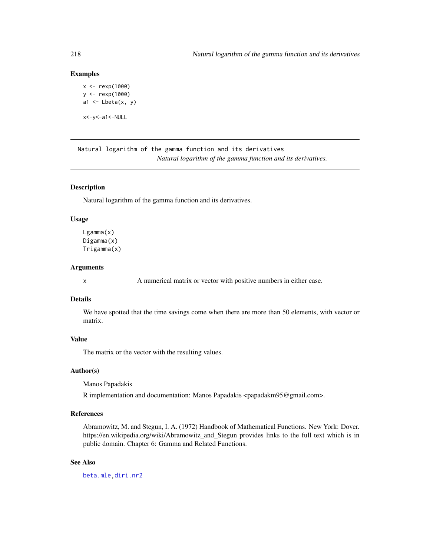## Examples

```
x <- rexp(1000)
y <- rexp(1000)
a1 \leftarrow Lbeta(x, y)x<-y<-a1<-NULL
```
Natural logarithm of the gamma function and its derivatives *Natural logarithm of the gamma function and its derivatives.*

#### <span id="page-217-0"></span>Description

Natural logarithm of the gamma function and its derivatives.

#### Usage

Lgamma(x) Digamma(x) Trigamma(x)

#### **Arguments**

x A numerical matrix or vector with positive numbers in either case.

#### Details

We have spotted that the time savings come when there are more than 50 elements, with vector or matrix.

# Value

The matrix or the vector with the resulting values.

## Author(s)

Manos Papadakis

R implementation and documentation: Manos Papadakis <papadakm95@gmail.com>.

## References

Abramowitz, M. and Stegun, I. A. (1972) Handbook of Mathematical Functions. New York: Dover. https://en.wikipedia.org/wiki/Abramowitz\_and\_Stegun provides links to the full text which is in public domain. Chapter 6: Gamma and Related Functions.

# See Also

[beta.mle](#page-196-0)[,diri.nr2](#page-96-0)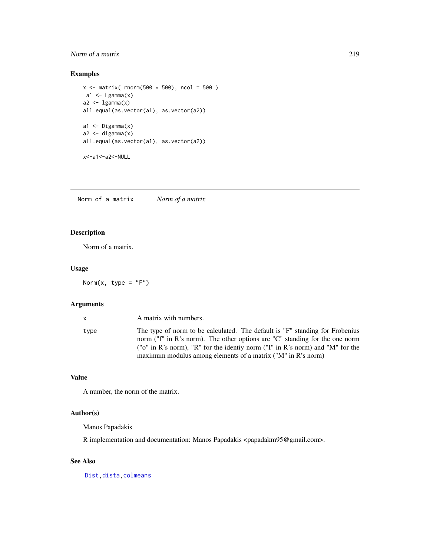# Norm of a matrix 219

## Examples

```
x \le - matrix( rnorm(500 * 500), ncol = 500)
a1 \leftarrow Lgamma(x)a2 < - lgamma(x)all.equal(as.vector(a1), as.vector(a2))
a1 \leftarrow Digamma(x)a2 \le - digamma(x)all.equal(as.vector(a1), as.vector(a2))
x<-a1<-a2<-NULL
```
Norm of a matrix *Norm of a matrix*

# Description

Norm of a matrix.

## Usage

Norm $(x, type = "F")$ 

# Arguments

| $\mathbf{x}$ | A matrix with numbers.                                                                                                                                                                                                                                                                                                  |
|--------------|-------------------------------------------------------------------------------------------------------------------------------------------------------------------------------------------------------------------------------------------------------------------------------------------------------------------------|
| type         | The type of norm to be calculated. The default is "F" standing for Frobenius<br>norm ("f" in R's norm). The other options are "C" standing for the one norm<br>( $\degree$ "o" in R's norm), "R" for the identiv norm ("I" in R's norm) and "M" for the<br>maximum modulus among elements of a matrix ("M" in R's norm) |
|              |                                                                                                                                                                                                                                                                                                                         |

## Value

A number, the norm of the matrix.

# Author(s)

Manos Papadakis

R implementation and documentation: Manos Papadakis <papadakm95@gmail.com>.

# See Also

[Dist,](#page-76-0)[dista,](#page-74-0)[colmeans](#page-35-0)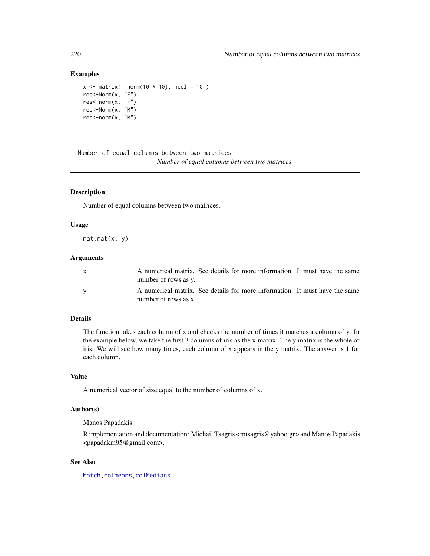## Examples

```
x \le matrix( rnorm(10 * 10), ncol = 10)
res<-Norm(x, "F")
res<-norm(x, "F")
res<-Norm(x, "M")
res<-norm(x, "M")
```
Number of equal columns between two matrices *Number of equal columns between two matrices*

#### Description

Number of equal columns between two matrices.

#### Usage

 $mat.mat(x, y)$ 

#### Arguments

| A numerical matrix. See details for more information. It must have the same<br>number of rows as y. |  |  |  |  |
|-----------------------------------------------------------------------------------------------------|--|--|--|--|
| A numerical matrix. See details for more information. It must have the same<br>number of rows as x. |  |  |  |  |

#### Details

The function takes each column of x and checks the number of times it matches a column of y. In the example below, we take the first 3 columns of iris as the x matrix. The y matrix is the whole of iris. We will see how many times, each column of x appears in the y matrix. The answer is 1 for each column.

## Value

A numerical vector of size equal to the number of columns of x.

## Author(s)

Manos Papadakis

R implementation and documentation: Michail Tsagris <mtsagris@yahoo.gr> and Manos Papadakis <papadakm95@gmail.com>.

# See Also

[Match](#page-178-0)[,colmeans](#page-35-0)[,colMedians](#page-36-0)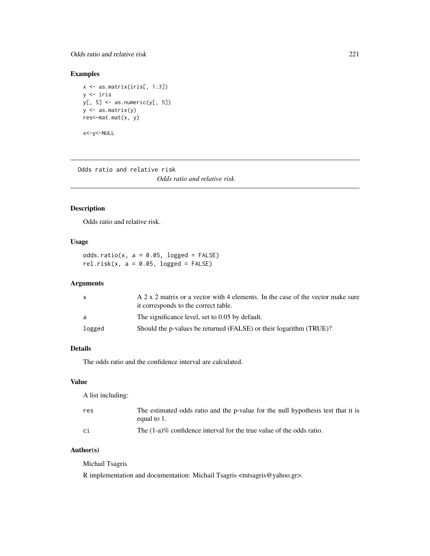## Odds ratio and relative risk 221

# Examples

```
x <- as.matrix(iris[, 1:3])
y <- iris
y[, 5] <- as.numeric(y[, 5])
y <- as.matrix(y)
res<-mat.mat(x, y)
```
x<-y<-NULL

Odds ratio and relative risk

*Odds ratio and relative risk*

# Description

Odds ratio and relative risk.

# Usage

odds.ratio(x,  $a = 0.05$ , logged = FALSE) rel.risk(x,  $a = 0.05$ , logged = FALSE)

# Arguments

| $\mathsf{X}$ | A 2 x 2 matrix or a vector with 4 elements. In the case of the vector make sure<br>it corresponds to the correct table. |
|--------------|-------------------------------------------------------------------------------------------------------------------------|
| -a           | The significance level, set to 0.05 by default.                                                                         |
| logged       | Should the p-values be returned (FALSE) or their logarithm (TRUE)?                                                      |

# Details

The odds ratio and the confidence interval are calculated.

# Value

A list including:

| res | The estimated odds ratio and the p-value for the null hypothesis test that it is<br>equal to 1. |
|-----|-------------------------------------------------------------------------------------------------|
| сi  | The $(1-a)\%$ confidence interval for the true value of the odds ratio.                         |

## Author(s)

Michail Tsagris

R implementation and documentation: Michail Tsagris <mtsagris@yahoo.gr>.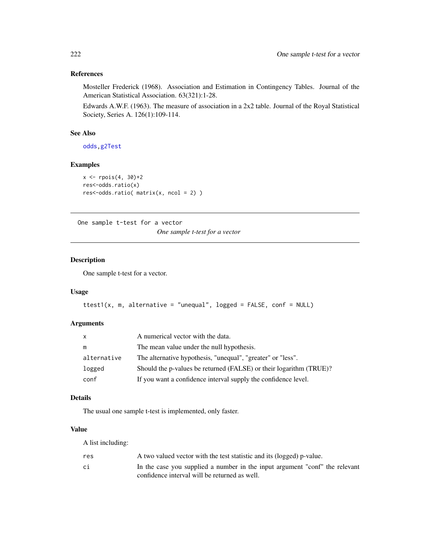# References

Mosteller Frederick (1968). Association and Estimation in Contingency Tables. Journal of the American Statistical Association. 63(321):1-28.

Edwards A.W.F. (1963). The measure of association in a 2x2 table. Journal of the Royal Statistical Society, Series A. 126(1):109-114.

## See Also

[odds](#page-152-0)[,g2Test](#page-99-0)

## Examples

```
x \leftarrow \text{rpois}(4, 30)+2res<-odds.ratio(x)
res<-odds.ratio( matrix(x, ncol = 2) )
```
One sample t-test for a vector

*One sample t-test for a vector*

## Description

One sample t-test for a vector.

#### Usage

```
ttest1(x, m, alternative = "unequal", logged = FALSE, conf = NULL)
```
### Arguments

| X           | A numerical vector with the data.                                  |
|-------------|--------------------------------------------------------------------|
| m           | The mean value under the null hypothesis.                          |
| alternative | The alternative hypothesis, "unequal", "greater" or "less".        |
| logged      | Should the p-values be returned (FALSE) or their logarithm (TRUE)? |
| conf        | If you want a confidence interval supply the confidence level.     |

# Details

The usual one sample t-test is implemented, only faster.

# Value

A list including:

| res | A two valued vector with the test statistic and its (logged) p-value.       |
|-----|-----------------------------------------------------------------------------|
| сi  | In the case you supplied a number in the input argument "conf" the relevant |
|     | confidence interval will be returned as well.                               |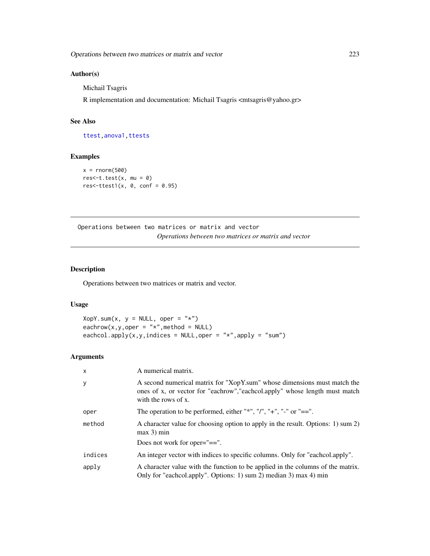## Author(s)

Michail Tsagris

R implementation and documentation: Michail Tsagris <mtsagris@yahoo.gr>

## See Also

[ttest](#page-154-0)[,anova1](#page-207-0)[,ttests](#page-134-0)

## Examples

```
x = \text{norm}(500)res<-t.test(x, mu = 0)res<-ttest1(x, 0, conf = 0.95)
```
Operations between two matrices or matrix and vector *Operations between two matrices or matrix and vector*

# Description

Operations between two matrices or matrix and vector.

# Usage

 $XopY.sum(x, y = NULL, oper = "*")$ eachrow(x,y,oper = " $*$ ", method = NULL) eachcol.apply(x,y,indices = NULL, oper = "\*", apply = "sum")

## Arguments

| $\mathsf{x}$ | A numerical matrix.                                                                                                                                                            |
|--------------|--------------------------------------------------------------------------------------------------------------------------------------------------------------------------------|
| y            | A second numerical matrix for "XopY.sum" whose dimensions must match the<br>ones of x, or vector for "eachrow", "eachcol.apply" whose length must match<br>with the rows of x. |
| oper         | The operation to be performed, either "*", "/", "+", "-" or "==".                                                                                                              |
| method       | A character value for choosing option to apply in the result. Options: 1) sum 2)<br>$max 3$ ) min                                                                              |
|              | Does not work for oper= $"=="$ .                                                                                                                                               |
| indices      | An integer vector with indices to specific columns. Only for "each colapply".                                                                                                  |
| apply        | A character value with the function to be applied in the columns of the matrix.<br>Only for "eachcol.apply". Options: 1) sum 2) median 3) max 4) min                           |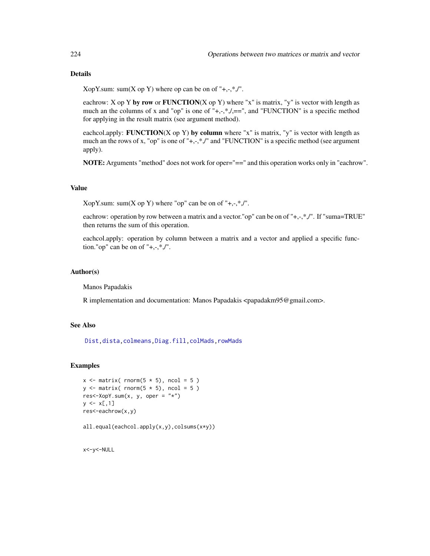# Details

XopY.sum: sum(X op Y) where op can be on of " $+,$ , $*,$ ".

eachrow: X op Y by row or FUNCTION(X op Y) where "x" is matrix, "y" is vector with length as much an the columns of x and "op" is one of " $+, \frac{*}{*}, \frac{*}{*}$ , and "FUNCTION" is a specific method for applying in the result matrix (see argument method).

eachcol.apply: **FUNCTION**(X op Y) by column where "x" is matrix, "y" is vector with length as much an the rows of x, "op" is one of "+,-,\*,/" and "FUNCTION" is a specific method (see argument apply).

NOTE: Arguments "method" does not work for oper="==" and this operation works only in "eachrow".

## Value

XopY.sum: sum(X op Y) where "op" can be on of " $+,$ , $*,$ ".

eachrow: operation by row between a matrix and a vector."op" can be on of "+,-,\*,/". If "suma=TRUE" then returns the sum of this operation.

eachcol.apply: operation by column between a matrix and a vector and applied a specific function." op" can be on of " $+,$ , $*,$ ''.

#### Author(s)

Manos Papadakis

R implementation and documentation: Manos Papadakis <papadakm95@gmail.com>.

# See Also

[Dist,](#page-76-0)[dista,](#page-74-0)[colmeans](#page-35-0)[,Diag.fill](#page-73-0)[,colMads,rowMads](#page-46-0)

#### Examples

```
x \le matrix( rnorm(5 * 5), ncol = 5)
y \leftarrow matrix( rnorm(5 \star 5), ncol = 5)
res<-XopY.sum(x, y, \text{ oper} = "x")y \le -x[,1]res<-eachrow(x,y)
```
all.equal(eachcol.apply(x,y),colsums(x\*y))

x<-y<-NULL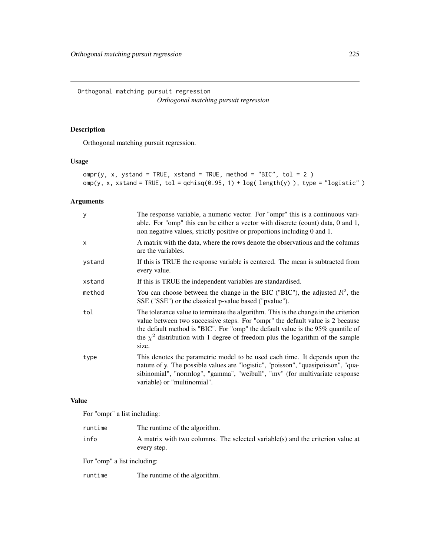Orthogonal matching pursuit regression *Orthogonal matching pursuit regression*

# Description

Orthogonal matching pursuit regression.

# Usage

```
omp(y, x, ystand = TRUE, xstand = TRUE, method = "BIC", tol = 2)omp(y, x, xstand = TRUE, tol = qchisq(0.95, 1) + log( length(y) ), type = "logistic")
```
# Arguments

| y      | The response variable, a numeric vector. For "ompr" this is a continuous vari-<br>able. For "omp" this can be either a vector with discrete (count) data, $0$ and $1$ ,<br>non negative values, strictly positive or proportions including 0 and 1.                                                                                                     |
|--------|---------------------------------------------------------------------------------------------------------------------------------------------------------------------------------------------------------------------------------------------------------------------------------------------------------------------------------------------------------|
| X      | A matrix with the data, where the rows denote the observations and the columns<br>are the variables.                                                                                                                                                                                                                                                    |
| ystand | If this is TRUE the response variable is centered. The mean is subtracted from<br>every value.                                                                                                                                                                                                                                                          |
| xstand | If this is TRUE the independent variables are standardised.                                                                                                                                                                                                                                                                                             |
| method | You can choose between the change in the BIC ("BIC"), the adjusted $R^2$ , the<br>SSE ("SSE") or the classical p-value based ("pvalue").                                                                                                                                                                                                                |
| tol    | The tolerance value to terminate the algorithm. This is the change in the criterion<br>value between two successive steps. For "ompr" the default value is 2 because<br>the default method is "BIC". For "omp" the default value is the 95% quantile of<br>the $\chi^2$ distribution with 1 degree of freedom plus the logarithm of the sample<br>size. |
| type   | This denotes the parametric model to be used each time. It depends upon the<br>nature of y. The possible values are "logistic", "poisson", "quasipoisson", "qua-<br>sibinomial", "normlog", "gamma", "weibull", "mv" (for multivariate response<br>variable) or "multinomial".                                                                          |

## Value

For "ompr" a list including:

| info<br>every step. | runtime | The runtime of the algorithm.                                                  |
|---------------------|---------|--------------------------------------------------------------------------------|
|                     |         | A matrix with two columns. The selected variable(s) and the criterion value at |

For "omp" a list including:

runtime The runtime of the algorithm.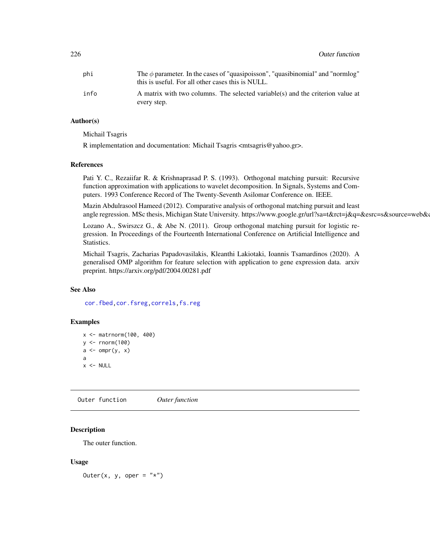| phi  | The $\phi$ parameter. In the cases of "quasipoisson", "quasibinomial" and "normlog"<br>this is useful. For all other cases this is NULL. |
|------|------------------------------------------------------------------------------------------------------------------------------------------|
| info | A matrix with two columns. The selected variable(s) and the criterion value at                                                           |
|      | every step.                                                                                                                              |

## Author(s)

Michail Tsagris

R implementation and documentation: Michail Tsagris <mtsagris@yahoo.gr>.

#### References

Pati Y. C., Rezaiifar R. & Krishnaprasad P. S. (1993). Orthogonal matching pursuit: Recursive function approximation with applications to wavelet decomposition. In Signals, Systems and Computers. 1993 Conference Record of The Twenty-Seventh Asilomar Conference on. IEEE.

Mazin Abdulrasool Hameed (2012). Comparative analysis of orthogonal matching pursuit and least angle regression. MSc thesis, Michigan State University. https://www.google.gr/url?sa=t&rct=j&q=&esrc=s&source=web&

Lozano A., Swirszcz G., & Abe N. (2011). Group orthogonal matching pursuit for logistic regression. In Proceedings of the Fourteenth International Conference on Artificial Intelligence and Statistics.

Michail Tsagris, Zacharias Papadovasilakis, Kleanthi Lakiotaki, Ioannis Tsamardinos (2020). A generalised OMP algorithm for feature selection with application to gene expression data. arxiv preprint. https://arxiv.org/pdf/2004.00281.pdf

# See Also

[cor.fbed,](#page-91-0)[cor.fsreg](#page-59-0)[,correls](#page-62-0)[,fs.reg](#page-98-0)

#### Examples

```
x <- matrnorm(100, 400)
y \leftarrow \text{norm}(100)a \leftarrow \text{omp}(y, x)a
x < - NULL
```
Outer function *Outer function*

#### Description

The outer function.

#### Usage

Outer(x, y, oper =  $"*")$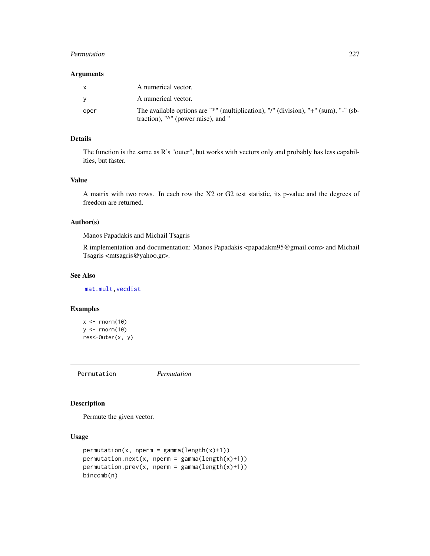#### Permutation 227

### Arguments

| $\mathsf{x}$ | A numerical vector.                                                                                                                 |
|--------------|-------------------------------------------------------------------------------------------------------------------------------------|
| <b>V</b>     | A numerical vector.                                                                                                                 |
| oper         | The available options are "*" (multiplication), "/" (division), "+" (sum), "-" (sb-<br>traction), " $\wedge$ " (power raise), and " |

# Details

The function is the same as R's "outer", but works with vectors only and probably has less capabilities, but faster.

## Value

A matrix with two rows. In each row the X2 or G2 test statistic, its p-value and the degrees of freedom are returned.

### Author(s)

Manos Papadakis and Michail Tsagris

R implementation and documentation: Manos Papadakis <papadakm95@gmail.com> and Michail Tsagris <mtsagris@yahoo.gr>.

#### See Also

[mat.mult,](#page-179-0)[vecdist](#page-76-0)

# Examples

```
x \leftarrow \text{norm}(10)y \le - rnorm(10)
res<-Outer(x, y)
```
Permutation *Permutation*

## Description

Permute the given vector.

# Usage

```
permutation(x, nperm = gamma(length(x)+1))permutation.next(x, nperm = gamma(length(x)+1))
permutation.prev(x, nperm = gamma(length(x)+1))
bincomb(n)
```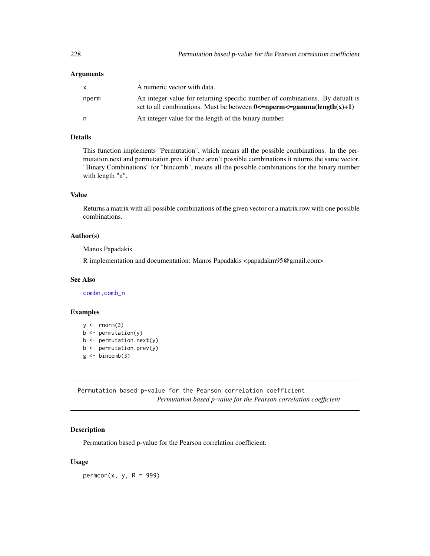#### **Arguments**

| $\mathbf{x}$ | A numeric vector with data.                                                                                                                                         |
|--------------|---------------------------------------------------------------------------------------------------------------------------------------------------------------------|
| nperm        | An integer value for returning specific number of combinations. By defualt is<br>set to all combinations. Must be between $0 \leq n$ perm $\leq$ gamma(length(x)+1) |
| n            | An integer value for the length of the binary number.                                                                                                               |

#### Details

This function implements "Permutation", which means all the possible combinations. In the permutation.next and permutation.prev if there aren't possible combinations it returns the same vector. "Binary Combinations" for "bincomb", means all the possible combinations for the binary number with length "n".

# Value

Returns a matrix with all possible combinations of the given vector or a matrix row with one possible combinations.

# Author(s)

Manos Papadakis

R implementation and documentation: Manos Papadakis <papadakm95@gmail.com>

#### See Also

[combn](#page-0-0)[,comb\\_n](#page-8-0)

# Examples

```
y \leftarrow \text{norm}(3)b <- permutation(y)
b <- permutation.next(y)
b <- permutation.prev(y)
g \leftarrow bincomb(3)
```
Permutation based p-value for the Pearson correlation coefficient *Permutation based p-value for the Pearson correlation coefficient*

#### Description

Permutation based p-value for the Pearson correlation coefficient.

#### Usage

 $permcor(x, y, R = 999)$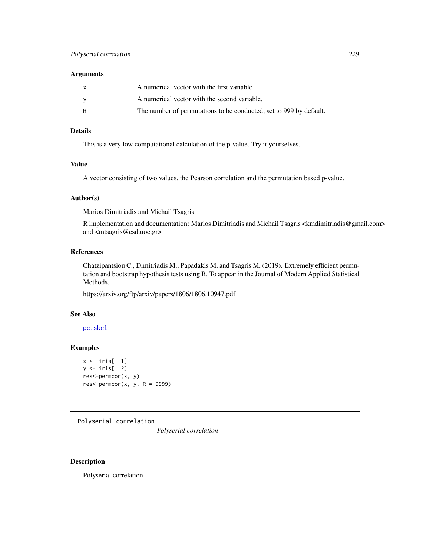#### **Arguments**

| X | A numerical vector with the first variable.                        |
|---|--------------------------------------------------------------------|
| v | A numerical vector with the second variable.                       |
| R | The number of permutations to be conducted; set to 999 by default. |

# Details

This is a very low computational calculation of the p-value. Try it yourselves.

## Value

A vector consisting of two values, the Pearson correlation and the permutation based p-value.

#### Author(s)

Marios Dimitriadis and Michail Tsagris

R implementation and documentation: Marios Dimitriadis and Michail Tsagris <kmdimitriadis@gmail.com> and <mtsagris@csd.uoc.gr>

#### References

Chatzipantsiou C., Dimitriadis M., Papadakis M. and Tsagris M. (2019). Extremely efficient permutation and bootstrap hypothesis tests using R. To appear in the Journal of Modern Applied Statistical Methods.

https://arxiv.org/ftp/arxiv/papers/1806/1806.10947.pdf

## See Also

[pc.skel](#page-254-0)

## Examples

```
x \leftarrow \text{iris}[, 1]y \leftarrow \text{iris}[, 2]res<-permcor(x, y)
res<-permcor(x, y, R = 9999)
```
Polyserial correlation

*Polyserial correlation*

#### Description

Polyserial correlation.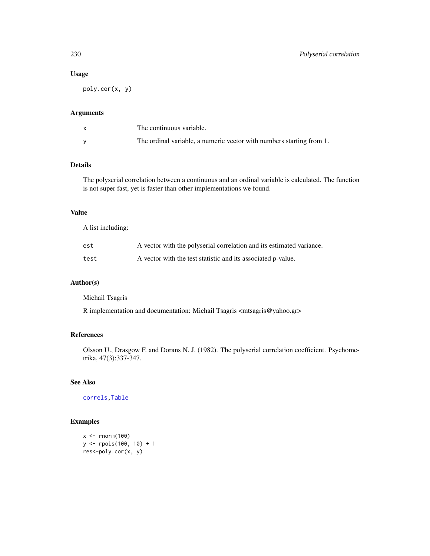# Usage

poly.cor(x, y)

## Arguments

| The continuous variable.                                             |
|----------------------------------------------------------------------|
| The ordinal variable, a numeric vector with numbers starting from 1. |

# Details

The polyserial correlation between a continuous and an ordinal variable is calculated. The function is not super fast, yet is faster than other implementations we found.

# Value

A list including:

| est  | A vector with the polyserial correlation and its estimated variance. |
|------|----------------------------------------------------------------------|
| test | A vector with the test statistic and its associated p-value.         |

# Author(s)

Michail Tsagris

R implementation and documentation: Michail Tsagris <mtsagris@yahoo.gr>

## References

Olsson U., Drasgow F. and Dorans N. J. (1982). The polyserial correlation coefficient. Psychometrika, 47(3):337-347.

# See Also

[correls](#page-62-0)[,Table](#page-270-0)

# Examples

```
x <- rnorm(100)
y <- rpois(100, 10) + 1
res<-poly.cor(x, y)
```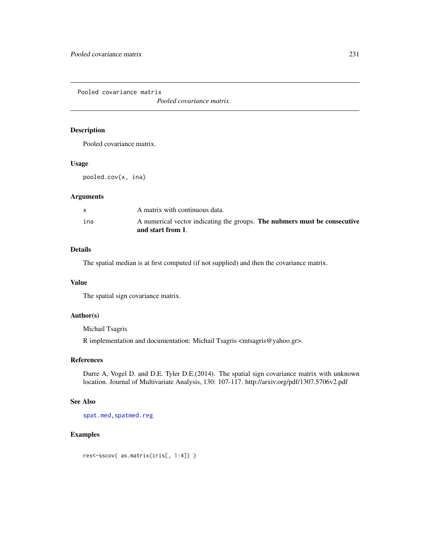Pooled covariance matrix

*Pooled covariance matrix*

# Description

Pooled covariance matrix.

## Usage

pooled.cov(x, ina)

# Arguments

| ina | A numerical vector indicating the groups. The nubmers must be consecutive<br>and start from 1. |
|-----|------------------------------------------------------------------------------------------------|
|     |                                                                                                |
|     | A matrix with continuous data.                                                                 |

# Details

The spatial median is at first computed (if not supplied) and then the covariance matrix.

# Value

The spatial sign covariance matrix.

# Author(s)

Michail Tsagris

R implementation and documentation: Michail Tsagris <mtsagris@yahoo.gr>.

#### References

Durre A, Vogel D. and D.E. Tyler D.E.(2014). The spatial sign covariance matrix with unknown location. Journal of Multivariate Analysis, 130: 107-117. http://arxiv.org/pdf/1307.5706v2.pdf

# See Also

[spat.med](#page-263-0), spatmed.reg

# Examples

res<-sscov( as.matrix(iris[, 1:4]) )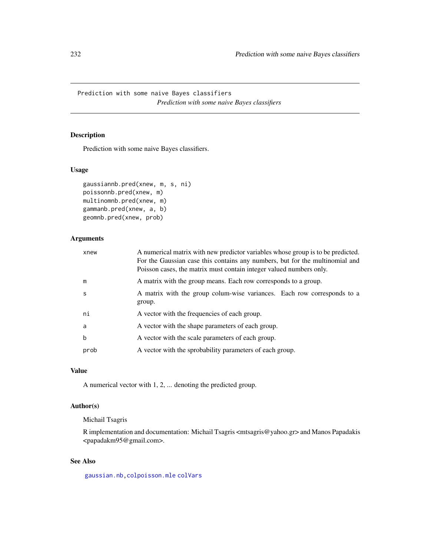Prediction with some naive Bayes classifiers *Prediction with some naive Bayes classifiers*

# Description

Prediction with some naive Bayes classifiers.

# Usage

```
gaussiannb.pred(xnew, m, s, ni)
poissonnb.pred(xnew, m)
multinomnb.pred(xnew, m)
gammanb.pred(xnew, a, b)
geomnb.pred(xnew, prob)
```
# Arguments

| xnew         | A numerical matrix with new predictor variables whose group is to be predicted.<br>For the Gaussian case this contains any numbers, but for the multinomial and<br>Poisson cases, the matrix must contain integer valued numbers only. |
|--------------|----------------------------------------------------------------------------------------------------------------------------------------------------------------------------------------------------------------------------------------|
| m            | A matrix with the group means. Each row corresponds to a group.                                                                                                                                                                        |
| <sub>S</sub> | A matrix with the group colum-wise variances. Each row corresponds to a<br>group.                                                                                                                                                      |
| ni           | A vector with the frequencies of each group.                                                                                                                                                                                           |
| a            | A vector with the shape parameters of each group.                                                                                                                                                                                      |
| $\mathbf b$  | A vector with the scale parameters of each group.                                                                                                                                                                                      |
| prob         | A vector with the sprobability parameters of each group.                                                                                                                                                                               |

# Value

A numerical vector with 1, 2, ... denoting the predicted group.

# Author(s)

Michail Tsagris

R implementation and documentation: Michail Tsagris <mtsagris@yahoo.gr> and Manos Papadakis <papadakm95@gmail.com>.

## See Also

[gaussian.nb,](#page-213-0)[colpoisson.mle](#page-188-0) [colVars](#page-45-0)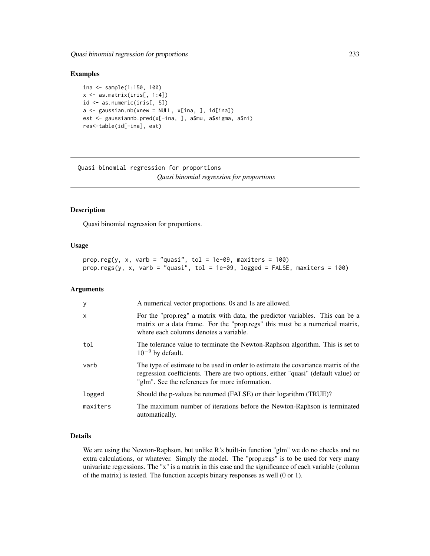Quasi binomial regression for proportions 233

#### Examples

```
ina <- sample(1:150, 100)
x \leftarrow as.matrix(iris[, 1:4])
id <- as.numeric(iris[, 5])
a \leq gaussian.nb(xnew = NULL, x[ina, ], id[ina])
est <- gaussiannb.pred(x[-ina, ], a$mu, a$sigma, a$ni)
res<-table(id[-ina], est)
```
Quasi binomial regression for proportions *Quasi binomial regression for proportions*

## <span id="page-232-0"></span>Description

Quasi binomial regression for proportions.

## Usage

```
prop.reg(y, x, varb = "quasi", tol = 1e-09, maxiters = 100)
prop.regs(y, x, varb = "quasi", tol = 1e-09, logged = FALSE, maxiters = 100)
```
# Arguments

| У        | A numerical vector proportions. Os and 1s are allowed.                                                                                                                                                                    |
|----------|---------------------------------------------------------------------------------------------------------------------------------------------------------------------------------------------------------------------------|
| X        | For the "prop.reg" a matrix with data, the predictor variables. This can be a<br>matrix or a data frame. For the "prop.regs" this must be a numerical matrix,<br>where each columns denotes a variable.                   |
| tol      | The tolerance value to terminate the Newton-Raphson algorithm. This is set to<br>$10^{-9}$ by default.                                                                                                                    |
| varb     | The type of estimate to be used in order to estimate the covariance matrix of the<br>regression coefficients. There are two options, either "quasi" (default value) or<br>"glm". See the references for more information. |
| logged   | Should the p-values be returned (FALSE) or their logarithm (TRUE)?                                                                                                                                                        |
| maxiters | The maximum number of iterations before the Newton-Raphson is terminated<br>automatically.                                                                                                                                |

# Details

We are using the Newton-Raphson, but unlike R's built-in function "glm" we do no checks and no extra calculations, or whatever. Simply the model. The "prop.regs" is to be used for very many univariate regressions. The "x" is a matrix in this case and the significance of each variable (column of the matrix) is tested. The function accepts binary responses as well (0 or 1).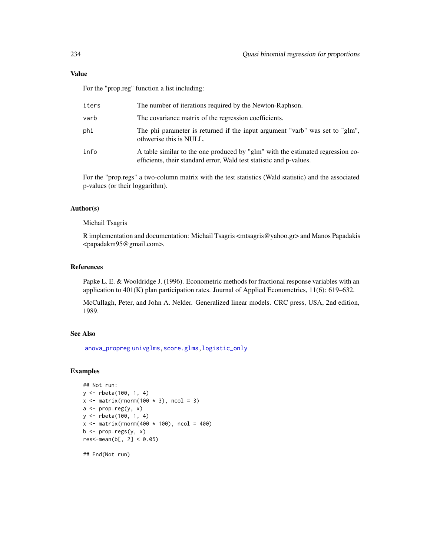## Value

For the "prop.reg" function a list including:

| iters | The number of iterations required by the Newton-Raphson.                                                                                              |
|-------|-------------------------------------------------------------------------------------------------------------------------------------------------------|
| varb  | The covariance matrix of the regression coefficients.                                                                                                 |
| phi   | The phi parameter is returned if the input argument "varb" was set to "glm",<br>othwerise this is NULL.                                               |
| info  | A table similar to the one produced by "glm" with the estimated regression co-<br>efficients, their standard error, Wald test statistic and p-values. |

For the "prop.regs" a two-column matrix with the test statistics (Wald statistic) and the associated p-values (or their loggarithm).

# Author(s)

#### Michail Tsagris

R implementation and documentation: Michail Tsagris <mtsagris@yahoo.gr> and Manos Papadakis <papadakm95@gmail.com>.

## References

Papke L. E. & Wooldridge J. (1996). Econometric methods for fractional response variables with an application to 401(K) plan participation rates. Journal of Applied Econometrics, 11(6): 619–632.

McCullagh, Peter, and John A. Nelder. Generalized linear models. CRC press, USA, 2nd edition, 1989.

#### See Also

[anova\\_propreg](#page-248-0) [univglms,](#page-171-0) [score.glms,](#page-159-0) [logistic\\_only](#page-174-0)

# Examples

```
## Not run:
y <- rbeta(100, 1, 4)
x \le matrix(rnorm(100 * 3), ncol = 3)
a \leftarrow prop-reg(y, x)y <- rbeta(100, 1, 4)
x \le - matrix(rnorm(400 * 100), ncol = 400)
b \leq prop.regs(y, x)
res< -mean(b[, 2] < 0.05)
```
## End(Not run)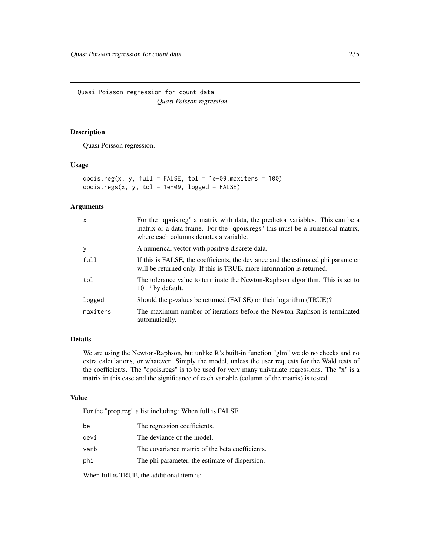Quasi Poisson regression for count data *Quasi Poisson regression*

# <span id="page-234-0"></span>Description

Quasi Poisson regression.

#### Usage

qpois.reg(x, y, full = FALSE, tol =  $1e-09$ , maxiters =  $100$ ) qpois.regs(x, y, tol = 1e-09, logged =  $FALSE)$ 

#### Arguments

| X        | For the "qpois.reg" a matrix with data, the predictor variables. This can be a<br>matrix or a data frame. For the "qpois.regs" this must be a numerical matrix,<br>where each columns denotes a variable. |
|----------|-----------------------------------------------------------------------------------------------------------------------------------------------------------------------------------------------------------|
| У        | A numerical vector with positive discrete data.                                                                                                                                                           |
| full     | If this is FALSE, the coefficients, the deviance and the estimated phi parameter<br>will be returned only. If this is TRUE, more information is returned.                                                 |
| tol      | The tolerance value to terminate the Newton-Raphson algorithm. This is set to<br>$10^{-9}$ by default.                                                                                                    |
| logged   | Should the p-values be returned (FALSE) or their logarithm (TRUE)?                                                                                                                                        |
| maxiters | The maximum number of iterations before the Newton-Raphson is terminated<br>automatically.                                                                                                                |

# Details

We are using the Newton-Raphson, but unlike R's built-in function "glm" we do no checks and no extra calculations, or whatever. Simply the model, unless the user requests for the Wald tests of the coefficients. The "qpois.regs" is to be used for very many univariate regressions. The "x" is a matrix in this case and the significance of each variable (column of the matrix) is tested.

## Value

For the "prop.reg" a list including: When full is FALSE

| be   | The regression coefficients.                    |
|------|-------------------------------------------------|
| devi | The deviance of the model.                      |
| varb | The covariance matrix of the beta coefficients. |
| phi  | The phi parameter, the estimate of dispersion.  |
|      |                                                 |

When full is TRUE, the additional item is: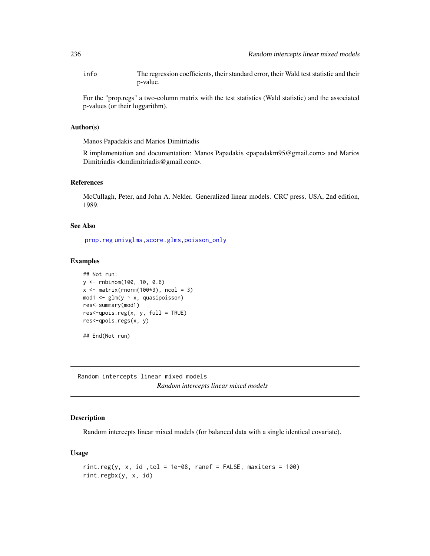info The regression coefficients, their standard error, their Wald test statistic and their p-value.

For the "prop.regs" a two-column matrix with the test statistics (Wald statistic) and the associated p-values (or their loggarithm).

#### Author(s)

Manos Papadakis and Marios Dimitriadis

R implementation and documentation: Manos Papadakis  $\alpha$   $\beta$   $\alpha$   $\beta$   $\beta$   $\alpha$   $\beta$   $\alpha$   $\beta$   $\alpha$   $\beta$   $\alpha$   $\beta$ Dimitriadis <kmdimitriadis@gmail.com>.

# References

McCullagh, Peter, and John A. Nelder. Generalized linear models. CRC press, USA, 2nd edition, 1989.

## See Also

[prop.reg](#page-232-0) [univglms](#page-171-0)[,score.glms,](#page-159-0)[poisson\\_only](#page-174-0)

#### Examples

```
## Not run:
y <- rnbinom(100, 10, 0.6)
x \leftarrow \text{matrix}(rnorm(100*3), ncol = 3)mod1 <- glm(y ~ x, quasipoisson)
res<-summary(mod1)
res<-\text{qpois}.\text{reg}(x, y, \text{full} = \text{TRUE})res<-qpois.regs(x, y)
## End(Not run)
```
Random intercepts linear mixed models *Random intercepts linear mixed models*

# <span id="page-235-0"></span>Description

Random intercepts linear mixed models (for balanced data with a single identical covariate).

#### Usage

```
rint.reg(y, x, id , tol = 1e-08, ranef = FALSE, maxiters = 100)rint.regbx(y, x, id)
```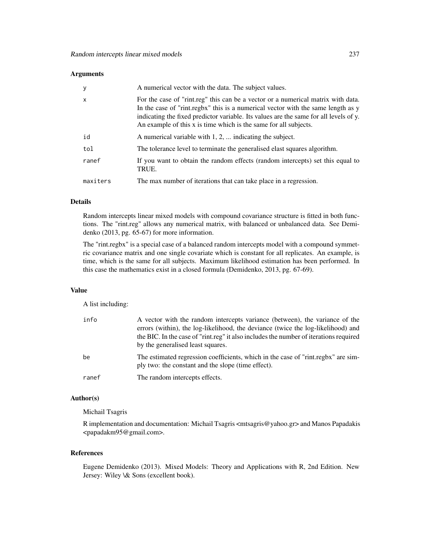#### **Arguments**

| $\mathbf{y}$ | A numerical vector with the data. The subject values.                                                                                                                                                                                                                                                                             |
|--------------|-----------------------------------------------------------------------------------------------------------------------------------------------------------------------------------------------------------------------------------------------------------------------------------------------------------------------------------|
| $\mathsf{x}$ | For the case of "rint.reg" this can be a vector or a numerical matrix with data.<br>In the case of "rint.regbx" this is a numerical vector with the same length as y<br>indicating the fixed predictor variable. Its values are the same for all levels of y.<br>An example of this x is time which is the same for all subjects. |
| id           | A numerical variable with 1, 2,  indicating the subject.                                                                                                                                                                                                                                                                          |
| tol          | The tolerance level to terminate the generalised elast squares algorithm.                                                                                                                                                                                                                                                         |
| ranef        | If you want to obtain the random effects (random intercepts) set this equal to<br>TRUE.                                                                                                                                                                                                                                           |
| maxiters     | The max number of iterations that can take place in a regression.                                                                                                                                                                                                                                                                 |

## Details

Random intercepts linear mixed models with compound covariance structure is fitted in both functions. The "rint.reg" allows any numerical matrix, with balanced or unbalanced data. See Demidenko (2013, pg. 65-67) for more information.

The "rint.regbx" is a special case of a balanced random intercepts model with a compound symmetric covariance matrix and one single covariate which is constant for all replicates. An example, is time, which is the same for all subjects. Maximum likelihood estimation has been performed. In this case the mathematics exist in a closed formula (Demidenko, 2013, pg. 67-69).

#### Value

A list including:

| info  | A vector with the random intercepts variance (between), the variance of the<br>errors (within), the log-likelihood, the deviance (twice the log-likelihood) and<br>the BIC. In the case of "rint.reg" it also includes the number of iterations required<br>by the generalised least squares. |
|-------|-----------------------------------------------------------------------------------------------------------------------------------------------------------------------------------------------------------------------------------------------------------------------------------------------|
| be    | The estimated regression coefficients, which in the case of "rint.regbx" are sim-<br>ply two: the constant and the slope (time effect).                                                                                                                                                       |
| ranef | The random intercepts effects.                                                                                                                                                                                                                                                                |

## Author(s)

#### Michail Tsagris

R implementation and documentation: Michail Tsagris <mtsagris@yahoo.gr> and Manos Papadakis <papadakm95@gmail.com>.

# References

Eugene Demidenko (2013). Mixed Models: Theory and Applications with R, 2nd Edition. New Jersey: Wiley \& Sons (excellent book).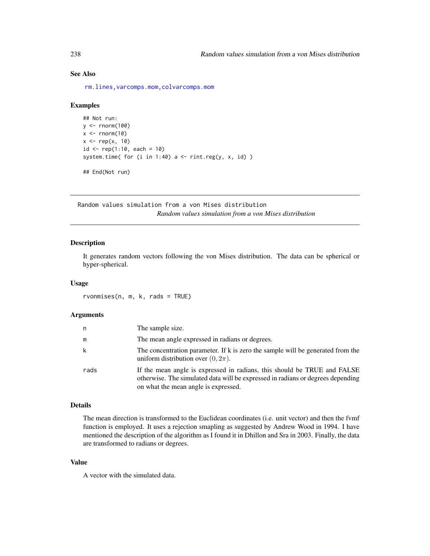# See Also

[rm.lines,](#page-157-0)[varcomps.mom](#page-205-0)[,colvarcomps.mom](#page-146-0)

#### Examples

```
## Not run:
y \le - rnorm(100)
x \le - rnorm(10)
x \leftarrow rep(x, 10)id \leq rep(1:10, each = 10)system.time( for (i in 1:40) a \le rint.reg(y, x, id) )
## End(Not run)
```
Random values simulation from a von Mises distribution *Random values simulation from a von Mises distribution*

# Description

It generates random vectors following the von Mises distribution. The data can be spherical or hyper-spherical.

#### Usage

rvonmises(n, m, k, rads = TRUE)

#### Arguments

| n    | The sample size.                                                                                                                                                                                    |
|------|-----------------------------------------------------------------------------------------------------------------------------------------------------------------------------------------------------|
| m    | The mean angle expressed in radians or degrees.                                                                                                                                                     |
| k    | The concentration parameter. If k is zero the sample will be generated from the<br>uniform distribution over $(0, 2\pi)$ .                                                                          |
| rads | If the mean angle is expressed in radians, this should be TRUE and FALSE<br>otherwise. The simulated data will be expressed in radians or degrees depending<br>on what the mean angle is expressed. |

# Details

The mean direction is transformed to the Euclidean coordinates (i.e. unit vector) and then the fvmf function is employed. It uses a rejection smapling as suggested by Andrew Wood in 1994. I have mentioned the description of the algorithm as I found it in Dhillon and Sra in 2003. Finally, the data are transformed to radians or degrees.

# Value

A vector with the simulated data.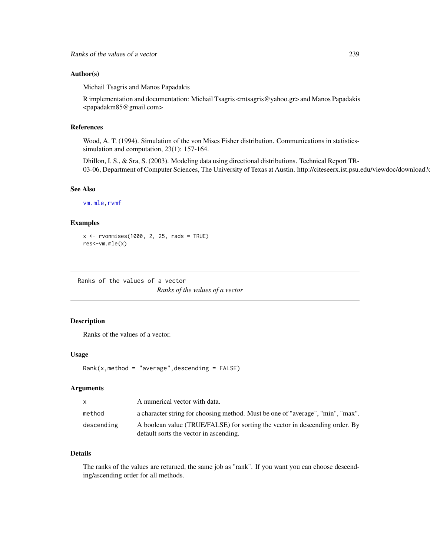#### Author(s)

Michail Tsagris and Manos Papadakis

R implementation and documentation: Michail Tsagris <mtsagris@yahoo.gr> and Manos Papadakis <papadakm85@gmail.com>

## References

Wood, A. T. (1994). Simulation of the von Mises Fisher distribution. Communications in statisticssimulation and computation, 23(1): 157-164.

Dhillon, I. S., & Sra, S. (2003). Modeling data using directional distributions. Technical Report TR-03-06, Department of Computer Sciences, The University of Texas at Austin. http://citeseerx.ist.psu.edu/viewdoc/download?doi

# See Also

[vm.mle](#page-198-0)[,rvmf](#page-253-0)

## Examples

```
x \le rvonmises(1000, 2, 25, rads = TRUE)
res<-vm.mle(x)
```
Ranks of the values of a vector *Ranks of the values of a vector*

# Description

Ranks of the values of a vector.

## Usage

 $Rank(x,method = "average", descending = FALSE)$ 

#### **Arguments**

| X          | A numerical vector with data.                                                   |
|------------|---------------------------------------------------------------------------------|
| method     | a character string for choosing method. Must be one of "average", "min", "max". |
| descending | A boolean value (TRUE/FALSE) for sorting the vector in descending order. By     |
|            | default sorts the vector in ascending.                                          |

# Details

The ranks of the values are returned, the same job as "rank". If you want you can choose descending/ascending order for all methods.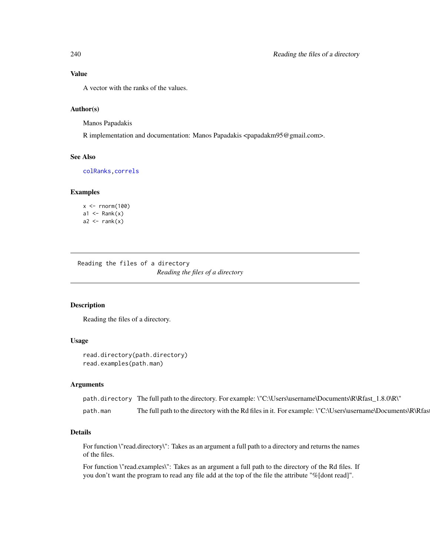A vector with the ranks of the values.

### Author(s)

Manos Papadakis

R implementation and documentation: Manos Papadakis <papadakm95@gmail.com>.

## See Also

[colRanks](#page-41-0)[,correls](#page-62-0)

## Examples

```
x < - rnorm(100)
a1 \leftarrow Rank(x)a2 \leftarrow \text{rank}(x)
```
Reading the files of a directory *Reading the files of a directory*

## <span id="page-239-0"></span>Description

Reading the files of a directory.

#### Usage

```
read.directory(path.directory)
read.examples(path.man)
```
#### Arguments

|          | path.directory The full path to the directory. For example: \"C:\Users\username\Documents\R\Rfast_1.8.0\R\"    |
|----------|----------------------------------------------------------------------------------------------------------------|
| path.man | The full path to the directory with the Rd files in it. For example: $\C$ . Users user name Documents R R fast |

## Details

For function \"read.directory\": Takes as an argument a full path to a directory and returns the names of the files.

For function \"read.examples\": Takes as an argument a full path to the directory of the Rd files. If you don't want the program to read any file add at the top of the file the attribute "%[dont read]".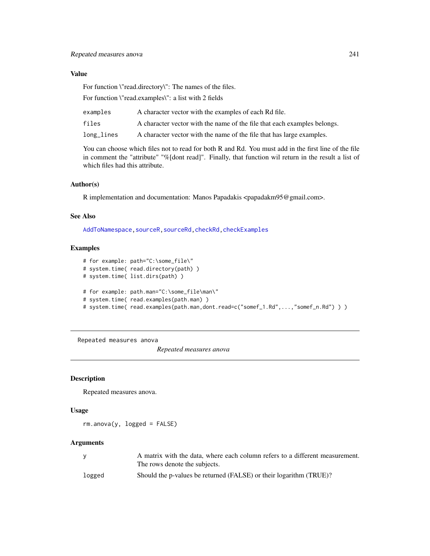# Value

For function \"read.directory\": The names of the files.

For function \"read.examples\": a list with 2 fields

| examples   | A character vector with the examples of each Rd file.                    |
|------------|--------------------------------------------------------------------------|
| files      | A character vector with the name of the file that each examples belongs. |
| long_lines | A character vector with the name of the file that has large examples.    |

You can choose which files not to read for both R and Rd. You must add in the first line of the file in comment the "attribute" "%[dont read]". Finally, that function wil return in the result a list of which files had this attribute.

# Author(s)

R implementation and documentation: Manos Papadakis <papadakm95@gmail.com>.

# See Also

[AddToNamespace](#page-0-0)[,sourceR,sourceRd,](#page-262-0)[checkRd,](#page-0-0)[checkExamples](#page-24-0)

### Examples

```
# for example: path="C:\some_file\"
# system.time( read.directory(path) )
# system.time( list.dirs(path) )
# for example: path.man="C:\some_file\man\"
# system.time( read.examples(path.man) )
# system.time( read.examples(path.man,dont.read=c("somef_1.Rd",...,"somef_n.Rd") ) )
```
Repeated measures anova

*Repeated measures anova*

## Description

Repeated measures anova.

#### Usage

 $rm.$ anova $(y, logged = FALSE)$ 

#### Arguments

|        | A matrix with the data, where each column refers to a different measurement. |
|--------|------------------------------------------------------------------------------|
|        | The rows denote the subjects.                                                |
| logged | Should the p-values be returned (FALSE) or their logarithm (TRUE)?           |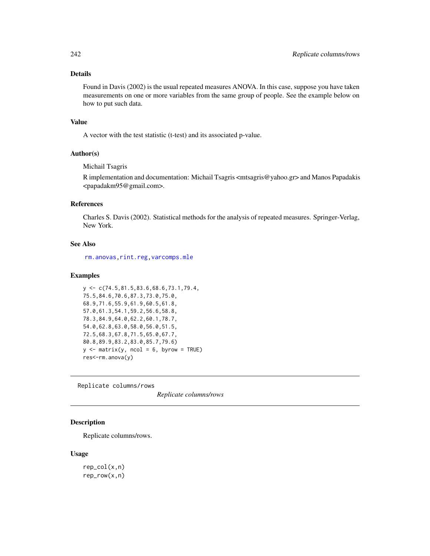## Details

Found in Davis (2002) is the usual repeated measures ANOVA. In this case, suppose you have taken measurements on one or more variables from the same group of people. See the example below on how to put such data.

#### Value

A vector with the test statistic (t-test) and its associated p-value.

## Author(s)

Michail Tsagris

R implementation and documentation: Michail Tsagris <mtsagris@yahoo.gr> and Manos Papadakis <papadakm95@gmail.com>.

# References

Charles S. Davis (2002). Statistical methods for the analysis of repeated measures. Springer-Verlag, New York.

# See Also

[rm.anovas,](#page-157-0)[rint.reg](#page-235-0)[,varcomps.mle](#page-205-0)

#### Examples

```
y <- c(74.5,81.5,83.6,68.6,73.1,79.4,
75.5,84.6,70.6,87.3,73.0,75.0,
68.9,71.6,55.9,61.9,60.5,61.8,
57.0,61.3,54.1,59.2,56.6,58.8,
78.3,84.9,64.0,62.2,60.1,78.7,
54.0,62.8,63.0,58.0,56.0,51.5,
72.5,68.3,67.8,71.5,65.0,67.7,
80.8,89.9,83.2,83.0,85.7,79.6)
y \le - matrix(y, ncol = 6, byrow = TRUE)
res<-rm.anova(y)
```
Replicate columns/rows

*Replicate columns/rows*

#### Description

Replicate columns/rows.

#### Usage

rep\_col(x,n) rep\_row(x,n)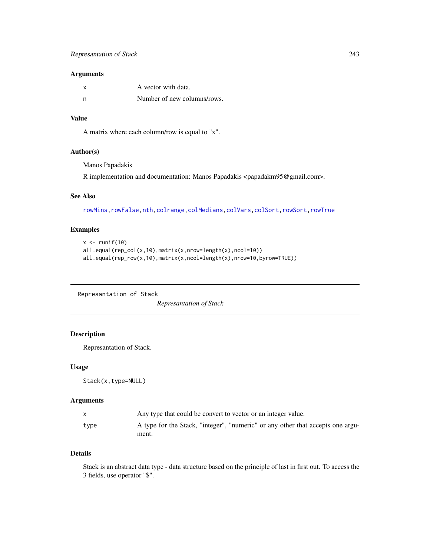## Arguments

| X   | A vector with data.         |
|-----|-----------------------------|
| - n | Number of new columns/rows. |

## Value

A matrix where each column/row is equal to "x".

## Author(s)

Manos Papadakis

R implementation and documentation: Manos Papadakis <papadakm95@gmail.com>.

# See Also

[rowMins](#page-245-0)[,rowFalse](#page-246-0)[,nth,](#page-37-0)[colrange,](#page-40-0)[colMedians,](#page-36-0)[colVars](#page-45-0)[,colSort,rowSort](#page-261-0)[,rowTrue](#page-246-0)

# Examples

```
x \leftarrow runif(10)all.equal(rep_col(x,10),matrix(x,nrow=length(x),ncol=10))
all.equal(rep_row(x,10),matrix(x,ncol=length(x),nrow=10,byrow=TRUE))
```
Represantation of Stack *Represantation of Stack*

# Description

Represantation of Stack.

## Usage

Stack(x,type=NULL)

### Arguments

| X.   | Any type that could be convert to vector or an integer value.                           |
|------|-----------------------------------------------------------------------------------------|
| type | A type for the Stack, "integer", "numeric" or any other that accepts one argu-<br>ment. |

## Details

Stack is an abstract data type - data structure based on the principle of last in first out. To access the 3 fields, use operator "\$".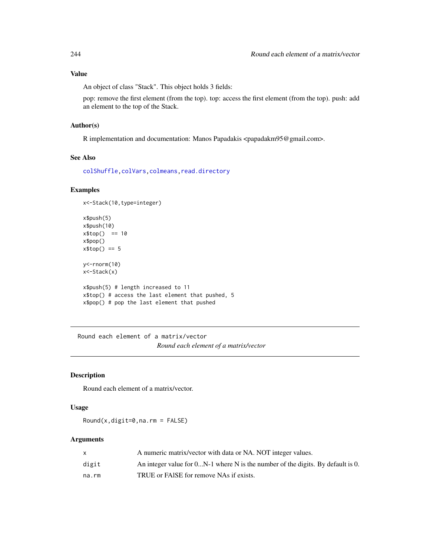An object of class "Stack". This object holds 3 fields:

pop: remove the first element (from the top). top: access the first element (from the top). push: add an element to the top of the Stack.

#### Author(s)

R implementation and documentation: Manos Papadakis <papadakm95@gmail.com>.

## See Also

[colShuffle](#page-42-0)[,colVars](#page-45-0)[,colmeans,](#page-35-0)[read.directory](#page-239-0)

# Examples

```
x<-Stack(10,type=integer)
```

```
x$push(5)
x$push(10)
x$top() == 10x$pop()
x$top() == 5y<-rnorm(10)
x<-Stack(x)
x$push(5) # length increased to 11
x$top() # access the last element that pushed, 5
x$pop() # pop the last element that pushed
```
Round each element of a matrix/vector *Round each element of a matrix/vector*

## Description

Round each element of a matrix/vector.

#### Usage

Round(x,digit=0,na.rm = FALSE)

## Arguments

|       | A numeric matrix/vector with data or NA. NOT integer values.                      |
|-------|-----------------------------------------------------------------------------------|
| digit | An integer value for $0N-1$ where N is the number of the digits. By default is 0. |
| na.rm | TRUE or FAISE for remove NAs if exists.                                           |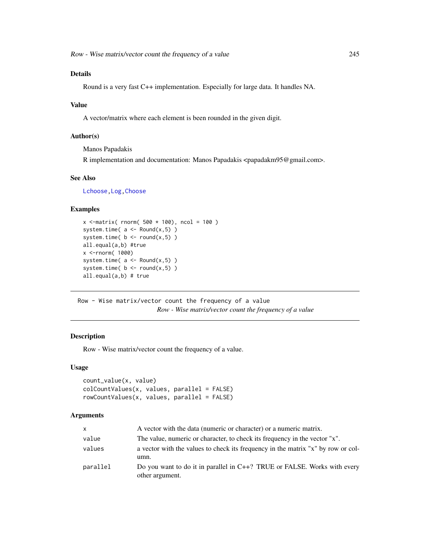# Details

Round is a very fast C++ implementation. Especially for large data. It handles NA.

## Value

A vector/matrix where each element is been rounded in the given digit.

# Author(s)

Manos Papadakis

R implementation and documentation: Manos Papadakis <papadakm95@gmail.com>.

#### See Also

[Lchoose](#page-20-0)[,Log](#page-215-0)[,Choose](#page-20-0)

#### Examples

```
x <-matrix( rnorm( 500 * 100), ncol = 100)
system.time(a \leq - Round(x, 5))
system.time( b \le round(x,5) )
all.equal(a,b) #true
x <-rnorm( 1000)
system.time(a \leftarrow \text{Round}(x, 5))
system.time( b \le round(x,5) )
all.equal(a,b) # true
```
Row - Wise matrix/vector count the frequency of a value *Row - Wise matrix/vector count the frequency of a value*

# Description

Row - Wise matrix/vector count the frequency of a value.

#### Usage

```
count_value(x, value)
colCountValues(x, values, parallel = FALSE)
rowCountValues(x, values, parallel = FALSE)
```
## Arguments

| X        | A vector with the data (numeric or character) or a numeric matrix.                          |
|----------|---------------------------------------------------------------------------------------------|
| value    | The value, numeric or character, to check its frequency in the vector "x".                  |
| values   | a vector with the values to check its frequency in the matrix "x" by row or col-<br>umn.    |
| parallel | Do you want to do it in parallel in C++? TRUE or FALSE. Works with every<br>other argument. |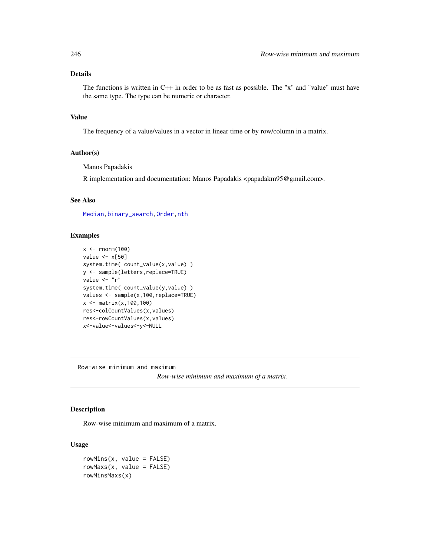# Details

The functions is written in C++ in order to be as fast as possible. The "x" and "value" must have the same type. The type can be numeric or character.

# Value

The frequency of a value/values in a vector in linear time or by row/column in a matrix.

### Author(s)

Manos Papadakis

R implementation and documentation: Manos Papadakis <papadakm95@gmail.com>.

#### See Also

[Median](#page-184-0)[,binary\\_search,](#page-19-0)[Order,](#page-38-0)[nth](#page-37-0)

# Examples

```
x < - rnorm(100)
value <- x[50]
system.time( count_value(x,value) )
y <- sample(letters,replace=TRUE)
value <- "r"
system.time( count_value(y, value) )
values <- sample(x,100,replace=TRUE)
x <- matrix(x,100,100)
res<-colCountValues(x,values)
res<-rowCountValues(x,values)
x<-value<-values<-y<-NULL
```
Row-wise minimum and maximum

*Row-wise minimum and maximum of a matrix.*

# <span id="page-245-0"></span>Description

Row-wise minimum and maximum of a matrix.

#### Usage

 $rowMiss(x, value = FALSE)$ rowMaxs(x, value = FALSE) rowMinsMaxs(x)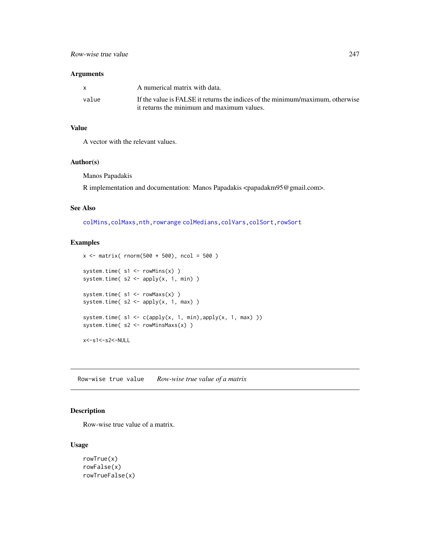## Arguments

|       | A numerical matrix with data.                                                  |
|-------|--------------------------------------------------------------------------------|
| value | If the value is FALSE it returns the indices of the minimum/maximum, otherwise |
|       | it returns the minimum and maximum values.                                     |

## Value

A vector with the relevant values.

## Author(s)

Manos Papadakis

R implementation and documentation: Manos Papadakis <papadakm95@gmail.com>.

## See Also

[colMins,colMaxs](#page-52-0)[,nth,](#page-37-0)[rowrange](#page-40-0) [colMedians](#page-36-0)[,colVars,](#page-45-0)[colSort,rowSort](#page-261-0)

## Examples

```
x \le - matrix( rnorm(500 * 500), ncol = 500)
system.time( s1 <- rowMins(x) )
system.time(s2 \le- apply(x, 1, min))
system.time(s1 < -rowMax(s))
system.time(s2 \le- apply(x, 1, max))
system.time(s1 \leq c(\text{apply}(x, 1, \text{min}), \text{apply}(x, 1, \text{max})))
system.time( s2 <- rowMinsMaxs(x) )
x<-s1<-s2<-NULL
```
Row-wise true value *Row-wise true value of a matrix*

## <span id="page-246-0"></span>Description

Row-wise true value of a matrix.

## Usage

```
rowTrue(x)
rowFalse(x)
rowTrueFalse(x)
```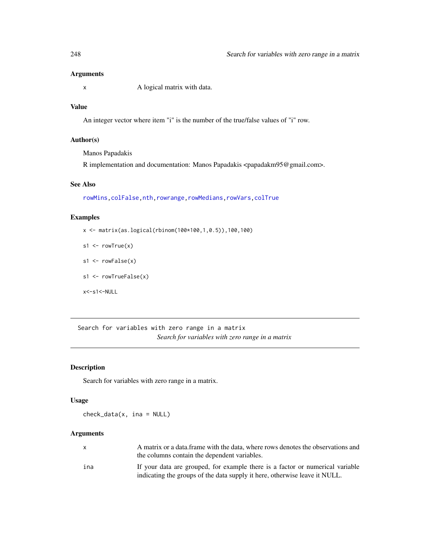## Arguments

x A logical matrix with data.

# Value

An integer vector where item "i" is the number of the true/false values of "i" row.

# Author(s)

Manos Papadakis

R implementation and documentation: Manos Papadakis <papadakm95@gmail.com>.

# See Also

[rowMins](#page-245-0)[,colFalse](#page-54-0)[,nth,](#page-37-0)[rowrange,](#page-40-0)[rowMedians,](#page-36-0)[rowVars](#page-45-0)[,colTrue](#page-54-0)

# Examples

x <- matrix(as.logical(rbinom(100\*100,1,0.5)),100,100)

 $s1 \leftarrow rowTrue(x)$ 

- $s1 \leftarrow rowFalse(x)$
- s1 <- rowTrueFalse(x)

x<-s1<-NULL

Search for variables with zero range in a matrix *Search for variables with zero range in a matrix*

## Description

Search for variables with zero range in a matrix.

#### Usage

check\_data(x, ina = NULL)

# Arguments

| $\mathsf{x}$ | A matrix or a data frame with the data, where rows denotes the observations and<br>the columns contain the dependent variables.                             |
|--------------|-------------------------------------------------------------------------------------------------------------------------------------------------------------|
| ina          | If your data are grouped, for example there is a factor or numerical variable<br>indicating the groups of the data supply it here, otherwise leave it NULL. |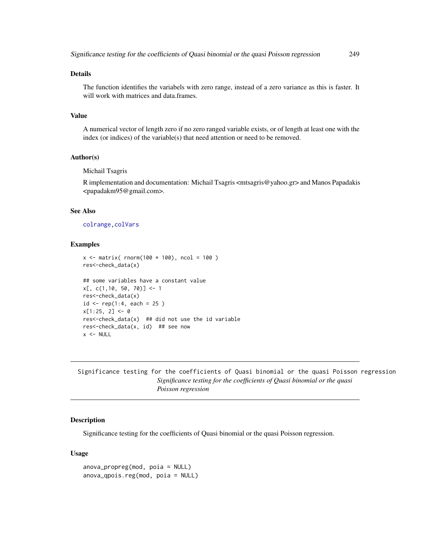# Details

The function identifies the variabels with zero range, instead of a zero variance as this is faster. It will work with matrices and data.frames.

## Value

A numerical vector of length zero if no zero ranged variable exists, or of length at least one with the index (or indices) of the variable(s) that need attention or need to be removed.

## Author(s)

Michail Tsagris

R implementation and documentation: Michail Tsagris <mtsagris@yahoo.gr> and Manos Papadakis <papadakm95@gmail.com>.

#### See Also

[colrange](#page-40-0)[,colVars](#page-45-0)

#### Examples

```
x \le - matrix( rnorm(100 * 100), ncol = 100)
res<-check_data(x)
## some variables have a constant value
x[, c(1,10, 50, 70)] <- 1
res<-check_data(x)
id \leq rep(1:4, each = 25)x[1:25, 2] < -0res < -check\_data(x) ## did not use the id variable
res<-check_data(x, id) ## see now
x < - NULL
```
Significance testing for the coefficients of Quasi binomial or the quasi Poisson regression *Significance testing for the coefficients of Quasi binomial or the quasi Poisson regression*

#### <span id="page-248-0"></span>**Description**

Significance testing for the coefficients of Quasi binomial or the quasi Poisson regression.

#### Usage

anova\_propreg(mod, poia = NULL) anova\_qpois.reg(mod, poia = NULL)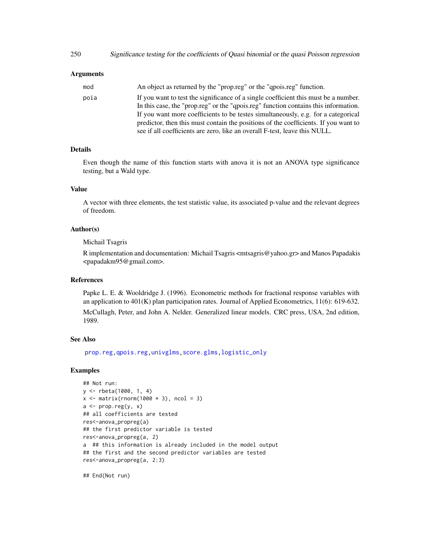# Arguments

| mod  | An object as returned by the "prop.reg" or the "qpois.reg" function.                |
|------|-------------------------------------------------------------------------------------|
| poia | If you want to test the significance of a single coefficient this must be a number. |
|      | In this case, the "prop.reg" or the "gpois.reg" function contains this information. |
|      | If you want more coefficients to be testes simultaneously, e.g. for a categorical   |
|      | predictor, then this must contain the positions of the coefficients. If you want to |
|      | see if all coefficients are zero, like an overall F-test, leave this NULL.          |

#### Details

Even though the name of this function starts with anova it is not an ANOVA type significance testing, but a Wald type.

# Value

A vector with three elements, the test statistic value, its associated p-value and the relevant degrees of freedom.

# Author(s)

Michail Tsagris

R implementation and documentation: Michail Tsagris <mtsagris@yahoo.gr> and Manos Papadakis <papadakm95@gmail.com>.

#### References

Papke L. E. & Wooldridge J. (1996). Econometric methods for fractional response variables with an application to 401(K) plan participation rates. Journal of Applied Econometrics, 11(6): 619-632.

McCullagh, Peter, and John A. Nelder. Generalized linear models. CRC press, USA, 2nd edition, 1989.

# See Also

[prop.reg,](#page-232-0)[qpois.reg](#page-234-0)[,univglms](#page-171-0)[,score.glms](#page-159-0)[,logistic\\_only](#page-174-0)

# Examples

```
## Not run:
y <- rbeta(1000, 1, 4)
x \le - matrix(rnorm(1000 \star 3), ncol = 3)
a \leftarrow prop-reg(y, x)## all coefficients are tested
res<-anova_propreg(a)
## the first predictor variable is tested
res<-anova_propreg(a, 2)
a ## this information is already included in the model output
## the first and the second predictor variables are tested
res<-anova_propreg(a, 2:3)
```
## End(Not run)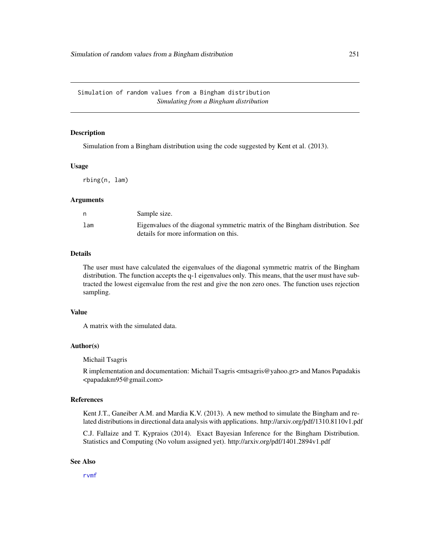#### <span id="page-250-0"></span>Description

Simulation from a Bingham distribution using the code suggested by Kent et al. (2013).

## Usage

rbing(n, lam)

#### Arguments

| n   | Sample size.                                                                  |
|-----|-------------------------------------------------------------------------------|
| lam | Eigenvalues of the diagonal symmetric matrix of the Bingham distribution. See |
|     | details for more information on this.                                         |

#### Details

The user must have calculated the eigenvalues of the diagonal symmetric matrix of the Bingham distribution. The function accepts the q-1 eigenvalues only. This means, that the user must have subtracted the lowest eigenvalue from the rest and give the non zero ones. The function uses rejection sampling.

# Value

A matrix with the simulated data.

## Author(s)

Michail Tsagris

R implementation and documentation: Michail Tsagris <mtsagris@yahoo.gr> and Manos Papadakis <papadakm95@gmail.com>

# References

Kent J.T., Ganeiber A.M. and Mardia K.V. (2013). A new method to simulate the Bingham and related distributions in directional data analysis with applications. http://arxiv.org/pdf/1310.8110v1.pdf

C.J. Fallaize and T. Kypraios (2014). Exact Bayesian Inference for the Bingham Distribution. Statistics and Computing (No volum assigned yet). http://arxiv.org/pdf/1401.2894v1.pdf

## See Also

[rvmf](#page-253-0)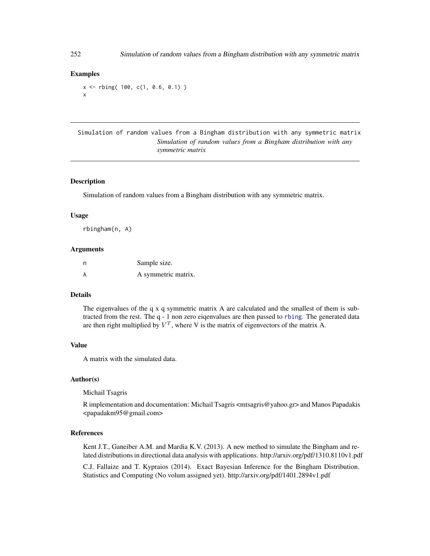## Examples

```
x <- rbing( 100, c(1, 0.6, 0.1) )
x
```
Simulation of random values from a Bingham distribution with any symmetric matrix *Simulation of random values from a Bingham distribution with any symmetric matrix*

## **Description**

Simulation of random values from a Bingham distribution with any symmetric matrix.

#### Usage

rbingham(n, A)

#### **Arguments**

| n | Sample size.        |
|---|---------------------|
|   | A symmetric matrix. |

## Details

The eigenvalues of the q x q symmetric matrix A are calculated and the smallest of them is subtracted from the rest. The q - 1 non zero eiqenvalues are then passed to [rbing](#page-250-0). The generated data are then right multiplied by  $V^T$ , where V is the matrix of eigenvectors of the matrix A.

## Value

A matrix with the simulated data.

#### Author(s)

Michail Tsagris

R implementation and documentation: Michail Tsagris <mtsagris@yahoo.gr> and Manos Papadakis <papadakm95@gmail.com>

## References

Kent J.T., Ganeiber A.M. and Mardia K.V. (2013). A new method to simulate the Bingham and related distributions in directional data analysis with applications. http://arxiv.org/pdf/1310.8110v1.pdf

C.J. Fallaize and T. Kypraios (2014). Exact Bayesian Inference for the Bingham Distribution. Statistics and Computing (No volum assigned yet). http://arxiv.org/pdf/1401.2894v1.pdf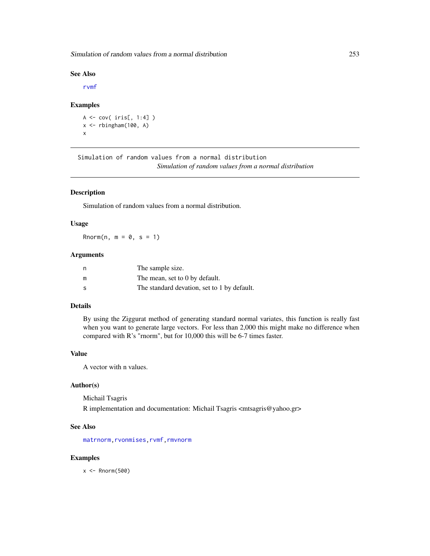Simulation of random values from a normal distribution 253

#### See Also

[rvmf](#page-253-0)

#### Examples

```
A <- cov( iris[, 1:4] )
x \le rbingham(100, A)
x
```
Simulation of random values from a normal distribution *Simulation of random values from a normal distribution*

# Description

Simulation of random values from a normal distribution.

#### Usage

Rnorm(n,  $m = 0$ ,  $s = 1$ )

#### Arguments

| n  | The sample size.                            |
|----|---------------------------------------------|
| m  | The mean, set to 0 by default.              |
| -S | The standard devation, set to 1 by default. |

# Details

By using the Ziggurat method of generating standard normal variates, this function is really fast when you want to generate large vectors. For less than 2,000 this might make no difference when compared with R's "rnorm", but for 10,000 this will be 6-7 times faster.

#### Value

A vector with n values.

#### Author(s)

Michail Tsagris R implementation and documentation: Michail Tsagris <mtsagris@yahoo.gr>

#### See Also

[matrnorm](#page-104-0), rvonmises, rvmf, [rmvnorm](#page-212-0)

#### Examples

 $x < -$  Rnorm(500)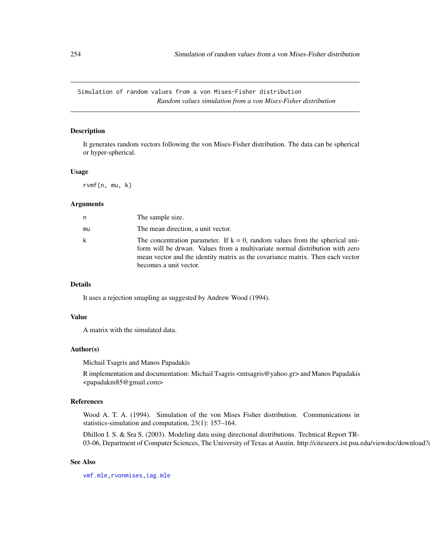<span id="page-253-1"></span>Simulation of random values from a von Mises-Fisher distribution *Random values simulation from a von Mises-Fisher distribution*

#### <span id="page-253-0"></span>Description

It generates random vectors following the von Mises-Fisher distribution. The data can be spherical or hyper-spherical.

#### Usage

rvmf(n, mu, k)

# Arguments

| n  | The sample size.                                                                                                                                                                                                                                                            |
|----|-----------------------------------------------------------------------------------------------------------------------------------------------------------------------------------------------------------------------------------------------------------------------------|
| mu | The mean direction, a unit vector.                                                                                                                                                                                                                                          |
| k  | The concentration parameter. If $k = 0$ , random values from the spherical uni-<br>form will be drwan. Values from a multivariate normal distribution with zero<br>mean vector and the identity matrix as the covariance matrix. Then each vector<br>becomes a unit vector. |

#### Details

It uses a rejection smapling as suggested by Andrew Wood (1994).

#### Value

A matrix with the simulated data.

#### Author(s)

Michail Tsagris and Manos Papadakis

R implementation and documentation: Michail Tsagris <mtsagris@yahoo.gr> and Manos Papadakis <papadakm85@gmail.com>

#### References

Wood A. T. A. (1994). Simulation of the von Mises Fisher distribution. Communications in statistics-simulation and computation, 23(1): 157–164.

Dhillon I. S. & Sra S. (2003). Modeling data using directional distributions. Technical Report TR-03-06, Department of Computer Sciences, The University of Texas at Austin. http://citeseerx.ist.psu.edu/viewdoc/download?

#### See Also

[vmf.mle](#page-189-0)[,rvonmises](#page-237-0)[,iag.mle](#page-189-0)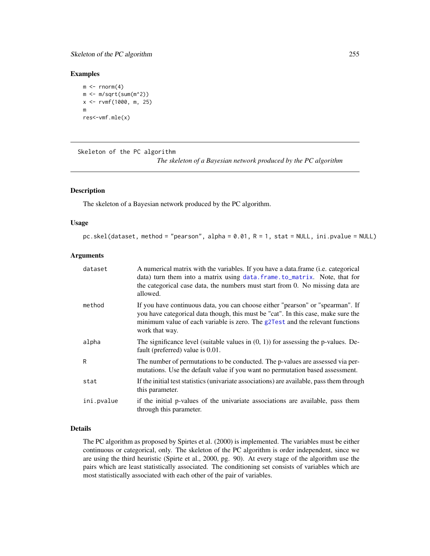# <span id="page-254-1"></span>Skeleton of the PC algorithm 255

#### Examples

```
m \leq -rnorm(4)m < -m/sqrt(sum(m^2))x <- rvmf(1000, m, 25)
m
res<-vmf.mle(x)
```
Skeleton of the PC algorithm

*The skeleton of a Bayesian network produced by the PC algorithm*

#### <span id="page-254-0"></span>Description

The skeleton of a Bayesian network produced by the PC algorithm.

#### Usage

```
pc.skel(dataset, method = "pearson", alpha = 0.01, R = 1, stat = NULL, ini.pvalue = NULL)
```
#### **Arguments**

| dataset    | A numerical matrix with the variables. If you have a data frame ( <i>i.e.</i> categorical<br>data) turn them into a matrix using data. frame. to_matrix. Note, that for<br>the categorical case data, the numbers must start from 0. No missing data are<br>allowed.   |
|------------|------------------------------------------------------------------------------------------------------------------------------------------------------------------------------------------------------------------------------------------------------------------------|
| method     | If you have continuous data, you can choose either "pearson" or "spearman". If<br>you have categorical data though, this must be "cat". In this case, make sure the<br>minimum value of each variable is zero. The g2Test and the relevant functions<br>work that way. |
| alpha      | The significance level (suitable values in $(0, 1)$ ) for assessing the p-values. De-<br>fault (preferred) value is 0.01.                                                                                                                                              |
| R          | The number of permutations to be conducted. The p-values are assessed via per-<br>mutations. Use the default value if you want no permutation based assessment.                                                                                                        |
| stat       | If the initial test statistics (univariate associations) are available, pass them through<br>this parameter.                                                                                                                                                           |
| ini.pvalue | if the initial p-values of the univariate associations are available, pass them<br>through this parameter.                                                                                                                                                             |

# Details

The PC algorithm as proposed by Spirtes et al. (2000) is implemented. The variables must be either continuous or categorical, only. The skeleton of the PC algorithm is order independent, since we are using the third heuristic (Spirte et al., 2000, pg. 90). At every stage of the algorithm use the pairs which are least statistically associated. The conditioning set consists of variables which are most statistically associated with each other of the pair of variables.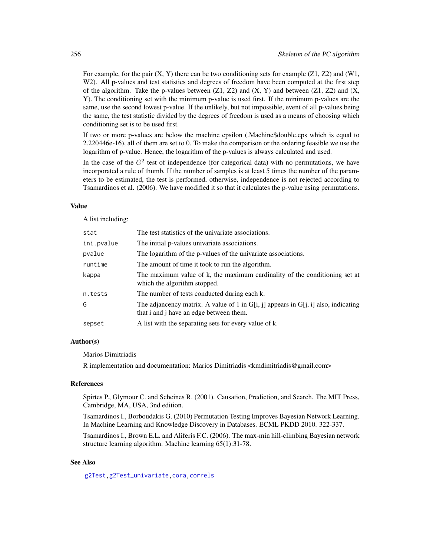For example, for the pair  $(X, Y)$  there can be two conditioning sets for example  $(Z1, Z2)$  and  $(W1, Y2)$ W<sub>2</sub>). All p-values and test statistics and degrees of freedom have been computed at the first step of the algorithm. Take the p-values between  $(Z1, Z2)$  and  $(X, Y)$  and between  $(Z1, Z2)$  and  $(X, Y)$ Y). The conditioning set with the minimum p-value is used first. If the minimum p-values are the same, use the second lowest p-value. If the unlikely, but not impossible, event of all p-values being the same, the test statistic divided by the degrees of freedom is used as a means of choosing which conditioning set is to be used first.

If two or more p-values are below the machine epsilon (.Machine\$double.eps which is equal to 2.220446e-16), all of them are set to 0. To make the comparison or the ordering feasible we use the logarithm of p-value. Hence, the logarithm of the p-values is always calculated and used.

In the case of the  $G<sup>2</sup>$  test of independence (for categorical data) with no permutations, we have incorporated a rule of thumb. If the number of samples is at least 5 times the number of the parameters to be estimated, the test is performed, otherwise, independence is not rejected according to Tsamardinos et al. (2006). We have modified it so that it calculates the p-value using permutations.

#### Value

A list including:

| stat       | The test statistics of the univariate associations.                                                                               |
|------------|-----------------------------------------------------------------------------------------------------------------------------------|
| ini.pvalue | The initial p-values univariate associations.                                                                                     |
| pvalue     | The logarithm of the p-values of the univariate associations.                                                                     |
| runtime    | The amount of time it took to run the algorithm.                                                                                  |
| kappa      | The maximum value of k, the maximum cardinality of the conditioning set at<br>which the algorithm stopped.                        |
| n.tests    | The number of tests conducted during each k.                                                                                      |
| G          | The adjancency matrix. A value of 1 in $G[i, j]$ appears in $G[i, i]$ also, indicating<br>that i and j have an edge between them. |
| sepset     | A list with the separating sets for every value of k.                                                                             |

#### Author(s)

Marios Dimitriadis

R implementation and documentation: Marios Dimitriadis <kmdimitriadis@gmail.com>

#### References

Spirtes P., Glymour C. and Scheines R. (2001). Causation, Prediction, and Search. The MIT Press, Cambridge, MA, USA, 3nd edition.

Tsamardinos I., Borboudakis G. (2010) Permutation Testing Improves Bayesian Network Learning. In Machine Learning and Knowledge Discovery in Databases. ECML PKDD 2010. 322-337.

Tsamardinos I., Brown E.L. and Aliferis F.C. (2006). The max-min hill-climbing Bayesian network structure learning algorithm. Machine learning 65(1):31-78.

#### See Also

[g2Test,](#page-99-0)[g2Test\\_univariate](#page-181-0)[,cora](#page-63-0)[,correls](#page-62-0)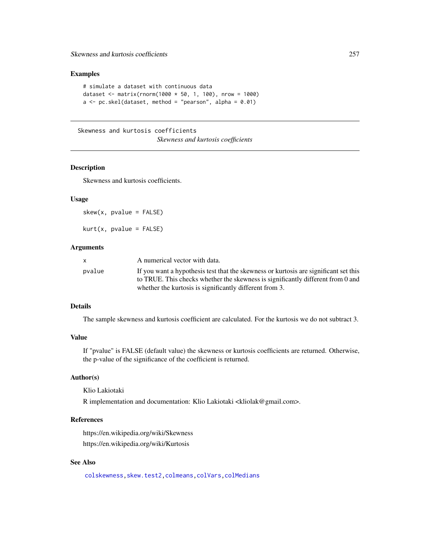# <span id="page-256-0"></span>Examples

```
# simulate a dataset with continuous data
dataset <- matrix(rnorm(1000 * 50, 1, 100), nrow = 1000)
a \leq pc.skel(dataset, method = "pearson", alpha = 0.01)
```
Skewness and kurtosis coefficients

*Skewness and kurtosis coefficients*

# Description

Skewness and kurtosis coefficients.

# Usage

 $skew(x, pvalue = FALSE)$ 

 $kurt(x, pvalue = FALSE)$ 

# Arguments

|        | A numerical vector with data.                                                        |
|--------|--------------------------------------------------------------------------------------|
| pvalue | If you want a hypothesis test that the skewness or kurtosis are significant set this |
|        | to TRUE. This checks whether the skewness is significantly different from 0 and      |
|        | whether the kurtosis is significantly different from 3.                              |

# Details

The sample skewness and kurtosis coefficient are calculated. For the kurtosis we do not subtract 3.

# Value

If "pvalue" is FALSE (default value) the skewness or kurtosis coefficients are returned. Otherwise, the p-value of the significance of the coefficient is returned.

#### Author(s)

Klio Lakiotaki

R implementation and documentation: Klio Lakiotaki <kliolak@gmail.com>.

# References

https://en.wikipedia.org/wiki/Skewness https://en.wikipedia.org/wiki/Kurtosis

# See Also

[colskewness,](#page-49-0)[skew.test2](#page-113-0)[,colmeans](#page-35-0)[,colVars](#page-45-0)[,colMedians](#page-36-0)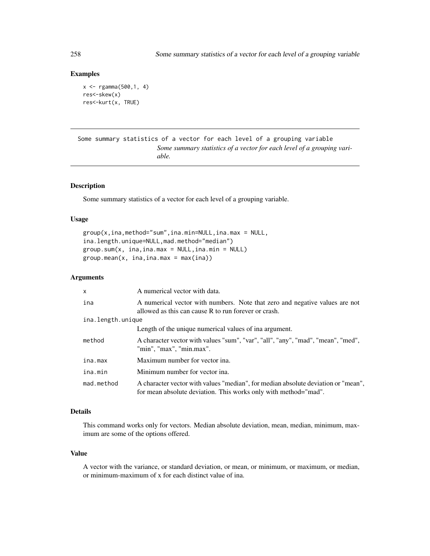#### Examples

```
x \leq - rgamma(500,1, 4)
res<-skew(x)
res<-kurt(x, TRUE)
```
Some summary statistics of a vector for each level of a grouping variable *Some summary statistics of a vector for each level of a grouping variable.*

# Description

Some summary statistics of a vector for each level of a grouping variable.

#### Usage

```
group(x, ina, method="sum", ina.min=NULL, ina.max = NULL,ina.length.unique=NULL,mad.method="median")
group.sum(x, ina, ina.max = NULL, ina.min = NULL)group.mac(x, ina, ina.max = max(ina))
```
# Arguments

| $\mathsf{x}$      | A numerical vector with data.                                                                                                                        |
|-------------------|------------------------------------------------------------------------------------------------------------------------------------------------------|
| ina               | A numerical vector with numbers. Note that zero and negative values are not<br>allowed as this can cause R to run forever or crash.                  |
| ina.length.unique |                                                                                                                                                      |
|                   | Length of the unique numerical values of ina argument.                                                                                               |
| method            | A character vector with values "sum", "var", "all", "any", "mad", "mean", "med",<br>"min", "max", "min.max".                                         |
| ina.max           | Maximum number for vector ina.                                                                                                                       |
| ina.min           | Minimum number for vector ina.                                                                                                                       |
| mad.method        | A character vector with values "median", for median absolute deviation or "mean",<br>for mean absolute deviation. This works only with method="mad". |

#### Details

This command works only for vectors. Median absolute deviation, mean, median, minimum, maximum are some of the options offered.

#### Value

A vector with the variance, or standard deviation, or mean, or minimum, or maximum, or median, or minimum-maximum of x for each distinct value of ina.

<span id="page-257-0"></span>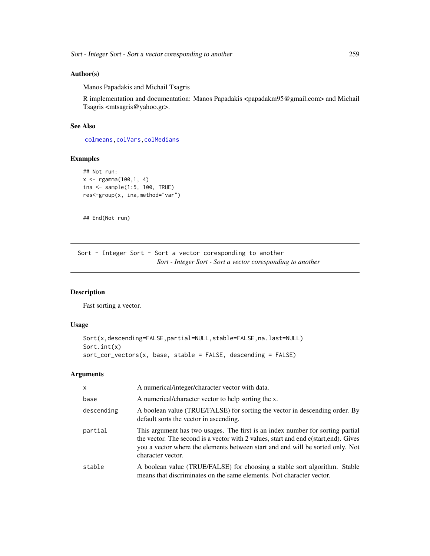#### <span id="page-258-1"></span>Author(s)

Manos Papadakis and Michail Tsagris

R implementation and documentation: Manos Papadakis <papadakm95@gmail.com> and Michail Tsagris <mtsagris@yahoo.gr>.

#### See Also

[colmeans,](#page-35-0)[colVars,](#page-45-0)[colMedians](#page-36-0)

# Examples

```
## Not run:
x \leq - \text{rgamma}(100, 1, 4)ina <- sample(1:5, 100, TRUE)
res<-group(x, ina,method="var")
```
## End(Not run)

Sort - Integer Sort - Sort a vector coresponding to another *Sort - Integer Sort - Sort a vector coresponding to another*

# <span id="page-258-0"></span>Description

Fast sorting a vector.

# Usage

```
Sort(x,descending=FALSE,partial=NULL,stable=FALSE,na.last=NULL)
Sort.int(x)
sort_cor_vectors(x, base, stable = FALSE, descending = FALSE)
```
# Arguments

| $\mathsf{x}$ | A numerical/integer/character vector with data.                                                                                                                                                                                                                               |
|--------------|-------------------------------------------------------------------------------------------------------------------------------------------------------------------------------------------------------------------------------------------------------------------------------|
| base         | A numerical/character vector to help sorting the x.                                                                                                                                                                                                                           |
| descending   | A boolean value (TRUE/FALSE) for sorting the vector in descending order. By<br>default sorts the vector in ascending.                                                                                                                                                         |
| partial      | This argument has two usages. The first is an index number for sorting partial<br>the vector. The second is a vector with 2 values, start and end c(start, end). Gives<br>you a vector where the elements between start and end will be sorted only. Not<br>character vector. |
| stable       | A boolean value (TRUE/FALSE) for choosing a stable sort algorithm. Stable<br>means that discriminates on the same elements. Not character vector.                                                                                                                             |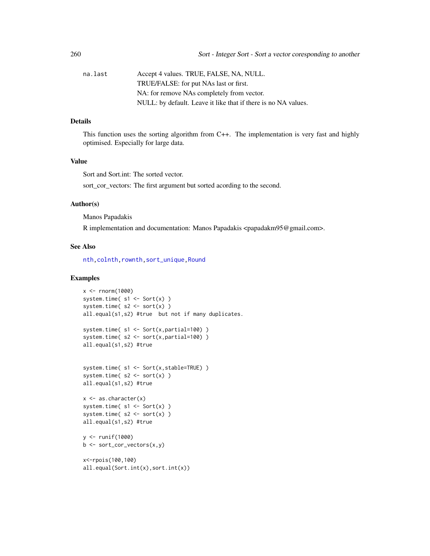| na.last | Accept 4 values. TRUE, FALSE, NA, NULL.                        |
|---------|----------------------------------------------------------------|
|         | TRUE/FALSE: for put NAs last or first.                         |
|         | NA: for remove NAs completely from vector.                     |
|         | NULL: by default. Leave it like that if there is no NA values. |

# Details

This function uses the sorting algorithm from C++. The implementation is very fast and highly optimised. Especially for large data.

# Value

Sort and Sort.int: The sorted vector.

sort\_cor\_vectors: The first argument but sorted acording to the second.

# Author(s)

Manos Papadakis

R implementation and documentation: Manos Papadakis <papadakm95@gmail.com>.

# See Also

[nth,colnth,rownth](#page-37-0)[,sort\\_unique,](#page-260-0)[Round](#page-243-0)

# Examples

```
x \le - rnorm(1000)
system.time(s1 \leq -\text{Sort}(x))
system.time(s2 \leq -sort(x))
all.equal(s1,s2) #true but not if many duplicates.
system.time(s1 \leftarrow Sort(x, partial=100))
system.time(s2 \le- sort(x,partial=100))
all.equal(s1,s2) #true
system.time( s1 <- Sort(x,stable=TRUE) )
system.time(s2 \leq -sort(x))
all.equal(s1,s2) #true
x \leftarrow as.charAt(x)system.time(s1 \leftarrow Sort(x))
system.time(s2 \leq -sort(x))
all.equal(s1,s2) #true
y <- runif(1000)
b \leq -sort\_cor\_vectors(x, y)x<-rpois(100,100)
all.equal(Sort.int(x),sort.int(x))
```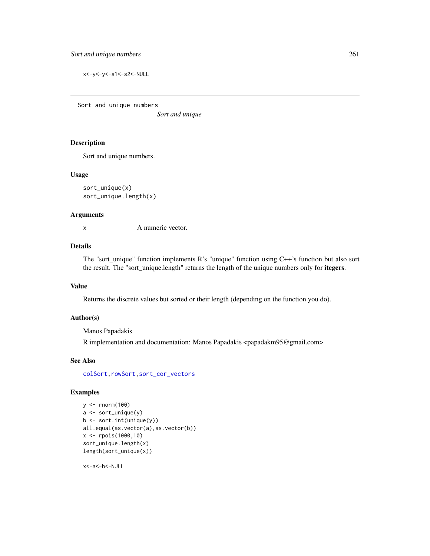<span id="page-260-1"></span>x<-y<-y<-s1<-s2<-NULL

Sort and unique numbers

*Sort and unique*

#### <span id="page-260-0"></span>Description

Sort and unique numbers.

#### Usage

sort\_unique(x) sort\_unique.length(x)

#### Arguments

x A numeric vector.

#### Details

The "sort\_unique" function implements R's "unique" function using C++'s function but also sort the result. The "sort\_unique.length" returns the length of the unique numbers only for itegers.

# Value

Returns the discrete values but sorted or their length (depending on the function you do).

### Author(s)

Manos Papadakis

R implementation and documentation: Manos Papadakis <papadakm95@gmail.com>

#### See Also

[colSort,rowSort](#page-261-0)[,sort\\_cor\\_vectors](#page-258-0)

#### Examples

```
y <- rnorm(100)
a <- sort_unique(y)
b <- sort.int(unique(y))
all.equal(as.vector(a),as.vector(b))
x <- rpois(1000,10)
sort_unique.length(x)
length(sort_unique(x))
```
x<-a<-b<-NULL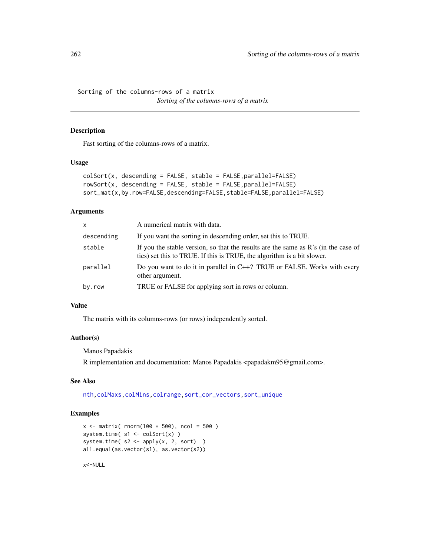<span id="page-261-1"></span>Sorting of the columns-rows of a matrix *Sorting of the columns-rows of a matrix*

#### <span id="page-261-0"></span>Description

Fast sorting of the columns-rows of a matrix.

#### Usage

```
colSort(x, descending = FALSE, stable = FALSE, parallel=False)rowSort(x, descending = FALSE, stable = FALSE,parallel=FALSE)
sort_mat(x,by.row=FALSE,descending=FALSE,stable=FALSE,parallel=FALSE)
```
#### Arguments

| x          | A numerical matrix with data.                                                                                                                                           |
|------------|-------------------------------------------------------------------------------------------------------------------------------------------------------------------------|
| descending | If you want the sorting in descending order, set this to TRUE.                                                                                                          |
| stable     | If you the stable version, so that the results are the same as $\mathbb{R}^3$ in the case of<br>ties) set this to TRUE. If this is TRUE, the algorithm is a bit slower. |
| parallel   | Do you want to do it in parallel in C++? TRUE or FALSE. Works with every<br>other argument.                                                                             |
| by.row     | TRUE or FALSE for applying sort in rows or column.                                                                                                                      |

#### Value

The matrix with its columns-rows (or rows) independently sorted.

#### Author(s)

Manos Papadakis

R implementation and documentation: Manos Papadakis <papadakm95@gmail.com>.

#### See Also

[nth](#page-37-0)[,colMaxs,colMins,](#page-52-0)[colrange,](#page-40-0)[sort\\_cor\\_vectors,](#page-258-0)[sort\\_unique](#page-260-0)

# Examples

```
x \le - matrix( rnorm(100 * 500), ncol = 500)
system.time( s1 <- colSort(x) )
system.time(s2 \le apply(x, 2, sort) )
all.equal(as.vector(s1), as.vector(s2))
```
x<-NULL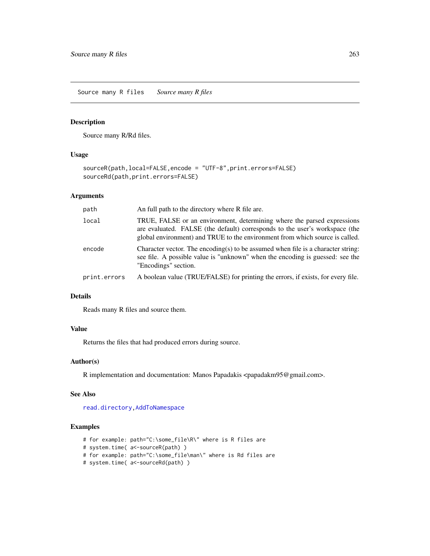<span id="page-262-0"></span>Source many R files *Source many R files*

#### Description

Source many R/Rd files.

# Usage

```
sourceR(path,local=FALSE,encode = "UTF-8",print.errors=FALSE)
sourceRd(path,print.errors=FALSE)
```
#### Arguments

| path         | An full path to the directory where R file are.                                                                                                                                                                                        |
|--------------|----------------------------------------------------------------------------------------------------------------------------------------------------------------------------------------------------------------------------------------|
| local        | TRUE, FALSE or an environment, determining where the parsed expressions<br>are evaluated. FALSE (the default) corresponds to the user's workspace (the<br>global environment) and TRUE to the environment from which source is called. |
| encode       | Character vector. The encoding(s) to be assumed when file is a character string:<br>see file. A possible value is "unknown" when the encoding is guessed: see the<br>"Encodings" section.                                              |
| print.errors | A boolean value (TRUE/FALSE) for printing the errors, if exists, for every file.                                                                                                                                                       |

#### Details

Reads many R files and source them.

# Value

Returns the files that had produced errors during source.

#### Author(s)

R implementation and documentation: Manos Papadakis <papadakm95@gmail.com>.

#### See Also

[read.directory](#page-239-0)[,AddToNamespace](#page-0-0)

#### Examples

```
# for example: path="C:\some_file\R\" where is R files are
```

```
# system.time( a<-sourceR(path) )
```

```
# for example: path="C:\some_file\man\" where is Rd files are
```
# system.time( a<-sourceRd(path) )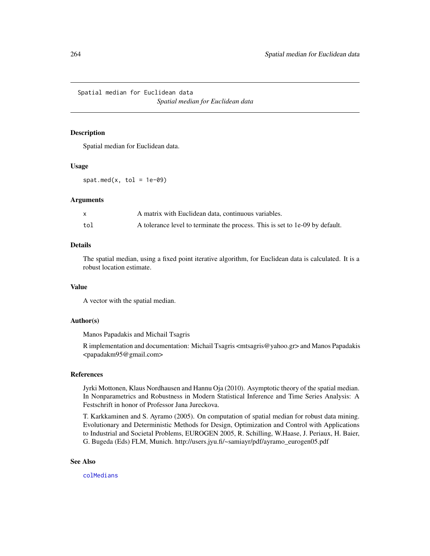Spatial median for Euclidean data *Spatial median for Euclidean data*

#### <span id="page-263-0"></span>Description

Spatial median for Euclidean data.

#### Usage

spat.med(x, tol =  $1e-09$ )

#### Arguments

|     | A matrix with Euclidean data, continuous variables.                          |
|-----|------------------------------------------------------------------------------|
| tol | A tolerance level to terminate the process. This is set to 1e-09 by default. |

# Details

The spatial median, using a fixed point iterative algorithm, for Euclidean data is calculated. It is a robust location estimate.

#### Value

A vector with the spatial median.

#### Author(s)

Manos Papadakis and Michail Tsagris

R implementation and documentation: Michail Tsagris <mtsagris@yahoo.gr> and Manos Papadakis <papadakm95@gmail.com>

# References

Jyrki Mottonen, Klaus Nordhausen and Hannu Oja (2010). Asymptotic theory of the spatial median. In Nonparametrics and Robustness in Modern Statistical Inference and Time Series Analysis: A Festschrift in honor of Professor Jana Jureckova.

T. Karkkaminen and S. Ayramo (2005). On computation of spatial median for robust data mining. Evolutionary and Deterministic Methods for Design, Optimization and Control with Applications to Industrial and Societal Problems, EUROGEN 2005, R. Schilling, W.Haase, J. Periaux, H. Baier, G. Bugeda (Eds) FLM, Munich. http://users.jyu.fi/~samiayr/pdf/ayramo\_eurogen05.pdf

#### See Also

[colMedians](#page-36-0)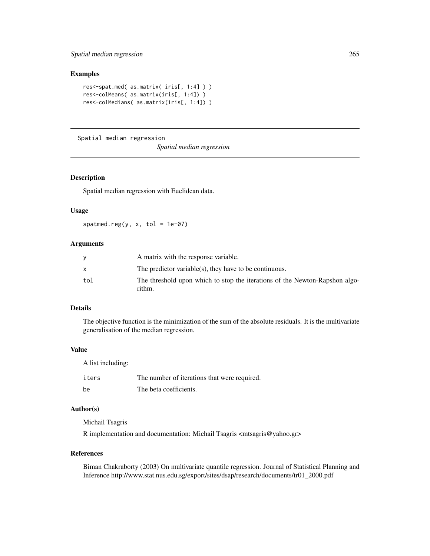# Spatial median regression 265

#### Examples

```
res<-spat.med( as.matrix( iris[, 1:4] ) )
res<-colMeans( as.matrix(iris[, 1:4]) )
res<-colMedians( as.matrix(iris[, 1:4]) )
```
Spatial median regression

*Spatial median regression*

# <span id="page-264-0"></span>Description

Spatial median regression with Euclidean data.

#### Usage

spatmed.reg(y,  $x$ , tol = 1e-07)

# Arguments

|     | A matrix with the response variable.                                                  |
|-----|---------------------------------------------------------------------------------------|
|     | The predictor variable(s), they have to be continuous.                                |
| tol | The threshold upon which to stop the iterations of the Newton-Rapshon algo-<br>rithm. |

# Details

The objective function is the minimization of the sum of the absolute residuals. It is the multivariate generalisation of the median regression.

# Value

A list including:

| iters | The number of iterations that were required. |
|-------|----------------------------------------------|
| be    | The beta coefficients.                       |

# Author(s)

Michail Tsagris

R implementation and documentation: Michail Tsagris <mtsagris@yahoo.gr>

#### References

Biman Chakraborty (2003) On multivariate quantile regression. Journal of Statistical Planning and Inference http://www.stat.nus.edu.sg/export/sites/dsap/research/documents/tr01\_2000.pdf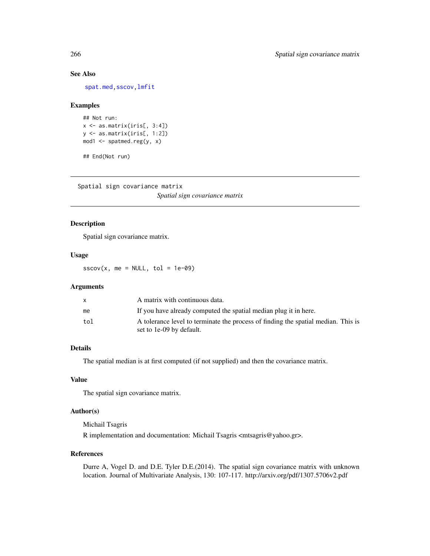[spat.med,](#page-263-0)[sscov,](#page-265-0)[lmfit](#page-126-0)

# Examples

```
## Not run:
x \leftarrow as.matrix(iris[, 3:4])y <- as.matrix(iris[, 1:2])
mod1 <- spatmed.reg(y, x)
```
## End(Not run)

Spatial sign covariance matrix

*Spatial sign covariance matrix*

# <span id="page-265-0"></span>Description

Spatial sign covariance matrix.

#### Usage

 $sscov(x, me = NULL, tol = 1e-09)$ 

# Arguments

|     | A matrix with continuous data.                                                                                |
|-----|---------------------------------------------------------------------------------------------------------------|
| me  | If you have already computed the spatial median plug it in here.                                              |
| tol | A tolerance level to terminate the process of finding the spatial median. This is<br>set to 1e-09 by default. |

# Details

The spatial median is at first computed (if not supplied) and then the covariance matrix.

#### Value

The spatial sign covariance matrix.

#### Author(s)

Michail Tsagris

R implementation and documentation: Michail Tsagris <mtsagris@yahoo.gr>.

#### References

Durre A, Vogel D. and D.E. Tyler D.E.(2014). The spatial sign covariance matrix with unknown location. Journal of Multivariate Analysis, 130: 107-117. http://arxiv.org/pdf/1307.5706v2.pdf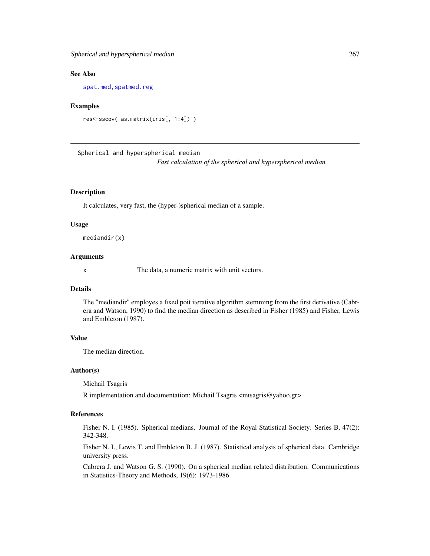<span id="page-266-0"></span>[spat.med](#page-263-0), spatmed.reg

#### Examples

```
res<-sscov( as.matrix(iris[, 1:4]) )
```
Spherical and hyperspherical median *Fast calculation of the spherical and hyperspherical median*

#### Description

It calculates, very fast, the (hyper-)spherical median of a sample.

#### Usage

mediandir(x)

#### Arguments

x The data, a numeric matrix with unit vectors.

#### Details

The "mediandir" employes a fixed poit iterative algorithm stemming from the first derivative (Cabrera and Watson, 1990) to find the median direction as described in Fisher (1985) and Fisher, Lewis and Embleton (1987).

# Value

The median direction.

#### Author(s)

Michail Tsagris

R implementation and documentation: Michail Tsagris <mtsagris@yahoo.gr>

# References

Fisher N. I. (1985). Spherical medians. Journal of the Royal Statistical Society. Series B, 47(2): 342-348.

Fisher N. I., Lewis T. and Embleton B. J. (1987). Statistical analysis of spherical data. Cambridge university press.

Cabrera J. and Watson G. S. (1990). On a spherical median related distribution. Communications in Statistics-Theory and Methods, 19(6): 1973-1986.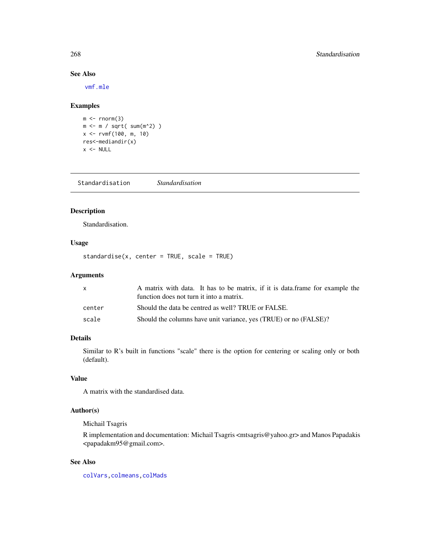[vmf.mle](#page-189-0)

# Examples

```
m < - rnorm(3)
m <- m / sqrt( sum(m^2) )
x <- rvmf(100, m, 10)
res<-mediandir(x)
x < - NULL
```
Standardisation *Standardisation*

# Description

Standardisation.

# Usage

standardise(x, center = TRUE, scale = TRUE)

# Arguments

| x.     | A matrix with data. It has to be matrix, if it is data.frame for example the<br>function does not turn it into a matrix. |
|--------|--------------------------------------------------------------------------------------------------------------------------|
| center | Should the data be centred as well? TRUE or FALSE.                                                                       |
| scale  | Should the columns have unit variance, yes (TRUE) or no (FALSE)?                                                         |

# Details

Similar to R's built in functions "scale" there is the option for centering or scaling only or both (default).

# Value

A matrix with the standardised data.

# Author(s)

Michail Tsagris

R implementation and documentation: Michail Tsagris <mtsagris@yahoo.gr> and Manos Papadakis <papadakm95@gmail.com>.

# See Also

[colVars](#page-45-0)[,colmeans](#page-35-0)[,colMads](#page-46-0)

<span id="page-267-0"></span>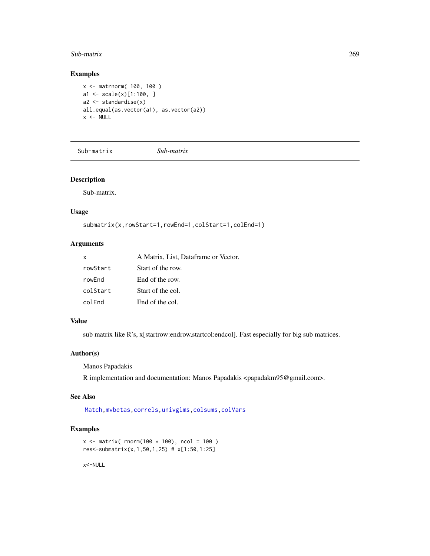#### <span id="page-268-0"></span>Sub-matrix 269

# Examples

```
x <- matrnorm( 100, 100 )
a1 <- scale(x)[1:100, ]
a2 <- standardise(x)
all.equal(as.vector(a1), as.vector(a2))
x < - NULL
```
Sub-matrix *Sub-matrix*

# Description

Sub-matrix.

#### Usage

```
submatrix(x,rowStart=1,rowEnd=1,colStart=1,colEnd=1)
```
# Arguments

| x        | A Matrix, List, Dataframe or Vector. |
|----------|--------------------------------------|
| rowStart | Start of the row.                    |
| rowEnd   | End of the row.                      |
| colStart | Start of the col.                    |
| colFnd   | End of the col.                      |

# Value

sub matrix like R's, x[startrow:endrow,startcol:endcol]. Fast especially for big sub matrices.

# Author(s)

Manos Papadakis

R implementation and documentation: Manos Papadakis <papadakm95@gmail.com>.

#### See Also

[Match,](#page-178-0)[mvbetas,](#page-149-0)[correls](#page-62-0)[,univglms](#page-171-0)[,colsums](#page-43-0)[,colVars](#page-45-0)

# Examples

```
x \le matrix( rnorm(100 * 100), ncol = 100)
res<-submatrix(x,1,50,1,25) # x[1:50,1:25]
```
x<-NULL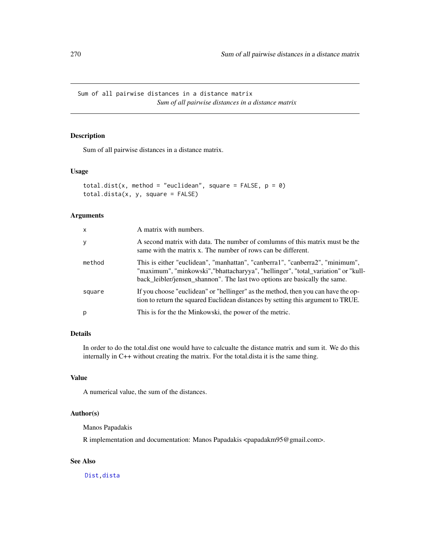<span id="page-269-0"></span>Sum of all pairwise distances in a distance matrix *Sum of all pairwise distances in a distance matrix*

# Description

Sum of all pairwise distances in a distance matrix.

# Usage

```
total.dist(x, method = "euclidean", square = FALSE, p = 0)
total.dista(x, y, square = FALSE)
```
# Arguments

| x      | A matrix with numbers.                                                                                                                                                                                                                           |
|--------|--------------------------------------------------------------------------------------------------------------------------------------------------------------------------------------------------------------------------------------------------|
| y      | A second matrix with data. The number of comlumns of this matrix must be the<br>same with the matrix x. The number of rows can be different.                                                                                                     |
| method | This is either "euclidean", "manhattan", "canberra1", "canberra2", "minimum",<br>"maximum", "minkowski", "bhattacharyya", "hellinger", "total_variation" or "kull-<br>back_leibler/jensen_shannon". The last two options are basically the same. |
| square | If you choose "euclidean" or "hellinger" as the method, then you can have the op-<br>tion to return the squared Euclidean distances by setting this argument to TRUE.                                                                            |
| p      | This is for the the Minkowski, the power of the metric.                                                                                                                                                                                          |

# Details

In order to do the total.dist one would have to calcualte the distance matrix and sum it. We do this internally in C++ without creating the matrix. For the total.dista it is the same thing.

#### Value

A numerical value, the sum of the distances.

# Author(s)

Manos Papadakis

R implementation and documentation: Manos Papadakis <papadakm95@gmail.com>.

# See Also

[Dist,](#page-76-0)[dista](#page-74-0)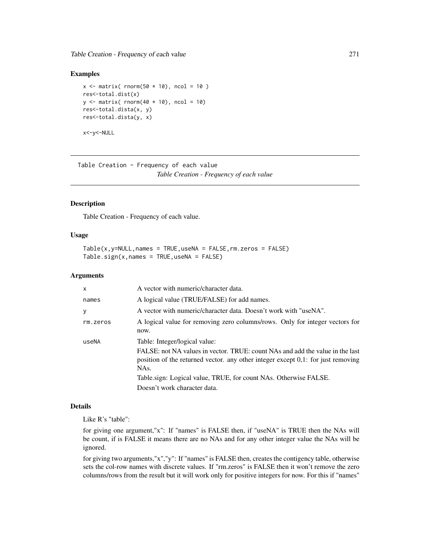<span id="page-270-0"></span>Table Creation - Frequency of each value 271

#### Examples

```
x \le matrix( rnorm(50 \star 10), ncol = 10)
res<-total.dist(x)
y \leftarrow matrix( rnorm(40 \star 10), ncol = 10)
res<-total.dista(x, y)
res<-total.dista(y, x)
x<-y<-NULL
```
Table Creation - Frequency of each value *Table Creation - Frequency of each value*

#### Description

Table Creation - Frequency of each value.

## Usage

 $Table(x, y=NULL, names = TRUE, useNA = FALSE, rm.zeros = FALSE)$  $Table.size(n, names = TRUE, useNA = FALSE)$ 

# Arguments

| $\mathsf{x}$ | A vector with numeric/character data.                                                                                                                                                                                                                                                                             |
|--------------|-------------------------------------------------------------------------------------------------------------------------------------------------------------------------------------------------------------------------------------------------------------------------------------------------------------------|
| names        | A logical value (TRUE/FALSE) for add names.                                                                                                                                                                                                                                                                       |
| y            | A vector with numeric/character data. Doesn't work with "useNA".                                                                                                                                                                                                                                                  |
| rm.zeros     | A logical value for removing zero columns/rows. Only for integer vectors for<br>now.                                                                                                                                                                                                                              |
| useNA        | Table: Integer/logical value:<br>FALSE: not NA values in vector. TRUE: count NAs and add the value in the last<br>position of the returned vector. any other integer except $0,1$ : for just removing<br>NAs.<br>Table sign: Logical value, TRUE, for count NAs. Otherwise FALSE.<br>Doesn't work character data. |

# Details

Like R's "table":

for giving one argument,"x": If "names" is FALSE then, if "useNA" is TRUE then the NAs will be count, if is FALSE it means there are no NAs and for any other integer value the NAs will be ignored.

for giving two arguments,"x","y": If "names" is FALSE then, creates the contigency table, otherwise sets the col-row names with discrete values. If "rm.zeros" is FALSE then it won't remove the zero columns/rows from the result but it will work only for positive integers for now. For this if "names"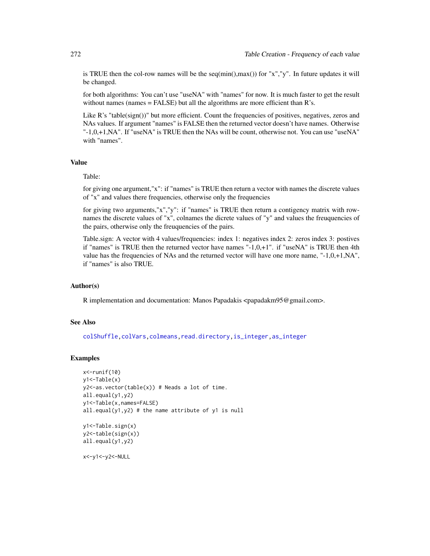is TRUE then the col-row names will be the  $seq(min(),max())$  for "x","y". In future updates it will be changed.

for both algorithms: You can't use "useNA" with "names" for now. It is much faster to get the result without names (names  $=$  FALSE) but all the algorithms are more efficient than  $R$ 's.

Like  $R$ 's "table( $sign()$ )" but more efficient. Count the frequencies of positives, negatives, zeros and NAs values. If argument "names" is FALSE then the returned vector doesn't have names. Otherwise "-1,0,+1,NA". If "useNA" is TRUE then the NAs will be count, otherwise not. You can use "useNA" with "names".

# Value

Table:

for giving one argument,"x": if "names" is TRUE then return a vector with names the discrete values of "x" and values there frequencies, otherwise only the frequencies

for giving two arguments,"x","y": if "names" is TRUE then return a contigency matrix with rownames the discrete values of "x", colnames the dicrete values of "y" and values the freuquencies of the pairs, otherwise only the freuquencies of the pairs.

Table.sign: A vector with 4 values/frequencies: index 1: negatives index 2: zeros index 3: postives if "names" is TRUE then the returned vector have names  $-1,0,+1$ ". if "useNA" is TRUE then 4th value has the frequencies of NAs and the returned vector will have one more name, " $-1,0,+1,NA$ ", if "names" is also TRUE.

# Author(s)

R implementation and documentation: Manos Papadakis <papadakm95@gmail.com>.

#### See Also

[colShuffle](#page-42-0)[,colVars](#page-45-0)[,colmeans,](#page-35-0)[read.directory,](#page-239-0)[is\\_integer,as\\_integer](#page-23-0)

# Examples

```
x < - runif(10)
y1<-Table(x)
y2 <-as.vector(table(x)) # Neads a lot of time.
all.equal(y1,y2)
y1<-Table(x,names=FALSE)
all.equal(y1,y2) # the name attribute of y1 is null
```

```
y1<-Table.sign(x)
y2<-table(sign(x))
all.equal(y1,y2)
```
x<-y1<-y2<-NULL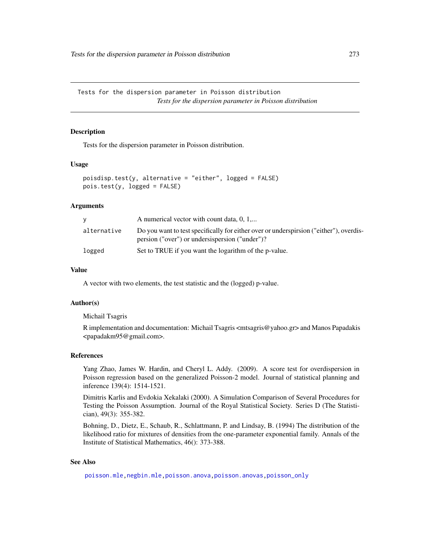<span id="page-272-0"></span>Tests for the dispersion parameter in Poisson distribution *Tests for the dispersion parameter in Poisson distribution*

#### Description

Tests for the dispersion parameter in Poisson distribution.

#### Usage

```
poisdisp.test(y, alternative = "either", logged = FALSE)
pois.test(y, logged = FALSE)
```
# Arguments

|             | A numerical vector with count data, $0, 1,$                                                                                              |
|-------------|------------------------------------------------------------------------------------------------------------------------------------------|
| alternative | Do you want to test specifically for either over or underspirsion ("either"), overdis-<br>persion ("over") or undersispersion ("under")? |
| logged      | Set to TRUE if you want the logarithm of the p-value.                                                                                    |

# Value

A vector with two elements, the test statistic and the (logged) p-value.

#### Author(s)

Michail Tsagris

R implementation and documentation: Michail Tsagris <mtsagris@yahoo.gr> and Manos Papadakis <papadakm95@gmail.com>.

#### References

Yang Zhao, James W. Hardin, and Cheryl L. Addy. (2009). A score test for overdispersion in Poisson regression based on the generalized Poisson-2 model. Journal of statistical planning and inference 139(4): 1514-1521.

Dimitris Karlis and Evdokia Xekalaki (2000). A Simulation Comparison of Several Procedures for Testing the Poisson Assumption. Journal of the Royal Statistical Society. Series D (The Statistician), 49(3): 355-382.

Bohning, D., Dietz, E., Schaub, R., Schlattmann, P. and Lindsay, B. (1994) The distribution of the likelihood ratio for mixtures of densities from the one-parameter exponential family. Annals of the Institute of Statistical Mathematics, 46(): 373-388.

#### See Also

[poisson.mle,negbin.mle](#page-194-0)[,poisson.anova](#page-10-0)[,poisson.anovas,](#page-136-0)[poisson\\_only](#page-174-0)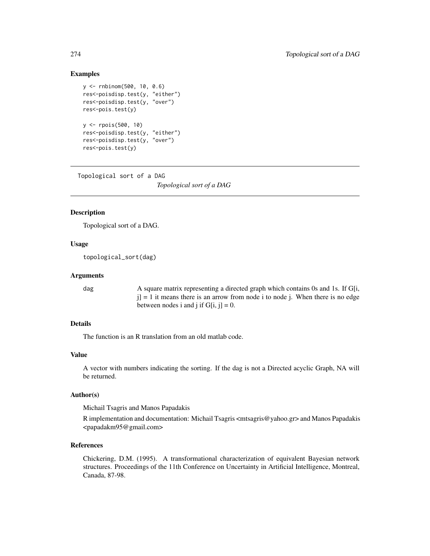# <span id="page-273-0"></span>Examples

```
y <- rnbinom(500, 10, 0.6)
res<-poisdisp.test(y, "either")
res<-poisdisp.test(y, "over")
res<-pois.test(y)
y <- rpois(500, 10)
res<-poisdisp.test(y, "either")
res<-poisdisp.test(y, "over")
res<-pois.test(y)
```
Topological sort of a DAG

*Topological sort of a DAG*

# Description

Topological sort of a DAG.

# Usage

topological\_sort(dag)

#### Arguments

dag A square matrix representing a directed graph which contains 0s and 1s. If G[i,  $j$ ] = 1 it means there is an arrow from node i to node j. When there is no edge between nodes i and j if  $G[i, j] = 0$ .

# Details

The function is an R translation from an old matlab code.

# Value

A vector with numbers indicating the sorting. If the dag is not a Directed acyclic Graph, NA will be returned.

#### Author(s)

Michail Tsagris and Manos Papadakis

R implementation and documentation: Michail Tsagris <mtsagris@yahoo.gr> and Manos Papadakis <papadakm95@gmail.com>

# References

Chickering, D.M. (1995). A transformational characterization of equivalent Bayesian network structures. Proceedings of the 11th Conference on Uncertainty in Artificial Intelligence, Montreal, Canada, 87-98.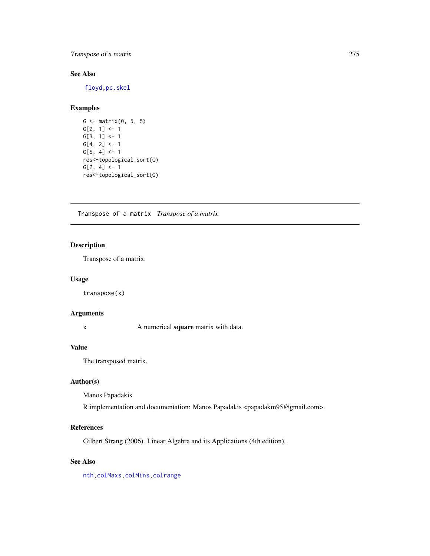# <span id="page-274-0"></span>Transpose of a matrix 275

# See Also

[floyd,](#page-97-0)[pc.skel](#page-254-0)

# Examples

```
G \leftarrow matrix(0, 5, 5)G[2, 1] <- 1
G[3, 1] <- 1
G[4, 2] < -1G[5, 4] < -1res<-topological_sort(G)
G[2, 4] < -1res<-topological_sort(G)
```
Transpose of a matrix *Transpose of a matrix*

# Description

Transpose of a matrix.

#### Usage

transpose(x)

# Arguments

x A numerical **square** matrix with data.

# Value

The transposed matrix.

# Author(s)

Manos Papadakis

R implementation and documentation: Manos Papadakis <papadakm95@gmail.com>.

#### References

Gilbert Strang (2006). Linear Algebra and its Applications (4th edition).

# See Also

[nth](#page-37-0)[,colMaxs,colMins,](#page-52-0)[colrange](#page-40-0)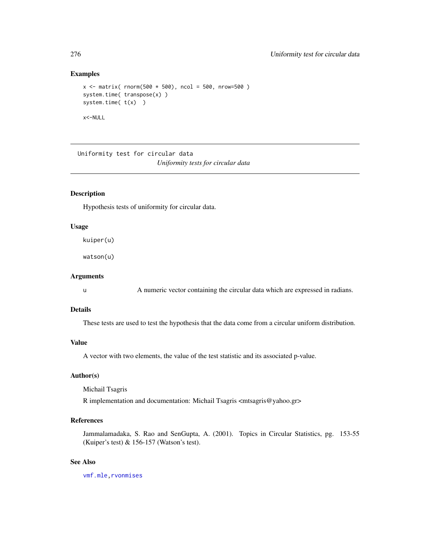#### <span id="page-275-0"></span>Examples

```
x \le - matrix( rnorm(500 * 500), ncol = 500, nrow=500)
system.time( transpose(x) )
system.time( t(x) )
x<-NULL
```
Uniformity test for circular data *Uniformity tests for circular data*

# Description

Hypothesis tests of uniformity for circular data.

#### Usage

kuiper(u)

watson(u)

#### Arguments

u A numeric vector containing the circular data which are expressed in radians.

### Details

These tests are used to test the hypothesis that the data come from a circular uniform distribution.

#### Value

A vector with two elements, the value of the test statistic and its associated p-value.

#### Author(s)

Michail Tsagris

R implementation and documentation: Michail Tsagris <mtsagris@yahoo.gr>

# References

Jammalamadaka, S. Rao and SenGupta, A. (2001). Topics in Circular Statistics, pg. 153-55 (Kuiper's test) & 156-157 (Watson's test).

# See Also

[vmf.mle](#page-189-0)[,rvonmises](#page-237-0)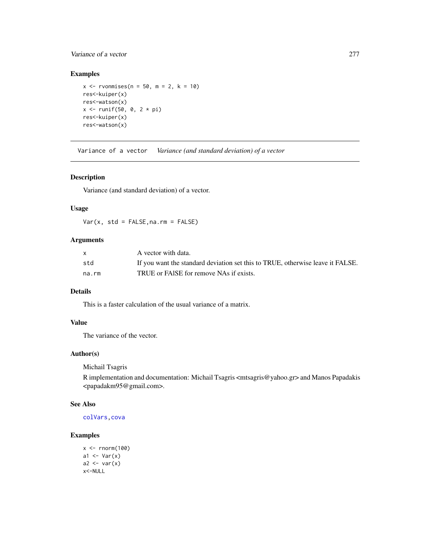# <span id="page-276-0"></span>Variance of a vector 277

# Examples

```
x < - rvonmises(n = 50, m = 2, k = 10)
res<-kuiper(x)
res<-watson(x)
x <- runif(50, 0, 2 * pi)
res<-kuiper(x)
res<-watson(x)
```
Variance of a vector *Variance (and standard deviation) of a vector*

# Description

Variance (and standard deviation) of a vector.

# Usage

 $Var(x, std = FALSE, na.rm = FALSE)$ 

# Arguments

| $\mathsf{x}$ | A vector with data.                                                            |
|--------------|--------------------------------------------------------------------------------|
| std          | If you want the standard deviation set this to TRUE, otherwise leave it FALSE. |
| na.rm        | TRUE or FAISE for remove NAs if exists.                                        |

### Details

This is a faster calculation of the usual variance of a matrix.

#### Value

The variance of the vector.

#### Author(s)

Michail Tsagris

R implementation and documentation: Michail Tsagris <mtsagris@yahoo.gr> and Manos Papadakis <papadakm95@gmail.com>.

#### See Also

[colVars](#page-45-0)[,cova](#page-63-0)

#### Examples

```
x < - rnorm(100)
a1 \leftarrow Var(x)a2 \leftarrow \text{var}(x)x<-NULL
```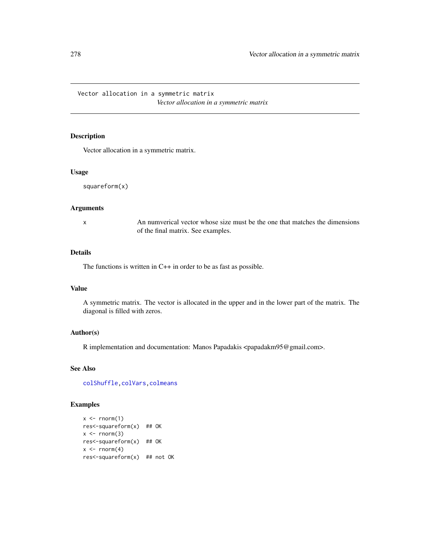Vector allocation in a symmetric matrix *Vector allocation in a symmetric matrix*

# Description

Vector allocation in a symmetric matrix.

#### Usage

squareform(x)

# Arguments

x An numverical vector whose size must be the one that matches the dimensions of the final matrix. See examples.

#### Details

The functions is written in C++ in order to be as fast as possible.

#### Value

A symmetric matrix. The vector is allocated in the upper and in the lower part of the matrix. The diagonal is filled with zeros.

# Author(s)

R implementation and documentation: Manos Papadakis <papadakm95@gmail.com>.

# See Also

[colShuffle](#page-42-0)[,colVars](#page-45-0)[,colmeans](#page-35-0)

# Examples

```
x \leq -rnorm(1)res<-squareform(x) ## OK
x \le - rnorm(3)
res<-squareform(x) ## OK
x \leftarrow \text{rnorm}(4)res<-squareform(x) ## not OK
```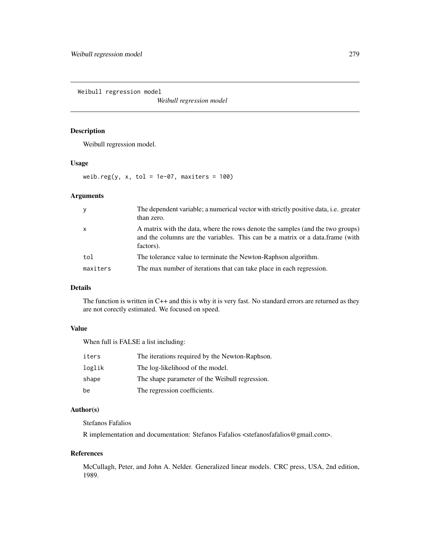Weibull regression model

*Weibull regression model*

# Description

Weibull regression model.

# Usage

weib.reg(y, x, tol = 1e-07, maxiters =  $100$ )

# Arguments

| y            | The dependent variable; a numerical vector with strictly positive data, <i>i.e.</i> greater<br>than zero.                                                                    |
|--------------|------------------------------------------------------------------------------------------------------------------------------------------------------------------------------|
| $\mathsf{x}$ | A matrix with the data, where the rows denote the samples (and the two groups)<br>and the columns are the variables. This can be a matrix or a data.frame (with<br>factors). |
| tol          | The tolerance value to terminate the Newton-Raphson algorithm.                                                                                                               |
| maxiters     | The max number of iterations that can take place in each regression.                                                                                                         |

#### Details

The function is written in C++ and this is why it is very fast. No standard errors are returned as they are not corectly estimated. We focused on speed.

# Value

When full is FALSE a list including:

| iters  | The iterations required by the Newton-Raphson. |
|--------|------------------------------------------------|
| loglik | The log-likelihood of the model.               |
| shape  | The shape parameter of the Weibull regression. |
| be     | The regression coefficients.                   |

# Author(s)

Stefanos Fafalios

R implementation and documentation: Stefanos Fafalios <stefanosfafalios@gmail.com>.

#### References

McCullagh, Peter, and John A. Nelder. Generalized linear models. CRC press, USA, 2nd edition, 1989.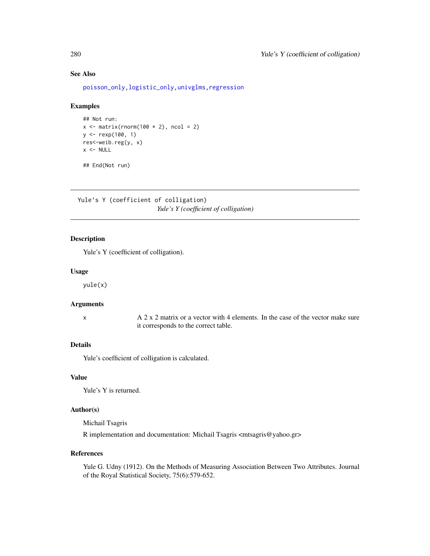[poisson\\_only,logistic\\_only,](#page-174-0)[univglms,](#page-171-0)[regression](#page-173-0)

# Examples

```
## Not run:
x \leftarrow \text{matrix}(rnorm(100 * 2), ncol = 2)y <- rexp(100, 1)
res<-weib.reg(y, x)
x < - NULL
```
## End(Not run)

Yule's Y (coefficient of colligation) *Yule's Y (coefficient of colligation)*

# Description

Yule's Y (coefficient of colligation).

#### Usage

yule(x)

#### Arguments

 $x \rightarrow A 2 x 2$  matrix or a vector with 4 elements. In the case of the vector make sure it corresponds to the correct table.

# Details

Yule's coefficient of colligation is calculated.

#### Value

Yule's Y is returned.

# Author(s)

Michail Tsagris R implementation and documentation: Michail Tsagris <mtsagris@yahoo.gr>

#### References

Yule G. Udny (1912). On the Methods of Measuring Association Between Two Attributes. Journal of the Royal Statistical Society, 75(6):579-652.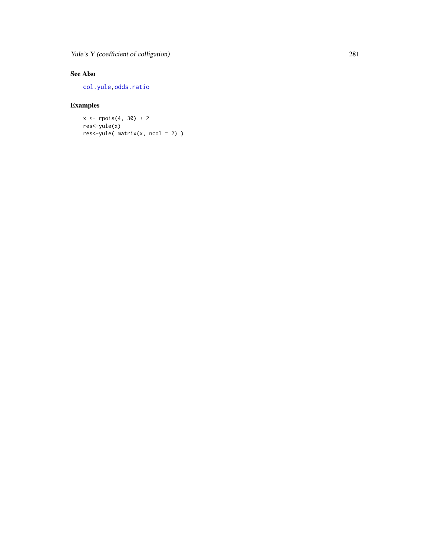Yule's Y (coefficient of colligation) 281

# See Also

[col.yule](#page-56-0) [,odds.ratio](#page-220-0)

# Examples

 $x \leq -r \text{pois}(4, 30) + 2$ res<-yule(x) res<-yule( matrix(x, ncol = 2) )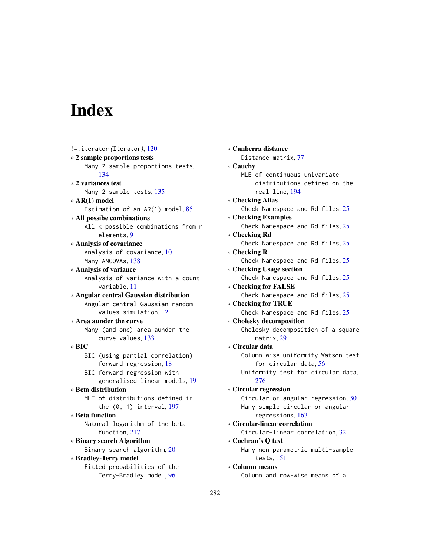# Index

!=.iterator *(*Iterator*)*, [120](#page-119-0) ∗ 2 sample proportions tests Many 2 sample proportions tests, [134](#page-133-0) ∗ 2 variances test Many 2 sample tests, [135](#page-134-0) ∗ AR(1) model Estimation of an AR(1) model, [85](#page-84-0) ∗ All possibe combinations All k possible combinations from n elements, [9](#page-8-0) ∗ Analysis of covariance Analysis of covariance, [10](#page-9-0) Many ANCOVAs, [138](#page-137-0) ∗ Analysis of variance Analysis of variance with a count variable, [11](#page-10-1) ∗ Angular central Gaussian distribution Angular central Gaussian random values simulation, [12](#page-11-0) ∗ Area aunder the curve Many (and one) area aunder the curve values, [133](#page-132-0) ∗ BIC BIC (using partial correlation) forward regression, [18](#page-17-0) BIC forward regression with generalised linear models, [19](#page-18-0) ∗ Beta distribution MLE of distributions defined in the (0, 1) interval, [197](#page-196-0) ∗ Beta function Natural logarithm of the beta function, [217](#page-216-0) ∗ Binary search Algorithm Binary search algorithm, [20](#page-19-0) ∗ Bradley-Terry model Fitted probabilities of the Terry-Bradley model, [96](#page-95-0)

∗ Canberra distance Distance matrix, [77](#page-76-1) ∗ Cauchy MLE of continuous univariate distributions defined on the real line, [194](#page-193-0) ∗ Checking Alias Check Namespace and Rd files, [25](#page-24-0) ∗ Checking Examples Check Namespace and Rd files, [25](#page-24-0) ∗ Checking Rd Check Namespace and Rd files, [25](#page-24-0) ∗ Checking R Check Namespace and Rd files, [25](#page-24-0) ∗ Checking Usage section Check Namespace and Rd files, [25](#page-24-0) ∗ Checking for FALSE Check Namespace and Rd files, [25](#page-24-0) ∗ Checking for TRUE Check Namespace and Rd files, [25](#page-24-0) ∗ Cholesky decomposition Cholesky decomposition of a square matrix, [29](#page-28-0) ∗ Circular data Column-wise uniformity Watson test for circular data, [56](#page-55-0) Uniformity test for circular data, [276](#page-275-0) ∗ Circular regression Circular or angular regression, [30](#page-29-0) Many simple circular or angular regressions, [163](#page-162-0) ∗ Circular-linear correlation Circular-linear correlation, [32](#page-31-0) ∗ Cochran's Q test Many non parametric multi-sample tests, [151](#page-150-0) ∗ Column means Column and row-wise means of a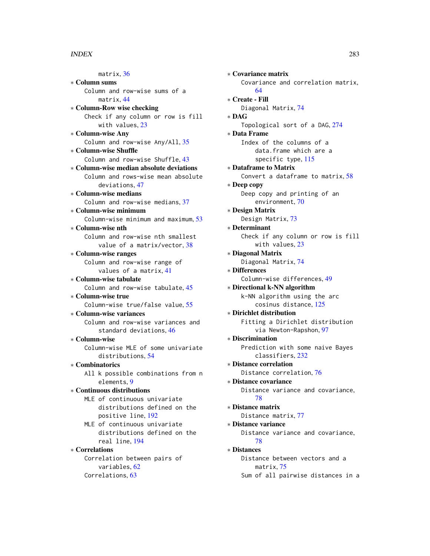matrix, [36](#page-35-1) ∗ Column sums Column and row-wise sums of a matrix, [44](#page-43-1) ∗ Column-Row wise checking Check if any column or row is fill with values, [23](#page-22-0) ∗ Column-wise Any Column and row-wise Any/All, [35](#page-34-0) ∗ Column-wise Shuffle Column and row-wise Shuffle, [43](#page-42-1) ∗ Column-wise median absolute deviations Column and rows-wise mean absolute deviations, [47](#page-46-1) ∗ Column-wise medians Column and row-wise medians, [37](#page-36-1) ∗ Column-wise minimum Column-wise minimum and maximum, [53](#page-52-1) ∗ Column-wise nth Column and row-wise nth smallest value of a matrix/vector, [38](#page-37-1) ∗ Column-wise ranges Column and row-wise range of values of a matrix, [41](#page-40-1) ∗ Column-wise tabulate Column and row-wise tabulate, [45](#page-44-0) ∗ Column-wise true Column-wise true/false value, [55](#page-54-0) ∗ Column-wise variances Column and row-wise variances and standard deviations, [46](#page-45-1) ∗ Column-wise Column-wise MLE of some univariate distributions, [54](#page-53-0) ∗ Combinatorics All k possible combinations from n elements, [9](#page-8-0) ∗ Continuous distributions MLE of continuous univariate distributions defined on the positive line, [192](#page-191-0) MLE of continuous univariate distributions defined on the real line, [194](#page-193-0) ∗ Correlations Correlation between pairs of variables, [62](#page-61-0) Correlations, [63](#page-62-1)

∗ Covariance matrix Covariance and correlation matrix, [64](#page-63-1) ∗ Create - Fill Diagonal Matrix, [74](#page-73-0) ∗ DAG Topological sort of a DAG, [274](#page-273-0) ∗ Data Frame Index of the columns of a data.frame which are a specific type, [115](#page-114-0) ∗ Dataframe to Matrix Convert a dataframe to matrix, [58](#page-57-1) ∗ Deep copy Deep copy and printing of an environment, [70](#page-69-0) ∗ Design Matrix Design Matrix, [73](#page-72-0) ∗ Determinant Check if any column or row is fill with values, [23](#page-22-0) ∗ Diagonal Matrix Diagonal Matrix, [74](#page-73-0) ∗ Differences Column-wise differences, [49](#page-48-0) ∗ Directional k-NN algorithm k-NN algorithm using the arc cosinus distance, [125](#page-124-0) ∗ Dirichlet distribution Fitting a Dirichlet distribution via Newton-Rapshon, [97](#page-96-0) ∗ Discrimination Prediction with some naive Bayes classifiers, [232](#page-231-0) ∗ Distance correlation Distance correlation, [76](#page-75-0) ∗ Distance covariance Distance variance and covariance, [78](#page-77-0) ∗ Distance matrix Distance matrix, [77](#page-76-1) ∗ Distance variance Distance variance and covariance, [78](#page-77-0) ∗ Distances Distance between vectors and a matrix, [75](#page-74-1) Sum of all pairwise distances in a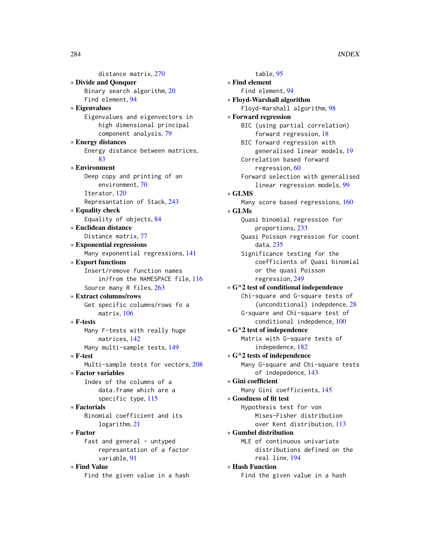distance matrix, [270](#page-269-0) ∗ Divide and Qonquer Binary search algorithm, [20](#page-19-0) Find element, [94](#page-93-0) ∗ Eigenvalues Eigenvalues and eigenvectors in high dimensional principal component analysis, [79](#page-78-0) ∗ Energy distances Energy distance between matrices, [83](#page-82-0) ∗ Environment Deep copy and printing of an environment, [70](#page-69-0) Iterator, [120](#page-119-0) Represantation of Stack, [243](#page-242-0) ∗ Equality check Equality of objects, [84](#page-83-0) ∗ Euclidean distance Distance matrix, [77](#page-76-1) ∗ Exponential regressions Many exponential regressions, [141](#page-140-0) ∗ Export functions Insert/remove function names in/from the NAMESPACE file, [116](#page-115-0) Source many R files, [263](#page-262-0) ∗ Extract columns/rows Get specific columns/rows fo a matrix, [106](#page-105-0) ∗ F-tests Many F-tests with really huge matrices, [142](#page-141-0) Many multi-sample tests, [149](#page-148-0) ∗ F-test Multi-sample tests for vectors, [208](#page-207-0) ∗ Factor variables Index of the columns of a data.frame which are a specific type, [115](#page-114-0) ∗ Factorials Binomial coefficient and its logarithm, [21](#page-20-0) ∗ Factor Fast and general - untyped represantation of a factor variable, [91](#page-90-0) ∗ Find Value

Find the given value in a hash

table, [95](#page-94-0) ∗ Find element Find element, [94](#page-93-0) ∗ Floyd-Warshall algorithm Floyd-Warshall algorithm, [98](#page-97-1) ∗ Forward regression BIC (using partial correlation) forward regression, [18](#page-17-0) BIC forward regression with generalised linear models, [19](#page-18-0) Correlation based forward regression, [60](#page-59-0) Forward selection with generalised linear regression models, [99](#page-98-0) ∗ GLMS Many score based regressions, [160](#page-159-0) ∗ GLMs Quasi binomial regression for proportions, [233](#page-232-0) Quasi Poisson regression for count data, [235](#page-234-0) Significance testing for the coefficients of Quasi binomial or the quasi Poisson regression, [249](#page-248-0) ∗ G^2 test of conditional independence Chi-square and G-square tests of (unconditional) indepdence, [28](#page-27-0) G-square and Chi-square test of conditional indepdence, [100](#page-99-1) ∗ G^2 test of independence Matrix with G-square tests of indepedence, [182](#page-181-1) ∗ G^2 tests of independence Many G-square and Chi-square tests of indepedence, [143](#page-142-0) ∗ Gini coefficient Many Gini coefficients, [145](#page-144-0) ∗ Goodness of fit test Hypothesis test for von Mises-Fisher distribution over Kent distribution, [113](#page-112-0) ∗ Gumbel distribution MLE of continuous univariate distributions defined on the real line, [194](#page-193-0) ∗ Hash Function Find the given value in a hash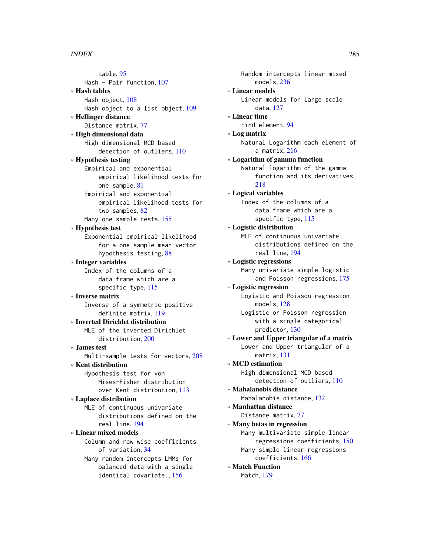#### INDEX 285

table, [95](#page-94-0) Hash - Pair function, [107](#page-106-0) ∗ Hash tables Hash object, [108](#page-107-0) Hash object to a list object, [109](#page-108-0) ∗ Hellinger distance Distance matrix, [77](#page-76-1) ∗ High dimensional data High dimensional MCD based detection of outliers, [110](#page-109-0) ∗ Hypothesis testing Empirical and exponential empirical likelihood tests for one sample, [81](#page-80-0) Empirical and exponential empirical likelihood tests for two samples, [82](#page-81-0) Many one sample tests, [155](#page-154-0) ∗ Hypothesis test Exponential empirical likelihood for a one sample mean vector hypothesis testing, [88](#page-87-0) ∗ Integer variables Index of the columns of a data.frame which are a specific type, [115](#page-114-0) ∗ Inverse matrix Inverse of a symmetric positive definite matrix, [119](#page-118-0) ∗ Inverted Dirichlet distribution MLE of the inverted Dirichlet distribution, [200](#page-199-0) ∗ James test Multi-sample tests for vectors, [208](#page-207-0) ∗ Kent distribution Hypothesis test for von Mises-Fisher distribution over Kent distribution, [113](#page-112-0) ∗ Laplace distribution MLE of continuous univariate distributions defined on the real line, [194](#page-193-0) ∗ Linear mixed models Column and row wise coefficients of variation, [34](#page-33-0) Many random intercepts LMMs for balanced data with a single identical covariate., [156](#page-155-0)

Random intercepts linear mixed models, [236](#page-235-0) ∗ Linear models Linear models for large scale data, [127](#page-126-1) ∗ Linear time Find element, [94](#page-93-0) ∗ Log matrix Natural Logarithm each element of a matrix, [216](#page-215-0) ∗ Logarithm of gamma function Natural logarithm of the gamma function and its derivatives, [218](#page-217-0) ∗ Logical variables Index of the columns of a data.frame which are a specific type, [115](#page-114-0) ∗ Logistic distribution MLE of continuous univariate distributions defined on the real line, [194](#page-193-0) ∗ Logistic regressions Many univariate simple logistic and Poisson regressions, [175](#page-174-1) ∗ Logistic regression Logistic and Poisson regression models, [128](#page-127-0) Logistic or Poisson regression with a single categorical predictor, [130](#page-129-0) ∗ Lower and Upper triangular of a matrix Lower and Upper triangular of a matrix, [131](#page-130-0) ∗ MCD estimation High dimensional MCD based detection of outliers, [110](#page-109-0) ∗ Mahalanobis distance Mahalanobis distance, [132](#page-131-0) ∗ Manhattan distance Distance matrix, [77](#page-76-1) ∗ Many betas in regression Many multivariate simple linear regressions coefficients, [150](#page-149-1) Many simple linear regressions coefficients, [166](#page-165-0) ∗ Match Function Match, [179](#page-178-1)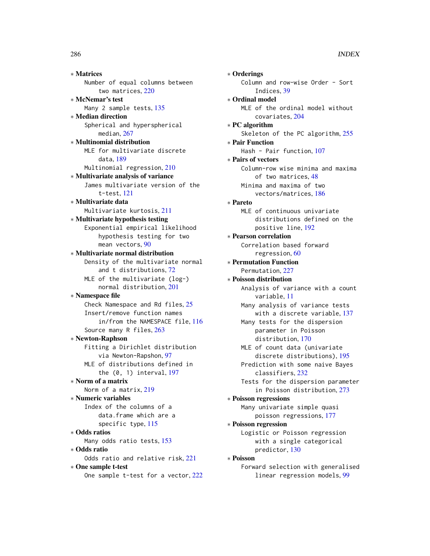∗ Matrices Number of equal columns between two matrices, [220](#page-219-0) ∗ McNemar's test Many 2 sample tests, [135](#page-134-0) ∗ Median direction Spherical and hyperspherical median, [267](#page-266-0) ∗ Multinomial distribution MLE for multivariate discrete data, [189](#page-188-0) Multinomial regression, [210](#page-209-0)

# ∗ Multivariate analysis of variance James multivariate version of the t-test, [121](#page-120-0)

- ∗ Multivariate data Multivariate kurtosis, [211](#page-210-0)
- ∗ Multivariate hypothesis testing Exponential empirical likelihood hypothesis testing for two mean vectors, [90](#page-89-0)

# ∗ Multivariate normal distribution Density of the multivariate normal and t distributions, [72](#page-71-0) MLE of the multivariate (log-) normal distribution, [201](#page-200-0)

```
∗ Namespace file
    Check Namespace and Rd files, 25
    Insert/remove function names
        in/from the NAMESPACE file, 116
    Source many R files, 263
```
# ∗ Newton-Raphson

Fitting a Dirichlet distribution via Newton-Rapshon, [97](#page-96-0) MLE of distributions defined in the (0, 1) interval, [197](#page-196-0)

# ∗ Norm of a matrix

Norm of a matrix, [219](#page-218-0)

# ∗ Numeric variables Index of the columns of a data.frame which are a specific type, [115](#page-114-0)

# ∗ Odds ratios

Many odds ratio tests, [153](#page-152-0) ∗ Odds ratio

# Odds ratio and relative risk, [221](#page-220-1)

∗ One sample t-test One sample t-test for a vector, [222](#page-221-0)

∗ Orderings Column and row-wise Order - Sort Indices, [39](#page-38-0) ∗ Ordinal model MLE of the ordinal model without covariates, [204](#page-203-0) ∗ PC algorithm Skeleton of the PC algorithm, [255](#page-254-1) ∗ Pair Function Hash - Pair function, [107](#page-106-0) ∗ Pairs of vectors Column-row wise minima and maxima of two matrices, [48](#page-47-0) Minima and maxima of two vectors/matrices, [186](#page-185-0) ∗ Pareto MLE of continuous univariate distributions defined on the positive line, [192](#page-191-0) ∗ Pearson correlation Correlation based forward regression, [60](#page-59-0) ∗ Permutation Function Permutation, [227](#page-226-0) ∗ Poisson distribution Analysis of variance with a count variable, [11](#page-10-1) Many analysis of variance tests with a discrete variable, [137](#page-136-1) Many tests for the dispersion parameter in Poisson distribution, [170](#page-169-0) MLE of count data (univariate discrete distributions), [195](#page-194-1) Prediction with some naive Bayes classifiers, [232](#page-231-0) Tests for the dispersion parameter in Poisson distribution, [273](#page-272-0) ∗ Poisson regressions Many univariate simple quasi poisson regressions, [177](#page-176-0) ∗ Poisson regression Logistic or Poisson regression with a single categorical predictor, [130](#page-129-0) ∗ Poisson Forward selection with generalised linear regression models, [99](#page-98-0)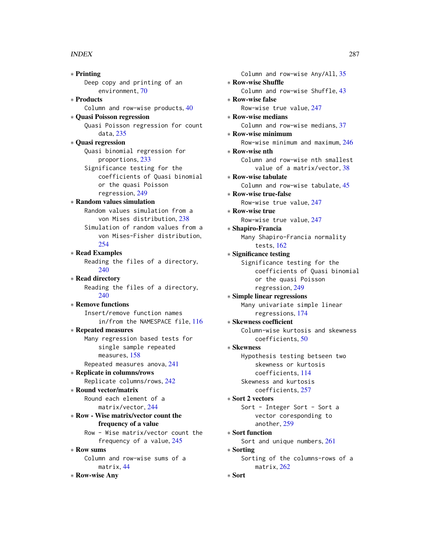#### INDEX  $287$

∗ Printing Deep copy and printing of an environment, [70](#page-69-0) ∗ Products Column and row-wise products, [40](#page-39-0) ∗ Quasi Poisson regression Quasi Poisson regression for count data, [235](#page-234-0) ∗ Quasi regression Quasi binomial regression for proportions, [233](#page-232-0) Significance testing for the coefficients of Quasi binomial or the quasi Poisson regression, [249](#page-248-0) ∗ Random values simulation Random values simulation from a von Mises distribution, [238](#page-237-1) Simulation of random values from a von Mises-Fisher distribution,  $254$ ∗ Read Examples Reading the files of a directory, [240](#page-239-1) ∗ Read directory Reading the files of a directory, [240](#page-239-1) ∗ Remove functions Insert/remove function names in/from the NAMESPACE file, [116](#page-115-0) ∗ Repeated measures Many regression based tests for single sample repeated measures, [158](#page-157-0) Repeated measures anova, [241](#page-240-0) ∗ Replicate in columns/rows Replicate columns/rows, [242](#page-241-0) ∗ Round vector/matrix Round each element of a matrix/vector, [244](#page-243-1) ∗ Row - Wise matrix/vector count the frequency of a value Row - Wise matrix/vector count the frequency of a value, [245](#page-244-0) ∗ Row sums Column and row-wise sums of a matrix, [44](#page-43-1) ∗ Row-wise Any

Column and row-wise Any/All, [35](#page-34-0) ∗ Row-wise Shuffle Column and row-wise Shuffle, [43](#page-42-1) ∗ Row-wise false Row-wise true value, [247](#page-246-0) ∗ Row-wise medians Column and row-wise medians, [37](#page-36-1) ∗ Row-wise minimum Row-wise minimum and maximum, [246](#page-245-0) ∗ Row-wise nth Column and row-wise nth smallest value of a matrix/vector, [38](#page-37-1) ∗ Row-wise tabulate Column and row-wise tabulate, [45](#page-44-0) ∗ Row-wise true-false Row-wise true value, [247](#page-246-0) ∗ Row-wise true Row-wise true value, [247](#page-246-0) ∗ Shapiro-Francia Many Shapiro-Francia normality tests, [162](#page-161-0) ∗ Significance testing Significance testing for the coefficients of Quasi binomial or the quasi Poisson regression, [249](#page-248-0) ∗ Simple linear regressions Many univariate simple linear regressions, [174](#page-173-1) ∗ Skewness coefficient Column-wise kurtosis and skewness coefficients, [50](#page-49-1) ∗ Skewness Hypothesis testing betseen two skewness or kurtosis coefficients, [114](#page-113-1) Skewness and kurtosis coefficients, [257](#page-256-0) ∗ Sort 2 vectors Sort - Integer Sort - Sort a vector coresponding to another, [259](#page-258-1) ∗ Sort function Sort and unique numbers, [261](#page-260-1) ∗ Sorting Sorting of the columns-rows of a matrix, [262](#page-261-1) ∗ Sort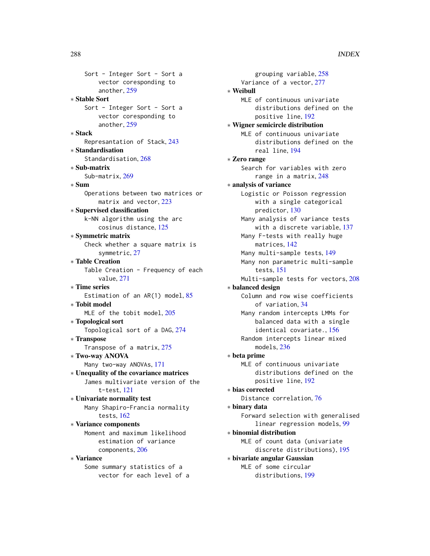288 INDEX

Sort - Integer Sort - Sort a vector coresponding to another, [259](#page-258-1) ∗ Stable Sort Sort - Integer Sort - Sort a vector coresponding to another, [259](#page-258-1) ∗ Stack Represantation of Stack, [243](#page-242-0) ∗ Standardisation Standardisation, [268](#page-267-0) ∗ Sub-matrix Sub-matrix, [269](#page-268-0) ∗ Sum Operations between two matrices or matrix and vector, [223](#page-222-0) ∗ Supervised classification k-NN algorithm using the arc cosinus distance, [125](#page-124-0) ∗ Symmetric matrix Check whether a square matrix is symmetric, [27](#page-26-0) ∗ Table Creation Table Creation - Frequency of each value, [271](#page-270-0) ∗ Time series Estimation of an AR(1) model, [85](#page-84-0) ∗ Tobit model MLE of the tobit model, [205](#page-204-0) ∗ Topological sort Topological sort of a DAG, [274](#page-273-0) ∗ Transpose Transpose of a matrix, [275](#page-274-0) ∗ Two-way ANOVA Many two-way ANOVAs, [171](#page-170-0) ∗ Unequality of the covariance matrices James multivariate version of the t-test, [121](#page-120-0) ∗ Univariate normality test Many Shapiro-Francia normality tests, [162](#page-161-0) ∗ Variance components Moment and maximum likelihood estimation of variance components, [206](#page-205-0) ∗ Variance Some summary statistics of a vector for each level of a

grouping variable, [258](#page-257-0) Variance of a vector, [277](#page-276-0) ∗ Weibull MLE of continuous univariate distributions defined on the positive line, [192](#page-191-0) ∗ Wigner semicircle distribution MLE of continuous univariate distributions defined on the real line, [194](#page-193-0) ∗ Zero range Search for variables with zero range in a matrix, [248](#page-247-0) ∗ analysis of variance Logistic or Poisson regression with a single categorical predictor, [130](#page-129-0) Many analysis of variance tests with a discrete variable, [137](#page-136-1) Many F-tests with really huge matrices, [142](#page-141-0) Many multi-sample tests, [149](#page-148-0) Many non parametric multi-sample tests, [151](#page-150-0) Multi-sample tests for vectors, [208](#page-207-0) ∗ balanced design Column and row wise coefficients of variation, [34](#page-33-0) Many random intercepts LMMs for balanced data with a single identical covariate., [156](#page-155-0) Random intercepts linear mixed models, [236](#page-235-0) ∗ beta prime MLE of continuous univariate distributions defined on the positive line, [192](#page-191-0) ∗ bias corrected Distance correlation, [76](#page-75-0) ∗ binary data Forward selection with generalised linear regression models, [99](#page-98-0) ∗ binomial distribution MLE of count data (univariate discrete distributions), [195](#page-194-1) ∗ bivariate angular Gaussian MLE of some circular distributions, [199](#page-198-0)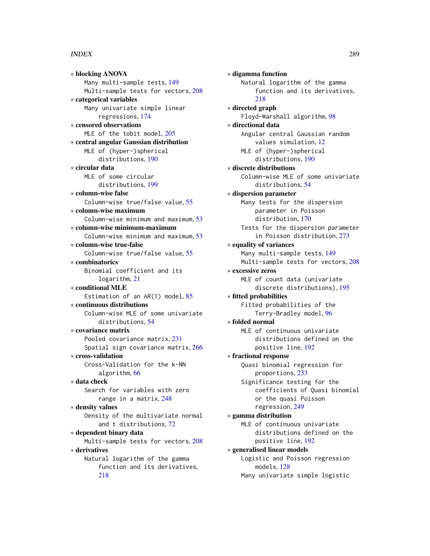∗ blocking ANOVA Many multi-sample tests, [149](#page-148-0) Multi-sample tests for vectors, [208](#page-207-0) ∗ categorical variables Many univariate simple linear regressions, [174](#page-173-0) ∗ censored observations MLE of the tobit model, [205](#page-204-0) ∗ central angular Gaussian distribution MLE of (hyper-)spherical distributions, [190](#page-189-0) ∗ circular data MLE of some circular distributions, [199](#page-198-0) ∗ column-wise false Column-wise true/false value, [55](#page-54-0) ∗ column-wise maximum Column-wise minimum and maximum, [53](#page-52-0) ∗ column-wise minimum-maximum Column-wise minimum and maximum, [53](#page-52-0) ∗ column-wise true-false Column-wise true/false value, [55](#page-54-0) ∗ combinatorics Binomial coefficient and its logarithm, [21](#page-20-0) ∗ conditional MLE Estimation of an AR(1) model, [85](#page-84-0) ∗ continuous distributions Column-wise MLE of some univariate distributions, [54](#page-53-0) ∗ covariance matrix Pooled covariance matrix, [231](#page-230-0) Spatial sign covariance matrix, [266](#page-265-0) ∗ cross-validation Cross-Validation for the k-NN algorithm, [66](#page-65-0) ∗ data check Search for variables with zero range in a matrix, [248](#page-247-0) ∗ density values Density of the multivariate normal and t distributions, [72](#page-71-0) ∗ dependent binary data Multi-sample tests for vectors, [208](#page-207-0) ∗ derivatives Natural logarithm of the gamma function and its derivatives, [218](#page-217-0)

∗ digamma function Natural logarithm of the gamma function and its derivatives, [218](#page-217-0) ∗ directed graph Floyd-Warshall algorithm, [98](#page-97-0) ∗ directional data Angular central Gaussian random values simulation, [12](#page-11-0) MLE of (hyper-)spherical distributions, [190](#page-189-0) ∗ discrete distributions Column-wise MLE of some univariate distributions, [54](#page-53-0) ∗ dispersion parameter Many tests for the dispersion parameter in Poisson distribution, [170](#page-169-0) Tests for the dispersion parameter in Poisson distribution, [273](#page-272-0) ∗ equality of variances Many multi-sample tests, [149](#page-148-0) Multi-sample tests for vectors, [208](#page-207-0) ∗ excessive zeros MLE of count data (univariate discrete distributions), [195](#page-194-0) ∗ fitted probabilities Fitted probabilities of the Terry-Bradley model, [96](#page-95-0) ∗ folded normal MLE of continuous univariate distributions defined on the positive line, [192](#page-191-0) ∗ fractional response Quasi binomial regression for proportions, [233](#page-232-0) Significance testing for the coefficients of Quasi binomial or the quasi Poisson regression, [249](#page-248-0) ∗ gamma distribution MLE of continuous univariate distributions defined on the positive line, [192](#page-191-0) ∗ generalised linear models Logistic and Poisson regression models, [128](#page-127-0) Many univariate simple logistic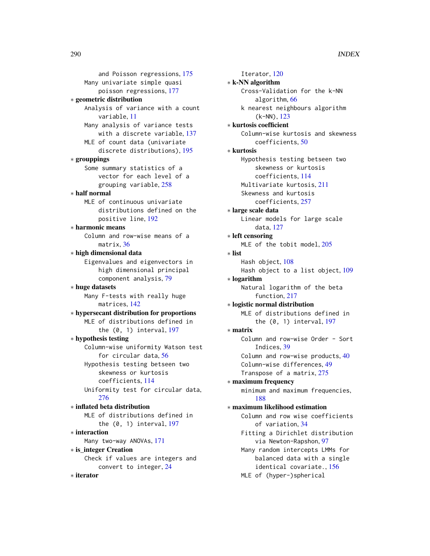and Poisson regressions, [175](#page-174-0) Many univariate simple quasi poisson regressions, [177](#page-176-0) ∗ geometric distribution Analysis of variance with a count variable, [11](#page-10-0) Many analysis of variance tests with a discrete variable, [137](#page-136-0) MLE of count data (univariate discrete distributions), [195](#page-194-0) ∗ grouppings Some summary statistics of a vector for each level of a grouping variable, [258](#page-257-0) ∗ half normal MLE of continuous univariate distributions defined on the positive line, [192](#page-191-0) ∗ harmonic means Column and row-wise means of a matrix, [36](#page-35-0) ∗ high dimensional data Eigenvalues and eigenvectors in high dimensional principal component analysis, [79](#page-78-0) ∗ huge datasets Many F-tests with really huge matrices, [142](#page-141-0) ∗ hypersecant distribution for proportions MLE of distributions defined in the (0, 1) interval, [197](#page-196-0) ∗ hypothesis testing Column-wise uniformity Watson test for circular data, [56](#page-55-0) Hypothesis testing betseen two skewness or kurtosis coefficients, [114](#page-113-0) Uniformity test for circular data, [276](#page-275-0) ∗ inflated beta distribution MLE of distributions defined in the (0, 1) interval, [197](#page-196-0) ∗ interaction Many two-way ANOVAs, [171](#page-170-0) ∗ is\_integer Creation Check if values are integers and convert to integer, [24](#page-23-0) ∗ iterator

Iterator, [120](#page-119-0) ∗ k-NN algorithm Cross-Validation for the k-NN algorithm, [66](#page-65-0) k nearest neighbours algorithm (k-NN), [123](#page-122-0) ∗ kurtosis coefficient Column-wise kurtosis and skewness coefficients, [50](#page-49-0) ∗ kurtosis Hypothesis testing betseen two skewness or kurtosis coefficients, [114](#page-113-0) Multivariate kurtosis, [211](#page-210-0) Skewness and kurtosis coefficients, [257](#page-256-0) ∗ large scale data Linear models for large scale data, [127](#page-126-0) ∗ left censoring MLE of the tobit model, [205](#page-204-0) ∗ list Hash object, [108](#page-107-0) Hash object to a list object, [109](#page-108-0) ∗ logarithm Natural logarithm of the beta function, [217](#page-216-0) ∗ logistic normal distribution MLE of distributions defined in the (0, 1) interval, [197](#page-196-0) ∗ matrix Column and row-wise Order - Sort Indices, [39](#page-38-0) Column and row-wise products, [40](#page-39-0) Column-wise differences, [49](#page-48-0) Transpose of a matrix, [275](#page-274-0) ∗ maximum frequency minimum and maximum frequencies, [188](#page-187-0) ∗ maximum likelihood estimation Column and row wise coefficients of variation, [34](#page-33-0) Fitting a Dirichlet distribution via Newton-Rapshon, [97](#page-96-0) Many random intercepts LMMs for balanced data with a single identical covariate., [156](#page-155-0) MLE of (hyper-)spherical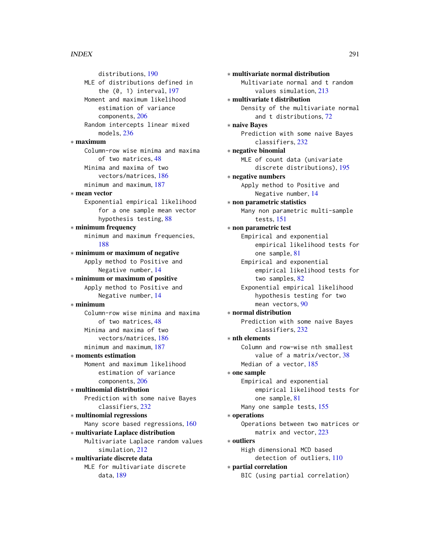distributions, [190](#page-189-0) MLE of distributions defined in the (0, 1) interval, [197](#page-196-0) Moment and maximum likelihood estimation of variance components, [206](#page-205-0) Random intercepts linear mixed models, [236](#page-235-0) ∗ maximum Column-row wise minima and maxima of two matrices, [48](#page-47-0) Minima and maxima of two vectors/matrices, [186](#page-185-0) minimum and maximum, [187](#page-186-0) ∗ mean vector Exponential empirical likelihood for a one sample mean vector hypothesis testing, [88](#page-87-0) ∗ minimum frequency minimum and maximum frequencies, [188](#page-187-0) ∗ minimum or maximum of negative Apply method to Positive and Negative number, [14](#page-13-0) ∗ minimum or maximum of positive Apply method to Positive and Negative number, [14](#page-13-0) ∗ minimum Column-row wise minima and maxima of two matrices, [48](#page-47-0) Minima and maxima of two vectors/matrices, [186](#page-185-0) minimum and maximum, [187](#page-186-0) ∗ moments estimation Moment and maximum likelihood estimation of variance components, [206](#page-205-0) ∗ multinomial distribution Prediction with some naive Bayes classifiers, [232](#page-231-0) ∗ multinomial regressions Many score based regressions, [160](#page-159-0) ∗ multivariate Laplace distribution Multivariate Laplace random values simulation, [212](#page-211-0) ∗ multivariate discrete data MLE for multivariate discrete data, [189](#page-188-0)

∗ multivariate normal distribution Multivariate normal and t random values simulation, [213](#page-212-0) ∗ multivariate t distribution Density of the multivariate normal and t distributions, [72](#page-71-0) ∗ naive Bayes Prediction with some naive Bayes classifiers, [232](#page-231-0) ∗ negative binomial MLE of count data (univariate discrete distributions), [195](#page-194-0) ∗ negative numbers Apply method to Positive and Negative number, [14](#page-13-0) ∗ non parametric statistics Many non parametric multi-sample tests, [151](#page-150-0) ∗ non parametric test Empirical and exponential empirical likelihood tests for one sample, [81](#page-80-0) Empirical and exponential empirical likelihood tests for two samples, [82](#page-81-0) Exponential empirical likelihood hypothesis testing for two mean vectors, [90](#page-89-0) ∗ normal distribution Prediction with some naive Bayes classifiers, [232](#page-231-0) ∗ nth elements Column and row-wise nth smallest value of a matrix/vector, [38](#page-37-0) Median of a vector, [185](#page-184-0) ∗ one sample Empirical and exponential empirical likelihood tests for one sample, [81](#page-80-0) Many one sample tests, [155](#page-154-0) ∗ operations Operations between two matrices or matrix and vector, [223](#page-222-0) ∗ outliers High dimensional MCD based detection of outliers, [110](#page-109-0) ∗ partial correlation BIC (using partial correlation)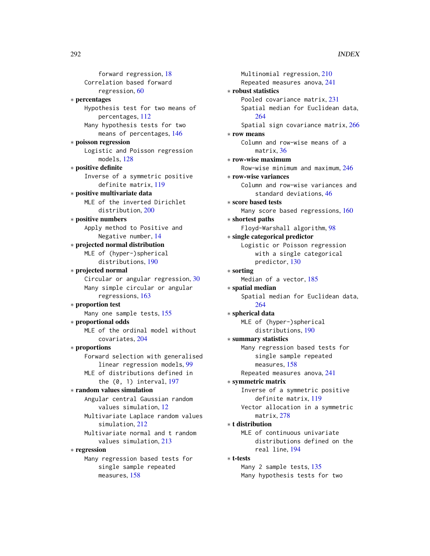forward regression, [18](#page-17-0) Correlation based forward regression, [60](#page-59-0) ∗ percentages Hypothesis test for two means of percentages, [112](#page-111-0) Many hypothesis tests for two means of percentages, [146](#page-145-0) ∗ poisson regression Logistic and Poisson regression models, [128](#page-127-0) ∗ positive definite Inverse of a symmetric positive definite matrix, [119](#page-118-0) ∗ positive multivariate data MLE of the inverted Dirichlet distribution, [200](#page-199-0) ∗ positive numbers Apply method to Positive and Negative number, [14](#page-13-0) ∗ projected normal distribution MLE of (hyper-)spherical distributions, [190](#page-189-0) ∗ projected normal Circular or angular regression, [30](#page-29-0) Many simple circular or angular regressions, [163](#page-162-0) ∗ proportion test Many one sample tests, [155](#page-154-0) ∗ proportional odds MLE of the ordinal model without covariates, [204](#page-203-0) ∗ proportions Forward selection with generalised linear regression models, [99](#page-98-0) MLE of distributions defined in the (0, 1) interval, [197](#page-196-0) ∗ random values simulation Angular central Gaussian random values simulation, [12](#page-11-0) Multivariate Laplace random values simulation, [212](#page-211-0) Multivariate normal and t random values simulation, [213](#page-212-0) ∗ regression Many regression based tests for single sample repeated

measures, [158](#page-157-0)

```
Multinomial regression, 210
    Repeated measures anova, 241
∗ robust statistics
    Pooled covariance matrix, 231
    Spatial median for Euclidean data,
        264
    Spatial sign covariance matrix, 266
∗ row means
    Column and row-wise means of a
        matrix, 36
∗ row-wise maximum
    Row-wise minimum and maximum, 246
∗ row-wise variances
    Column and row-wise variances and
        standard deviations, 46
∗ score based tests
    Many score based regressions, 160
∗ shortest paths
    Floyd-Warshall algorithm, 98
∗ single categorical predictor
    Logistic or Poisson regression
        with a single categorical
        predictor, 130
∗ sorting
    Median of a vector, 185
∗ spatial median
    Spatial median for Euclidean data,
        264
∗ spherical data
    MLE of (hyper-)spherical
        distributions, 190
∗ summary statistics
    Many regression based tests for
        single sample repeated
        measures, 158
    Repeated measures anova, 241
∗ symmetric matrix
    Inverse of a symmetric positive
        definite matrix, 119
    Vector allocation in a symmetric
        matrix, 278
∗ t distribution
    MLE of continuous univariate
        distributions defined on the
        real line, 194
∗ t-tests
    Many 2 sample tests, 135
    Many hypothesis tests for two
```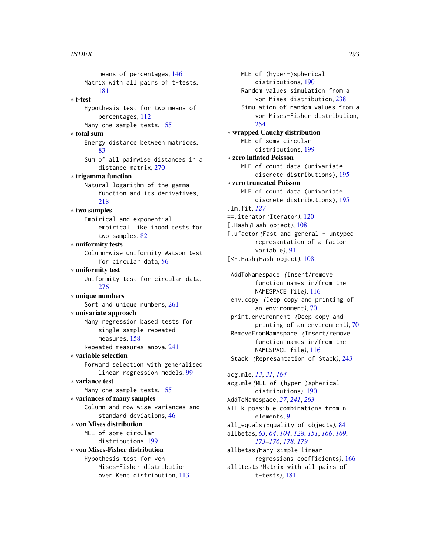means of percentages, [146](#page-145-0) Matrix with all pairs of t-tests, [181](#page-180-0) ∗ t-test Hypothesis test for two means of percentages, [112](#page-111-0) Many one sample tests, [155](#page-154-0) ∗ total sum Energy distance between matrices, [83](#page-82-0) Sum of all pairwise distances in a distance matrix, [270](#page-269-0) ∗ trigamma function Natural logarithm of the gamma function and its derivatives, [218](#page-217-0) ∗ two samples Empirical and exponential empirical likelihood tests for two samples, [82](#page-81-0) ∗ uniformity tests Column-wise uniformity Watson test for circular data, [56](#page-55-0) ∗ uniformity test Uniformity test for circular data, [276](#page-275-0) ∗ unique numbers Sort and unique numbers, [261](#page-260-0) ∗ univariate approach Many regression based tests for single sample repeated measures, [158](#page-157-0) Repeated measures anova, [241](#page-240-0) ∗ variable selection Forward selection with generalised linear regression models, [99](#page-98-0) ∗ variance test Many one sample tests, [155](#page-154-0) ∗ variances of many samples Column and row-wise variances and standard deviations, [46](#page-45-0) ∗ von Mises distribution MLE of some circular distributions, [199](#page-198-0) ∗ von Mises-Fisher distribution Hypothesis test for von Mises-Fisher distribution over Kent distribution, [113](#page-112-0)

MLE of (hyper-)spherical distributions, [190](#page-189-0) Random values simulation from a von Mises distribution, [238](#page-237-0) Simulation of random values from a von Mises-Fisher distribution, [254](#page-253-0) ∗ wrapped Cauchy distribution MLE of some circular distributions, [199](#page-198-0) ∗ zero inflated Poisson MLE of count data (univariate discrete distributions), [195](#page-194-0) ∗ zero truncated Poisson MLE of count data (univariate discrete distributions), [195](#page-194-0) .lm.fit, *[127](#page-126-0)* ==.iterator *(*Iterator*)*, [120](#page-119-0) [.Hash *(*Hash object*)*, [108](#page-107-0) [.ufactor *(Fast and general - untyped* represantation of a factor variable*)*, [91](#page-90-0) [<-.Hash *(*Hash object*)*, [108](#page-107-0) AddToNamespace *(*Insert/remove function names in/from the NAMESPACE file*)*, [116](#page-115-0) env.copy *(*Deep copy and printing of an environment*)*, [70](#page-69-0) print.environment *(*Deep copy and printing of an environment*)*, [70](#page-69-0) RemoveFromNamespace *(*Insert/remove function names in/from the NAMESPACE file*)*, [116](#page-115-0) Stack *(*Represantation of Stack*)*, [243](#page-242-0) acg.mle, *[13](#page-12-0)*, *[31](#page-30-0)*, *[164](#page-163-0)* acg.mle *(*MLE of (hyper-)spherical distributions*)*, [190](#page-189-0) AddToNamespace, *[27](#page-26-0)*, *[241](#page-240-0)*, *[263](#page-262-0)* All k possible combinations from n elements, [9](#page-8-0) all\_equals *(*Equality of objects*)*, [84](#page-83-0) allbetas, *[63,](#page-62-0) [64](#page-63-0)*, *[104](#page-103-0)*, *[128](#page-127-0)*, *[151](#page-150-0)*, *[166](#page-165-0)*, *[169](#page-168-0)*, *[173](#page-172-0)[–176](#page-175-0)*, *[178,](#page-177-0) [179](#page-178-0)* allbetas *(*Many simple linear

regressions coefficients*)*, [166](#page-165-0) allttests *(*Matrix with all pairs of t-tests*)*, [181](#page-180-0)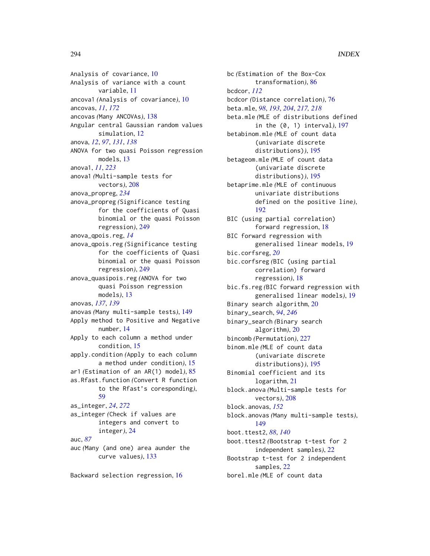Analysis of covariance, [10](#page-9-0) Analysis of variance with a count variable, [11](#page-10-0) ancova1 *(*Analysis of covariance*)*, [10](#page-9-0) ancovas, *[11](#page-10-0)*, *[172](#page-171-0)* ancovas *(*Many ANCOVAs*)*, [138](#page-137-0) Angular central Gaussian random values simulation, [12](#page-11-0) anova, *[12](#page-11-0)*, *[97](#page-96-0)*, *[131](#page-130-0)*, *[138](#page-137-0)* ANOVA for two quasi Poisson regression models, [13](#page-12-0) anova1, *[11](#page-10-0)*, *[223](#page-222-0)* anova1 *(*Multi-sample tests for vectors*)*, [208](#page-207-0) anova\_propreg, *[234](#page-233-0)* anova\_propreg *(*Significance testing for the coefficients of Quasi binomial or the quasi Poisson regression*)*, [249](#page-248-0) anova\_qpois.reg, *[14](#page-13-0)* anova\_qpois.reg *(*Significance testing for the coefficients of Quasi binomial or the quasi Poisson regression*)*, [249](#page-248-0) anova\_quasipois.reg *(*ANOVA for two quasi Poisson regression models*)*, [13](#page-12-0) anovas, *[137](#page-136-0)*, *[139](#page-138-0)* anovas *(*Many multi-sample tests*)*, [149](#page-148-0) Apply method to Positive and Negative number, [14](#page-13-0) Apply to each column a method under condition, [15](#page-14-0) apply.condition *(*Apply to each column a method under condition*)*, [15](#page-14-0) ar1 *(*Estimation of an AR(1) model*)*, [85](#page-84-0) as.Rfast.function *(*Convert R function to the Rfast's coresponding*)*, [59](#page-58-0) as\_integer, *[24](#page-23-0)*, *[272](#page-271-0)* as\_integer *(*Check if values are integers and convert to integer*)*, [24](#page-23-0) auc, *[87](#page-86-0)* auc *(*Many (and one) area aunder the curve values*)*, [133](#page-132-0)

Backward selection regression, [16](#page-15-0)

bc *(*Estimation of the Box-Cox transformation*)*, [86](#page-85-0) bcdcor, *[112](#page-111-0)* bcdcor *(*Distance correlation*)*, [76](#page-75-0) beta.mle, *[98](#page-97-0)*, *[193](#page-192-0)*, *[204](#page-203-0)*, *[217,](#page-216-0) [218](#page-217-0)* beta.mle *(*MLE of distributions defined in the (0, 1) interval*)*, [197](#page-196-0) betabinom.mle *(*MLE of count data (univariate discrete distributions)*)*, [195](#page-194-0) betageom.mle *(*MLE of count data (univariate discrete distributions)*)*, [195](#page-194-0) betaprime.mle *(*MLE of continuous univariate distributions defined on the positive line*)*, [192](#page-191-0) BIC (using partial correlation) forward regression, [18](#page-17-0) BIC forward regression with generalised linear models, [19](#page-18-0) bic.corfsreg, *[20](#page-19-0)* bic.corfsreg *(*BIC (using partial correlation) forward regression*)*, [18](#page-17-0) bic.fs.reg *(*BIC forward regression with generalised linear models*)*, [19](#page-18-0) Binary search algorithm, [20](#page-19-0) binary\_search, *[94](#page-93-0)*, *[246](#page-245-0)* binary\_search *(*Binary search algorithm*)*, [20](#page-19-0) bincomb *(*Permutation*)*, [227](#page-226-0) binom.mle *(*MLE of count data (univariate discrete distributions)*)*, [195](#page-194-0) Binomial coefficient and its logarithm, [21](#page-20-0) block.anova *(*Multi-sample tests for vectors*)*, [208](#page-207-0) block.anovas, *[152](#page-151-0)* block.anovas *(*Many multi-sample tests*)*, [149](#page-148-0) boot.ttest2, *[88](#page-87-0)*, *[140](#page-139-0)* boot.ttest2 *(*Bootstrap t-test for 2 independent samples*)*, [22](#page-21-0) Bootstrap t-test for 2 independent samples, [22](#page-21-0) borel.mle *(*MLE of count data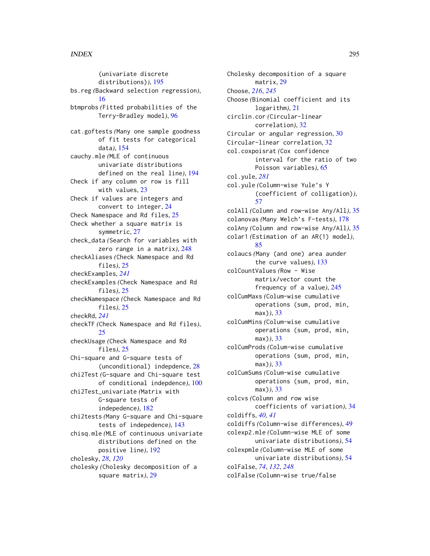(univariate discrete distributions)*)*, [195](#page-194-0) bs.reg *(*Backward selection regression*)*, [16](#page-15-0) btmprobs *(*Fitted probabilities of the Terry-Bradley model*)*, [96](#page-95-0) cat.goftests *(*Many one sample goodness of fit tests for categorical data*)*, [154](#page-153-0) cauchy.mle *(*MLE of continuous univariate distributions defined on the real line*)*, [194](#page-193-0) Check if any column or row is fill with values, [23](#page-22-0) Check if values are integers and convert to integer, [24](#page-23-0) Check Namespace and Rd files, [25](#page-24-0) Check whether a square matrix is symmetric, [27](#page-26-0) check\_data *(*Search for variables with zero range in a matrix*)*, [248](#page-247-0) checkAliases *(*Check Namespace and Rd files*)*, [25](#page-24-0) checkExamples, *[241](#page-240-0)* checkExamples *(*Check Namespace and Rd files*)*, [25](#page-24-0) checkNamespace *(*Check Namespace and Rd files*)*, [25](#page-24-0) checkRd, *[241](#page-240-0)* checkTF *(*Check Namespace and Rd files*)*,  $25$ checkUsage *(*Check Namespace and Rd files*)*, [25](#page-24-0) Chi-square and G-square tests of (unconditional) indepdence, [28](#page-27-0) chi2Test *(*G-square and Chi-square test of conditional indepdence*)*, [100](#page-99-0) chi2Test\_univariate *(*Matrix with G-square tests of indepedence*)*, [182](#page-181-0) chi2tests *(*Many G-square and Chi-square tests of indepedence*)*, [143](#page-142-0) chisq.mle *(*MLE of continuous univariate distributions defined on the positive line*)*, [192](#page-191-0) cholesky, *[28](#page-27-0)*, *[120](#page-119-0)* cholesky *(*Cholesky decomposition of a square matrix*)*, [29](#page-28-0)

Cholesky decomposition of a square matrix, [29](#page-28-0) Choose, *[216](#page-215-0)*, *[245](#page-244-0)* Choose *(*Binomial coefficient and its logarithm*)*, [21](#page-20-0) circlin.cor *(*Circular-linear correlation*)*, [32](#page-31-0) Circular or angular regression, [30](#page-29-0) Circular-linear correlation, [32](#page-31-0) col.coxpoisrat *(*Cox confidence interval for the ratio of two Poisson variables*)*, [65](#page-64-0) col.yule, *[281](#page-280-0)* col.yule *(*Column-wise Yule's Y (coefficient of colligation)*)*, [57](#page-56-0) colAll *(*Column and row-wise Any/All*)*, [35](#page-34-0) colanovas *(*Many Welch's F-tests*)*, [178](#page-177-0) colAny *(*Column and row-wise Any/All*)*, [35](#page-34-0) colar1 *(*Estimation of an AR(1) model*)*, [85](#page-84-0) colaucs *(*Many (and one) area aunder the curve values*)*, [133](#page-132-0) colCountValues *(*Row - Wise matrix/vector count the frequency of a value*)*, [245](#page-244-0) colCumMaxs *(*Colum-wise cumulative operations (sum, prod, min, max)*)*, [33](#page-32-0) colCumMins *(*Colum-wise cumulative operations (sum, prod, min, max)*)*, [33](#page-32-0) colCumProds *(*Colum-wise cumulative operations (sum, prod, min, max)*)*, [33](#page-32-0) colCumSums *(*Colum-wise cumulative operations (sum, prod, min, max)*)*, [33](#page-32-0) colcvs *(*Column and row wise coefficients of variation*)*, [34](#page-33-0) coldiffs, *[40,](#page-39-0) [41](#page-40-0)* coldiffs *(*Column-wise differences*)*, [49](#page-48-0) colexp2.mle *(*Column-wise MLE of some univariate distributions*)*, [54](#page-53-0) colexpmle *(*Column-wise MLE of some univariate distributions*)*, [54](#page-53-0) colFalse, *[74](#page-73-0)*, *[132](#page-131-0)*, *[248](#page-247-0)* colFalse *(*Column-wise true/false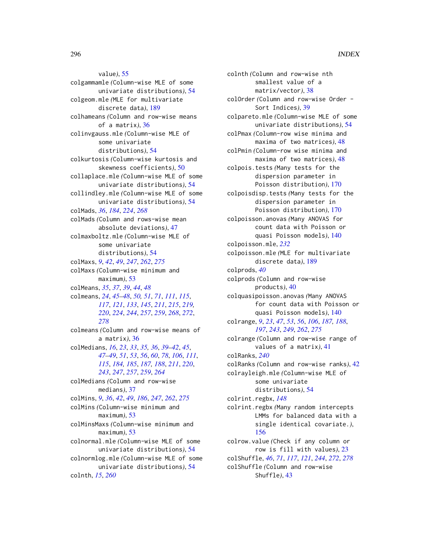value*)*, [55](#page-54-0) colgammamle *(*Column-wise MLE of some univariate distributions*)*, [54](#page-53-0) colgeom.mle *(*MLE for multivariate discrete data*)*, [189](#page-188-0) colhameans *(*Column and row-wise means of a matrix*)*, [36](#page-35-0) colinvgauss.mle *(*Column-wise MLE of some univariate distributions*)*, [54](#page-53-0) colkurtosis *(*Column-wise kurtosis and skewness coefficients*)*, [50](#page-49-0) collaplace.mle *(*Column-wise MLE of some univariate distributions*)*, [54](#page-53-0) collindley.mle *(*Column-wise MLE of some univariate distributions*)*, [54](#page-53-0) colMads, *[36](#page-35-0)*, *[184](#page-183-0)*, *[224](#page-223-0)*, *[268](#page-267-0)* colMads *(*Column and rows-wise mean absolute deviations*)*, [47](#page-46-0) colmaxboltz.mle *(*Column-wise MLE of some univariate distributions*)*, [54](#page-53-0) colMaxs, *[9](#page-8-0)*, *[42](#page-41-0)*, *[49](#page-48-0)*, *[247](#page-246-0)*, *[262](#page-261-0)*, *[275](#page-274-0)* colMaxs *(*Column-wise minimum and maximum*)*, [53](#page-52-0) colMeans, *[35](#page-34-0)*, *[37](#page-36-0)*, *[39](#page-38-0)*, *[44](#page-43-0)*, *[48](#page-47-0)* colmeans, *[24](#page-23-0)*, *[45](#page-44-0)[–48](#page-47-0)*, *[50,](#page-49-0) [51](#page-50-0)*, *[71](#page-70-0)*, *[111](#page-110-0)*, *[115](#page-114-0)*, *[117](#page-116-0)*, *[121](#page-120-0)*, *[133](#page-132-0)*, *[145](#page-144-0)*, *[211](#page-210-0)*, *[215](#page-214-0)*, *[219,](#page-218-0) [220](#page-219-0)*, *[224](#page-223-0)*, *[244](#page-243-0)*, *[257](#page-256-0)*, *[259](#page-258-0)*, *[268](#page-267-0)*, *[272](#page-271-0)*, *[278](#page-277-0)* colmeans *(*Column and row-wise means of a matrix*)*, [36](#page-35-0) colMedians, *[16](#page-15-0)*, *[23](#page-22-0)*, *[33](#page-32-0)*, *[35,](#page-34-0) [36](#page-35-0)*, *[39–](#page-38-0)[42](#page-41-0)*, *[45](#page-44-0)*, *[47](#page-46-0)[–49](#page-48-0)*, *[51](#page-50-0)*, *[53](#page-52-0)*, *[56](#page-55-0)*, *[60](#page-59-0)*, *[78](#page-77-0)*, *[106](#page-105-0)*, *[111](#page-110-0)*, *[115](#page-114-0)*, *[184,](#page-183-0) [185](#page-184-0)*, *[187,](#page-186-0) [188](#page-187-0)*, *[211](#page-210-0)*, *[220](#page-219-0)*, *[243](#page-242-0)*, *[247](#page-246-0)*, *[257](#page-256-0)*, *[259](#page-258-0)*, *[264](#page-263-0)* colMedians *(*Column and row-wise medians*)*, [37](#page-36-0) colMins, *[9](#page-8-0)*, *[36](#page-35-0)*, *[42](#page-41-0)*, *[49](#page-48-0)*, *[186](#page-185-0)*, *[247](#page-246-0)*, *[262](#page-261-0)*, *[275](#page-274-0)* colMins *(*Column-wise minimum and maximum*)*, [53](#page-52-0) colMinsMaxs *(*Column-wise minimum and maximum*)*, [53](#page-52-0) colnormal.mle *(*Column-wise MLE of some univariate distributions*)*, [54](#page-53-0) colnormlog.mle *(*Column-wise MLE of some univariate distributions*)*, [54](#page-53-0) colnth, *[15](#page-14-0)*, *[260](#page-259-0)*

colnth *(*Column and row-wise nth smallest value of a matrix/vector*)*, [38](#page-37-0) colOrder *(*Column and row-wise Order - Sort Indices*)*, [39](#page-38-0) colpareto.mle *(*Column-wise MLE of some univariate distributions*)*, [54](#page-53-0) colPmax *(*Column-row wise minima and maxima of two matrices*)*, [48](#page-47-0) colPmin *(*Column-row wise minima and maxima of two matrices*)*, [48](#page-47-0) colpois.tests *(*Many tests for the dispersion parameter in Poisson distribution*)*, [170](#page-169-0) colpoisdisp.tests *(*Many tests for the dispersion parameter in Poisson distribution*)*, [170](#page-169-0) colpoisson.anovas *(*Many ANOVAS for count data with Poisson or quasi Poisson models*)*, [140](#page-139-0) colpoisson.mle, *[232](#page-231-0)* colpoisson.mle *(*MLE for multivariate discrete data*)*, [189](#page-188-0) colprods, *[40](#page-39-0)* colprods *(*Column and row-wise products*)*, [40](#page-39-0) colquasipoisson.anovas *(*Many ANOVAS for count data with Poisson or quasi Poisson models*)*, [140](#page-139-0) colrange, *[9](#page-8-0)*, *[23](#page-22-0)*, *[47](#page-46-0)*, *[53](#page-52-0)*, *[56](#page-55-0)*, *[106](#page-105-0)*, *[187,](#page-186-0) [188](#page-187-0)*, *[197](#page-196-0)*, *[243](#page-242-0)*, *[249](#page-248-0)*, *[262](#page-261-0)*, *[275](#page-274-0)* colrange *(*Column and row-wise range of values of a matrix*)*, [41](#page-40-0) colRanks, *[240](#page-239-0)* colRanks *(*Column and row-wise ranks*)*, [42](#page-41-0) colrayleigh.mle *(*Column-wise MLE of some univariate distributions*)*, [54](#page-53-0) colrint.regbx, *[148](#page-147-0)* colrint.regbx *(*Many random intercepts LMMs for balanced data with a single identical covariate.*)*, [156](#page-155-0) colrow.value *(*Check if any column or row is fill with values*)*, [23](#page-22-0) colShuffle, *[46](#page-45-0)*, *[71](#page-70-0)*, *[117](#page-116-0)*, *[121](#page-120-0)*, *[244](#page-243-0)*, *[272](#page-271-0)*, *[278](#page-277-0)* colShuffle *(*Column and row-wise Shuffle*)*, [43](#page-42-0)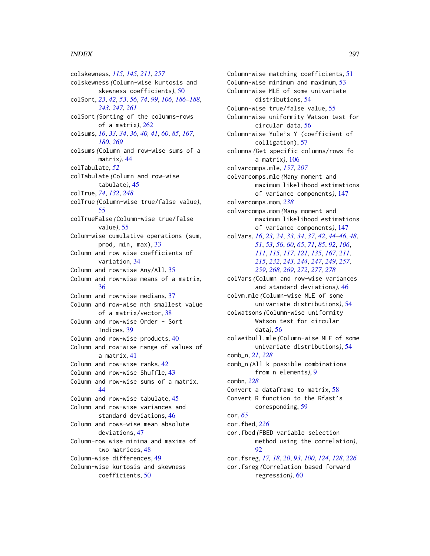colskewness, *[115](#page-114-0)*, *[145](#page-144-0)*, *[211](#page-210-0)*, *[257](#page-256-0)* colskewness *(*Column-wise kurtosis and skewness coefficients*)*, [50](#page-49-0) colSort, *[23](#page-22-0)*, *[42](#page-41-0)*, *[53](#page-52-0)*, *[56](#page-55-0)*, *[74](#page-73-0)*, *[99](#page-98-0)*, *[106](#page-105-0)*, *[186–](#page-185-0)[188](#page-187-0)*, *[243](#page-242-0)*, *[247](#page-246-0)*, *[261](#page-260-0)* colSort *(*Sorting of the columns-rows of a matrix*)*, [262](#page-261-0) colsums, *[16](#page-15-0)*, *[33,](#page-32-0) [34](#page-33-0)*, *[36](#page-35-0)*, *[40,](#page-39-0) [41](#page-40-0)*, *[60](#page-59-0)*, *[85](#page-84-0)*, *[167](#page-166-0)*, *[180](#page-179-0)*, *[269](#page-268-0)* colsums *(*Column and row-wise sums of a matrix*)*, [44](#page-43-0) colTabulate, *[52](#page-51-0)* colTabulate *(*Column and row-wise tabulate*)*, [45](#page-44-0) colTrue, *[74](#page-73-0)*, *[132](#page-131-0)*, *[248](#page-247-0)* colTrue *(*Column-wise true/false value*)*, [55](#page-54-0) colTrueFalse *(*Column-wise true/false value*)*, [55](#page-54-0) Colum-wise cumulative operations (sum, prod, min, max), [33](#page-32-0) Column and row wise coefficients of variation, [34](#page-33-0) Column and row-wise Any/All, [35](#page-34-0) Column and row-wise means of a matrix, [36](#page-35-0) Column and row-wise medians, [37](#page-36-0) Column and row-wise nth smallest value of a matrix/vector, [38](#page-37-0) Column and row-wise Order - Sort Indices, [39](#page-38-0) Column and row-wise products, [40](#page-39-0) Column and row-wise range of values of a matrix, [41](#page-40-0) Column and row-wise ranks, [42](#page-41-0) Column and row-wise Shuffle, [43](#page-42-0) Column and row-wise sums of a matrix, [44](#page-43-0) Column and row-wise tabulate, [45](#page-44-0) Column and row-wise variances and standard deviations, [46](#page-45-0) Column and rows-wise mean absolute deviations, [47](#page-46-0) Column-row wise minima and maxima of two matrices, [48](#page-47-0) Column-wise differences, [49](#page-48-0) Column-wise kurtosis and skewness coefficients, [50](#page-49-0)

Column-wise matching coefficients, [51](#page-50-0) Column-wise minimum and maximum, [53](#page-52-0) Column-wise MLE of some univariate distributions, [54](#page-53-0) Column-wise true/false value, [55](#page-54-0) Column-wise uniformity Watson test for circular data, [56](#page-55-0) Column-wise Yule's Y (coefficient of colligation), [57](#page-56-0) columns *(*Get specific columns/rows fo a matrix*)*, [106](#page-105-0) colvarcomps.mle, *[157](#page-156-0)*, *[207](#page-206-0)* colvarcomps.mle *(*Many moment and maximum likelihood estimations of variance components*)*, [147](#page-146-0) colvarcomps.mom, *[238](#page-237-0)* colvarcomps.mom *(*Many moment and maximum likelihood estimations of variance components*)*, [147](#page-146-0) colVars, *[16](#page-15-0)*, *[23,](#page-22-0) [24](#page-23-0)*, *[33,](#page-32-0) [34](#page-33-0)*, *[37](#page-36-0)*, *[42](#page-41-0)*, *[44](#page-43-0)[–46](#page-45-0)*, *[48](#page-47-0)*, *[51](#page-50-0)*, *[53](#page-52-0)*, *[56](#page-55-0)*, *[60](#page-59-0)*, *[65](#page-64-0)*, *[71](#page-70-0)*, *[85](#page-84-0)*, *[92](#page-91-0)*, *[106](#page-105-0)*, *[111](#page-110-0)*, *[115](#page-114-0)*, *[117](#page-116-0)*, *[121](#page-120-0)*, *[135](#page-134-0)*, *[167](#page-166-0)*, *[211](#page-210-0)*, *[215](#page-214-0)*, *[232](#page-231-0)*, *[243,](#page-242-0) [244](#page-243-0)*, *[247](#page-246-0)*, *[249](#page-248-0)*, *[257](#page-256-0)*, *[259](#page-258-0)*, *[268,](#page-267-0) [269](#page-268-0)*, *[272](#page-271-0)*, *[277,](#page-276-0) [278](#page-277-0)* colVars *(*Column and row-wise variances and standard deviations*)*, [46](#page-45-0) colvm.mle *(*Column-wise MLE of some univariate distributions*)*, [54](#page-53-0) colwatsons *(*Column-wise uniformity Watson test for circular data*)*, [56](#page-55-0) colweibull.mle *(*Column-wise MLE of some univariate distributions*)*, [54](#page-53-0) comb\_n, *[21](#page-20-0)*, *[228](#page-227-0)* comb\_n *(*All k possible combinations from n elements*)*, [9](#page-8-0) combn, *[228](#page-227-0)* Convert a dataframe to matrix, [58](#page-57-0) Convert R function to the Rfast's coresponding, [59](#page-58-0) cor, *[65](#page-64-0)* cor.fbed, *[226](#page-225-0)* cor.fbed *(*FBED variable selection method using the correlation*)*, [92](#page-91-0) cor.fsreg, *[17,](#page-16-0) [18](#page-17-0)*, *[20](#page-19-0)*, *[93](#page-92-0)*, *[100](#page-99-0)*, *[124](#page-123-0)*, *[128](#page-127-0)*, *[226](#page-225-0)* cor.fsreg *(*Correlation based forward regression*)*, [60](#page-59-0)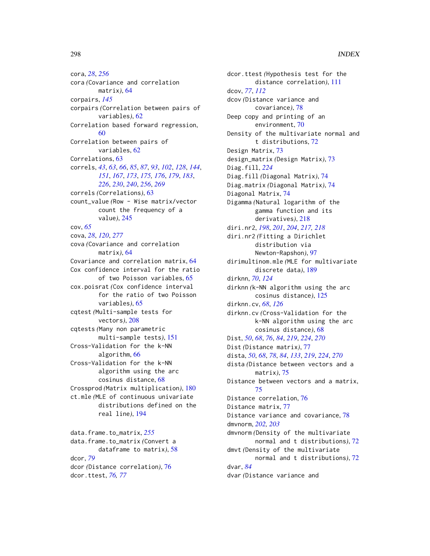cora, *[28](#page-27-0)*, *[256](#page-255-0)* cora *(*Covariance and correlation matrix*)*, [64](#page-63-0) corpairs, *[145](#page-144-0)* corpairs *(*Correlation between pairs of variables*)*, [62](#page-61-0) Correlation based forward regression, [60](#page-59-0) Correlation between pairs of variables, [62](#page-61-0) Correlations, [63](#page-62-0) correls, *[43](#page-42-0)*, *[63](#page-62-0)*, *[66](#page-65-0)*, *[85](#page-84-0)*, *[87](#page-86-0)*, *[93](#page-92-0)*, *[102](#page-101-0)*, *[128](#page-127-0)*, *[144](#page-143-0)*, *[151](#page-150-0)*, *[167](#page-166-0)*, *[173](#page-172-0)*, *[175,](#page-174-0) [176](#page-175-0)*, *[179](#page-178-0)*, *[183](#page-182-0)*, *[226](#page-225-0)*, *[230](#page-229-0)*, *[240](#page-239-0)*, *[256](#page-255-0)*, *[269](#page-268-0)* correls *(*Correlations*)*, [63](#page-62-0) count\_value *(*Row - Wise matrix/vector count the frequency of a value*)*, [245](#page-244-0) cov, *[65](#page-64-0)* cova, *[28](#page-27-0)*, *[120](#page-119-0)*, *[277](#page-276-0)* cova *(*Covariance and correlation matrix*)*, [64](#page-63-0) Covariance and correlation matrix, [64](#page-63-0) Cox confidence interval for the ratio of two Poisson variables, [65](#page-64-0) cox.poisrat *(*Cox confidence interval for the ratio of two Poisson variables*)*, [65](#page-64-0) cqtest *(*Multi-sample tests for vectors*)*, [208](#page-207-0) cqtests *(*Many non parametric multi-sample tests*)*, [151](#page-150-0) Cross-Validation for the k-NN algorithm, [66](#page-65-0) Cross-Validation for the k-NN algorithm using the arc cosinus distance, [68](#page-67-0) Crossprod *(*Matrix multiplication*)*, [180](#page-179-0) ct.mle *(*MLE of continuous univariate distributions defined on the real line*)*, [194](#page-193-0) data.frame.to\_matrix, *[255](#page-254-0)* data.frame.to\_matrix *(*Convert a

dataframe to matrix*)*, [58](#page-57-0) dcor, *[79](#page-78-0)* dcor *(*Distance correlation*)*, [76](#page-75-0) dcor.ttest, *[76,](#page-75-0) [77](#page-76-0)*

dcor.ttest *(*Hypothesis test for the distance correlation*)*, [111](#page-110-0) dcov, *[77](#page-76-0)*, *[112](#page-111-0)* dcov *(*Distance variance and covariance*)*, [78](#page-77-0) Deep copy and printing of an environment, [70](#page-69-0) Density of the multivariate normal and t distributions, [72](#page-71-0) Design Matrix, [73](#page-72-0) design\_matrix *(*Design Matrix*)*, [73](#page-72-0) Diag.fill, *[224](#page-223-0)* Diag.fill *(*Diagonal Matrix*)*, [74](#page-73-0) Diag.matrix *(*Diagonal Matrix*)*, [74](#page-73-0) Diagonal Matrix, [74](#page-73-0) Digamma *(*Natural logarithm of the gamma function and its derivatives*)*, [218](#page-217-0) diri.nr2, *[198](#page-197-0)*, *[201](#page-200-0)*, *[204](#page-203-0)*, *[217,](#page-216-0) [218](#page-217-0)* diri.nr2 *(*Fitting a Dirichlet distribution via Newton-Rapshon*)*, [97](#page-96-0) dirimultinom.mle *(*MLE for multivariate discrete data*)*, [189](#page-188-0) dirknn, *[70](#page-69-0)*, *[124](#page-123-0)* dirknn *(*k-NN algorithm using the arc cosinus distance*)*, [125](#page-124-0) dirknn.cv, *[68](#page-67-0)*, *[126](#page-125-0)* dirknn.cv *(*Cross-Validation for the k-NN algorithm using the arc cosinus distance*)*, [68](#page-67-0) Dist, *[50](#page-49-0)*, *[68](#page-67-0)*, *[76](#page-75-0)*, *[84](#page-83-0)*, *[219](#page-218-0)*, *[224](#page-223-0)*, *[270](#page-269-0)* Dist *(*Distance matrix*)*, [77](#page-76-0) dista, *[50](#page-49-0)*, *[68](#page-67-0)*, *[78](#page-77-0)*, *[84](#page-83-0)*, *[133](#page-132-0)*, *[219](#page-218-0)*, *[224](#page-223-0)*, *[270](#page-269-0)* dista *(*Distance between vectors and a matrix*)*, [75](#page-74-0) Distance between vectors and a matrix, [75](#page-74-0) Distance correlation, [76](#page-75-0) Distance matrix, [77](#page-76-0) Distance variance and covariance, [78](#page-77-0) dmvnorm, *[202,](#page-201-0) [203](#page-202-0)* dmvnorm *(*Density of the multivariate normal and t distributions*)*, [72](#page-71-0) dmvt *(*Density of the multivariate normal and t distributions*)*, [72](#page-71-0) dvar, *[84](#page-83-0)* dvar *(*Distance variance and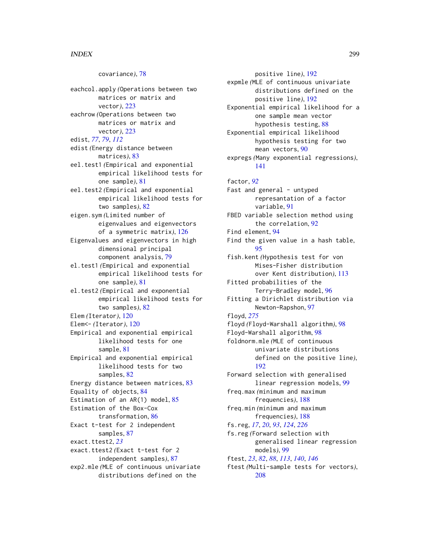covariance*)*, [78](#page-77-0) eachcol.apply *(*Operations between two matrices or matrix and vector*)*, [223](#page-222-0) eachrow *(*Operations between two matrices or matrix and vector*)*, [223](#page-222-0) edist, *[77](#page-76-0)*, *[79](#page-78-0)*, *[112](#page-111-0)* edist *(*Energy distance between matrices*)*, [83](#page-82-0) eel.test1 *(*Empirical and exponential empirical likelihood tests for one sample*)*, [81](#page-80-0) eel.test2 *(*Empirical and exponential empirical likelihood tests for two samples*)*, [82](#page-81-0) eigen.sym *(*Limited number of eigenvalues and eigenvectors of a symmetric matrix*)*, [126](#page-125-0) Eigenvalues and eigenvectors in high dimensional principal component analysis, [79](#page-78-0) el.test1 *(*Empirical and exponential empirical likelihood tests for one sample*)*, [81](#page-80-0) el.test2 *(*Empirical and exponential empirical likelihood tests for two samples*)*, [82](#page-81-0) Elem *(*Iterator*)*, [120](#page-119-0) Elem<- *(*Iterator*)*, [120](#page-119-0) Empirical and exponential empirical likelihood tests for one sample, [81](#page-80-0) Empirical and exponential empirical likelihood tests for two samples, [82](#page-81-0) Energy distance between matrices, [83](#page-82-0) Equality of objects, [84](#page-83-0) Estimation of an AR(1) model, [85](#page-84-0) Estimation of the Box-Cox transformation, [86](#page-85-0) Exact t-test for 2 independent samples, [87](#page-86-0) exact.ttest2, *[23](#page-22-0)* exact.ttest2 *(*Exact t-test for 2 independent samples*)*, [87](#page-86-0) exp2.mle *(*MLE of continuous univariate distributions defined on the

positive line*)*, [192](#page-191-0) expmle *(*MLE of continuous univariate distributions defined on the positive line*)*, [192](#page-191-0) Exponential empirical likelihood for a one sample mean vector hypothesis testing, [88](#page-87-0) Exponential empirical likelihood hypothesis testing for two mean vectors, [90](#page-89-0) expregs *(*Many exponential regressions*)*, [141](#page-140-0) factor, *[92](#page-91-0)* Fast and general - untyped represantation of a factor variable, [91](#page-90-0) FBED variable selection method using the correlation, [92](#page-91-0) Find element, [94](#page-93-0) Find the given value in a hash table, [95](#page-94-0) fish.kent *(*Hypothesis test for von Mises-Fisher distribution over Kent distribution*)*, [113](#page-112-0) Fitted probabilities of the Terry-Bradley model, [96](#page-95-0) Fitting a Dirichlet distribution via Newton-Rapshon, [97](#page-96-0) floyd, *[275](#page-274-0)* floyd *(*Floyd-Warshall algorithm*)*, [98](#page-97-0) Floyd-Warshall algorithm, [98](#page-97-0) foldnorm.mle *(*MLE of continuous univariate distributions defined on the positive line*)*, [192](#page-191-0) Forward selection with generalised linear regression models, [99](#page-98-0) freq.max *(*minimum and maximum frequencies*)*, [188](#page-187-0) freq.min *(*minimum and maximum frequencies*)*, [188](#page-187-0) fs.reg, *[17](#page-16-0)*, *[20](#page-19-0)*, *[93](#page-92-0)*, *[124](#page-123-0)*, *[226](#page-225-0)* fs.reg *(*Forward selection with generalised linear regression models*)*, [99](#page-98-0) ftest, *[23](#page-22-0)*, *[82](#page-81-0)*, *[88](#page-87-0)*, *[113](#page-112-0)*, *[140](#page-139-0)*, *[146](#page-145-0)* ftest *(*Multi-sample tests for vectors*)*, [208](#page-207-0)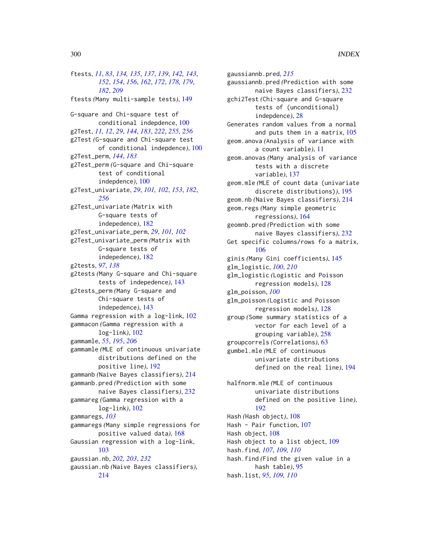ftests, *[11](#page-10-0)*, *[83](#page-82-0)*, *[134,](#page-133-0) [135](#page-134-0)*, *[137](#page-136-0)*, *[139](#page-138-0)*, *[142,](#page-141-0) [143](#page-142-0)*, *[152](#page-151-0)*, *[154](#page-153-0)*, *[156](#page-155-0)*, *[162](#page-161-0)*, *[172](#page-171-0)*, *[178,](#page-177-0) [179](#page-178-0)*, *[182](#page-181-0)*, *[209](#page-208-0)* ftests *(*Many multi-sample tests*)*, [149](#page-148-0) G-square and Chi-square test of conditional indepdence, [100](#page-99-0) g2Test, *[11,](#page-10-0) [12](#page-11-0)*, *[29](#page-28-0)*, *[144](#page-143-0)*, *[183](#page-182-0)*, *[222](#page-221-0)*, *[255,](#page-254-0) [256](#page-255-0)* g2Test *(*G-square and Chi-square test of conditional indepdence*)*, [100](#page-99-0) g2Test\_perm, *[144](#page-143-0)*, *[183](#page-182-0)* g2Test\_perm *(*G-square and Chi-square test of conditional indepdence*)*, [100](#page-99-0) g2Test\_univariate, *[29](#page-28-0)*, *[101,](#page-100-0) [102](#page-101-0)*, *[153](#page-152-0)*, *[182](#page-181-0)*, *[256](#page-255-0)* g2Test\_univariate *(*Matrix with G-square tests of indepedence*)*, [182](#page-181-0) g2Test\_univariate\_perm, *[29](#page-28-0)*, *[101,](#page-100-0) [102](#page-101-0)* g2Test\_univariate\_perm *(*Matrix with G-square tests of indepedence*)*, [182](#page-181-0) g2tests, *[97](#page-96-0)*, *[138](#page-137-0)* g2tests *(*Many G-square and Chi-square tests of indepedence*)*, [143](#page-142-0) g2tests\_perm *(*Many G-square and Chi-square tests of indepedence*)*, [143](#page-142-0) Gamma regression with a log-link, [102](#page-101-0) gammacon *(*Gamma regression with a log-link*)*, [102](#page-101-0) gammamle, *[55](#page-54-0)*, *[195](#page-194-0)*, *[206](#page-205-0)* gammamle *(*MLE of continuous univariate distributions defined on the positive line*)*, [192](#page-191-0) gammanb *(*Naive Bayes classifiers*)*, [214](#page-213-0) gammanb.pred *(*Prediction with some naive Bayes classifiers*)*, [232](#page-231-0) gammareg *(*Gamma regression with a log-link*)*, [102](#page-101-0) gammaregs, *[103](#page-102-0)* gammaregs *(*Many simple regressions for positive valued data*)*, [168](#page-167-0) Gaussian regression with a log-link, [103](#page-102-0) gaussian.nb, *[202,](#page-201-0) [203](#page-202-0)*, *[232](#page-231-0)* gaussian.nb *(*Naive Bayes classifiers*)*, [214](#page-213-0)

gaussiannb.pred, *[215](#page-214-0)* gaussiannb.pred *(*Prediction with some naive Bayes classifiers*)*, [232](#page-231-0) gchi2Test *(*Chi-square and G-square tests of (unconditional) indepdence*)*, [28](#page-27-0) Generates random values from a normal and puts them in a matrix, [105](#page-104-0) geom.anova *(*Analysis of variance with a count variable*)*, [11](#page-10-0) geom.anovas *(*Many analysis of variance tests with a discrete variable*)*, [137](#page-136-0) geom.mle *(*MLE of count data (univariate discrete distributions)*)*, [195](#page-194-0) geom.nb *(*Naive Bayes classifiers*)*, [214](#page-213-0) geom.regs *(*Many simple geometric regressions*)*, [164](#page-163-0) geomnb.pred *(*Prediction with some naive Bayes classifiers*)*, [232](#page-231-0) Get specific columns/rows fo a matrix, [106](#page-105-0) ginis *(*Many Gini coefficients*)*, [145](#page-144-0) glm\_logistic, *[100](#page-99-0)*, *[210](#page-209-0)* glm\_logistic *(*Logistic and Poisson regression models*)*, [128](#page-127-0) glm\_poisson, *[100](#page-99-0)* glm\_poisson *(*Logistic and Poisson regression models*)*, [128](#page-127-0) group *(*Some summary statistics of a vector for each level of a grouping variable*)*, [258](#page-257-0) groupcorrels *(*Correlations*)*, [63](#page-62-0) gumbel.mle *(*MLE of continuous univariate distributions defined on the real line*)*, [194](#page-193-0) halfnorm.mle *(*MLE of continuous univariate distributions defined on the positive line*)*, [192](#page-191-0) Hash *(*Hash object*)*, [108](#page-107-0) Hash - Pair function, [107](#page-106-0) Hash object, [108](#page-107-0)

Hash object to a list object, [109](#page-108-0) hash.find, *[107](#page-106-0)*, *[109,](#page-108-0) [110](#page-109-0)* hash.find *(*Find the given value in a hash table*)*, [95](#page-94-0) hash.list, *[95](#page-94-0)*, *[109,](#page-108-0) [110](#page-109-0)*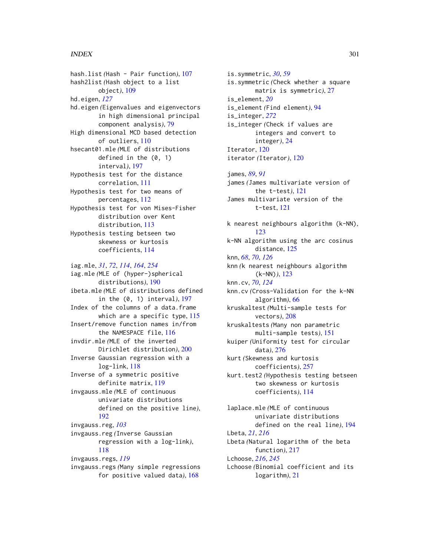hash.list *(*Hash - Pair function*)*, [107](#page-106-0) hash2list *(*Hash object to a list object*)*, [109](#page-108-0) hd.eigen, *[127](#page-126-0)* hd.eigen *(*Eigenvalues and eigenvectors in high dimensional principal component analysis*)*, [79](#page-78-0) High dimensional MCD based detection of outliers, [110](#page-109-0) hsecant01.mle *(*MLE of distributions defined in the (0, 1) interval*)*, [197](#page-196-0) Hypothesis test for the distance correlation, [111](#page-110-0) Hypothesis test for two means of percentages, [112](#page-111-0) Hypothesis test for von Mises-Fisher distribution over Kent distribution, [113](#page-112-0) Hypothesis testing betseen two skewness or kurtosis coefficients, [114](#page-113-0)

iag.mle, *[31](#page-30-0)*, *[72](#page-71-0)*, *[114](#page-113-0)*, *[164](#page-163-0)*, *[254](#page-253-0)* iag.mle *(*MLE of (hyper-)spherical distributions*)*, [190](#page-189-0) ibeta.mle *(*MLE of distributions defined in the (0, 1) interval*)*, [197](#page-196-0) Index of the columns of a data.frame which are a specific type, [115](#page-114-0) Insert/remove function names in/from the NAMESPACE file, [116](#page-115-0) invdir.mle *(*MLE of the inverted Dirichlet distribution*)*, [200](#page-199-0) Inverse Gaussian regression with a log-link, [118](#page-117-0) Inverse of a symmetric positive definite matrix, [119](#page-118-0) invgauss.mle *(*MLE of continuous univariate distributions defined on the positive line*)*, [192](#page-191-0) invgauss.reg, *[103](#page-102-0)* invgauss.reg *(*Inverse Gaussian regression with a log-link*)*, [118](#page-117-0) invgauss.regs, *[119](#page-118-0)* invgauss.regs *(*Many simple regressions for positive valued data*)*, [168](#page-167-0)

is.symmetric, *[30](#page-29-0)*, *[59](#page-58-0)* is.symmetric *(*Check whether a square matrix is symmetric*)*, [27](#page-26-0) is\_element, *[20](#page-19-0)* is\_element *(*Find element*)*, [94](#page-93-0) is\_integer, *[272](#page-271-0)* is\_integer *(*Check if values are integers and convert to integer*)*, [24](#page-23-0) Iterator, [120](#page-119-0) iterator *(*Iterator*)*, [120](#page-119-0) james, *[89](#page-88-0)*, *[91](#page-90-0)* james *(*James multivariate version of the t-test*)*, [121](#page-120-0) James multivariate version of the t-test, [121](#page-120-0) k nearest neighbours algorithm (k-NN), [123](#page-122-0) k-NN algorithm using the arc cosinus distance, [125](#page-124-0) knn, *[68](#page-67-0)*, *[70](#page-69-0)*, *[126](#page-125-0)* knn *(*k nearest neighbours algorithm (k-NN)*)*, [123](#page-122-0) knn.cv, *[70](#page-69-0)*, *[124](#page-123-0)* knn.cv *(*Cross-Validation for the k-NN algorithm*)*, [66](#page-65-0) kruskaltest *(*Multi-sample tests for vectors*)*, [208](#page-207-0) kruskaltests *(*Many non parametric multi-sample tests*)*, [151](#page-150-0) kuiper *(*Uniformity test for circular data*)*, [276](#page-275-0) kurt *(*Skewness and kurtosis coefficients*)*, [257](#page-256-0) kurt.test2 *(*Hypothesis testing betseen two skewness or kurtosis coefficients*)*, [114](#page-113-0) laplace.mle *(*MLE of continuous univariate distributions defined on the real line*)*, [194](#page-193-0) Lbeta, *[21](#page-20-0)*, *[216](#page-215-0)* Lbeta *(*Natural logarithm of the beta function*)*, [217](#page-216-0) Lchoose, *[216](#page-215-0)*, *[245](#page-244-0)* Lchoose *(*Binomial coefficient and its

logarithm*)*, [21](#page-20-0)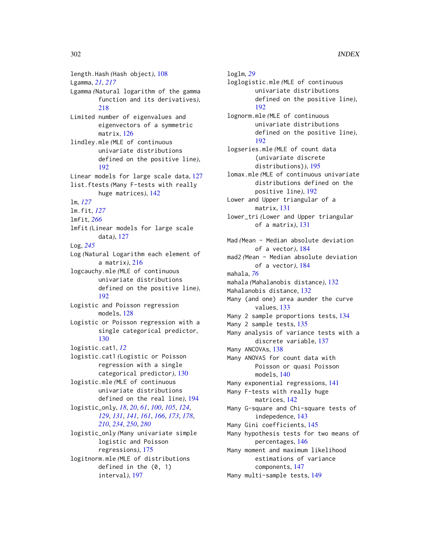length.Hash *(*Hash object*)*, [108](#page-107-0) Lgamma, *[21](#page-20-0)*, *[217](#page-216-0)* Lgamma *(*Natural logarithm of the gamma function and its derivatives*)*, [218](#page-217-0) Limited number of eigenvalues and eigenvectors of a symmetric matrix, [126](#page-125-0) lindley.mle *(*MLE of continuous univariate distributions defined on the positive line*)*, [192](#page-191-0) Linear models for large scale data, [127](#page-126-0) list.ftests *(*Many F-tests with really huge matrices*)*, [142](#page-141-0) lm, *[127](#page-126-0)* lm.fit, *[127](#page-126-0)* lmfit, *[266](#page-265-0)* lmfit *(*Linear models for large scale data*)*, [127](#page-126-0) Log, *[245](#page-244-0)* Log *(*Natural Logarithm each element of a matrix*)*, [216](#page-215-0) logcauchy.mle *(*MLE of continuous univariate distributions defined on the positive line*)*, [192](#page-191-0) Logistic and Poisson regression models, [128](#page-127-0) Logistic or Poisson regression with a single categorical predictor, [130](#page-129-0) logistic.cat1, *[12](#page-11-0)* logistic.cat1 *(*Logistic or Poisson regression with a single categorical predictor*)*, [130](#page-129-0) logistic.mle *(*MLE of continuous univariate distributions defined on the real line*)*, [194](#page-193-0) logistic\_only, *[18](#page-17-0)*, *[20](#page-19-0)*, *[61](#page-60-0)*, *[100](#page-99-0)*, *[105](#page-104-0)*, *[124](#page-123-0)*, *[129](#page-128-0)*, *[131](#page-130-0)*, *[141](#page-140-0)*, *[161](#page-160-0)*, *[166](#page-165-0)*, *[173](#page-172-0)*, *[178](#page-177-0)*, *[210](#page-209-0)*, *[234](#page-233-0)*, *[250](#page-249-0)*, *[280](#page-279-0)* logistic\_only *(*Many univariate simple logistic and Poisson regressions*)*, [175](#page-174-0) logitnorm.mle *(*MLE of distributions defined in the (0, 1)

interval*)*, [197](#page-196-0)

Many 2 sample tests, [135](#page-134-0) Many analysis of variance tests with a discrete variable, [137](#page-136-0) Many ANCOVAs, [138](#page-137-0) Many ANOVAS for count data with Poisson or quasi Poisson models, [140](#page-139-0) Many exponential regressions, [141](#page-140-0) Many F-tests with really huge matrices, [142](#page-141-0) Many G-square and Chi-square tests of indepedence, [143](#page-142-0) Many Gini coefficients, [145](#page-144-0) Many hypothesis tests for two means of percentages, [146](#page-145-0) Many moment and maximum likelihood estimations of variance components, [147](#page-146-0)

loglm, *[29](#page-28-0)*

mahala, *[76](#page-75-0)*

[192](#page-191-0)

[192](#page-191-0)

loglogistic.mle *(*MLE of continuous

lognorm.mle *(*MLE of continuous

logseries.mle *(*MLE of count data (univariate discrete distributions)*)*, [195](#page-194-0) lomax.mle *(*MLE of continuous univariate distributions defined on the

positive line*)*, [192](#page-191-0) Lower and Upper triangular of a matrix, [131](#page-130-0)

lower\_tri *(*Lower and Upper triangular of a matrix*)*, [131](#page-130-0)

Mad *(*Mean - Median absolute deviation of a vector*)*, [184](#page-183-0) mad2 *(*Mean - Median absolute deviation of a vector*)*, [184](#page-183-0)

mahala *(*Mahalanobis distance*)*, [132](#page-131-0)

Many (and one) area aunder the curve

Many 2 sample proportions tests, [134](#page-133-0)

Mahalanobis distance, [132](#page-131-0)

values, [133](#page-132-0)

univariate distributions defined on the positive line*)*,

univariate distributions defined on the positive line*)*,

Many multi-sample tests, [149](#page-148-0)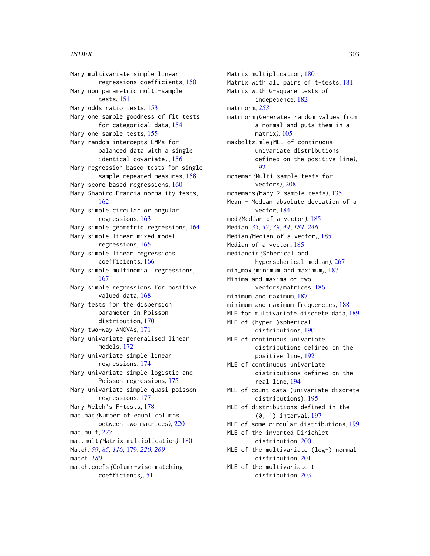Many multivariate simple linear regressions coefficients, [150](#page-149-0) Many non parametric multi-sample tests, [151](#page-150-0) Many odds ratio tests, [153](#page-152-0) Many one sample goodness of fit tests for categorical data, [154](#page-153-0) Many one sample tests, [155](#page-154-0) Many random intercepts LMMs for balanced data with a single identical covariate., [156](#page-155-0) Many regression based tests for single sample repeated measures, [158](#page-157-0) Many score based regressions, [160](#page-159-0) Many Shapiro-Francia normality tests, [162](#page-161-0) Many simple circular or angular regressions, [163](#page-162-0) Many simple geometric regressions, [164](#page-163-0) Many simple linear mixed model regressions, [165](#page-164-0) Many simple linear regressions coefficients, [166](#page-165-0) Many simple multinomial regressions, [167](#page-166-0) Many simple regressions for positive valued data, [168](#page-167-0) Many tests for the dispersion parameter in Poisson distribution, [170](#page-169-0) Many two-way ANOVAs, [171](#page-170-0) Many univariate generalised linear models, [172](#page-171-0) Many univariate simple linear regressions, [174](#page-173-0) Many univariate simple logistic and Poisson regressions, [175](#page-174-0) Many univariate simple quasi poisson regressions, [177](#page-176-0) Many Welch's F-tests, [178](#page-177-0) mat.mat *(*Number of equal columns between two matrices*)*, [220](#page-219-0) mat.mult, *[227](#page-226-0)* mat.mult *(*Matrix multiplication*)*, [180](#page-179-0) Match, *[59](#page-58-0)*, *[85](#page-84-0)*, *[116](#page-115-0)*, [179,](#page-178-0) *[220](#page-219-0)*, *[269](#page-268-0)* match, *[180](#page-179-0)* match.coefs *(*Column-wise matching coefficients*)*, [51](#page-50-0)

Matrix multiplication, [180](#page-179-0) Matrix with all pairs of t-tests, [181](#page-180-0) Matrix with G-square tests of indepedence, [182](#page-181-0) matrnorm, *[253](#page-252-0)* matrnorm *(*Generates random values from a normal and puts them in a matrix*)*, [105](#page-104-0) maxboltz.mle *(*MLE of continuous univariate distributions defined on the positive line*)*, [192](#page-191-0) mcnemar *(*Multi-sample tests for vectors*)*, [208](#page-207-0) mcnemars *(*Many 2 sample tests*)*, [135](#page-134-0) Mean - Median absolute deviation of a vector, [184](#page-183-0) med *(*Median of a vector*)*, [185](#page-184-0) Median, *[35](#page-34-0)*, *[37](#page-36-0)*, *[39](#page-38-0)*, *[44](#page-43-0)*, *[184](#page-183-0)*, *[246](#page-245-0)* Median *(*Median of a vector*)*, [185](#page-184-0) Median of a vector, [185](#page-184-0) mediandir *(*Spherical and hyperspherical median*)*, [267](#page-266-0) min\_max *(*minimum and maximum*)*, [187](#page-186-0) Minima and maxima of two vectors/matrices, [186](#page-185-0) minimum and maximum, [187](#page-186-0) minimum and maximum frequencies, [188](#page-187-0) MLE for multivariate discrete data, [189](#page-188-0) MLE of (hyper-)spherical distributions, [190](#page-189-0) MLE of continuous univariate distributions defined on the positive line, [192](#page-191-0) MLE of continuous univariate distributions defined on the real line, [194](#page-193-0) MLE of count data (univariate discrete distributions), [195](#page-194-0) MLE of distributions defined in the (0, 1) interval, [197](#page-196-0) MLE of some circular distributions, [199](#page-198-0) MLE of the inverted Dirichlet distribution, [200](#page-199-0) MLE of the multivariate (log-) normal distribution, [201](#page-200-0) MLE of the multivariate t distribution, [203](#page-202-0)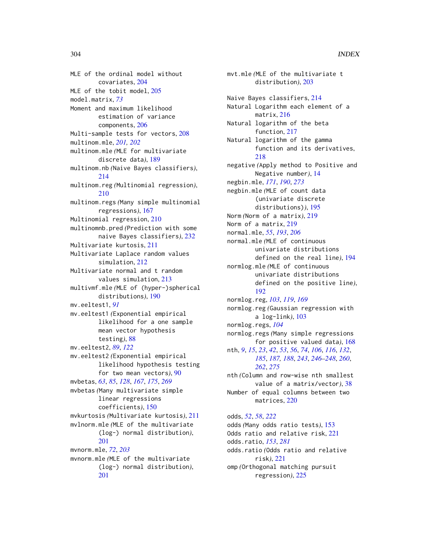MLE of the ordinal model without covariates, [204](#page-203-0) MLE of the tobit model, [205](#page-204-0) model.matrix, *[73](#page-72-0)* Moment and maximum likelihood estimation of variance components, [206](#page-205-0) Multi-sample tests for vectors, [208](#page-207-0) multinom.mle, *[201,](#page-200-0) [202](#page-201-0)* multinom.mle *(*MLE for multivariate discrete data*)*, [189](#page-188-0) multinom.nb *(*Naive Bayes classifiers*)*, [214](#page-213-0) multinom.reg *(*Multinomial regression*)*, [210](#page-209-0) multinom.regs *(*Many simple multinomial regressions*)*, [167](#page-166-0) Multinomial regression, [210](#page-209-0) multinomnb.pred *(*Prediction with some naive Bayes classifiers*)*, [232](#page-231-0) Multivariate kurtosis, [211](#page-210-0) Multivariate Laplace random values simulation, [212](#page-211-0) Multivariate normal and t random values simulation, [213](#page-212-0) multivmf.mle *(*MLE of (hyper-)spherical distributions*)*, [190](#page-189-0) mv.eeltest1, *[91](#page-90-0)* mv.eeltest1 *(*Exponential empirical likelihood for a one sample mean vector hypothesis testing*)*, [88](#page-87-0) mv.eeltest2, *[89](#page-88-0)*, *[122](#page-121-0)* mv.eeltest2 *(*Exponential empirical likelihood hypothesis testing for two mean vectors*)*, [90](#page-89-0) mvbetas, *[63](#page-62-0)*, *[85](#page-84-0)*, *[128](#page-127-0)*, *[167](#page-166-0)*, *[175](#page-174-0)*, *[269](#page-268-0)* mvbetas *(*Many multivariate simple linear regressions coefficients*)*, [150](#page-149-0) mvkurtosis *(*Multivariate kurtosis*)*, [211](#page-210-0) mvlnorm.mle *(*MLE of the multivariate (log-) normal distribution*)*, [201](#page-200-0) mvnorm.mle, *[72](#page-71-0)*, *[203](#page-202-0)* mvnorm.mle *(*MLE of the multivariate (log-) normal distribution*)*, [201](#page-200-0)

mvt.mle *(*MLE of the multivariate t distribution*)*, [203](#page-202-0) Naive Bayes classifiers, [214](#page-213-0) Natural Logarithm each element of a matrix, [216](#page-215-0) Natural logarithm of the beta function, [217](#page-216-0) Natural logarithm of the gamma function and its derivatives, [218](#page-217-0) negative *(*Apply method to Positive and Negative number*)*, [14](#page-13-0) negbin.mle, *[171](#page-170-0)*, *[190](#page-189-0)*, *[273](#page-272-0)* negbin.mle *(*MLE of count data (univariate discrete distributions)*)*, [195](#page-194-0) Norm *(*Norm of a matrix*)*, [219](#page-218-0) Norm of a matrix, [219](#page-218-0) normal.mle, *[55](#page-54-0)*, *[193](#page-192-0)*, *[206](#page-205-0)* normal.mle *(*MLE of continuous univariate distributions defined on the real line*)*, [194](#page-193-0) normlog.mle *(*MLE of continuous univariate distributions defined on the positive line*)*, [192](#page-191-0) normlog.reg, *[103](#page-102-0)*, *[119](#page-118-0)*, *[169](#page-168-0)* normlog.reg *(*Gaussian regression with a log-link*)*, [103](#page-102-0) normlog.regs, *[104](#page-103-0)* normlog.regs *(*Many simple regressions for positive valued data*)*, [168](#page-167-0) nth, *[9](#page-8-0)*, *[15](#page-14-0)*, *[23](#page-22-0)*, *[42](#page-41-0)*, *[53](#page-52-0)*, *[56](#page-55-0)*, *[74](#page-73-0)*, *[106](#page-105-0)*, *[116](#page-115-0)*, *[132](#page-131-0)*, *[185](#page-184-0)*, *[187,](#page-186-0) [188](#page-187-0)*, *[243](#page-242-0)*, *[246](#page-245-0)[–248](#page-247-0)*, *[260](#page-259-0)*, *[262](#page-261-0)*, *[275](#page-274-0)* nth *(*Column and row-wise nth smallest value of a matrix/vector*)*, [38](#page-37-0) Number of equal columns between two matrices, [220](#page-219-0) odds, *[52](#page-51-0)*, *[58](#page-57-0)*, *[222](#page-221-0)* odds *(*Many odds ratio tests*)*, [153](#page-152-0) Odds ratio and relative risk, [221](#page-220-0)

odds.ratio *(*Odds ratio and relative risk*)*, [221](#page-220-0)

odds.ratio, *[153](#page-152-0)*, *[281](#page-280-0)*

omp *(*Orthogonal matching pursuit regression*)*, [225](#page-224-0)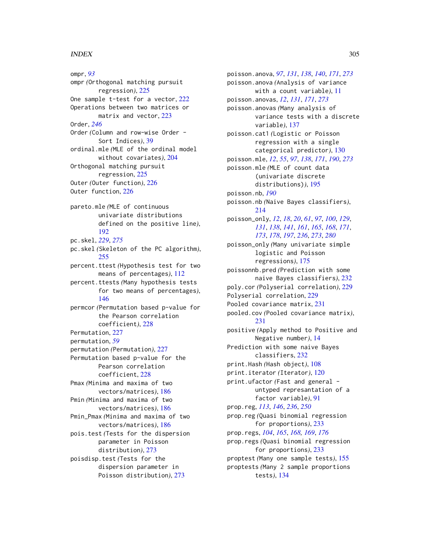ompr, *[93](#page-92-0)* ompr *(*Orthogonal matching pursuit regression*)*, [225](#page-224-0) One sample t-test for a vector, [222](#page-221-0) Operations between two matrices or matrix and vector, [223](#page-222-0) Order, *[246](#page-245-0)* Order *(*Column and row-wise Order - Sort Indices*)*, [39](#page-38-0) ordinal.mle *(*MLE of the ordinal model without covariates*)*, [204](#page-203-0) Orthogonal matching pursuit regression, [225](#page-224-0) Outer *(*Outer function*)*, [226](#page-225-0) Outer function, [226](#page-225-0) pareto.mle *(*MLE of continuous univariate distributions defined on the positive line*)*, [192](#page-191-0) pc.skel, *[229](#page-228-0)*, *[275](#page-274-0)* pc.skel *(*Skeleton of the PC algorithm*)*, [255](#page-254-0) percent.ttest *(*Hypothesis test for two means of percentages*)*, [112](#page-111-0) percent.ttests *(*Many hypothesis tests for two means of percentages*)*, [146](#page-145-0) permcor *(*Permutation based p-value for the Pearson correlation coefficient*)*, [228](#page-227-0) Permutation, [227](#page-226-0) permutation, *[59](#page-58-0)* permutation *(*Permutation*)*, [227](#page-226-0) Permutation based p-value for the Pearson correlation coefficient, [228](#page-227-0) Pmax *(*Minima and maxima of two vectors/matrices*)*, [186](#page-185-0) Pmin *(*Minima and maxima of two vectors/matrices*)*, [186](#page-185-0) Pmin\_Pmax *(*Minima and maxima of two vectors/matrices*)*, [186](#page-185-0) pois.test *(*Tests for the dispersion parameter in Poisson distribution*)*, [273](#page-272-0) poisdisp.test *(*Tests for the dispersion parameter in Poisson distribution*)*, [273](#page-272-0)

poisson.anova, *[97](#page-96-0)*, *[131](#page-130-0)*, *[138](#page-137-0)*, *[140](#page-139-0)*, *[171](#page-170-0)*, *[273](#page-272-0)* poisson.anova *(*Analysis of variance with a count variable*)*, [11](#page-10-0) poisson.anovas, *[12](#page-11-0)*, *[131](#page-130-0)*, *[171](#page-170-0)*, *[273](#page-272-0)* poisson.anovas *(*Many analysis of variance tests with a discrete variable*)*, [137](#page-136-0) poisson.cat1 *(*Logistic or Poisson regression with a single categorical predictor*)*, [130](#page-129-0) poisson.mle, *[12](#page-11-0)*, *[55](#page-54-0)*, *[97](#page-96-0)*, *[138](#page-137-0)*, *[171](#page-170-0)*, *[190](#page-189-0)*, *[273](#page-272-0)* poisson.mle *(*MLE of count data (univariate discrete distributions)*)*, [195](#page-194-0) poisson.nb, *[190](#page-189-0)* poisson.nb *(*Naive Bayes classifiers*)*, [214](#page-213-0) poisson\_only, *[12](#page-11-0)*, *[18](#page-17-0)*, *[20](#page-19-0)*, *[61](#page-60-0)*, *[97](#page-96-0)*, *[100](#page-99-0)*, *[129](#page-128-0)*, *[131](#page-130-0)*, *[138](#page-137-0)*, *[141](#page-140-0)*, *[161](#page-160-0)*, *[165](#page-164-0)*, *[168](#page-167-0)*, *[171](#page-170-0)*, *[173](#page-172-0)*, *[178](#page-177-0)*, *[197](#page-196-0)*, *[236](#page-235-0)*, *[273](#page-272-0)*, *[280](#page-279-0)* poisson\_only *(*Many univariate simple logistic and Poisson regressions*)*, [175](#page-174-0) poissonnb.pred *(*Prediction with some naive Bayes classifiers*)*, [232](#page-231-0) poly.cor *(*Polyserial correlation*)*, [229](#page-228-0) Polyserial correlation, [229](#page-228-0) Pooled covariance matrix, [231](#page-230-0) pooled.cov *(*Pooled covariance matrix*)*, [231](#page-230-0) positive *(*Apply method to Positive and Negative number*)*, [14](#page-13-0) Prediction with some naive Bayes classifiers, [232](#page-231-0) print.Hash *(*Hash object*)*, [108](#page-107-0) print.iterator *(*Iterator*)*, [120](#page-119-0) print.ufactor *(*Fast and general untyped represantation of a factor variable*)*, [91](#page-90-0) prop.reg, *[113](#page-112-0)*, *[146](#page-145-0)*, *[236](#page-235-0)*, *[250](#page-249-0)* prop.reg *(*Quasi binomial regression for proportions*)*, [233](#page-232-0) prop.regs, *[104](#page-103-0)*, *[165](#page-164-0)*, *[168,](#page-167-0) [169](#page-168-0)*, *[176](#page-175-0)* prop.regs *(*Quasi binomial regression for proportions*)*, [233](#page-232-0) proptest *(*Many one sample tests*)*, [155](#page-154-0) proptests *(*Many 2 sample proportions tests*)*, [134](#page-133-0)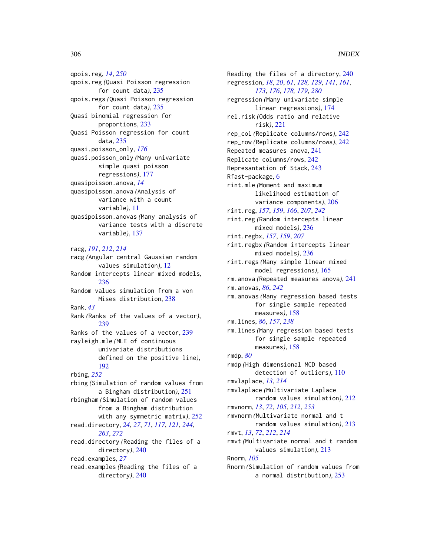qpois.reg, *[14](#page-13-0)*, *[250](#page-249-0)* qpois.reg *(*Quasi Poisson regression for count data*)*, [235](#page-234-0) qpois.regs *(*Quasi Poisson regression for count data*)*, [235](#page-234-0) Quasi binomial regression for proportions, [233](#page-232-0) Quasi Poisson regression for count data, [235](#page-234-0) quasi.poisson\_only, *[176](#page-175-0)* quasi.poisson\_only *(*Many univariate simple quasi poisson regressions*)*, [177](#page-176-0) quasipoisson.anova, *[14](#page-13-0)* quasipoisson.anova *(*Analysis of variance with a count variable*)*, [11](#page-10-0) quasipoisson.anovas *(*Many analysis of variance tests with a discrete variable*)*, [137](#page-136-0) racg, *[191](#page-190-0)*, *[212](#page-211-0)*, *[214](#page-213-0)* racg *(*Angular central Gaussian random values simulation*)*, [12](#page-11-0) Random intercepts linear mixed models, [236](#page-235-0) Random values simulation from a von Mises distribution, [238](#page-237-0) Rank, *[43](#page-42-0)* Rank *(*Ranks of the values of a vector*)*, [239](#page-238-0) Ranks of the values of a vector, [239](#page-238-0) rayleigh.mle *(*MLE of continuous univariate distributions defined on the positive line*)*, [192](#page-191-0) rbing, *[252](#page-251-0)* rbing *(*Simulation of random values from a Bingham distribution*)*, [251](#page-250-0) rbingham *(*Simulation of random values from a Bingham distribution with any symmetric matrix*)*, [252](#page-251-0) read.directory, *[24](#page-23-0)*, *[27](#page-26-0)*, *[71](#page-70-0)*, *[117](#page-116-0)*, *[121](#page-120-0)*, *[244](#page-243-0)*, *[263](#page-262-0)*, *[272](#page-271-0)* read.directory *(*Reading the files of a directory*)*, [240](#page-239-0) read.examples, *[27](#page-26-0)* read.examples *(*Reading the files of a directory*)*, [240](#page-239-0)

Reading the files of a directory, [240](#page-239-0) regression, *[18](#page-17-0)*, *[20](#page-19-0)*, *[61](#page-60-0)*, *[128,](#page-127-0) [129](#page-128-0)*, *[141](#page-140-0)*, *[161](#page-160-0)*, *[173](#page-172-0)*, *[176](#page-175-0)*, *[178,](#page-177-0) [179](#page-178-0)*, *[280](#page-279-0)* regression *(*Many univariate simple linear regressions*)*, [174](#page-173-0) rel.risk *(*Odds ratio and relative risk*)*, [221](#page-220-0) rep\_col *(*Replicate columns/rows*)*, [242](#page-241-0) rep\_row *(*Replicate columns/rows*)*, [242](#page-241-0) Repeated measures anova, [241](#page-240-0) Replicate columns/rows, [242](#page-241-0) Represantation of Stack, [243](#page-242-0) Rfast-package, [6](#page-5-0) rint.mle *(*Moment and maximum likelihood estimation of variance components*)*, [206](#page-205-0) rint.reg, *[157](#page-156-0)*, *[159](#page-158-0)*, *[166](#page-165-0)*, *[207](#page-206-0)*, *[242](#page-241-0)* rint.reg *(*Random intercepts linear mixed models*)*, [236](#page-235-0) rint.regbx, *[157](#page-156-0)*, *[159](#page-158-0)*, *[207](#page-206-0)* rint.regbx *(*Random intercepts linear mixed models*)*, [236](#page-235-0) rint.regs *(*Many simple linear mixed model regressions*)*, [165](#page-164-0) rm.anova *(*Repeated measures anova*)*, [241](#page-240-0) rm.anovas, *[86](#page-85-0)*, *[242](#page-241-0)* rm.anovas *(*Many regression based tests for single sample repeated measures*)*, [158](#page-157-0) rm.lines, *[86](#page-85-0)*, *[157](#page-156-0)*, *[238](#page-237-0)* rm.lines *(*Many regression based tests for single sample repeated measures*)*, [158](#page-157-0) rmdp, *[80](#page-79-0)* rmdp *(*High dimensional MCD based detection of outliers*)*, [110](#page-109-0) rmvlaplace, *[13](#page-12-0)*, *[214](#page-213-0)* rmvlaplace *(*Multivariate Laplace random values simulation*)*, [212](#page-211-0) rmvnorm, *[13](#page-12-0)*, *[72](#page-71-0)*, *[105](#page-104-0)*, *[212](#page-211-0)*, *[253](#page-252-0)* rmvnorm *(*Multivariate normal and t random values simulation*)*, [213](#page-212-0) rmvt, *[13](#page-12-0)*, *[72](#page-71-0)*, *[212](#page-211-0)*, *[214](#page-213-0)* rmvt *(*Multivariate normal and t random values simulation*)*, [213](#page-212-0) Rnorm, *[105](#page-104-0)* Rnorm *(*Simulation of random values from a normal distribution*)*, [253](#page-252-0)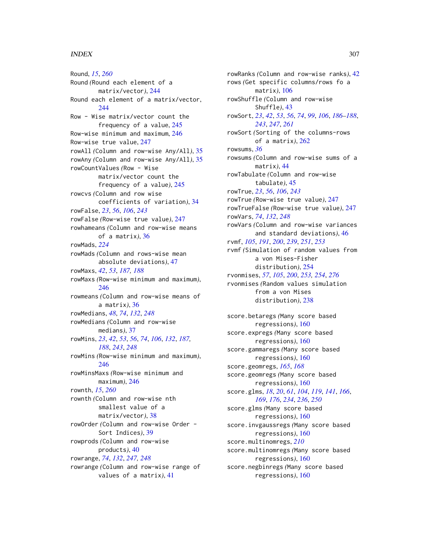Round, *[15](#page-14-0)*, *[260](#page-259-0)* Round *(*Round each element of a matrix/vector*)*, [244](#page-243-0) Round each element of a matrix/vector, [244](#page-243-0) Row - Wise matrix/vector count the frequency of a value, [245](#page-244-0) Row-wise minimum and maximum, [246](#page-245-0) Row-wise true value, [247](#page-246-0) rowAll *(*Column and row-wise Any/All*)*, [35](#page-34-0) rowAny *(*Column and row-wise Any/All*)*, [35](#page-34-0) rowCountValues *(*Row - Wise matrix/vector count the frequency of a value*)*, [245](#page-244-0) rowcvs *(*Column and row wise coefficients of variation*)*, [34](#page-33-0) rowFalse, *[23](#page-22-0)*, *[56](#page-55-0)*, *[106](#page-105-0)*, *[243](#page-242-0)* rowFalse *(*Row-wise true value*)*, [247](#page-246-0) rowhameans *(*Column and row-wise means of a matrix*)*, [36](#page-35-0) rowMads, *[224](#page-223-0)* rowMads *(*Column and rows-wise mean absolute deviations*)*, [47](#page-46-0) rowMaxs, *[42](#page-41-0)*, *[53](#page-52-0)*, *[187,](#page-186-0) [188](#page-187-0)* rowMaxs *(*Row-wise minimum and maximum*)*, [246](#page-245-0) rowmeans *(*Column and row-wise means of a matrix*)*, [36](#page-35-0) rowMedians, *[48](#page-47-0)*, *[74](#page-73-0)*, *[132](#page-131-0)*, *[248](#page-247-0)* rowMedians *(*Column and row-wise medians*)*, [37](#page-36-0) rowMins, *[23](#page-22-0)*, *[42](#page-41-0)*, *[53](#page-52-0)*, *[56](#page-55-0)*, *[74](#page-73-0)*, *[106](#page-105-0)*, *[132](#page-131-0)*, *[187,](#page-186-0) [188](#page-187-0)*, *[243](#page-242-0)*, *[248](#page-247-0)* rowMins *(*Row-wise minimum and maximum*)*, [246](#page-245-0) rowMinsMaxs *(*Row-wise minimum and maximum*)*, [246](#page-245-0) rownth, *[15](#page-14-0)*, *[260](#page-259-0)* rownth *(*Column and row-wise nth smallest value of a matrix/vector*)*, [38](#page-37-0) rowOrder *(*Column and row-wise Order - Sort Indices*)*, [39](#page-38-0) rowprods *(*Column and row-wise products*)*, [40](#page-39-0) rowrange, *[74](#page-73-0)*, *[132](#page-131-0)*, *[247,](#page-246-0) [248](#page-247-0)* rowrange *(*Column and row-wise range of values of a matrix*)*, [41](#page-40-0)

rowRanks *(*Column and row-wise ranks*)*, [42](#page-41-0) rows *(*Get specific columns/rows fo a matrix*)*, [106](#page-105-0) rowShuffle *(*Column and row-wise Shuffle*)*, [43](#page-42-0) rowSort, *[23](#page-22-0)*, *[42](#page-41-0)*, *[53](#page-52-0)*, *[56](#page-55-0)*, *[74](#page-73-0)*, *[99](#page-98-0)*, *[106](#page-105-0)*, *[186](#page-185-0)[–188](#page-187-0)*, *[243](#page-242-0)*, *[247](#page-246-0)*, *[261](#page-260-0)* rowSort *(*Sorting of the columns-rows of a matrix*)*, [262](#page-261-0) rowsums, *[36](#page-35-0)* rowsums *(*Column and row-wise sums of a matrix*)*, [44](#page-43-0) rowTabulate *(*Column and row-wise tabulate*)*, [45](#page-44-0) rowTrue, *[23](#page-22-0)*, *[56](#page-55-0)*, *[106](#page-105-0)*, *[243](#page-242-0)* rowTrue *(*Row-wise true value*)*, [247](#page-246-0) rowTrueFalse *(*Row-wise true value*)*, [247](#page-246-0) rowVars, *[74](#page-73-0)*, *[132](#page-131-0)*, *[248](#page-247-0)* rowVars *(*Column and row-wise variances and standard deviations*)*, [46](#page-45-0) rvmf, *[105](#page-104-0)*, *[191](#page-190-0)*, *[200](#page-199-0)*, *[239](#page-238-0)*, *[251](#page-250-0)*, *[253](#page-252-0)* rvmf *(*Simulation of random values from a von Mises-Fisher distribution*)*, [254](#page-253-0) rvonmises, *[57](#page-56-0)*, *[105](#page-104-0)*, *[200](#page-199-0)*, *[253,](#page-252-0) [254](#page-253-0)*, *[276](#page-275-0)* rvonmises *(*Random values simulation from a von Mises distribution*)*, [238](#page-237-0) score.betaregs *(*Many score based regressions*)*, [160](#page-159-0) score.expregs *(*Many score based regressions*)*, [160](#page-159-0) score.gammaregs *(*Many score based regressions*)*, [160](#page-159-0) score.geomregs, *[165](#page-164-0)*, *[168](#page-167-0)* score.geomregs *(*Many score based regressions*)*, [160](#page-159-0) score.glms, *[18](#page-17-0)*, *[20](#page-19-0)*, *[61](#page-60-0)*, *[104](#page-103-0)*, *[119](#page-118-0)*, *[141](#page-140-0)*, *[166](#page-165-0)*, *[169](#page-168-0)*, *[176](#page-175-0)*, *[234](#page-233-0)*, *[236](#page-235-0)*, *[250](#page-249-0)* score.glms *(*Many score based regressions*)*, [160](#page-159-0) score.invgaussregs *(*Many score based regressions*)*, [160](#page-159-0) score.multinomregs, *[210](#page-209-0)* score.multinomregs *(*Many score based regressions*)*, [160](#page-159-0) score.negbinregs *(*Many score based regressions*)*, [160](#page-159-0)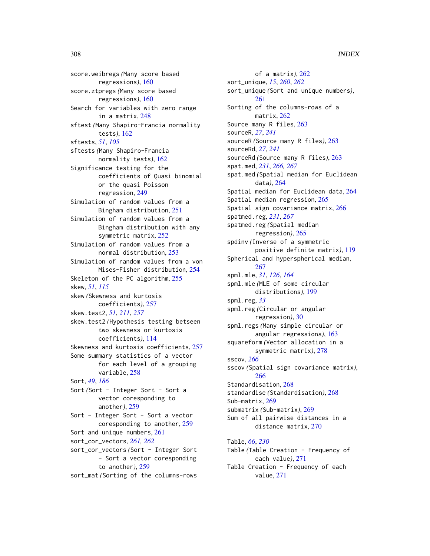score.weibregs *(*Many score based regressions*)*, [160](#page-159-0) score.ztpregs *(*Many score based regressions*)*, [160](#page-159-0) Search for variables with zero range in a matrix, [248](#page-247-0) sftest *(*Many Shapiro-Francia normality tests*)*, [162](#page-161-0) sftests, *[51](#page-50-0)*, *[105](#page-104-0)* sftests *(*Many Shapiro-Francia normality tests*)*, [162](#page-161-0) Significance testing for the coefficients of Quasi binomial or the quasi Poisson regression, [249](#page-248-0) Simulation of random values from a Bingham distribution, [251](#page-250-0) Simulation of random values from a Bingham distribution with any symmetric matrix, [252](#page-251-0) Simulation of random values from a normal distribution, [253](#page-252-0) Simulation of random values from a von Mises-Fisher distribution, [254](#page-253-0) Skeleton of the PC algorithm, [255](#page-254-0) skew, *[51](#page-50-0)*, *[115](#page-114-0)* skew *(*Skewness and kurtosis coefficients*)*, [257](#page-256-0) skew.test2, *[51](#page-50-0)*, *[211](#page-210-0)*, *[257](#page-256-0)* skew.test2 *(*Hypothesis testing betseen two skewness or kurtosis coefficients*)*, [114](#page-113-0) Skewness and kurtosis coefficients, [257](#page-256-0) Some summary statistics of a vector for each level of a grouping variable, [258](#page-257-0) Sort, *[49](#page-48-0)*, *[186](#page-185-0)* Sort *(Sort - Integer Sort - Sort a* vector coresponding to another*)*, [259](#page-258-0) Sort - Integer Sort - Sort a vector coresponding to another, [259](#page-258-0) Sort and unique numbers, [261](#page-260-0) sort\_cor\_vectors, *[261,](#page-260-0) [262](#page-261-0)* sort\_cor\_vectors *(*Sort - Integer Sort - Sort a vector coresponding to another*)*, [259](#page-258-0) sort\_mat *(*Sorting of the columns-rows

of a matrix*)*, [262](#page-261-0) sort\_unique, *[15](#page-14-0)*, *[260](#page-259-0)*, *[262](#page-261-0)* sort\_unique *(*Sort and unique numbers*)*, [261](#page-260-0) Sorting of the columns-rows of a matrix, [262](#page-261-0) Source many R files, [263](#page-262-0) sourceR, *[27](#page-26-0)*, *[241](#page-240-0)* sourceR *(*Source many R files*)*, [263](#page-262-0) sourceRd, *[27](#page-26-0)*, *[241](#page-240-0)* sourceRd *(*Source many R files*)*, [263](#page-262-0) spat.med, *[231](#page-230-0)*, *[266,](#page-265-0) [267](#page-266-0)* spat.med *(*Spatial median for Euclidean data*)*, [264](#page-263-0) Spatial median for Euclidean data, [264](#page-263-0) Spatial median regression, [265](#page-264-0) Spatial sign covariance matrix, [266](#page-265-0) spatmed.reg, *[231](#page-230-0)*, *[267](#page-266-0)* spatmed.reg *(*Spatial median regression*)*, [265](#page-264-0) spdinv *(*Inverse of a symmetric positive definite matrix*)*, [119](#page-118-0) Spherical and hyperspherical median, [267](#page-266-0) spml.mle, *[31](#page-30-0)*, *[126](#page-125-0)*, *[164](#page-163-0)* spml.mle *(*MLE of some circular distributions*)*, [199](#page-198-0) spml.reg, *[33](#page-32-0)* spml.reg *(*Circular or angular regression*)*, [30](#page-29-0) spml.regs *(*Many simple circular or angular regressions*)*, [163](#page-162-0) squareform *(*Vector allocation in a symmetric matrix*)*, [278](#page-277-0) sscov, *[266](#page-265-0)* sscov *(*Spatial sign covariance matrix*)*, [266](#page-265-0) Standardisation, [268](#page-267-0) standardise *(*Standardisation*)*, [268](#page-267-0) Sub-matrix, [269](#page-268-0) submatrix *(*Sub-matrix*)*, [269](#page-268-0) Sum of all pairwise distances in a distance matrix, [270](#page-269-0) Table, *[66](#page-65-0)*, *[230](#page-229-0)* Table *(*Table Creation - Frequency of each value*)*, [271](#page-270-0) Table Creation - Frequency of each

value, [271](#page-270-0)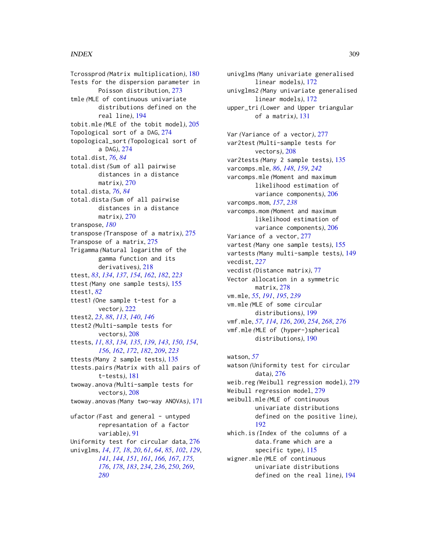Tcrossprod *(*Matrix multiplication*)*, [180](#page-179-0) Tests for the dispersion parameter in Poisson distribution, [273](#page-272-0) tmle *(*MLE of continuous univariate distributions defined on the real line*)*, [194](#page-193-0) tobit.mle *(*MLE of the tobit model*)*, [205](#page-204-0) Topological sort of a DAG, [274](#page-273-0) topological\_sort *(*Topological sort of a DAG*)*, [274](#page-273-0) total.dist, *[76](#page-75-0)*, *[84](#page-83-0)* total.dist *(*Sum of all pairwise distances in a distance matrix*)*, [270](#page-269-0) total.dista, *[76](#page-75-0)*, *[84](#page-83-0)* total.dista *(*Sum of all pairwise distances in a distance matrix*)*, [270](#page-269-0) transpose, *[180](#page-179-0)* transpose *(*Transpose of a matrix*)*, [275](#page-274-0) Transpose of a matrix, [275](#page-274-0) Trigamma *(*Natural logarithm of the gamma function and its derivatives*)*, [218](#page-217-0) ttest, *[83](#page-82-0)*, *[134](#page-133-0)*, *[137](#page-136-0)*, *[154](#page-153-0)*, *[162](#page-161-0)*, *[182](#page-181-0)*, *[223](#page-222-0)* ttest *(*Many one sample tests*)*, [155](#page-154-0) ttest1, *[82](#page-81-0)* ttest1 *(*One sample t-test for a vector*)*, [222](#page-221-0) ttest2, *[23](#page-22-0)*, *[88](#page-87-0)*, *[113](#page-112-0)*, *[140](#page-139-0)*, *[146](#page-145-0)* ttest2 *(*Multi-sample tests for vectors*)*, [208](#page-207-0) ttests, *[11](#page-10-0)*, *[83](#page-82-0)*, *[134,](#page-133-0) [135](#page-134-0)*, *[139](#page-138-0)*, *[143](#page-142-0)*, *[150](#page-149-0)*, *[154](#page-153-0)*, *[156](#page-155-0)*, *[162](#page-161-0)*, *[172](#page-171-0)*, *[182](#page-181-0)*, *[209](#page-208-0)*, *[223](#page-222-0)* ttests *(*Many 2 sample tests*)*, [135](#page-134-0) ttests.pairs *(*Matrix with all pairs of t-tests*)*, [181](#page-180-0) twoway.anova *(*Multi-sample tests for vectors*)*, [208](#page-207-0) twoway.anovas *(*Many two-way ANOVAs*)*, [171](#page-170-0) ufactor (Fast and general - untyped represantation of a factor variable*)*, [91](#page-90-0) Uniformity test for circular data, [276](#page-275-0) univglms, *[14](#page-13-0)*, *[17,](#page-16-0) [18](#page-17-0)*, *[20](#page-19-0)*, *[61](#page-60-0)*, *[64](#page-63-0)*, *[85](#page-84-0)*, *[102](#page-101-0)*, *[129](#page-128-0)*, *[141](#page-140-0)*, *[144](#page-143-0)*, *[151](#page-150-0)*, *[161](#page-160-0)*, *[166,](#page-165-0) [167](#page-166-0)*, *[175,](#page-174-0) [176](#page-175-0)*, *[178](#page-177-0)*, *[183](#page-182-0)*, *[234](#page-233-0)*, *[236](#page-235-0)*, *[250](#page-249-0)*, *[269](#page-268-0)*, *[280](#page-279-0)*

univglms *(*Many univariate generalised linear models*)*, [172](#page-171-0) univglms2 *(*Many univariate generalised linear models*)*, [172](#page-171-0) upper\_tri *(*Lower and Upper triangular of a matrix*)*, [131](#page-130-0) Var *(*Variance of a vector*)*, [277](#page-276-0) var2test *(*Multi-sample tests for vectors*)*, [208](#page-207-0) var2tests *(*Many 2 sample tests*)*, [135](#page-134-0) varcomps.mle, *[86](#page-85-0)*, *[148](#page-147-0)*, *[159](#page-158-0)*, *[242](#page-241-0)* varcomps.mle *(*Moment and maximum likelihood estimation of variance components*)*, [206](#page-205-0) varcomps.mom, *[157](#page-156-0)*, *[238](#page-237-0)* varcomps.mom *(*Moment and maximum likelihood estimation of variance components*)*, [206](#page-205-0) Variance of a vector, [277](#page-276-0) vartest *(*Many one sample tests*)*, [155](#page-154-0) vartests *(*Many multi-sample tests*)*, [149](#page-148-0) vecdist, *[227](#page-226-0)* vecdist *(*Distance matrix*)*, [77](#page-76-0) Vector allocation in a symmetric matrix, [278](#page-277-0) vm.mle, *[55](#page-54-0)*, *[191](#page-190-0)*, *[195](#page-194-0)*, *[239](#page-238-0)* vm.mle *(*MLE of some circular distributions*)*, [199](#page-198-0) vmf.mle, *[57](#page-56-0)*, *[114](#page-113-0)*, *[126](#page-125-0)*, *[200](#page-199-0)*, *[254](#page-253-0)*, *[268](#page-267-0)*, *[276](#page-275-0)* vmf.mle *(*MLE of (hyper-)spherical distributions*)*, [190](#page-189-0)

watson, *[57](#page-56-0)* watson *(*Uniformity test for circular data*)*, [276](#page-275-0) weib.reg *(*Weibull regression model*)*, [279](#page-278-0) Weibull regression model, [279](#page-278-0) weibull.mle *(*MLE of continuous univariate distributions defined on the positive line*)*, [192](#page-191-0) which.is *(*Index of the columns of a data.frame which are a specific type*)*, [115](#page-114-0) wigner.mle *(*MLE of continuous univariate distributions defined on the real line*)*, [194](#page-193-0)